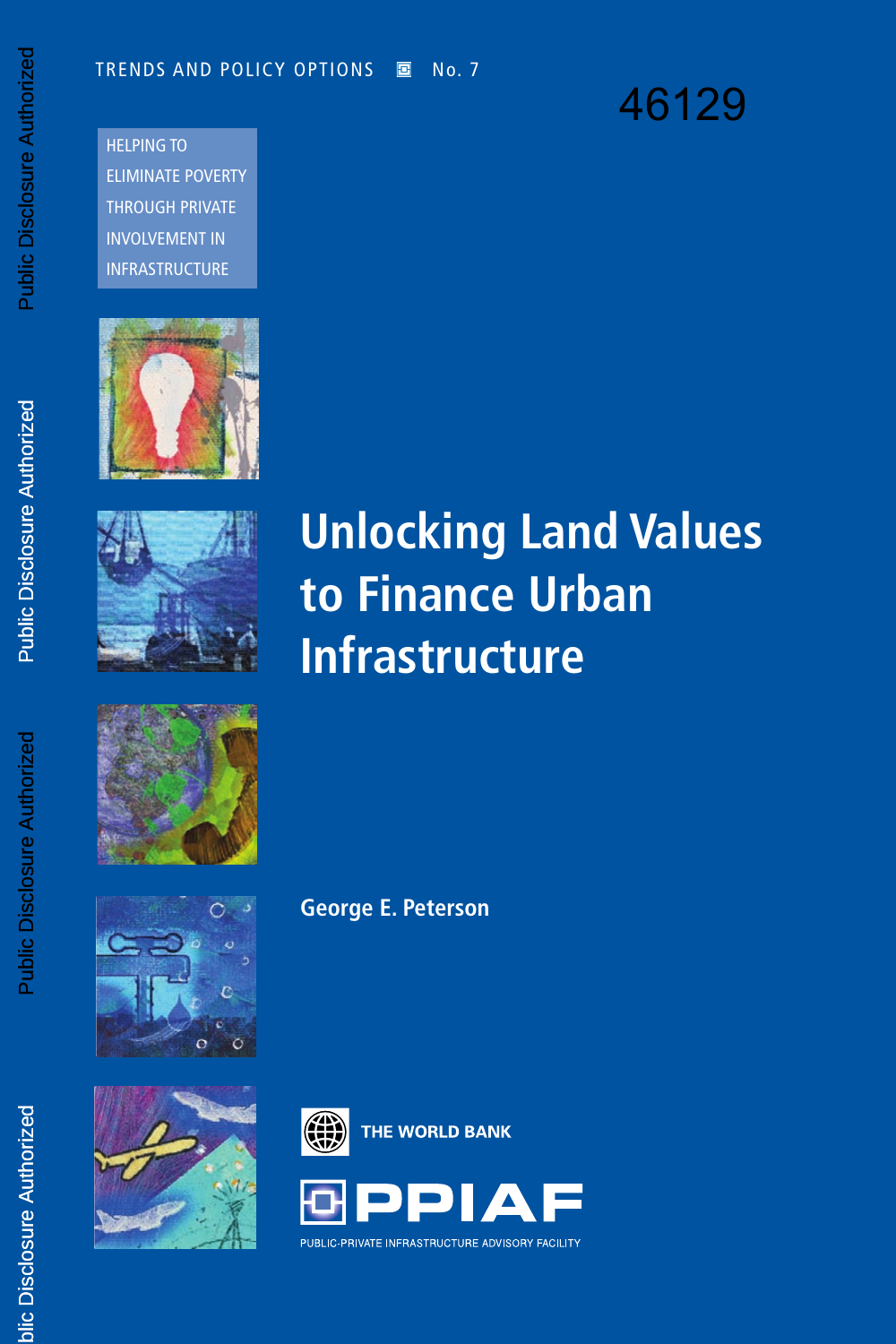Public Disclosure Authorized

Public Disclosure Authorized

Public Disclosure Authorized

**Public Disclosure Authorized** 

#### **TRENDS AND POLICY OPTIONS 图 No. 7**

HELPING TO ELIMINATE POVERTY THROUGH PRIVATE INVOLVEMENT IN INFRASTRUCTURE













**George E. Peterson**



## 46129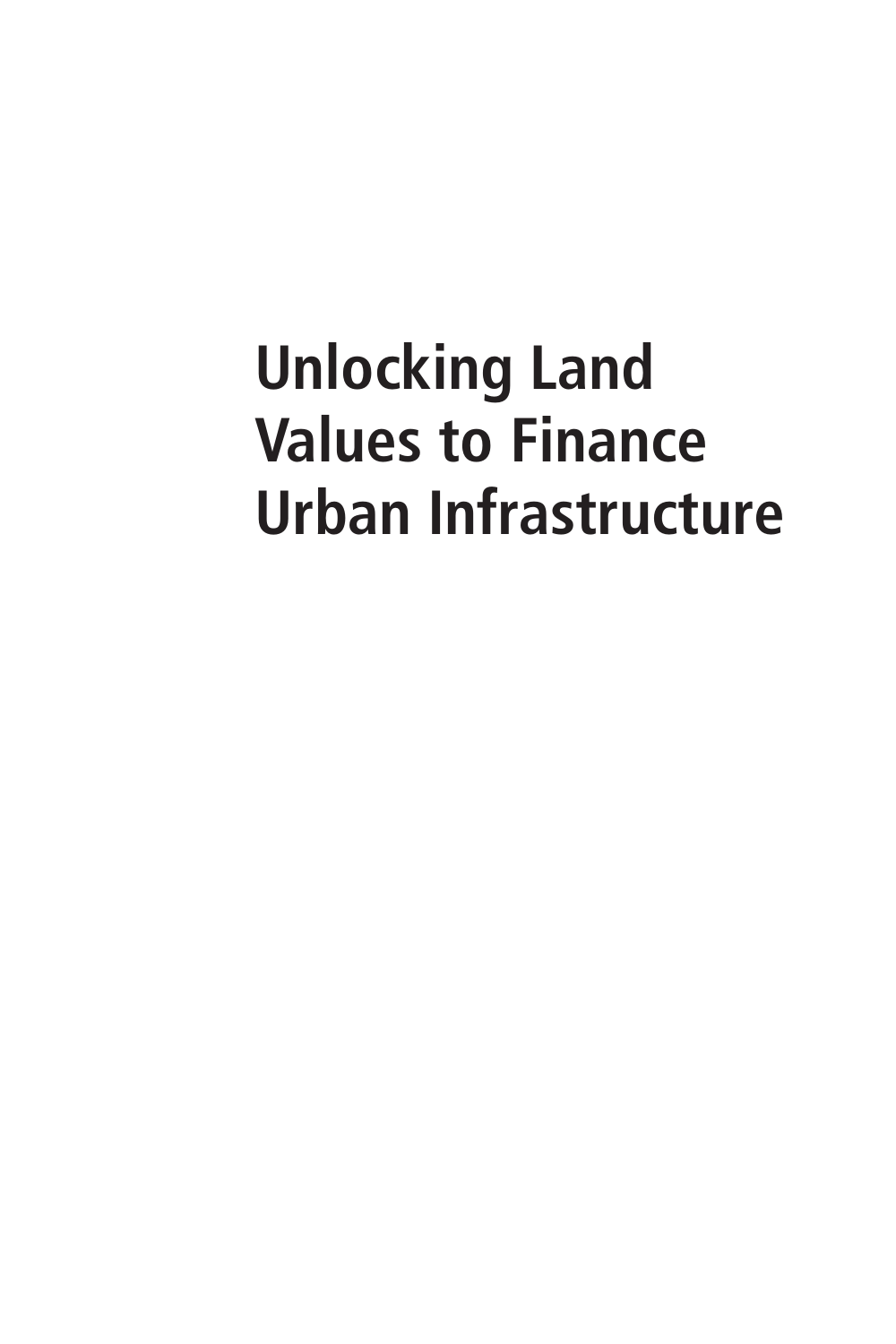## **Unlocking Land Values to Finance Urban Infrastructure**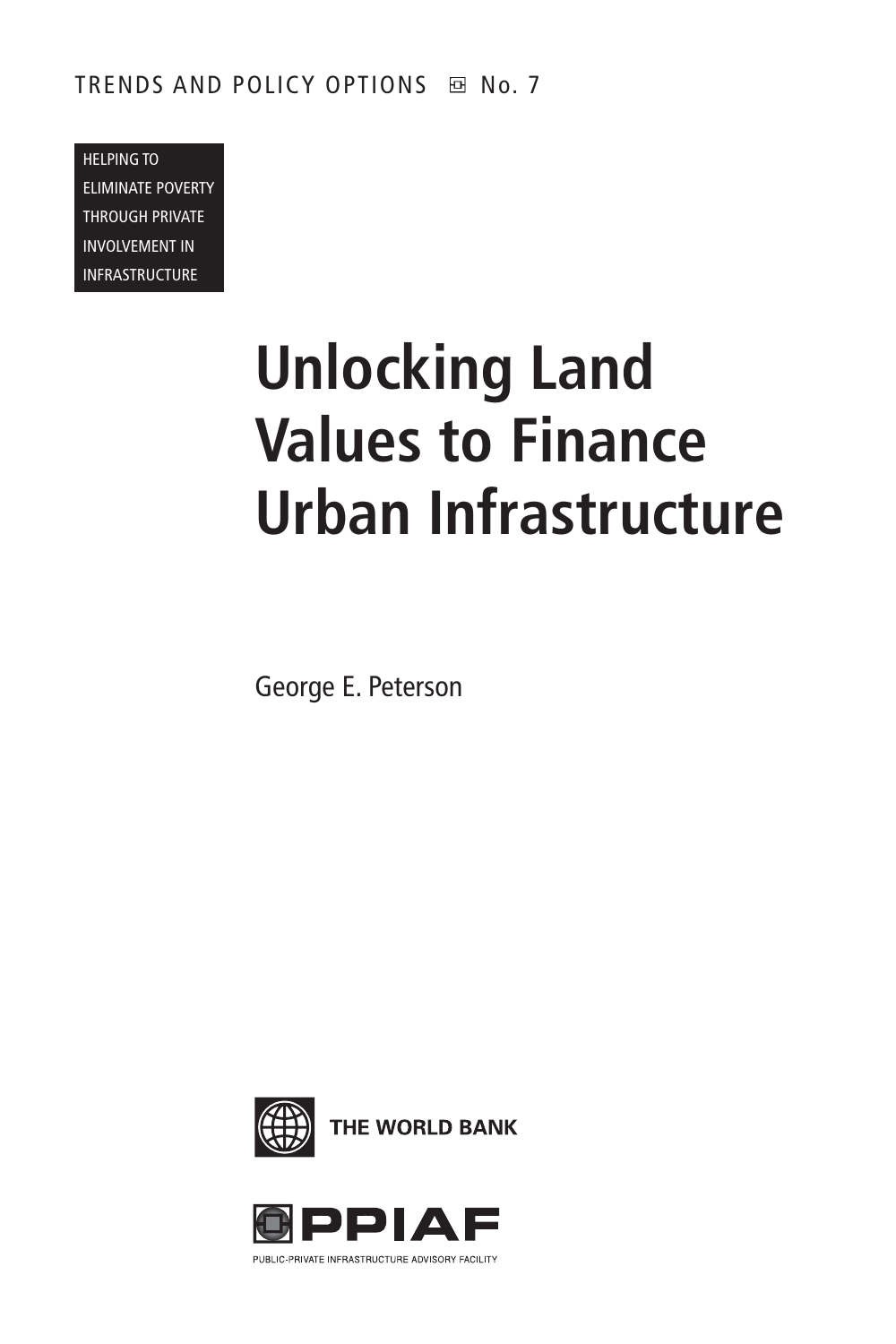TRENDS AND POLICY OPTIONS No. 7

HELPING TO ELIMINATE POVERTY THROUGH PRIVATE INVOLVEMENT IN INFRASTRUCTURE

# **Unlocking Land Values to Finance Urban Infrastructure**

George E. Peterson



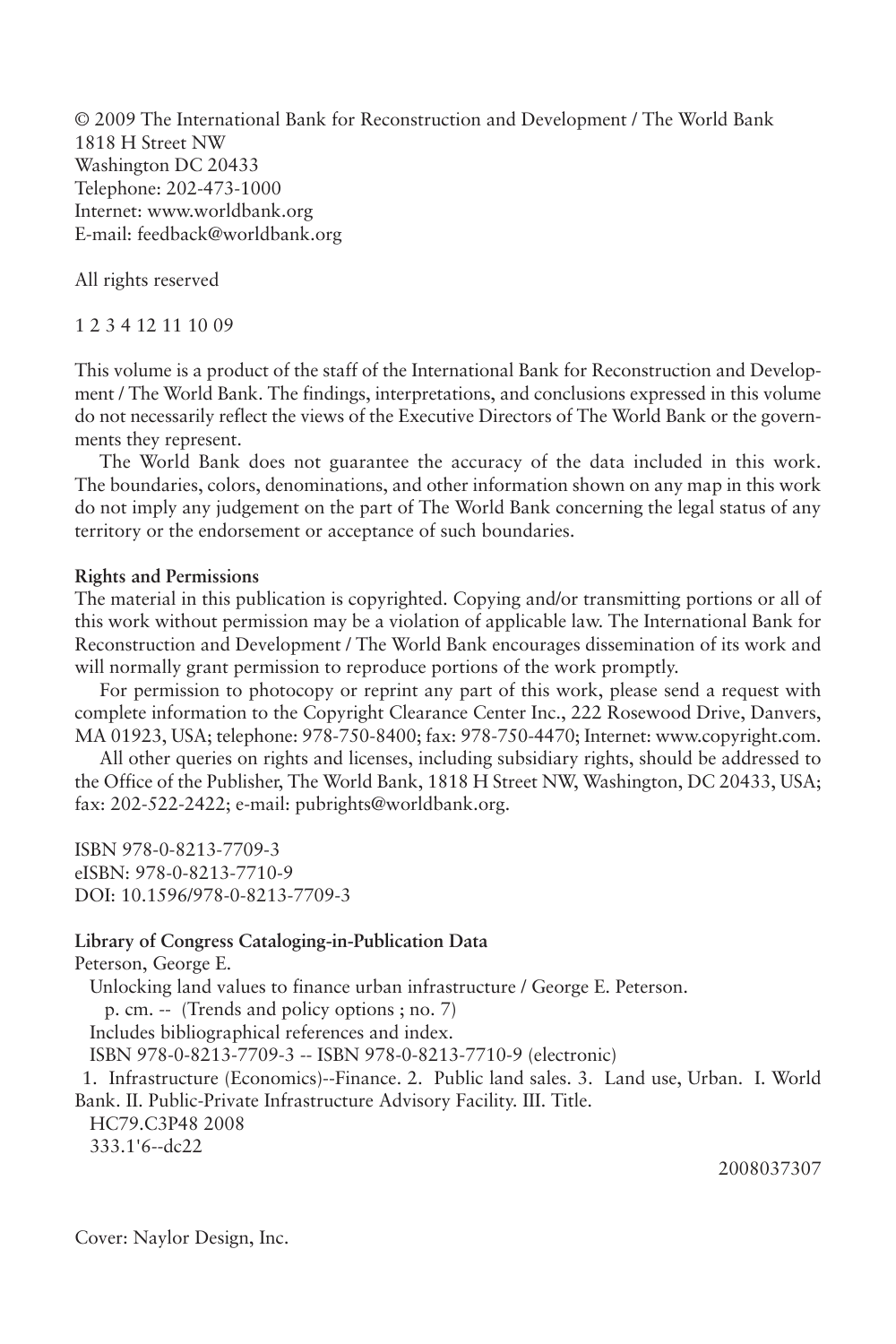© 2009 The International Bank for Reconstruction and Development / The World Bank 1818 H Street NW Washington DC 20433 Telephone: 202-473-1000 Internet: www.worldbank.org E-mail: feedback@worldbank.org

All rights reserved

1 2 3 4 12 11 10 09

This volume is a product of the staff of the International Bank for Reconstruction and Development / The World Bank. The findings, interpretations, and conclusions expressed in this volume do not necessarily reflect the views of the Executive Directors of The World Bank or the governments they represent.

The World Bank does not guarantee the accuracy of the data included in this work. The boundaries, colors, denominations, and other information shown on any map in this work do not imply any judgement on the part of The World Bank concerning the legal status of any territory or the endorsement or acceptance of such boundaries.

#### **Rights and Permissions**

The material in this publication is copyrighted. Copying and/or transmitting portions or all of this work without permission may be a violation of applicable law. The International Bank for Reconstruction and Development / The World Bank encourages dissemination of its work and will normally grant permission to reproduce portions of the work promptly.

For permission to photocopy or reprint any part of this work, please send a request with complete information to the Copyright Clearance Center Inc., 222 Rosewood Drive, Danvers, MA 01923, USA; telephone: 978-750-8400; fax: 978-750-4470; Internet: www.copyright.com.

All other queries on rights and licenses, including subsidiary rights, should be addressed to the Office of the Publisher, The World Bank, 1818 H Street NW, Washington, DC 20433, USA; fax: 202-522-2422; e-mail: pubrights@worldbank.org.

ISBN 978-0-8213-7709-3 eISBN: 978-0-8213-7710-9 DOI: 10.1596/978-0-8213-7709-3

#### **Library of Congress Cataloging-in-Publication Data**

Peterson, George E.

Unlocking land values to finance urban infrastructure / George E. Peterson.

p. cm. -- (Trends and policy options ; no. 7)

Includes bibliographical references and index.

ISBN 978-0-8213-7709-3 -- ISBN 978-0-8213-7710-9 (electronic)

1. Infrastructure (Economics)--Finance. 2. Public land sales. 3. Land use, Urban. I. World Bank. II. Public-Private Infrastructure Advisory Facility. III. Title.

HC79.C3P48 2008 333.1'6--dc22

2008037307

Cover: Naylor Design, Inc.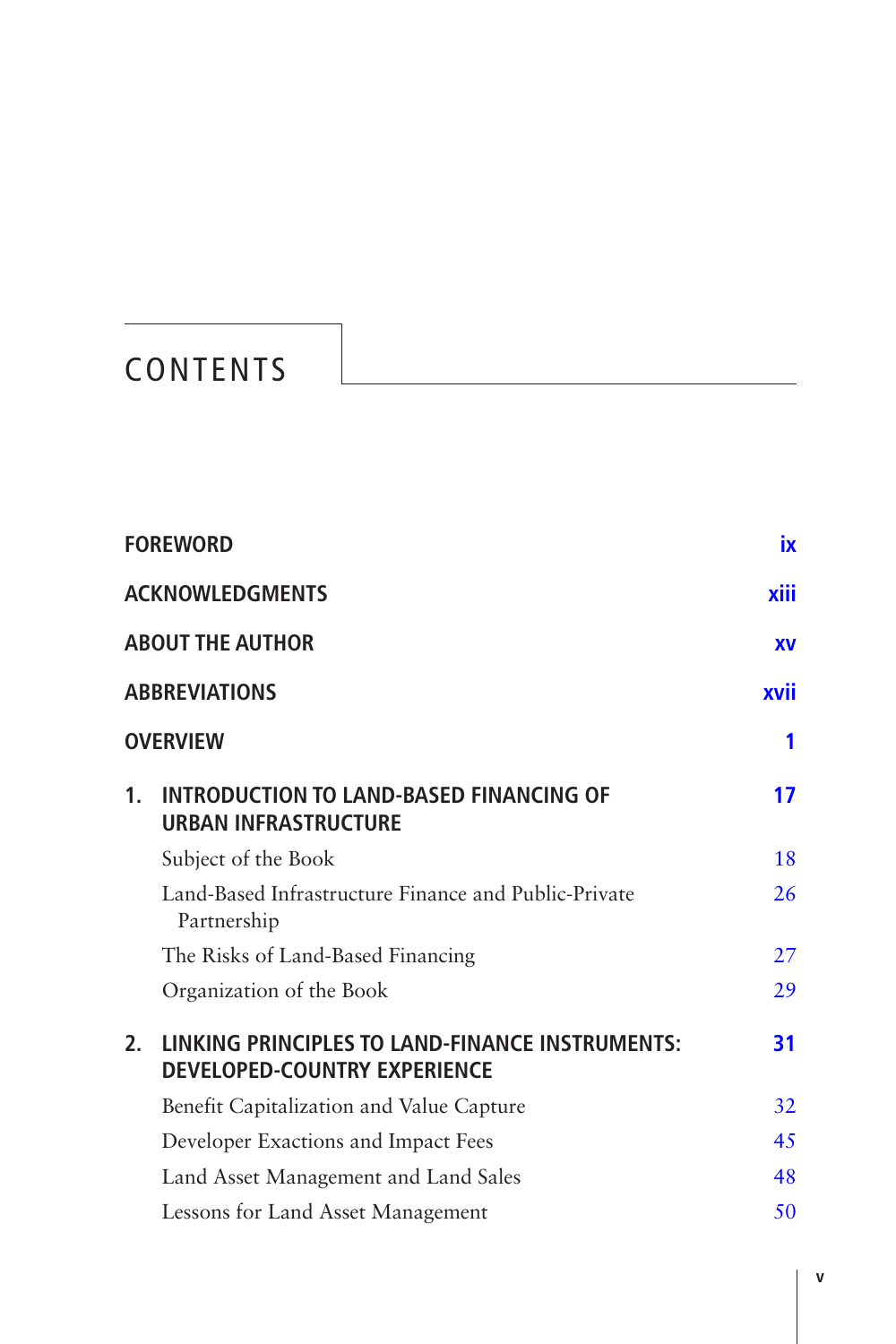## CONTENTS

|         | <b>FOREWORD</b>                                                                        | iх        |
|---------|----------------------------------------------------------------------------------------|-----------|
|         | <b>ACKNOWLEDGMENTS</b>                                                                 | xiii      |
|         | <b>ABOUT THE AUTHOR</b>                                                                | <b>XV</b> |
|         | <b>ABBREVIATIONS</b>                                                                   | xvii      |
|         | <b>OVERVIEW</b>                                                                        | 1         |
| $1_{-}$ | INTRODUCTION TO LAND-BASED FINANCING OF<br><b>URBAN INFRASTRUCTURE</b>                 | 17        |
|         | Subject of the Book                                                                    | 18        |
|         | Land-Based Infrastructure Finance and Public-Private<br>Partnership                    | 26        |
|         | The Risks of Land-Based Financing                                                      | 27        |
|         | Organization of the Book                                                               | 29        |
| 2.      | LINKING PRINCIPLES TO LAND-FINANCE INSTRUMENTS:<br><b>DEVELOPED-COUNTRY EXPERIENCE</b> | 31        |
|         | Benefit Capitalization and Value Capture                                               | 32        |
|         | Developer Exactions and Impact Fees                                                    | 45        |
|         | Land Asset Management and Land Sales                                                   | 48        |
|         | Lessons for Land Asset Management                                                      | 50        |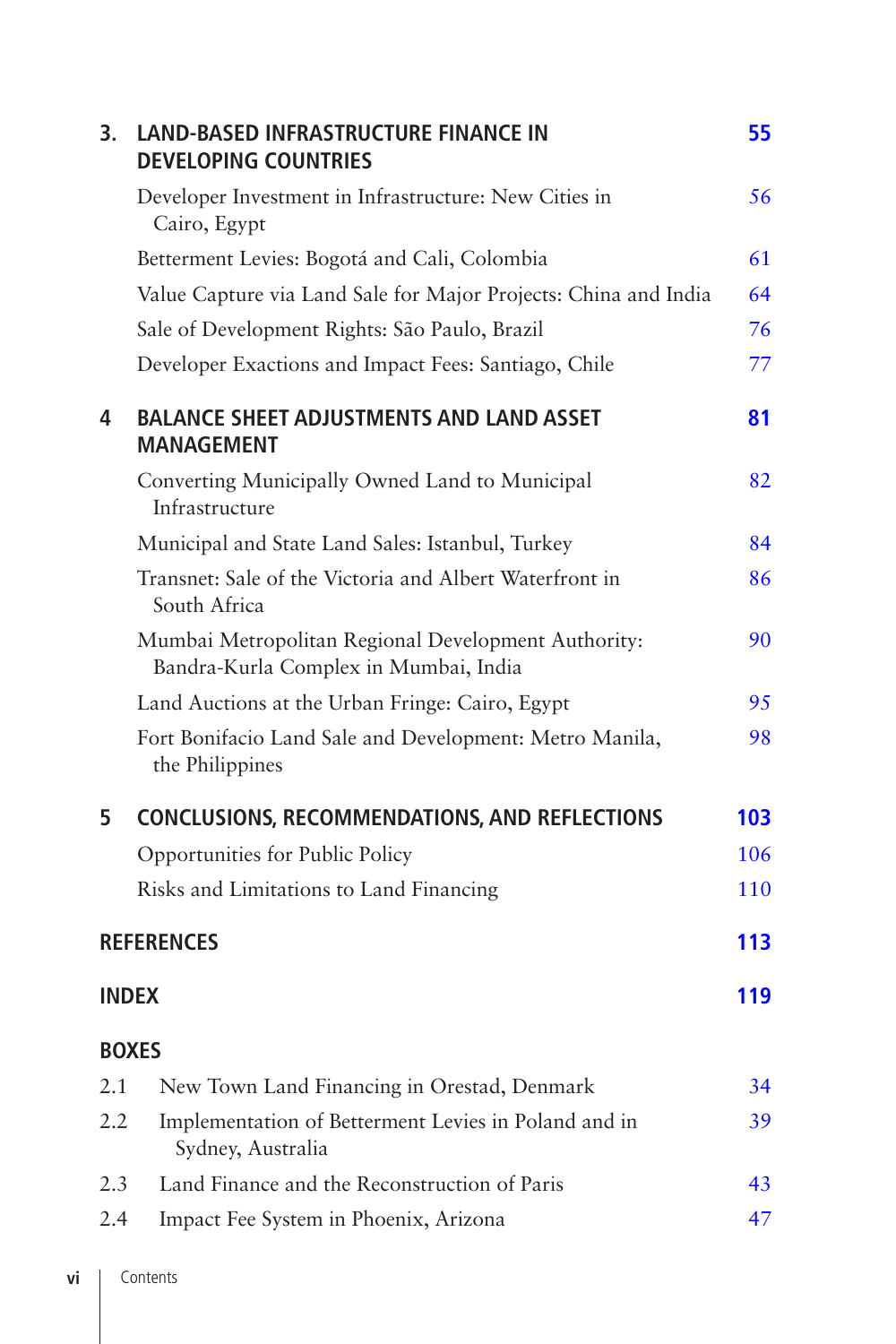| 3.  | <b>LAND-BASED INFRASTRUCTURE FINANCE IN</b><br><b>DEVELOPING COUNTRIES</b>                   | 55  |
|-----|----------------------------------------------------------------------------------------------|-----|
|     | Developer Investment in Infrastructure: New Cities in<br>Cairo, Egypt                        | 56  |
|     | Betterment Levies: Bogotá and Cali, Colombia                                                 | 61  |
|     | Value Capture via Land Sale for Major Projects: China and India                              | 64  |
|     | Sale of Development Rights: São Paulo, Brazil                                                | 76  |
|     | Developer Exactions and Impact Fees: Santiago, Chile                                         | 77  |
| 4   | <b>BALANCE SHEET ADJUSTMENTS AND LAND ASSET</b><br><b>MANAGEMENT</b>                         | 81  |
|     | Converting Municipally Owned Land to Municipal<br>Infrastructure                             | 82  |
|     | Municipal and State Land Sales: Istanbul, Turkey                                             | 84  |
|     | Transnet: Sale of the Victoria and Albert Waterfront in<br>South Africa                      | 86  |
|     | Mumbai Metropolitan Regional Development Authority:<br>Bandra-Kurla Complex in Mumbai, India | 90  |
|     | Land Auctions at the Urban Fringe: Cairo, Egypt                                              | 95  |
|     | Fort Bonifacio Land Sale and Development: Metro Manila,<br>the Philippines                   | 98  |
| 5   | <b>CONCLUSIONS, RECOMMENDATIONS, AND REFLECTIONS</b>                                         | 103 |
|     | Opportunities for Public Policy                                                              | 106 |
|     | Risks and Limitations to Land Financing                                                      | 110 |
|     | <b>REFERENCES</b>                                                                            | 113 |
|     | <b>INDEX</b>                                                                                 | 119 |
|     | <b>BOXES</b>                                                                                 |     |
| 2.1 | New Town Land Financing in Orestad, Denmark                                                  | 34  |
| 2.2 | Implementation of Betterment Levies in Poland and in<br>Sydney, Australia                    | 39  |
| 2.3 | Land Finance and the Reconstruction of Paris                                                 | 43  |
| 2.4 | Impact Fee System in Phoenix, Arizona                                                        | 47  |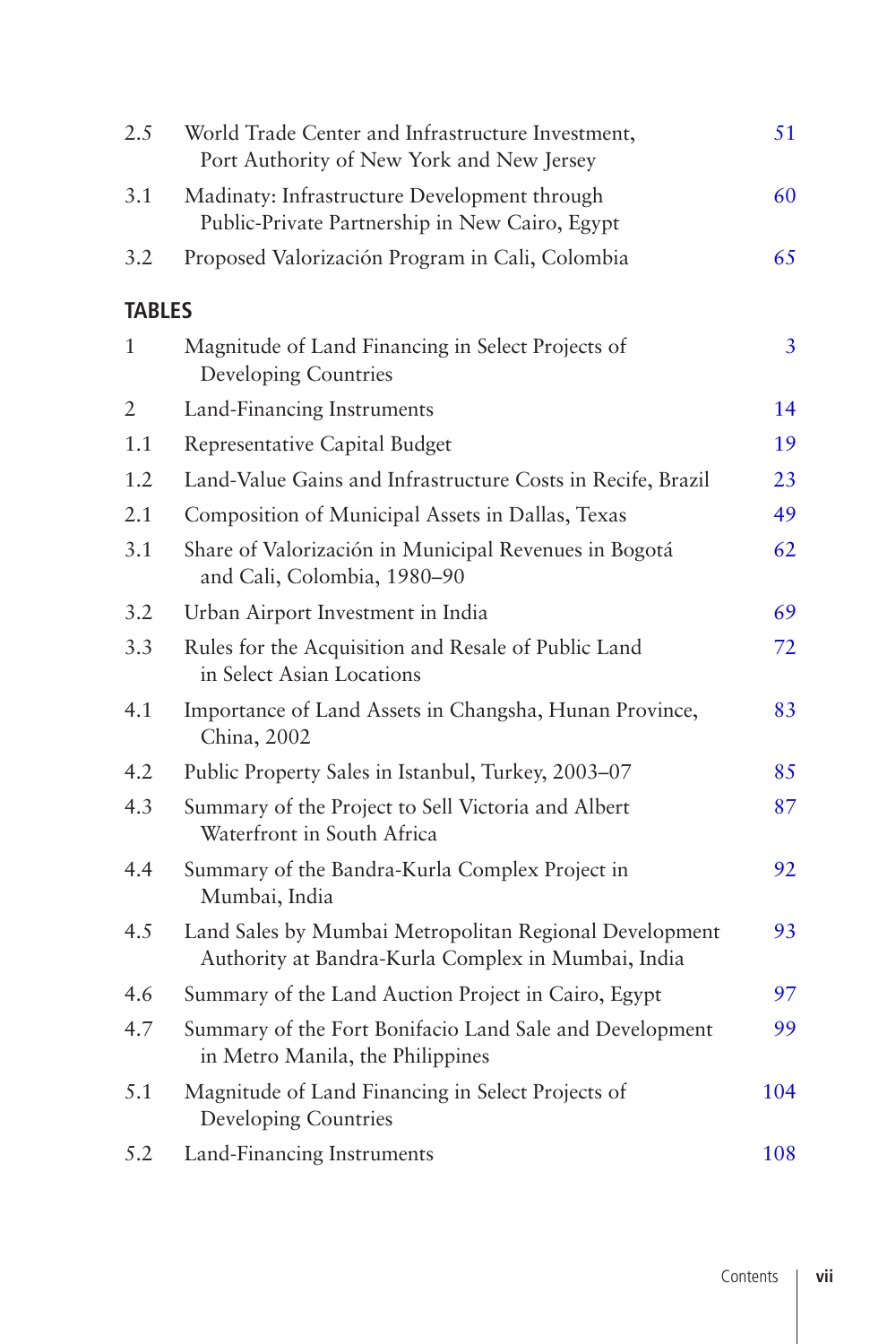| 2.5            | World Trade Center and Infrastructure Investment,<br>Port Authority of New York and New Jersey               |                |  |
|----------------|--------------------------------------------------------------------------------------------------------------|----------------|--|
| 3.1            | Madinaty: Infrastructure Development through<br>Public-Private Partnership in New Cairo, Egypt               | 60             |  |
| 3.2            | Proposed Valorización Program in Cali, Colombia                                                              | 65             |  |
| <b>TABLES</b>  |                                                                                                              |                |  |
| 1              | Magnitude of Land Financing in Select Projects of<br>Developing Countries                                    | $\overline{3}$ |  |
| $\overline{2}$ | Land-Financing Instruments                                                                                   | 14             |  |
| 1.1            | Representative Capital Budget                                                                                | 19             |  |
| 1.2            | Land-Value Gains and Infrastructure Costs in Recife, Brazil                                                  | 23             |  |
| 2.1            | Composition of Municipal Assets in Dallas, Texas                                                             | 49             |  |
| 3.1            | Share of Valorización in Municipal Revenues in Bogotá<br>and Cali, Colombia, 1980-90                         | 62             |  |
| 3.2            | Urban Airport Investment in India                                                                            | 69             |  |
| 3.3            | Rules for the Acquisition and Resale of Public Land<br>in Select Asian Locations                             | 72             |  |
| 4.1            | Importance of Land Assets in Changsha, Hunan Province,<br>China, 2002                                        | 83             |  |
| 4.2            | Public Property Sales in Istanbul, Turkey, 2003-07                                                           | 85             |  |
| 4.3            | Summary of the Project to Sell Victoria and Albert<br>Waterfront in South Africa                             | 87             |  |
| 4.4            | Summary of the Bandra-Kurla Complex Project in<br>Mumbai, India                                              | 92             |  |
| 4.5            | Land Sales by Mumbai Metropolitan Regional Development<br>Authority at Bandra-Kurla Complex in Mumbai, India | 93             |  |
| 4.6            | Summary of the Land Auction Project in Cairo, Egypt                                                          | 97             |  |
| 4.7            | Summary of the Fort Bonifacio Land Sale and Development<br>in Metro Manila, the Philippines                  | 99             |  |
| 5.1            | Magnitude of Land Financing in Select Projects of<br>Developing Countries                                    | 104            |  |
| 5.2            | Land-Financing Instruments                                                                                   | 108            |  |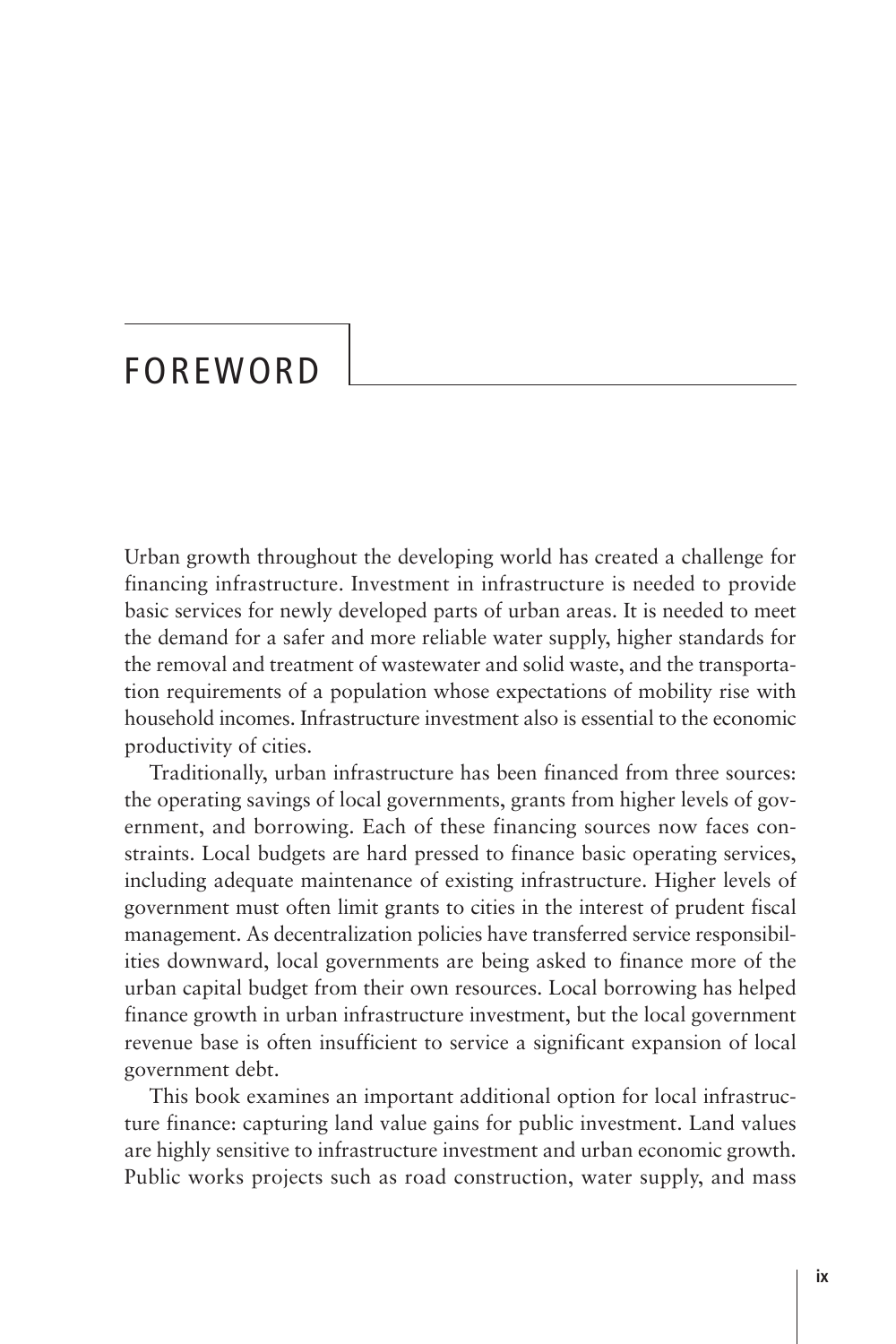### <span id="page-9-0"></span>**FOREWORD**

Urban growth throughout the developing world has created a challenge for financing infrastructure. Investment in infrastructure is needed to provide basic services for newly developed parts of urban areas. It is needed to meet the demand for a safer and more reliable water supply, higher standards for the removal and treatment of wastewater and solid waste, and the transportation requirements of a population whose expectations of mobility rise with household incomes. Infrastructure investment also is essential to the economic productivity of cities.

Traditionally, urban infrastructure has been financed from three sources: the operating savings of local governments, grants from higher levels of government, and borrowing. Each of these financing sources now faces constraints. Local budgets are hard pressed to finance basic operating services, including adequate maintenance of existing infrastructure. Higher levels of government must often limit grants to cities in the interest of prudent fiscal management. As decentralization policies have transferred service responsibilities downward, local governments are being asked to finance more of the urban capital budget from their own resources. Local borrowing has helped finance growth in urban infrastructure investment, but the local government revenue base is often insufficient to service a significant expansion of local government debt.

This book examines an important additional option for local infrastructure finance: capturing land value gains for public investment. Land values are highly sensitive to infrastructure investment and urban economic growth. Public works projects such as road construction, water supply, and mass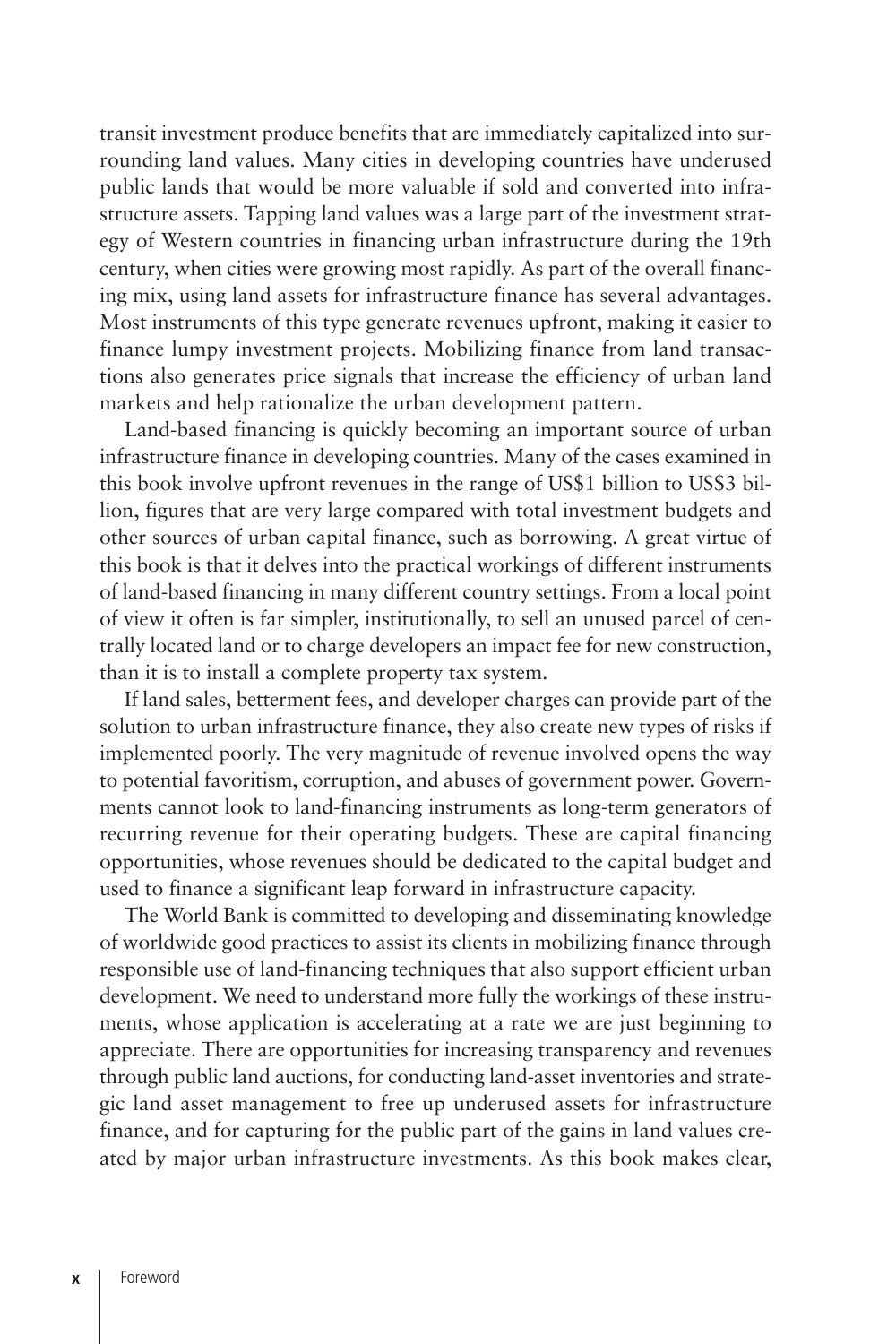transit investment produce benefits that are immediately capitalized into surrounding land values. Many cities in developing countries have underused public lands that would be more valuable if sold and converted into infrastructure assets. Tapping land values was a large part of the investment strategy of Western countries in financing urban infrastructure during the 19th century, when cities were growing most rapidly. As part of the overall financing mix, using land assets for infrastructure finance has several advantages. Most instruments of this type generate revenues upfront, making it easier to finance lumpy investment projects. Mobilizing finance from land transactions also generates price signals that increase the efficiency of urban land markets and help rationalize the urban development pattern.

Land-based financing is quickly becoming an important source of urban infrastructure finance in developing countries. Many of the cases examined in this book involve upfront revenues in the range of US\$1 billion to US\$3 billion, figures that are very large compared with total investment budgets and other sources of urban capital finance, such as borrowing. A great virtue of this book is that it delves into the practical workings of different instruments of land-based financing in many different country settings. From a local point of view it often is far simpler, institutionally, to sell an unused parcel of centrally located land or to charge developers an impact fee for new construction, than it is to install a complete property tax system.

If land sales, betterment fees, and developer charges can provide part of the solution to urban infrastructure finance, they also create new types of risks if implemented poorly. The very magnitude of revenue involved opens the way to potential favoritism, corruption, and abuses of government power. Governments cannot look to land-financing instruments as long-term generators of recurring revenue for their operating budgets. These are capital financing opportunities, whose revenues should be dedicated to the capital budget and used to finance a significant leap forward in infrastructure capacity.

The World Bank is committed to developing and disseminating knowledge of worldwide good practices to assist its clients in mobilizing finance through responsible use of land-financing techniques that also support efficient urban development. We need to understand more fully the workings of these instruments, whose application is accelerating at a rate we are just beginning to appreciate. There are opportunities for increasing transparency and revenues through public land auctions, for conducting land-asset inventories and strategic land asset management to free up underused assets for infrastructure finance, and for capturing for the public part of the gains in land values created by major urban infrastructure investments. As this book makes clear,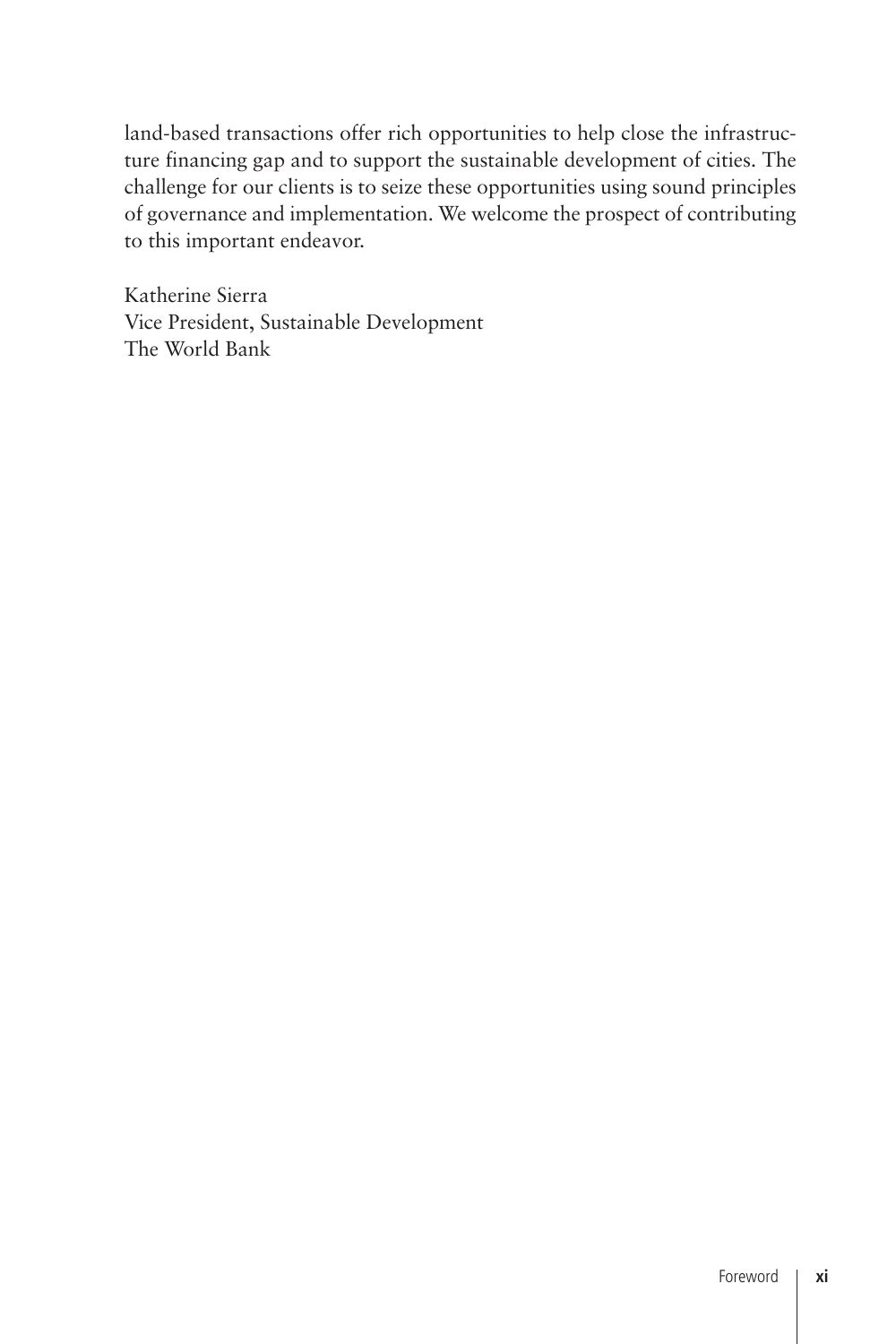land-based transactions offer rich opportunities to help close the infrastructure financing gap and to support the sustainable development of cities. The challenge for our clients is to seize these opportunities using sound principles of governance and implementation. We welcome the prospect of contributing to this important endeavor.

Katherine Sierra Vice President, Sustainable Development The World Bank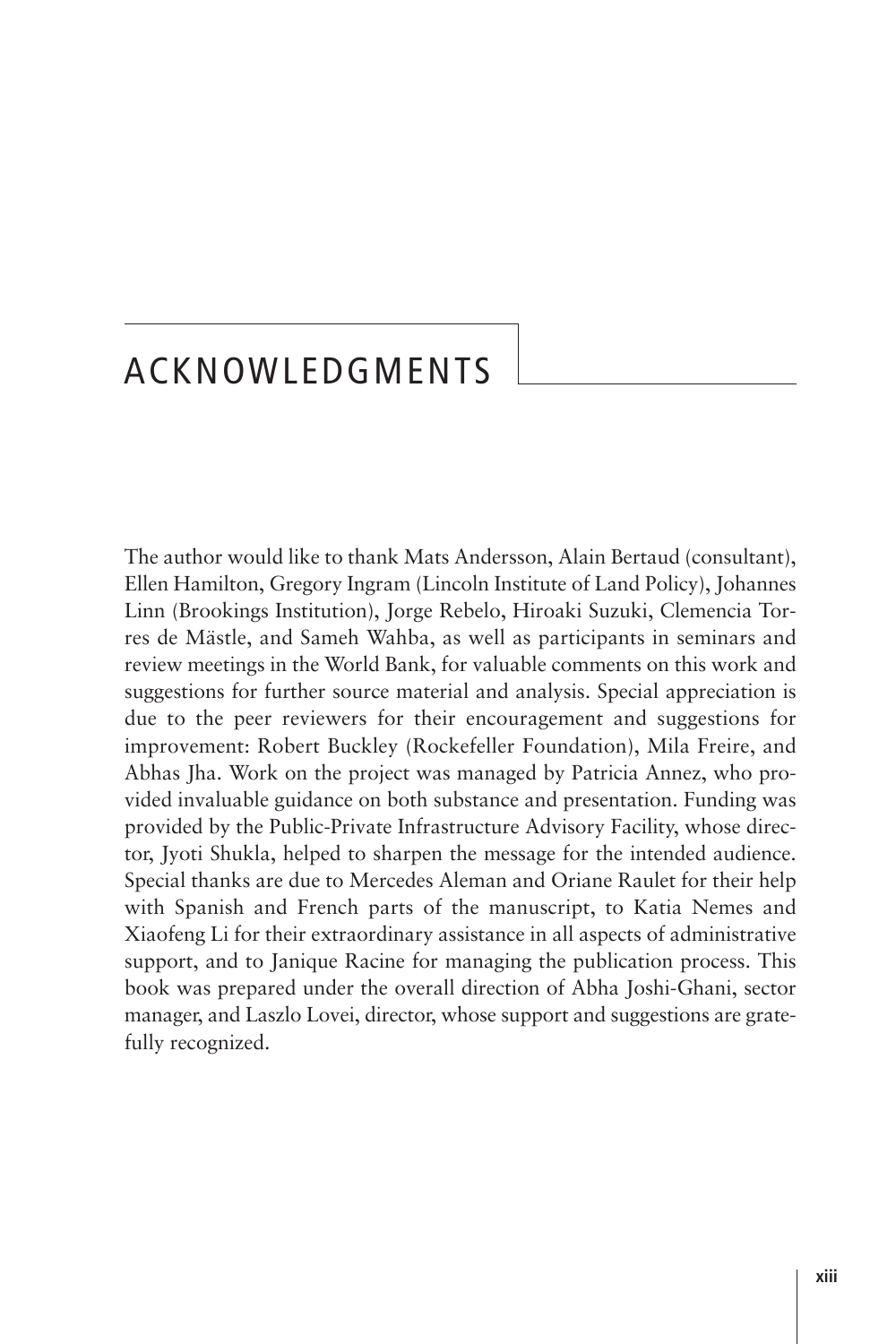## <span id="page-13-0"></span>ACKNOWLEDGMENTS

The author would like to thank Mats Andersson, Alain Bertaud (consultant), Ellen Hamilton, Gregory Ingram (Lincoln Institute of Land Policy), Johannes Linn (Brookings Institution), Jorge Rebelo, Hiroaki Suzuki, Clemencia Torres de Mästle, and Sameh Wahba, as well as participants in seminars and review meetings in the World Bank, for valuable comments on this work and suggestions for further source material and analysis. Special appreciation is due to the peer reviewers for their encouragement and suggestions for improvement: Robert Buckley (Rockefeller Foundation), Mila Freire, and Abhas Jha. Work on the project was managed by Patricia Annez, who provided invaluable guidance on both substance and presentation. Funding was provided by the Public-Private Infrastructure Advisory Facility, whose director, Jyoti Shukla, helped to sharpen the message for the intended audience. Special thanks are due to Mercedes Aleman and Oriane Raulet for their help with Spanish and French parts of the manuscript, to Katia Nemes and Xiaofeng Li for their extraordinary assistance in all aspects of administrative support, and to Janique Racine for managing the publication process. This book was prepared under the overall direction of Abha Joshi-Ghani, sector manager, and Laszlo Lovei, director, whose support and suggestions are gratefully recognized.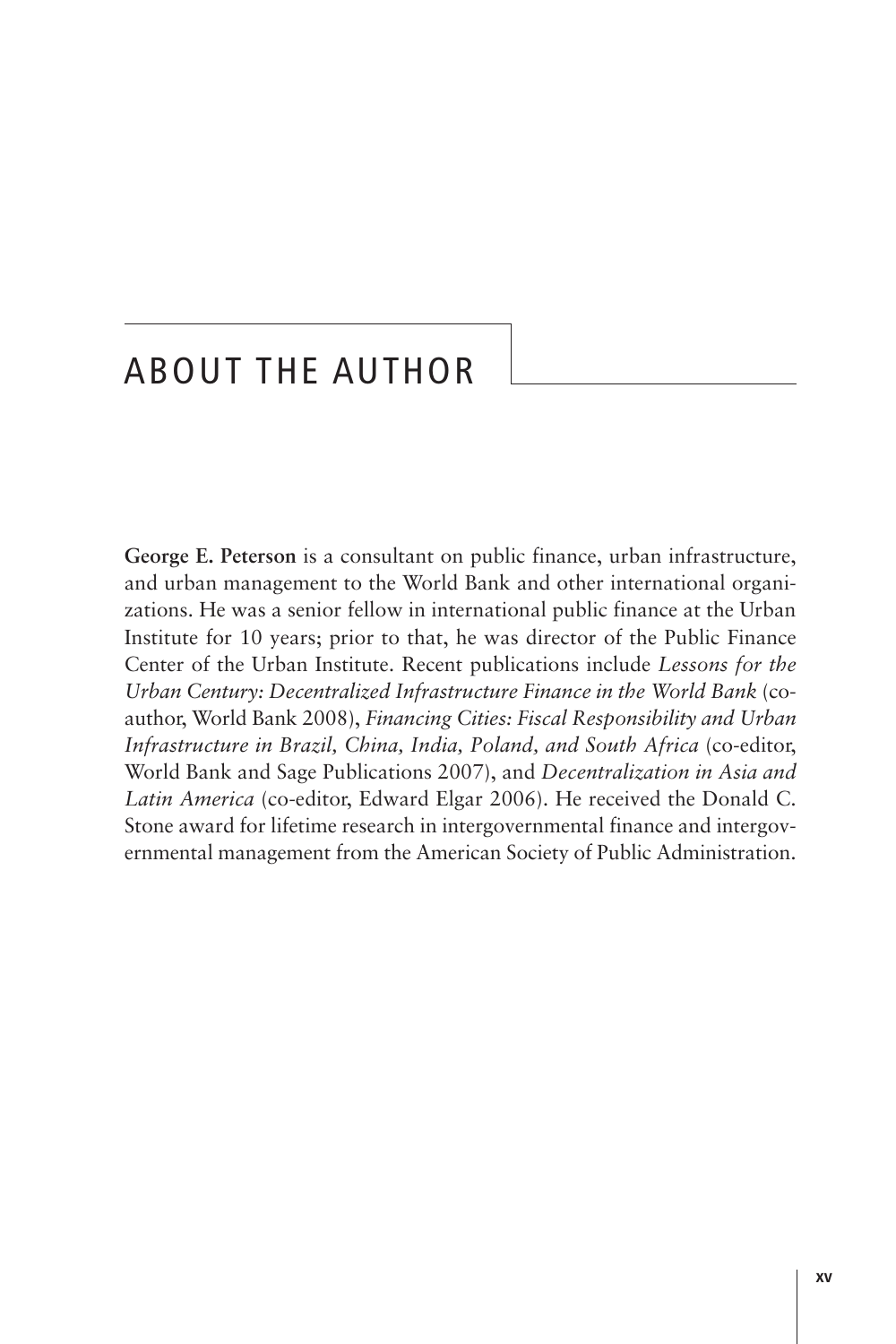## <span id="page-15-0"></span>ABOUT THE AUTHOR

**George E. Peterson** is a consultant on public finance, urban infrastructure, and urban management to the World Bank and other international organizations. He was a senior fellow in international public finance at the Urban Institute for 10 years; prior to that, he was director of the Public Finance Center of the Urban Institute. Recent publications include *Lessons for the Urban Century: Decentralized Infrastructure Finance in the World Bank* (coauthor, World Bank 2008), *Financing Cities: Fiscal Responsibility and Urban* Infrastructure in Brazil, China, India, Poland, and South Africa (co-editor, World Bank and Sage Publications 2007), and *Decentralization in Asia and Latin America* (co-editor, Edward Elgar 2006). He received the Donald C. Stone award for lifetime research in intergovernmental finance and intergovernmental management from the American Society of Public Administration.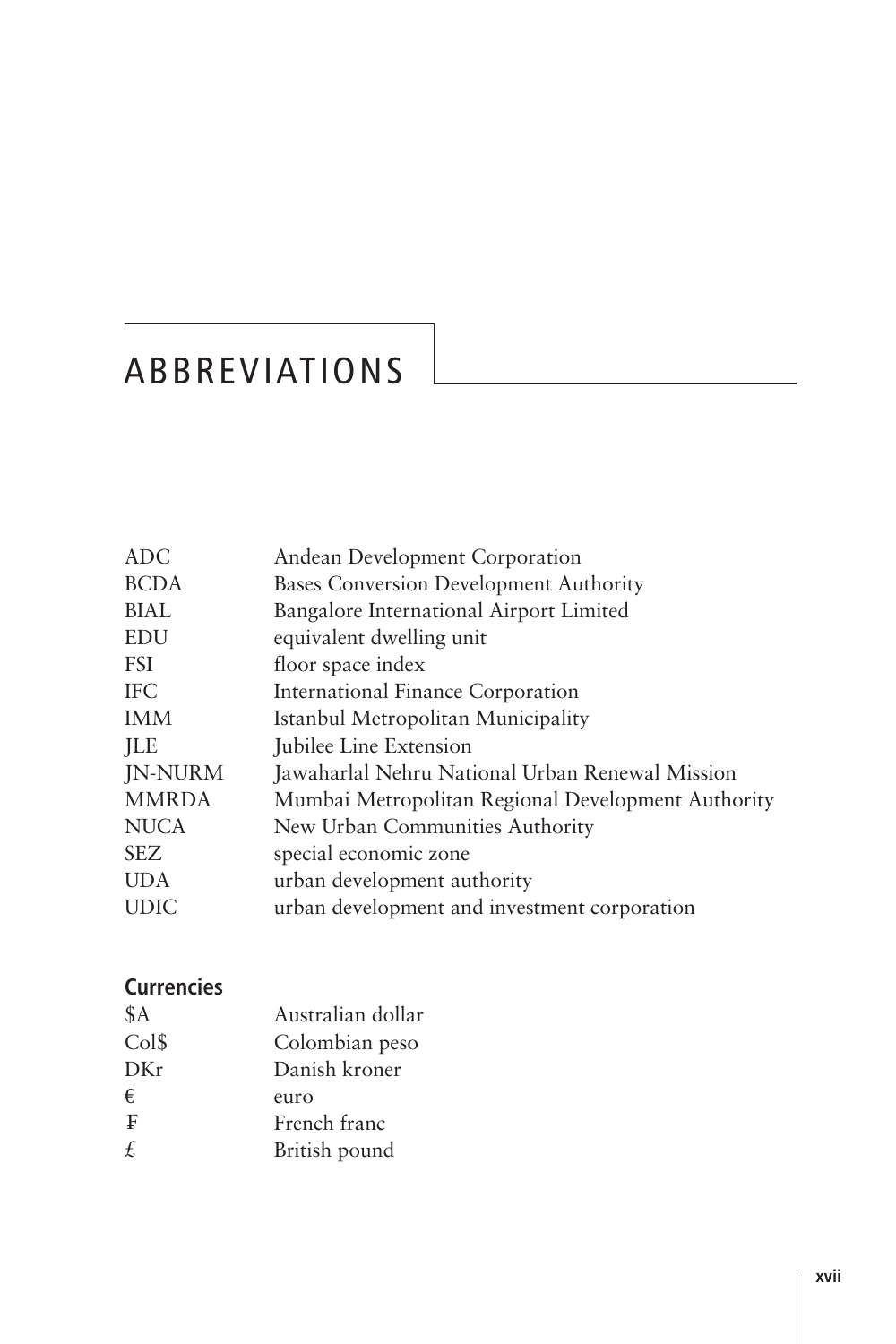## <span id="page-17-0"></span>ABBREVIATIONS

| <b>ADC</b>     | Andean Development Corporation                     |
|----------------|----------------------------------------------------|
| <b>BCDA</b>    | <b>Bases Conversion Development Authority</b>      |
| <b>BIAL</b>    | Bangalore International Airport Limited            |
| <b>EDU</b>     | equivalent dwelling unit                           |
| <b>FSI</b>     | floor space index                                  |
| <b>IFC</b>     | <b>International Finance Corporation</b>           |
| <b>IMM</b>     | Istanbul Metropolitan Municipality                 |
| <b>JLE</b>     | Jubilee Line Extension                             |
| <b>JN-NURM</b> | Jawaharlal Nehru National Urban Renewal Mission    |
| <b>MMRDA</b>   | Mumbai Metropolitan Regional Development Authority |
| <b>NUCA</b>    | New Urban Communities Authority                    |
| <b>SEZ</b>     | special economic zone                              |
| <b>UDA</b>     | urban development authority                        |
| <b>UDIC</b>    | urban development and investment corporation       |
|                |                                                    |

## **Currencies**

| Currencies |                   |
|------------|-------------------|
| <b>\$A</b> | Australian dollar |
| Col\$      | Colombian peso    |
| DKr        | Danish kroner     |
| €          | euro              |
| F          | French franc      |
| £.         | British pound     |
|            |                   |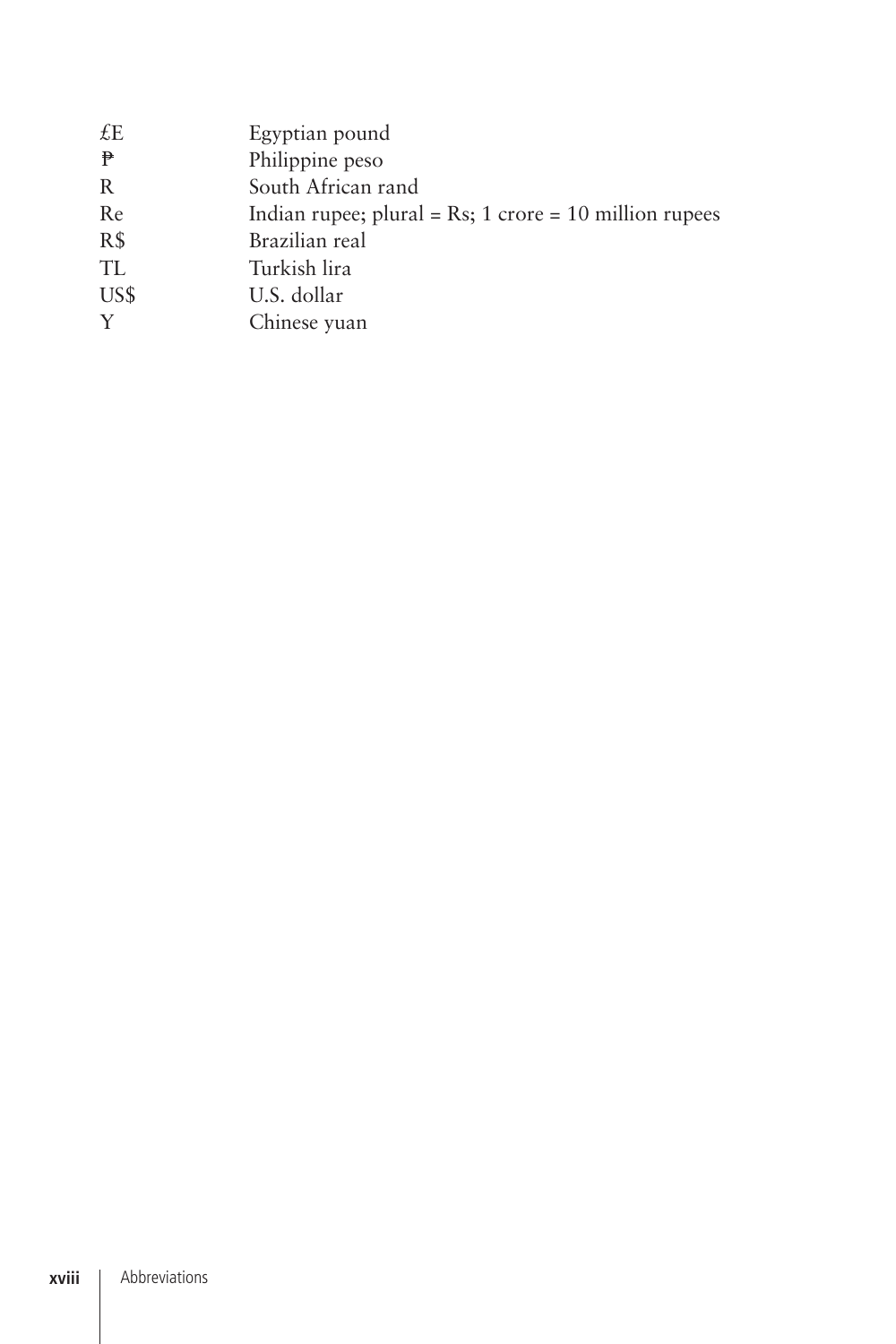| £E   | Egyptian pound                                                                  |
|------|---------------------------------------------------------------------------------|
| ₱    | Philippine peso                                                                 |
| R    | South African rand                                                              |
| Re   | Indian rupee; plural = $\text{Rs}; 1 \text{ crore} = 10 \text{ million rupees}$ |
| $R\$ | Brazilian real                                                                  |
| TL.  | Turkish lira                                                                    |
| US\$ | U.S. dollar                                                                     |
| Y    | Chinese yuan                                                                    |
|      |                                                                                 |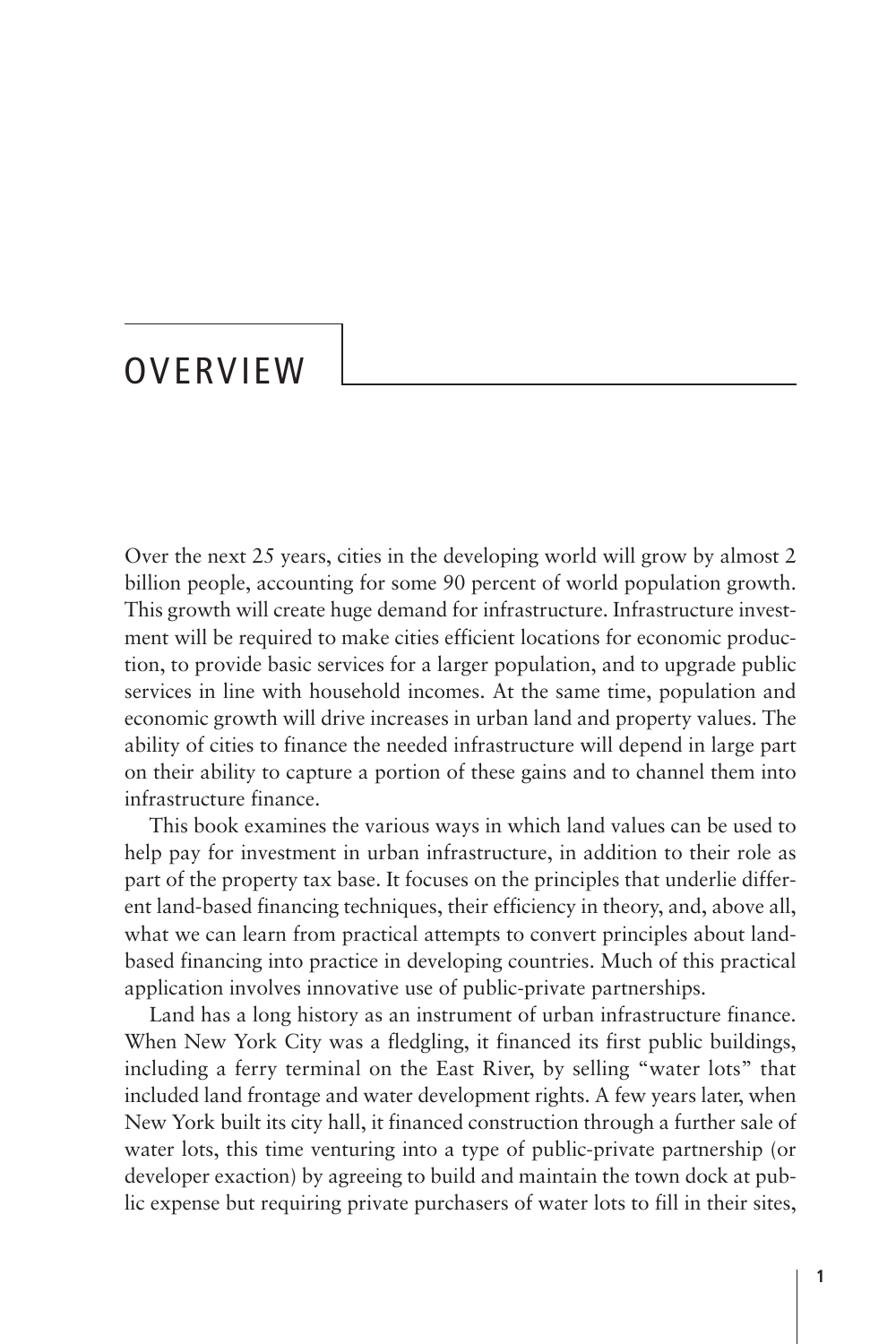### <span id="page-19-0"></span>**OVERVIEW**

Over the next 25 years, cities in the developing world will grow by almost 2 billion people, accounting for some 90 percent of world population growth. This growth will create huge demand for infrastructure. Infrastructure investment will be required to make cities efficient locations for economic production, to provide basic services for a larger population, and to upgrade public services in line with household incomes. At the same time, population and economic growth will drive increases in urban land and property values. The ability of cities to finance the needed infrastructure will depend in large part on their ability to capture a portion of these gains and to channel them into infrastructure finance.

This book examines the various ways in which land values can be used to help pay for investment in urban infrastructure, in addition to their role as part of the property tax base. It focuses on the principles that underlie different land-based financing techniques, their efficiency in theory, and, above all, what we can learn from practical attempts to convert principles about landbased financing into practice in developing countries. Much of this practical application involves innovative use of public-private partnerships.

Land has a long history as an instrument of urban infrastructure finance. When New York City was a fledgling, it financed its first public buildings, including a ferry terminal on the East River, by selling "water lots" that included land frontage and water development rights. A few years later, when New York built its city hall, it financed construction through a further sale of water lots, this time venturing into a type of public-private partnership (or developer exaction) by agreeing to build and maintain the town dock at public expense but requiring private purchasers of water lots to fill in their sites,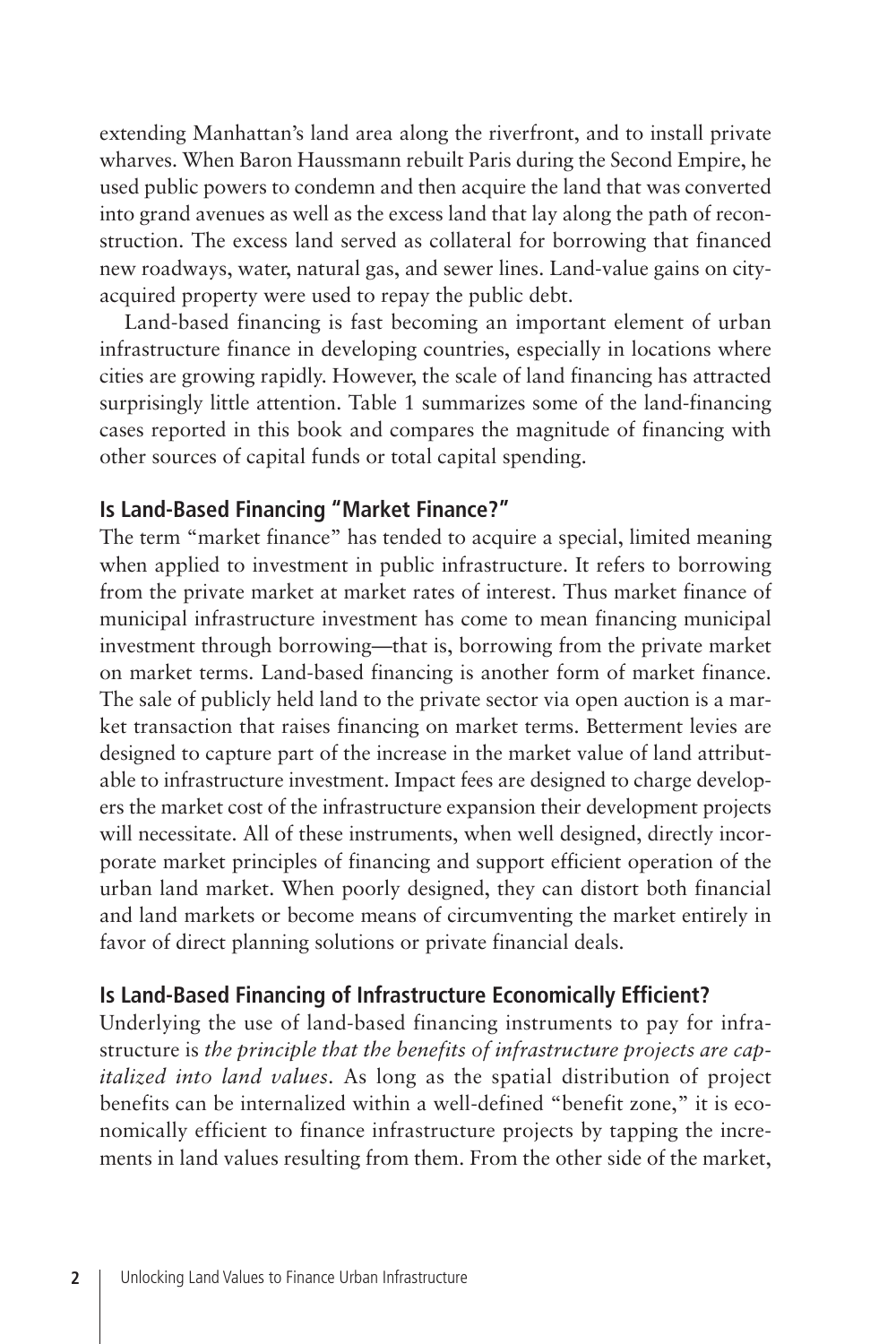extending Manhattan's land area along the riverfront, and to install private wharves. When Baron Haussmann rebuilt Paris during the Second Empire, he used public powers to condemn and then acquire the land that was converted into grand avenues as well as the excess land that lay along the path of reconstruction. The excess land served as collateral for borrowing that financed new roadways, water, natural gas, and sewer lines. Land-value gains on cityacquired property were used to repay the public debt.

Land-based financing is fast becoming an important element of urban infrastructure finance in developing countries, especially in locations where cities are growing rapidly. However, the scale of land financing has attracted surprisingly little attention. Table 1 summarizes some of the land-financing cases reported in this book and compares the magnitude of financing with other sources of capital funds or total capital spending.

#### **Is Land-Based Financing "Market Finance?"**

The term "market finance" has tended to acquire a special, limited meaning when applied to investment in public infrastructure. It refers to borrowing from the private market at market rates of interest. Thus market finance of municipal infrastructure investment has come to mean financing municipal investment through borrowing—that is, borrowing from the private market on market terms. Land-based financing is another form of market finance. The sale of publicly held land to the private sector via open auction is a market transaction that raises financing on market terms. Betterment levies are designed to capture part of the increase in the market value of land attributable to infrastructure investment. Impact fees are designed to charge developers the market cost of the infrastructure expansion their development projects will necessitate. All of these instruments, when well designed, directly incorporate market principles of financing and support efficient operation of the urban land market. When poorly designed, they can distort both financial and land markets or become means of circumventing the market entirely in favor of direct planning solutions or private financial deals.

#### **Is Land-Based Financing of Infrastructure Economically Efficient?**

Underlying the use of land-based financing instruments to pay for infrastructure is *the principle that the benefits of infrastructure projects are capitalized into land values.* As long as the spatial distribution of project benefits can be internalized within a well-defined "benefit zone," it is economically efficient to finance infrastructure projects by tapping the increments in land values resulting from them. From the other side of the market,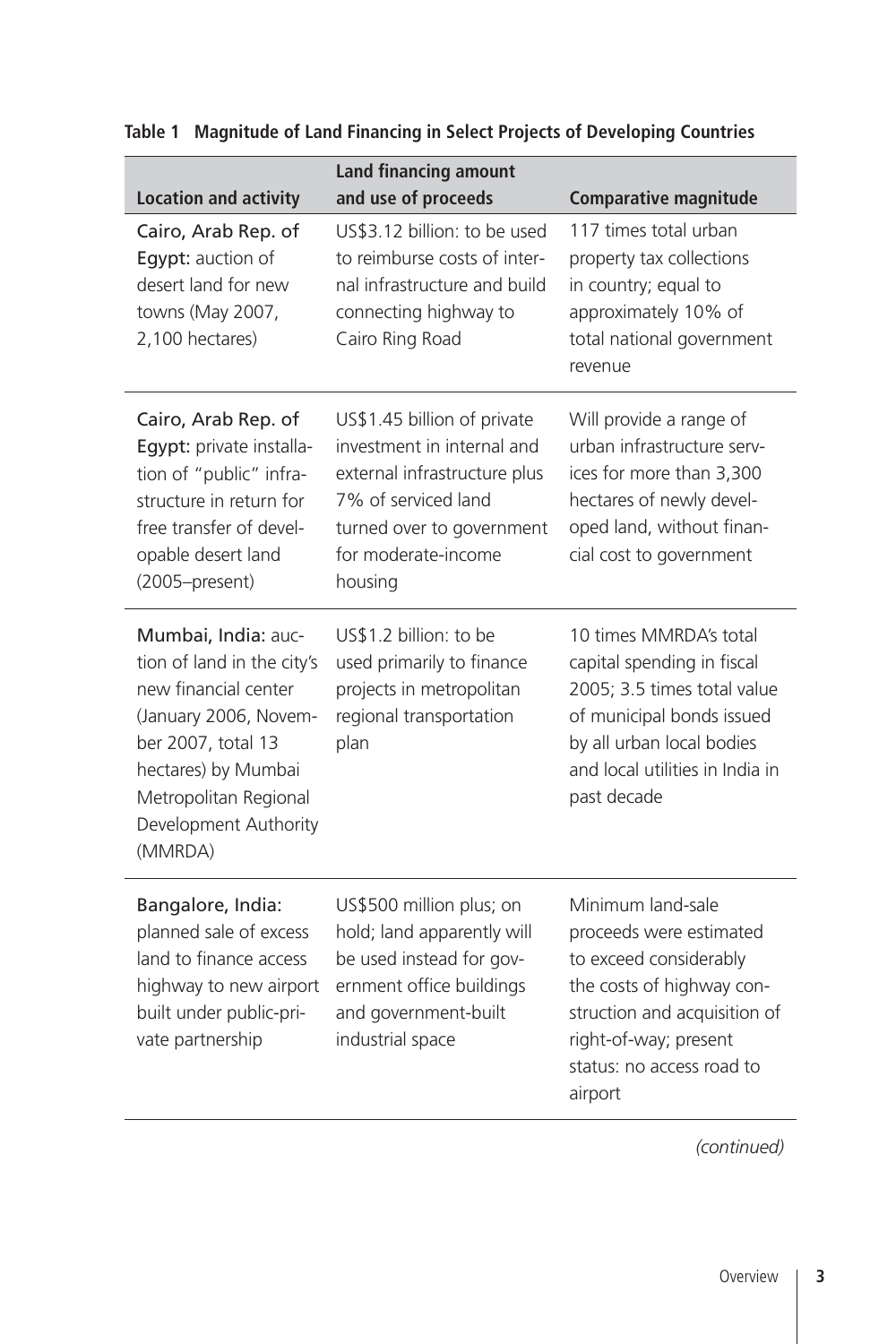| <b>Location and activity</b>                                                                                                                                                                                 | <b>Land financing amount</b><br>and use of proceeds                                                                                                                             | <b>Comparative magnitude</b>                                                                                                                                                                         |
|--------------------------------------------------------------------------------------------------------------------------------------------------------------------------------------------------------------|---------------------------------------------------------------------------------------------------------------------------------------------------------------------------------|------------------------------------------------------------------------------------------------------------------------------------------------------------------------------------------------------|
| Cairo, Arab Rep. of<br>Egypt: auction of<br>desert land for new<br>towns (May 2007,<br>2,100 hectares)                                                                                                       | US\$3.12 billion: to be used<br>to reimburse costs of inter-<br>nal infrastructure and build<br>connecting highway to<br>Cairo Ring Road                                        | 117 times total urban<br>property tax collections<br>in country; equal to<br>approximately 10% of<br>total national government<br>revenue                                                            |
| Cairo, Arab Rep. of<br>Egypt: private installa-<br>tion of "public" infra-<br>structure in return for<br>free transfer of devel-<br>opable desert land<br>(2005-present)                                     | US\$1.45 billion of private<br>investment in internal and<br>external infrastructure plus<br>7% of serviced land<br>turned over to government<br>for moderate-income<br>housing | Will provide a range of<br>urban infrastructure serv-<br>ices for more than 3,300<br>hectares of newly devel-<br>oped land, without finan-<br>cial cost to government                                |
| Mumbai, India: auc-<br>tion of land in the city's<br>new financial center<br>(January 2006, Novem-<br>ber 2007, total 13<br>hectares) by Mumbai<br>Metropolitan Regional<br>Development Authority<br>(MMRDA) | US\$1.2 billion: to be<br>used primarily to finance<br>projects in metropolitan<br>regional transportation<br>plan                                                              | 10 times MMRDA's total<br>capital spending in fiscal<br>2005; 3.5 times total value<br>of municipal bonds issued<br>by all urban local bodies<br>and local utilities in India in<br>past decade      |
| Bangalore, India:<br>planned sale of excess<br>land to finance access<br>highway to new airport<br>built under public-pri-<br>vate partnership                                                               | US\$500 million plus; on<br>hold; land apparently will<br>be used instead for gov-<br>ernment office buildings<br>and government-built<br>industrial space                      | Minimum land-sale<br>proceeds were estimated<br>to exceed considerably<br>the costs of highway con-<br>struction and acquisition of<br>right-of-way; present<br>status: no access road to<br>airport |

#### <span id="page-21-0"></span>**Table 1 Magnitude of Land Financing in Select Projects of Developing Countries**

*(continued)*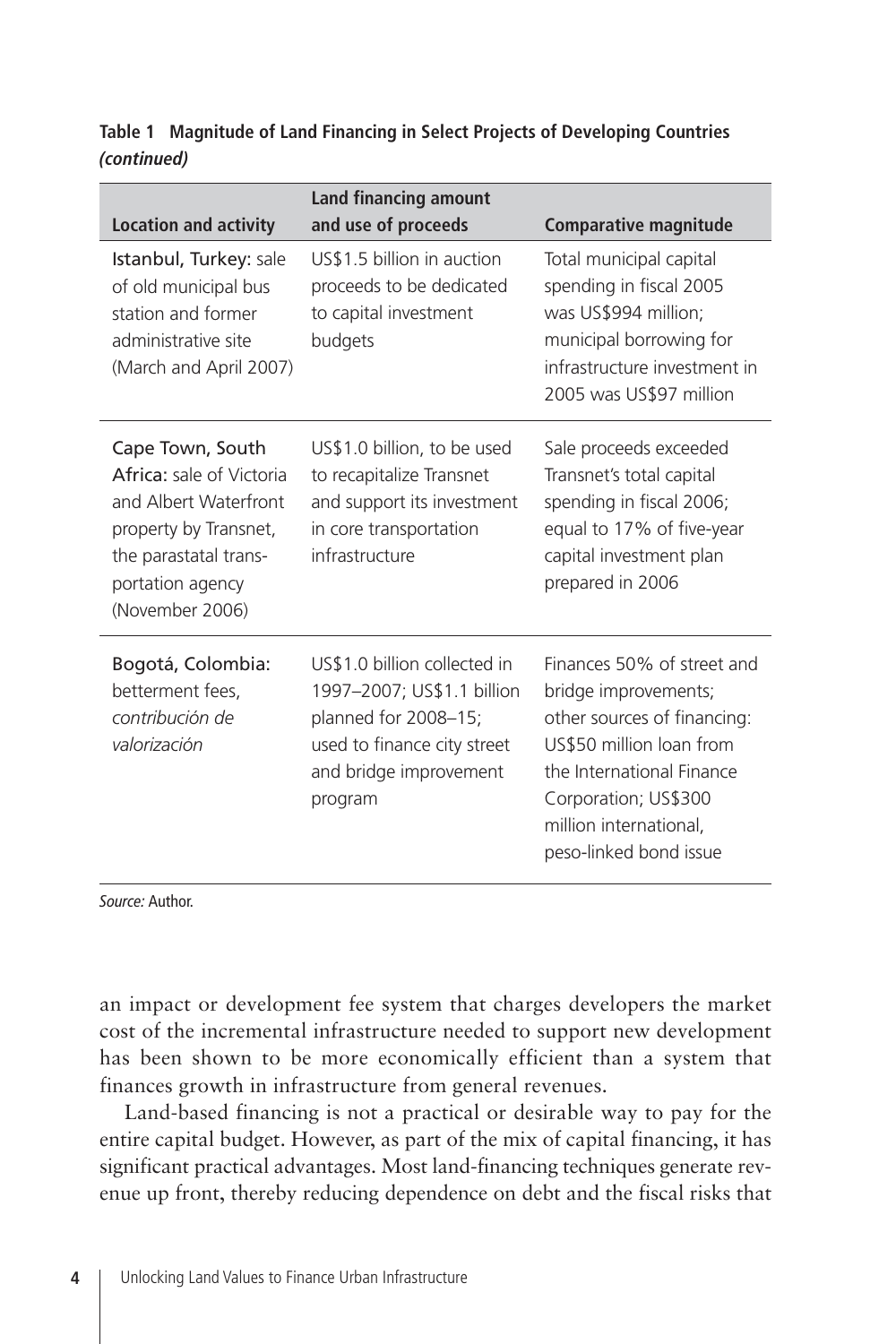| <b>Location and activity</b>                                                                                                                                   | <b>Land financing amount</b><br>and use of proceeds                                                                                                    | <b>Comparative magnitude</b>                                                                                                                                                                                           |
|----------------------------------------------------------------------------------------------------------------------------------------------------------------|--------------------------------------------------------------------------------------------------------------------------------------------------------|------------------------------------------------------------------------------------------------------------------------------------------------------------------------------------------------------------------------|
| Istanbul, Turkey: sale<br>of old municipal bus<br>station and former<br>administrative site<br>(March and April 2007)                                          | US\$1.5 billion in auction<br>proceeds to be dedicated<br>to capital investment<br>budgets                                                             | Total municipal capital<br>spending in fiscal 2005<br>was US\$994 million;<br>municipal borrowing for<br>infrastructure investment in<br>2005 was US\$97 million                                                       |
| Cape Town, South<br>Africa: sale of Victoria<br>and Albert Waterfront<br>property by Transnet,<br>the parastatal trans-<br>portation agency<br>(November 2006) | US\$1.0 billion, to be used<br>to recapitalize Transnet<br>and support its investment<br>in core transportation<br>infrastructure                      | Sale proceeds exceeded<br>Transnet's total capital<br>spending in fiscal 2006;<br>equal to 17% of five-year<br>capital investment plan<br>prepared in 2006                                                             |
| Bogotá, Colombia:<br>betterment fees,<br>contribución de<br>valorización                                                                                       | US\$1.0 billion collected in<br>1997-2007; US\$1.1 billion<br>planned for 2008-15;<br>used to finance city street<br>and bridge improvement<br>program | Finances 50% of street and<br>bridge improvements;<br>other sources of financing:<br>US\$50 million loan from<br>the International Finance<br>Corporation; US\$300<br>million international.<br>peso-linked bond issue |

#### **Table 1 Magnitude of Land Financing in Select Projects of Developing Countries (continued)**

Source: Author.

an impact or development fee system that charges developers the market cost of the incremental infrastructure needed to support new development has been shown to be more economically efficient than a system that finances growth in infrastructure from general revenues.

Land-based financing is not a practical or desirable way to pay for the entire capital budget. However, as part of the mix of capital financing, it has significant practical advantages. Most land-financing techniques generate revenue up front, thereby reducing dependence on debt and the fiscal risks that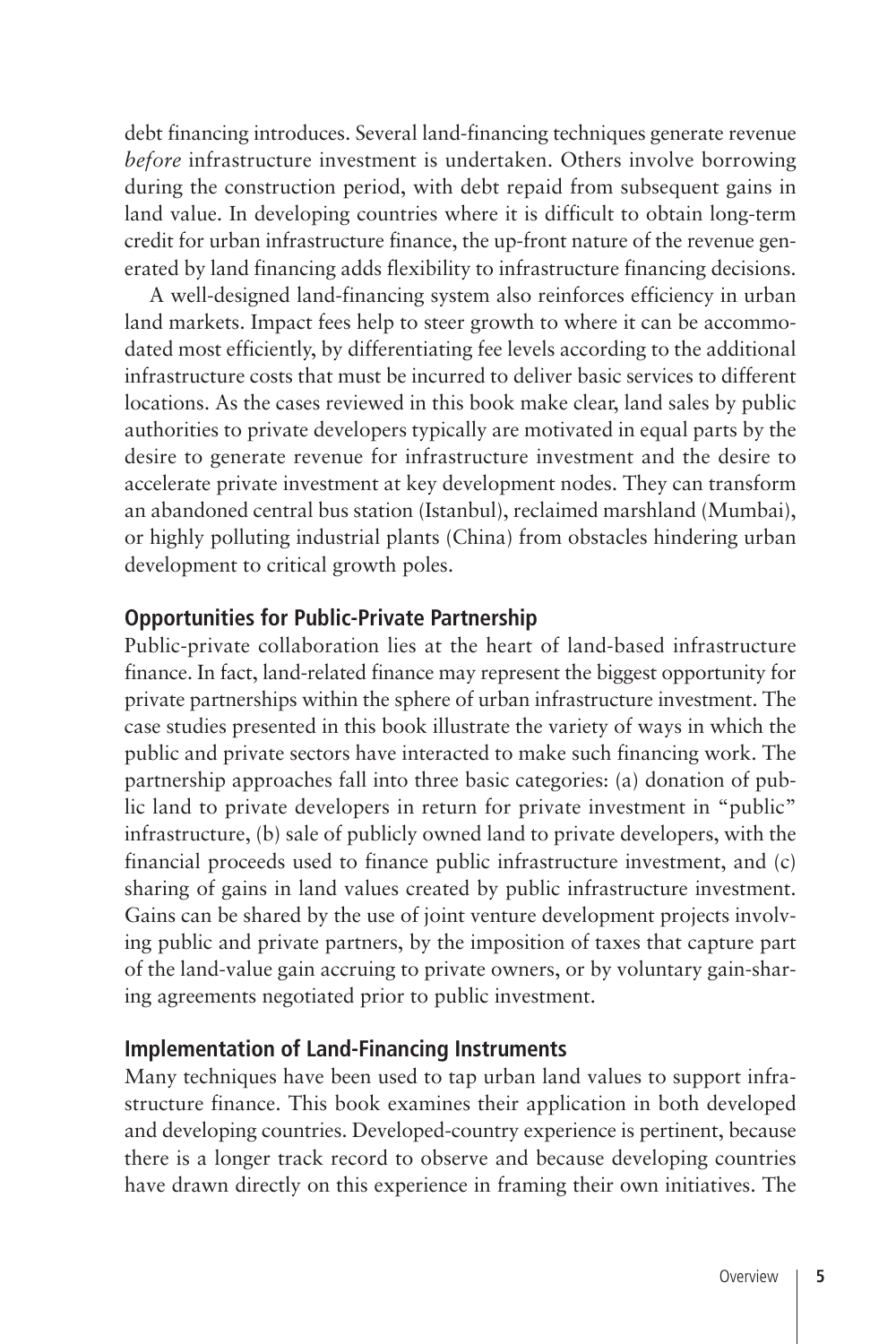debt financing introduces. Several land-financing techniques generate revenue *before* infrastructure investment is undertaken. Others involve borrowing during the construction period, with debt repaid from subsequent gains in land value. In developing countries where it is difficult to obtain long-term credit for urban infrastructure finance, the up-front nature of the revenue generated by land financing adds flexibility to infrastructure financing decisions.

A well-designed land-financing system also reinforces efficiency in urban land markets. Impact fees help to steer growth to where it can be accommodated most efficiently, by differentiating fee levels according to the additional infrastructure costs that must be incurred to deliver basic services to different locations. As the cases reviewed in this book make clear, land sales by public authorities to private developers typically are motivated in equal parts by the desire to generate revenue for infrastructure investment and the desire to accelerate private investment at key development nodes. They can transform an abandoned central bus station (Istanbul), reclaimed marshland (Mumbai), or highly polluting industrial plants (China) from obstacles hindering urban development to critical growth poles.

#### **Opportunities for Public-Private Partnership**

Public-private collaboration lies at the heart of land-based infrastructure finance. In fact, land-related finance may represent the biggest opportunity for private partnerships within the sphere of urban infrastructure investment. The case studies presented in this book illustrate the variety of ways in which the public and private sectors have interacted to make such financing work. The partnership approaches fall into three basic categories: (a) donation of public land to private developers in return for private investment in "public" infrastructure, (b) sale of publicly owned land to private developers, with the financial proceeds used to finance public infrastructure investment, and (c) sharing of gains in land values created by public infrastructure investment. Gains can be shared by the use of joint venture development projects involving public and private partners, by the imposition of taxes that capture part of the land-value gain accruing to private owners, or by voluntary gain-sharing agreements negotiated prior to public investment.

#### **Implementation of Land-Financing Instruments**

Many techniques have been used to tap urban land values to support infrastructure finance. This book examines their application in both developed and developing countries. Developed-country experience is pertinent, because there is a longer track record to observe and because developing countries have drawn directly on this experience in framing their own initiatives. The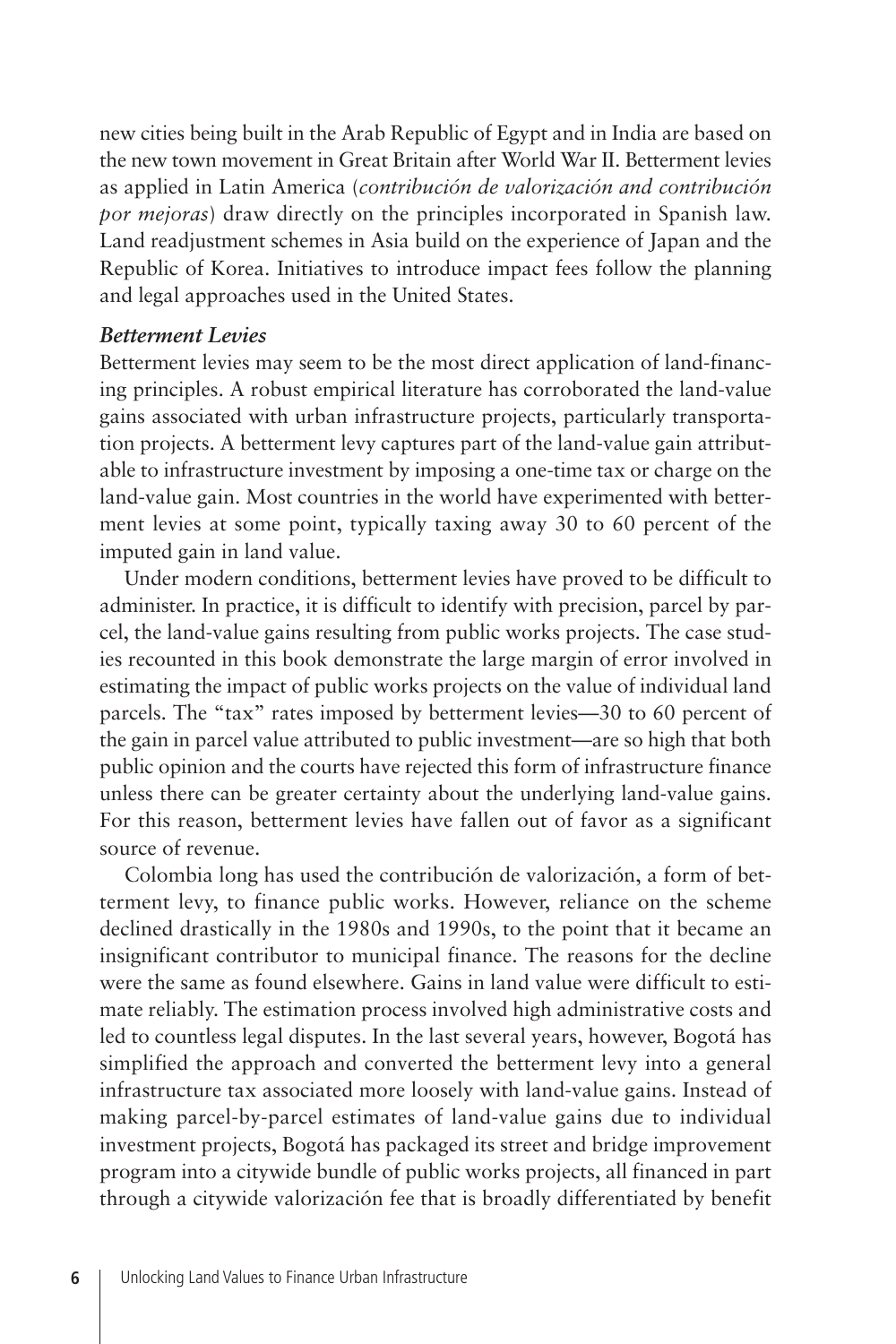new cities being built in the Arab Republic of Egypt and in India are based on the new town movement in Great Britain after World War II. Betterment levies as applied in Latin America (*contribución de valorización and contribución por mejoras*) draw directly on the principles incorporated in Spanish law. Land readjustment schemes in Asia build on the experience of Japan and the Republic of Korea. Initiatives to introduce impact fees follow the planning and legal approaches used in the United States.

#### *Betterment Levies*

Betterment levies may seem to be the most direct application of land-financing principles. A robust empirical literature has corroborated the land-value gains associated with urban infrastructure projects, particularly transportation projects. A betterment levy captures part of the land-value gain attributable to infrastructure investment by imposing a one-time tax or charge on the land-value gain. Most countries in the world have experimented with betterment levies at some point, typically taxing away 30 to 60 percent of the imputed gain in land value.

Under modern conditions, betterment levies have proved to be difficult to administer. In practice, it is difficult to identify with precision, parcel by parcel, the land-value gains resulting from public works projects. The case studies recounted in this book demonstrate the large margin of error involved in estimating the impact of public works projects on the value of individual land parcels. The "tax" rates imposed by betterment levies—30 to 60 percent of the gain in parcel value attributed to public investment—are so high that both public opinion and the courts have rejected this form of infrastructure finance unless there can be greater certainty about the underlying land-value gains. For this reason, betterment levies have fallen out of favor as a significant source of revenue.

Colombia long has used the contribución de valorización, a form of betterment levy, to finance public works. However, reliance on the scheme declined drastically in the 1980s and 1990s, to the point that it became an insignificant contributor to municipal finance. The reasons for the decline were the same as found elsewhere. Gains in land value were difficult to estimate reliably. The estimation process involved high administrative costs and led to countless legal disputes. In the last several years, however, Bogotá has simplified the approach and converted the betterment levy into a general infrastructure tax associated more loosely with land-value gains. Instead of making parcel-by-parcel estimates of land-value gains due to individual investment projects, Bogotá has packaged its street and bridge improvement program into a citywide bundle of public works projects, all financed in part through a citywide valorización fee that is broadly differentiated by benefit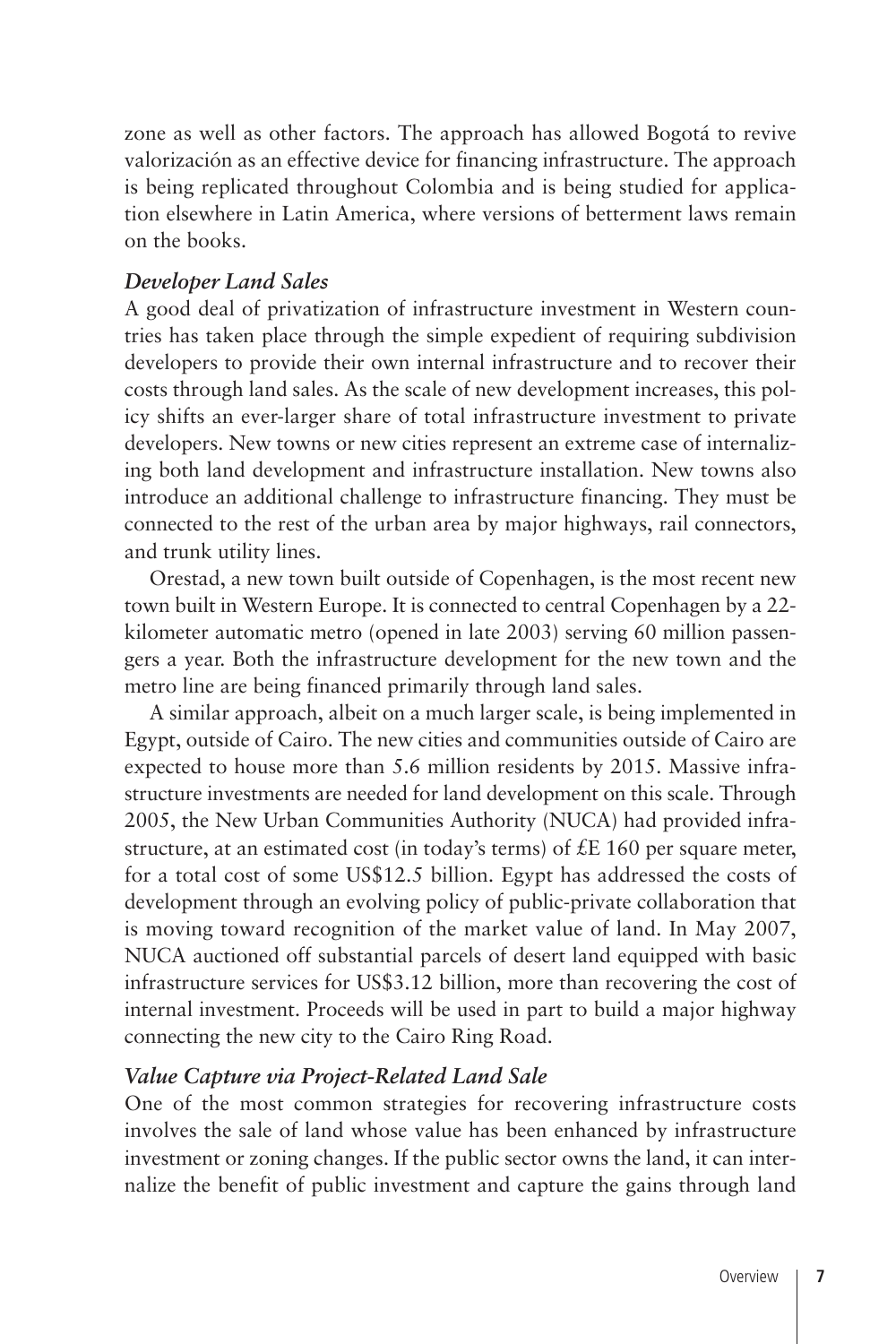zone as well as other factors. The approach has allowed Bogotá to revive valorización as an effective device for financing infrastructure. The approach is being replicated throughout Colombia and is being studied for application elsewhere in Latin America, where versions of betterment laws remain on the books.

#### *Developer Land Sales*

A good deal of privatization of infrastructure investment in Western countries has taken place through the simple expedient of requiring subdivision developers to provide their own internal infrastructure and to recover their costs through land sales. As the scale of new development increases, this policy shifts an ever-larger share of total infrastructure investment to private developers. New towns or new cities represent an extreme case of internalizing both land development and infrastructure installation. New towns also introduce an additional challenge to infrastructure financing. They must be connected to the rest of the urban area by major highways, rail connectors, and trunk utility lines.

Orestad, a new town built outside of Copenhagen, is the most recent new town built in Western Europe. It is connected to central Copenhagen by a 22 kilometer automatic metro (opened in late 2003) serving 60 million passengers a year. Both the infrastructure development for the new town and the metro line are being financed primarily through land sales.

A similar approach, albeit on a much larger scale, is being implemented in Egypt, outside of Cairo. The new cities and communities outside of Cairo are expected to house more than 5.6 million residents by 2015. Massive infrastructure investments are needed for land development on this scale. Through 2005, the New Urban Communities Authority (NUCA) had provided infrastructure, at an estimated cost (in today's terms) of £E 160 per square meter, for a total cost of some US\$12.5 billion. Egypt has addressed the costs of development through an evolving policy of public-private collaboration that is moving toward recognition of the market value of land. In May 2007, NUCA auctioned off substantial parcels of desert land equipped with basic infrastructure services for US\$3.12 billion, more than recovering the cost of internal investment. Proceeds will be used in part to build a major highway connecting the new city to the Cairo Ring Road.

#### *Value Capture via Project-Related Land Sale*

One of the most common strategies for recovering infrastructure costs involves the sale of land whose value has been enhanced by infrastructure investment or zoning changes. If the public sector owns the land, it can internalize the benefit of public investment and capture the gains through land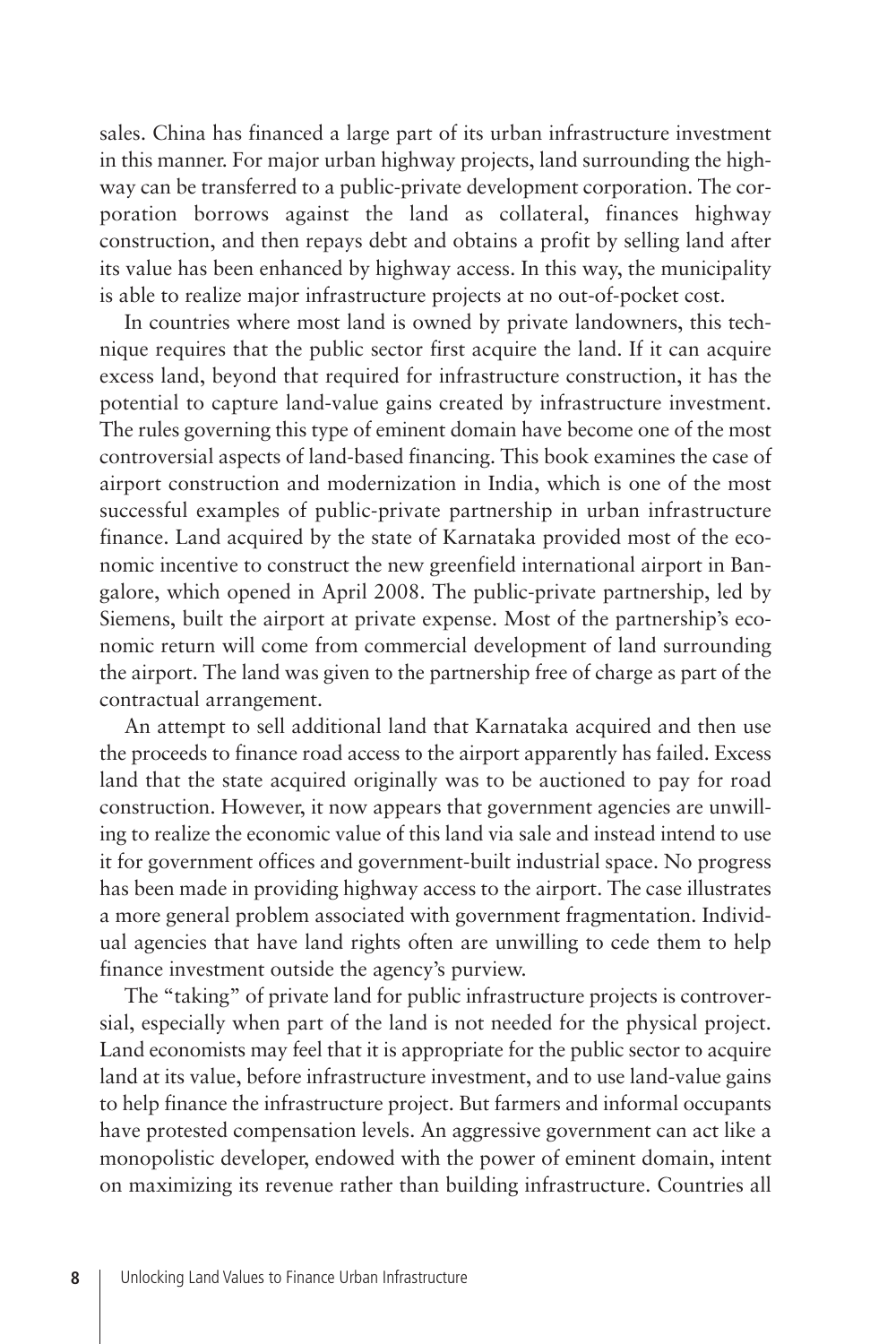sales. China has financed a large part of its urban infrastructure investment in this manner. For major urban highway projects, land surrounding the highway can be transferred to a public-private development corporation. The corporation borrows against the land as collateral, finances highway construction, and then repays debt and obtains a profit by selling land after its value has been enhanced by highway access. In this way, the municipality is able to realize major infrastructure projects at no out-of-pocket cost.

In countries where most land is owned by private landowners, this technique requires that the public sector first acquire the land. If it can acquire excess land, beyond that required for infrastructure construction, it has the potential to capture land-value gains created by infrastructure investment. The rules governing this type of eminent domain have become one of the most controversial aspects of land-based financing. This book examines the case of airport construction and modernization in India, which is one of the most successful examples of public-private partnership in urban infrastructure finance. Land acquired by the state of Karnataka provided most of the economic incentive to construct the new greenfield international airport in Bangalore, which opened in April 2008. The public-private partnership, led by Siemens, built the airport at private expense. Most of the partnership's economic return will come from commercial development of land surrounding the airport. The land was given to the partnership free of charge as part of the contractual arrangement.

An attempt to sell additional land that Karnataka acquired and then use the proceeds to finance road access to the airport apparently has failed. Excess land that the state acquired originally was to be auctioned to pay for road construction. However, it now appears that government agencies are unwilling to realize the economic value of this land via sale and instead intend to use it for government offices and government-built industrial space. No progress has been made in providing highway access to the airport. The case illustrates a more general problem associated with government fragmentation. Individual agencies that have land rights often are unwilling to cede them to help finance investment outside the agency's purview.

The "taking" of private land for public infrastructure projects is controversial, especially when part of the land is not needed for the physical project. Land economists may feel that it is appropriate for the public sector to acquire land at its value, before infrastructure investment, and to use land-value gains to help finance the infrastructure project. But farmers and informal occupants have protested compensation levels. An aggressive government can act like a monopolistic developer, endowed with the power of eminent domain, intent on maximizing its revenue rather than building infrastructure. Countries all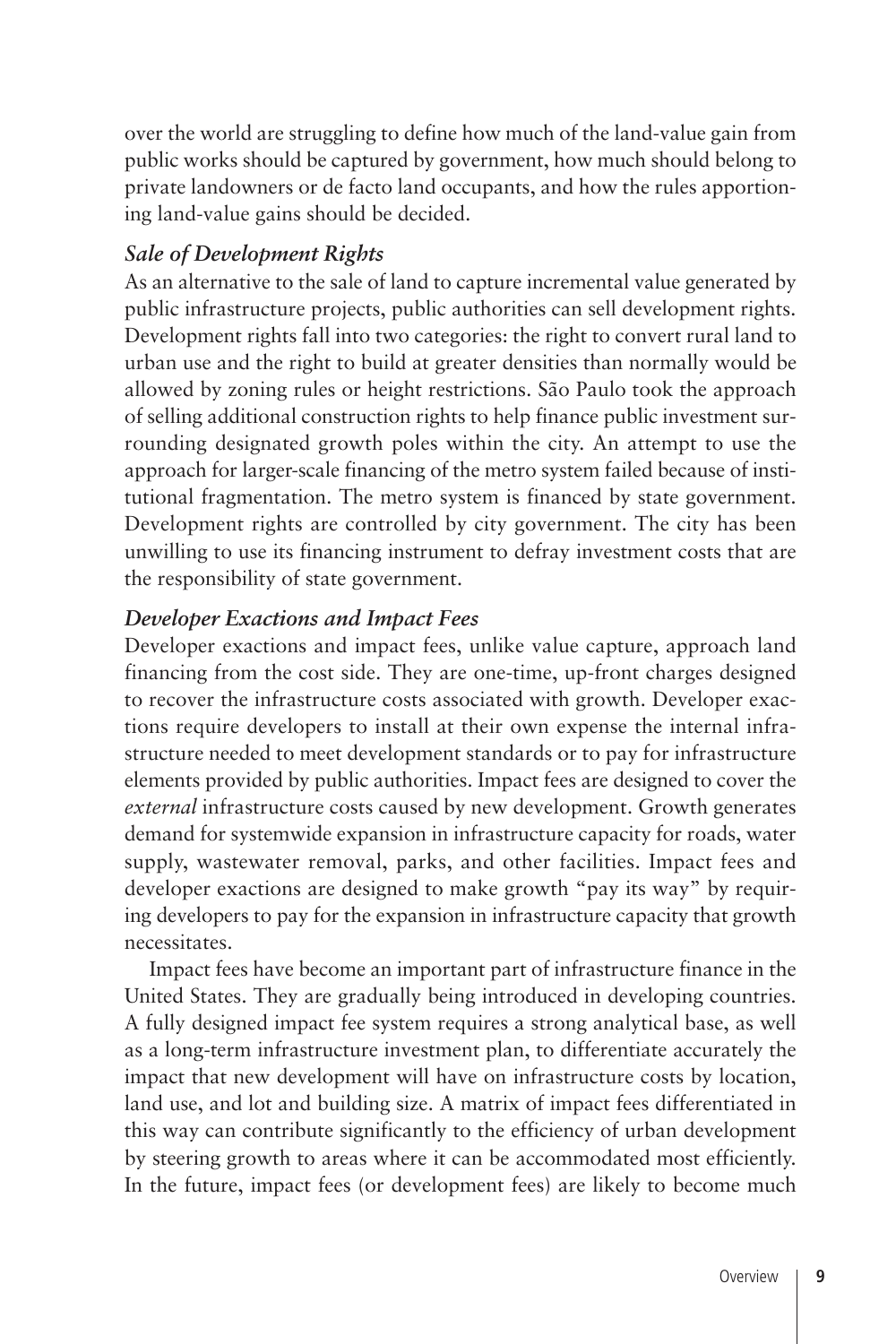over the world are struggling to define how much of the land-value gain from public works should be captured by government, how much should belong to private landowners or de facto land occupants, and how the rules apportioning land-value gains should be decided.

#### *Sale of Development Rights*

As an alternative to the sale of land to capture incremental value generated by public infrastructure projects, public authorities can sell development rights. Development rights fall into two categories: the right to convert rural land to urban use and the right to build at greater densities than normally would be allowed by zoning rules or height restrictions. São Paulo took the approach of selling additional construction rights to help finance public investment surrounding designated growth poles within the city. An attempt to use the approach for larger-scale financing of the metro system failed because of institutional fragmentation. The metro system is financed by state government. Development rights are controlled by city government. The city has been unwilling to use its financing instrument to defray investment costs that are the responsibility of state government.

#### *Developer Exactions and Impact Fees*

Developer exactions and impact fees, unlike value capture, approach land financing from the cost side. They are one-time, up-front charges designed to recover the infrastructure costs associated with growth. Developer exactions require developers to install at their own expense the internal infrastructure needed to meet development standards or to pay for infrastructure elements provided by public authorities. Impact fees are designed to cover the *external* infrastructure costs caused by new development. Growth generates demand for systemwide expansion in infrastructure capacity for roads, water supply, wastewater removal, parks, and other facilities. Impact fees and developer exactions are designed to make growth "pay its way" by requiring developers to pay for the expansion in infrastructure capacity that growth necessitates.

Impact fees have become an important part of infrastructure finance in the United States. They are gradually being introduced in developing countries. A fully designed impact fee system requires a strong analytical base, as well as a long-term infrastructure investment plan, to differentiate accurately the impact that new development will have on infrastructure costs by location, land use, and lot and building size. A matrix of impact fees differentiated in this way can contribute significantly to the efficiency of urban development by steering growth to areas where it can be accommodated most efficiently. In the future, impact fees (or development fees) are likely to become much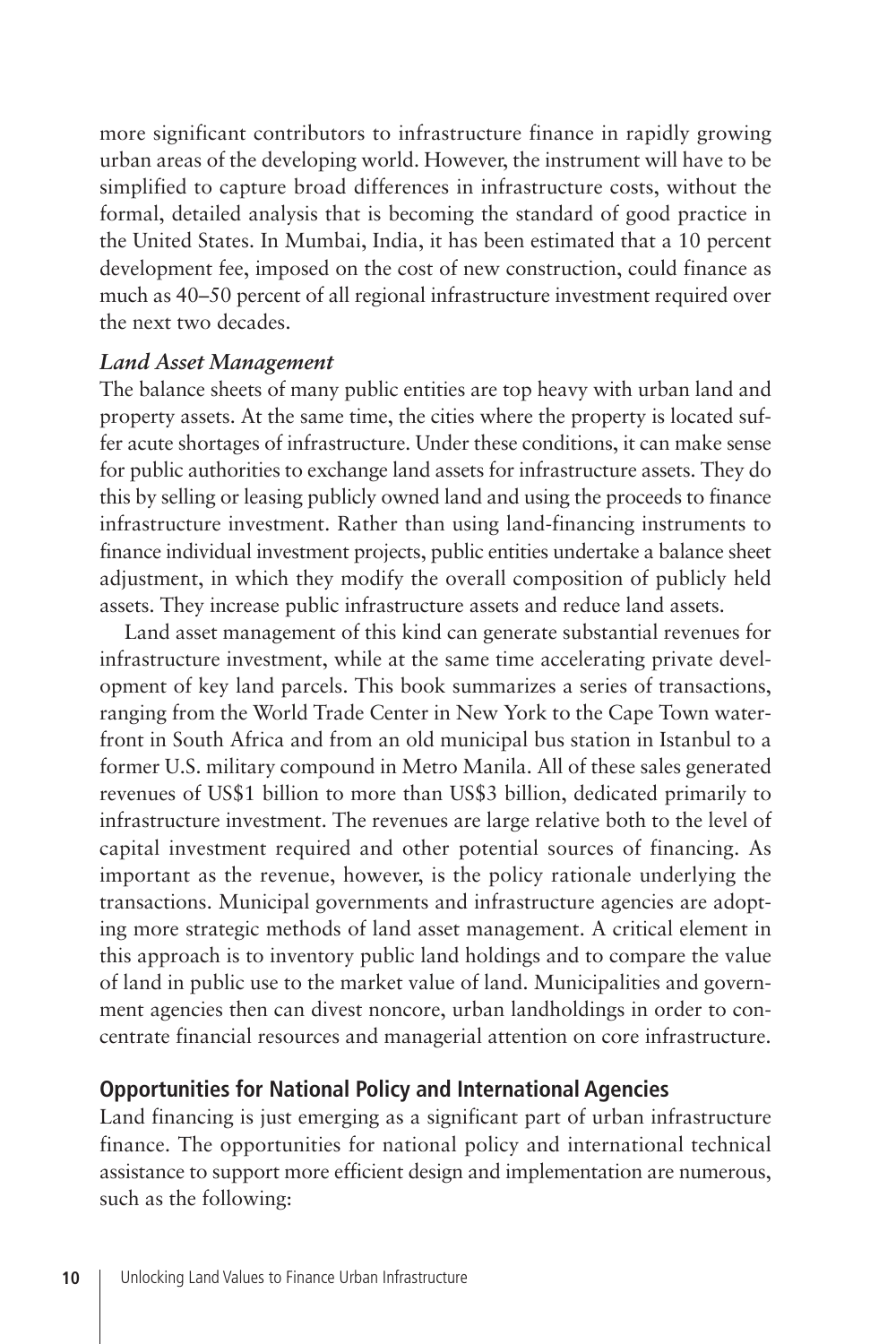more significant contributors to infrastructure finance in rapidly growing urban areas of the developing world. However, the instrument will have to be simplified to capture broad differences in infrastructure costs, without the formal, detailed analysis that is becoming the standard of good practice in the United States. In Mumbai, India, it has been estimated that a 10 percent development fee, imposed on the cost of new construction, could finance as much as 40–50 percent of all regional infrastructure investment required over the next two decades.

#### *Land Asset Management*

The balance sheets of many public entities are top heavy with urban land and property assets. At the same time, the cities where the property is located suffer acute shortages of infrastructure. Under these conditions, it can make sense for public authorities to exchange land assets for infrastructure assets. They do this by selling or leasing publicly owned land and using the proceeds to finance infrastructure investment. Rather than using land-financing instruments to finance individual investment projects, public entities undertake a balance sheet adjustment, in which they modify the overall composition of publicly held assets. They increase public infrastructure assets and reduce land assets.

Land asset management of this kind can generate substantial revenues for infrastructure investment, while at the same time accelerating private development of key land parcels. This book summarizes a series of transactions, ranging from the World Trade Center in New York to the Cape Town waterfront in South Africa and from an old municipal bus station in Istanbul to a former U.S. military compound in Metro Manila. All of these sales generated revenues of US\$1 billion to more than US\$3 billion, dedicated primarily to infrastructure investment. The revenues are large relative both to the level of capital investment required and other potential sources of financing. As important as the revenue, however, is the policy rationale underlying the transactions. Municipal governments and infrastructure agencies are adopting more strategic methods of land asset management. A critical element in this approach is to inventory public land holdings and to compare the value of land in public use to the market value of land. Municipalities and government agencies then can divest noncore, urban landholdings in order to concentrate financial resources and managerial attention on core infrastructure.

#### **Opportunities for National Policy and International Agencies**

Land financing is just emerging as a significant part of urban infrastructure finance. The opportunities for national policy and international technical assistance to support more efficient design and implementation are numerous, such as the following: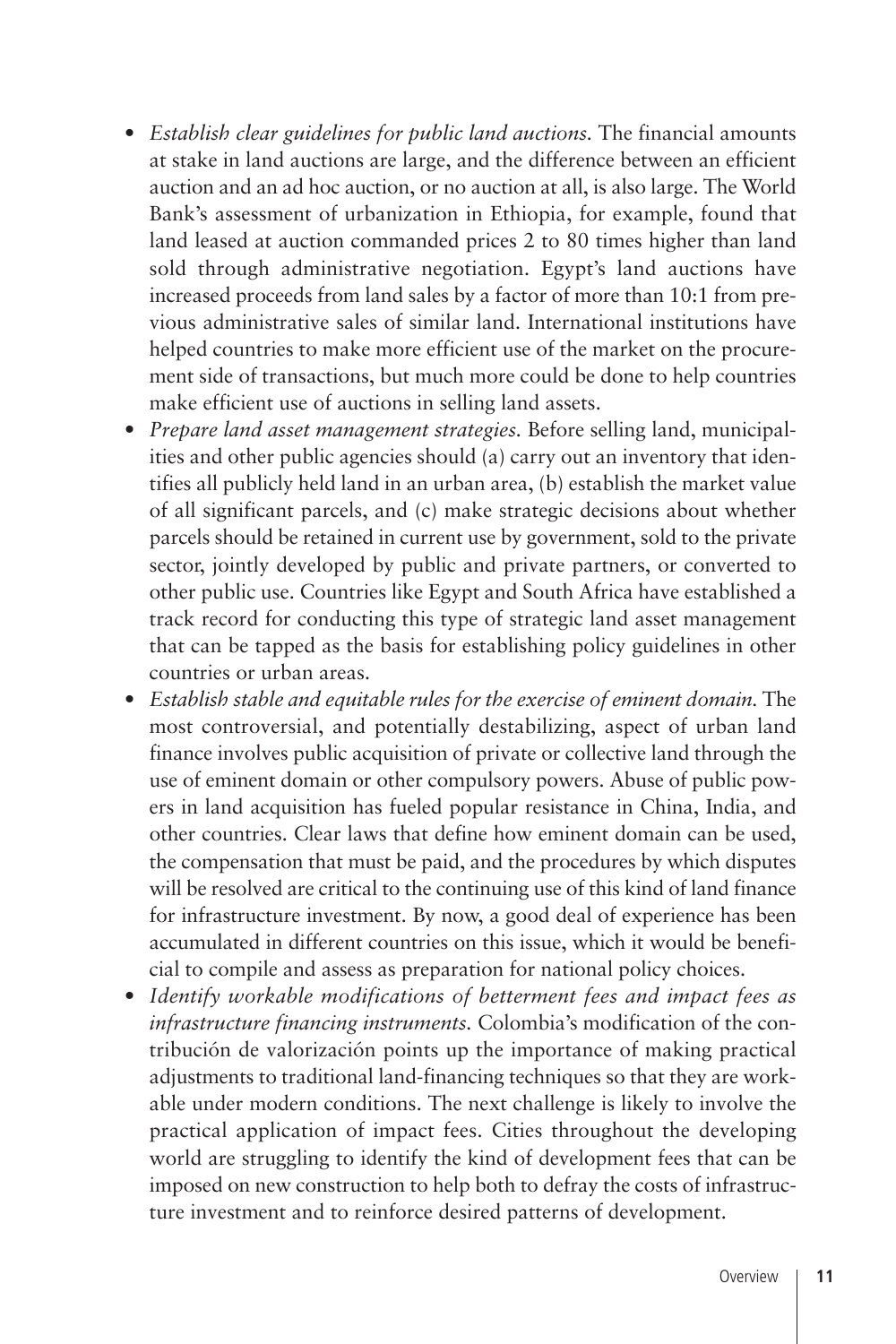- *Establish clear guidelines for public land auctions*. The financial amounts at stake in land auctions are large, and the difference between an efficient auction and an ad hoc auction, or no auction at all, is also large. The World Bank's assessment of urbanization in Ethiopia, for example, found that land leased at auction commanded prices 2 to 80 times higher than land sold through administrative negotiation. Egypt's land auctions have increased proceeds from land sales by a factor of more than 10:1 from previous administrative sales of similar land. International institutions have helped countries to make more efficient use of the market on the procurement side of transactions, but much more could be done to help countries make efficient use of auctions in selling land assets.
- *Prepare land asset management strategies.* Before selling land, municipalities and other public agencies should (a) carry out an inventory that identifies all publicly held land in an urban area, (b) establish the market value of all significant parcels, and (c) make strategic decisions about whether parcels should be retained in current use by government, sold to the private sector, jointly developed by public and private partners, or converted to other public use. Countries like Egypt and South Africa have established a track record for conducting this type of strategic land asset management that can be tapped as the basis for establishing policy guidelines in other countries or urban areas.
- *Establish stable and equitable rules for the exercise of eminent domain.* The most controversial, and potentially destabilizing, aspect of urban land finance involves public acquisition of private or collective land through the use of eminent domain or other compulsory powers. Abuse of public powers in land acquisition has fueled popular resistance in China, India, and other countries. Clear laws that define how eminent domain can be used, the compensation that must be paid, and the procedures by which disputes will be resolved are critical to the continuing use of this kind of land finance for infrastructure investment. By now, a good deal of experience has been accumulated in different countries on this issue, which it would be beneficial to compile and assess as preparation for national policy choices.
- *Identify workable modifications of betterment fees and impact fees as infrastructure financing instruments.* Colombia's modification of the contribución de valorización points up the importance of making practical adjustments to traditional land-financing techniques so that they are workable under modern conditions. The next challenge is likely to involve the practical application of impact fees. Cities throughout the developing world are struggling to identify the kind of development fees that can be imposed on new construction to help both to defray the costs of infrastructure investment and to reinforce desired patterns of development.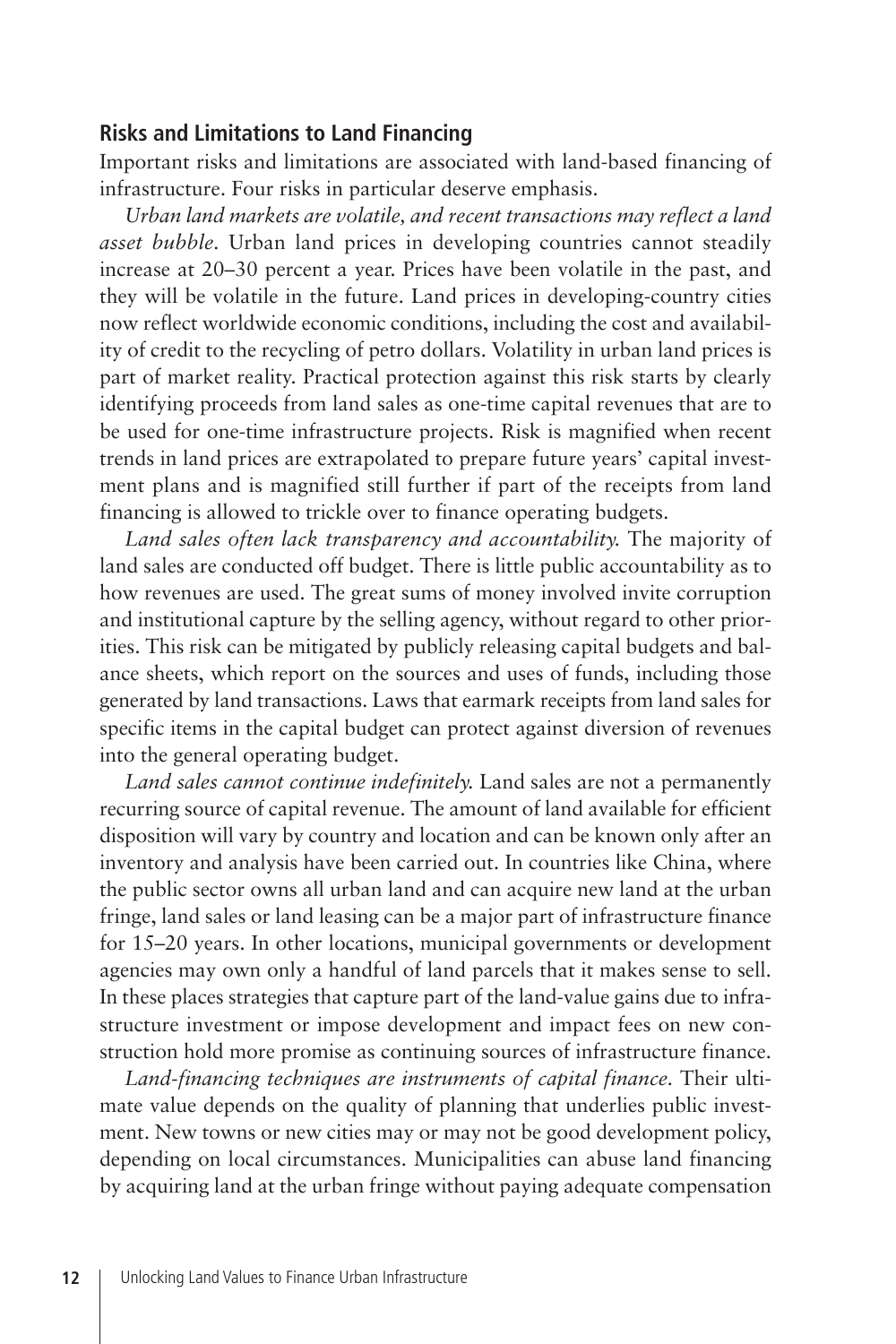#### **Risks and Limitations to Land Financing**

Important risks and limitations are associated with land-based financing of infrastructure. Four risks in particular deserve emphasis.

*Urban land markets are volatile, and recent transactions may reflect a land asset bubble.* Urban land prices in developing countries cannot steadily increase at 20–30 percent a year. Prices have been volatile in the past, and they will be volatile in the future. Land prices in developing-country cities now reflect worldwide economic conditions, including the cost and availability of credit to the recycling of petro dollars. Volatility in urban land prices is part of market reality. Practical protection against this risk starts by clearly identifying proceeds from land sales as one-time capital revenues that are to be used for one-time infrastructure projects. Risk is magnified when recent trends in land prices are extrapolated to prepare future years' capital investment plans and is magnified still further if part of the receipts from land financing is allowed to trickle over to finance operating budgets.

Land sales often lack transparency and accountability. The majority of land sales are conducted off budget. There is little public accountability as to how revenues are used. The great sums of money involved invite corruption and institutional capture by the selling agency, without regard to other priorities. This risk can be mitigated by publicly releasing capital budgets and balance sheets, which report on the sources and uses of funds, including those generated by land transactions. Laws that earmark receipts from land sales for specific items in the capital budget can protect against diversion of revenues into the general operating budget.

*Land sales cannot continue indefinitely.* Land sales are not a permanently recurring source of capital revenue. The amount of land available for efficient disposition will vary by country and location and can be known only after an inventory and analysis have been carried out. In countries like China, where the public sector owns all urban land and can acquire new land at the urban fringe, land sales or land leasing can be a major part of infrastructure finance for 15–20 years. In other locations, municipal governments or development agencies may own only a handful of land parcels that it makes sense to sell. In these places strategies that capture part of the land-value gains due to infrastructure investment or impose development and impact fees on new construction hold more promise as continuing sources of infrastructure finance.

*Land-financing techniques are instruments of capital finance.* Their ultimate value depends on the quality of planning that underlies public investment. New towns or new cities may or may not be good development policy, depending on local circumstances. Municipalities can abuse land financing by acquiring land at the urban fringe without paying adequate compensation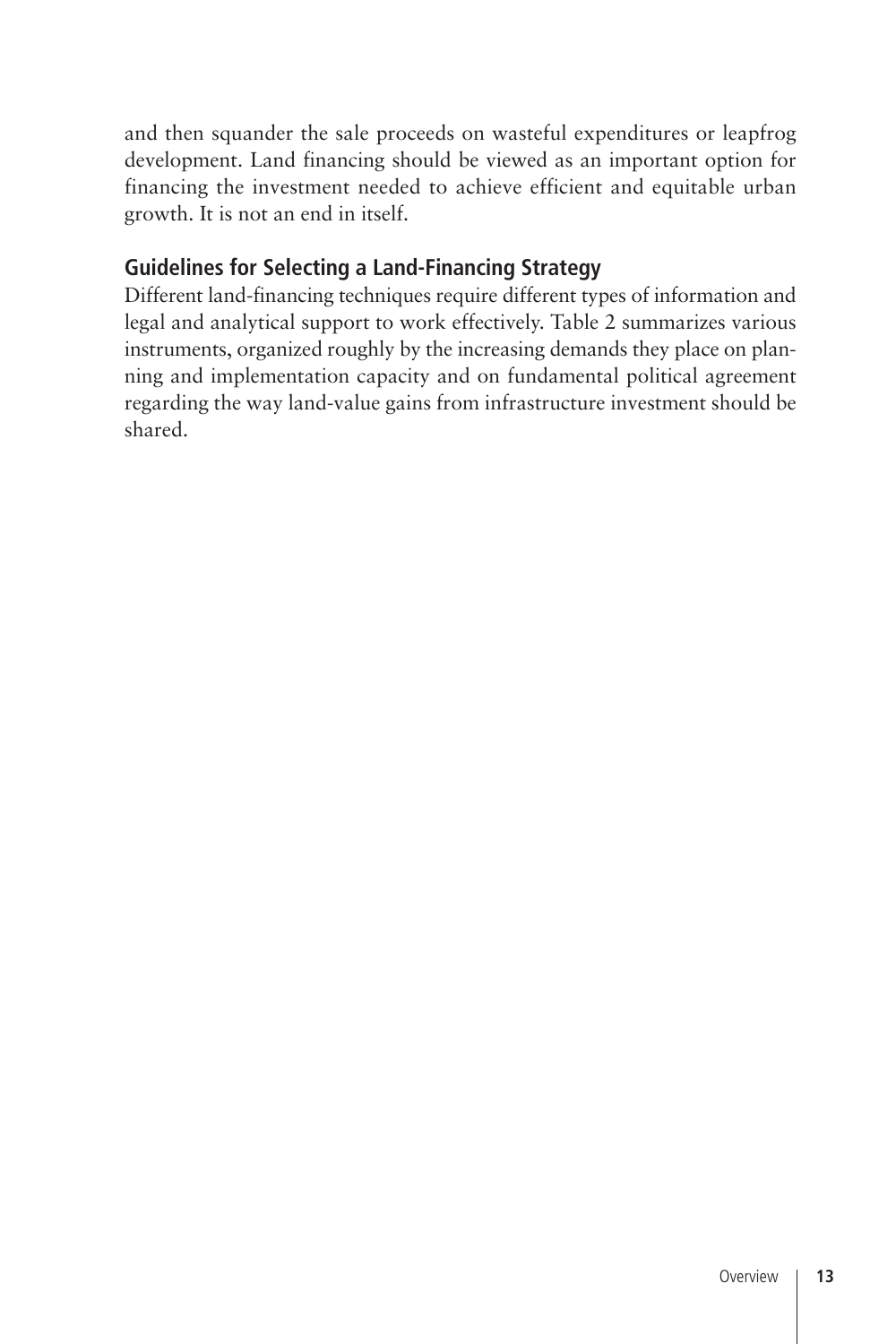and then squander the sale proceeds on wasteful expenditures or leapfrog development. Land financing should be viewed as an important option for financing the investment needed to achieve efficient and equitable urban growth. It is not an end in itself.

#### **Guidelines for Selecting a Land-Financing Strategy**

Different land-financing techniques require different types of information and legal and analytical support to work effectively. Table 2 summarizes various instruments, organized roughly by the increasing demands they place on planning and implementation capacity and on fundamental political agreement regarding the way land-value gains from infrastructure investment should be shared.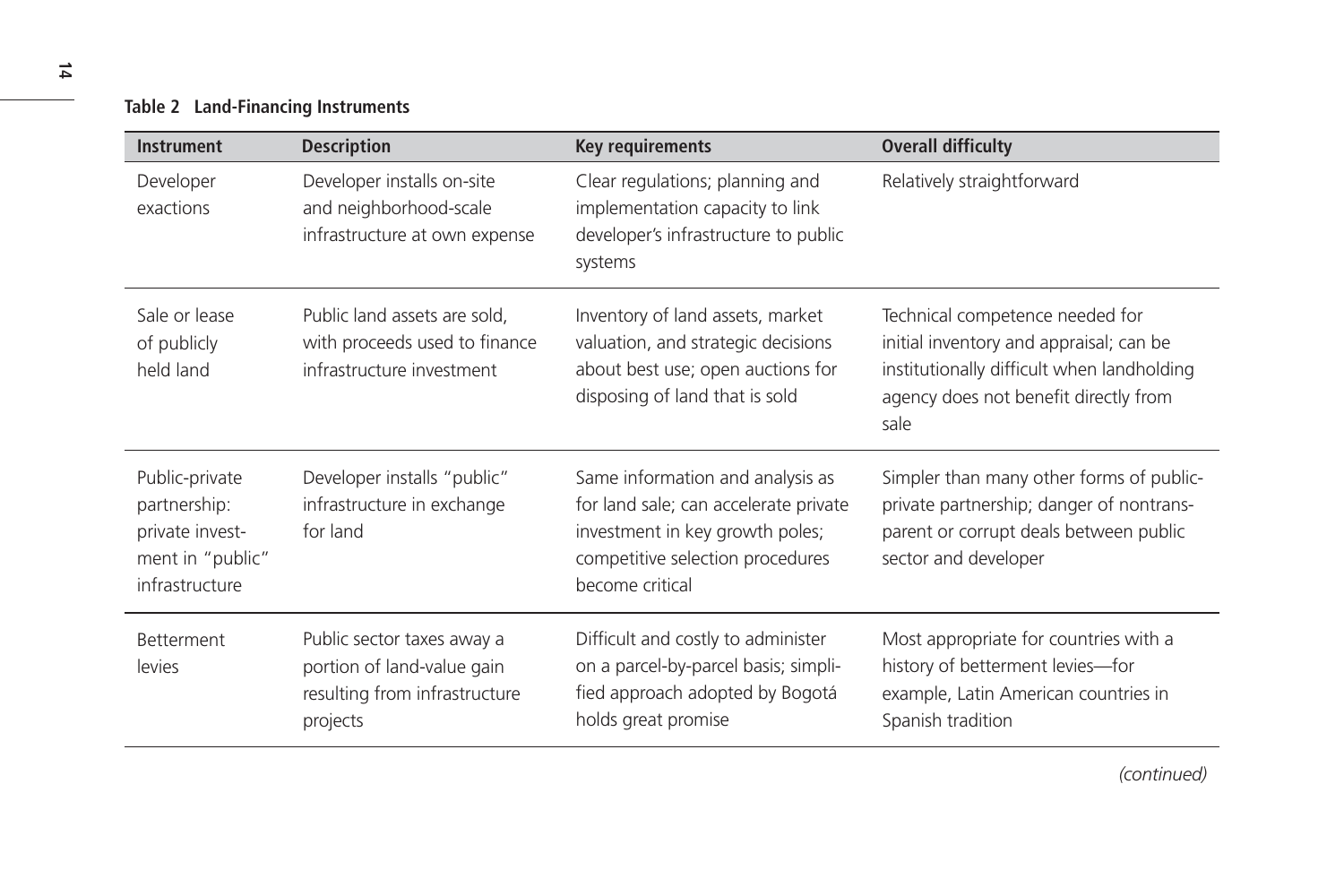<span id="page-32-0"></span>**Table 2 Land-Financing Instruments**

| <b>Instrument</b>                                                                       | <b>Description</b>                                                                                    | <b>Key requirements</b>                                                                                                                                             | <b>Overall difficulty</b>                                                                                                                                                 |
|-----------------------------------------------------------------------------------------|-------------------------------------------------------------------------------------------------------|---------------------------------------------------------------------------------------------------------------------------------------------------------------------|---------------------------------------------------------------------------------------------------------------------------------------------------------------------------|
| Developer<br>exactions                                                                  | Developer installs on-site<br>and neighborhood-scale<br>infrastructure at own expense                 | Clear regulations; planning and<br>implementation capacity to link<br>developer's infrastructure to public<br>systems                                               | Relatively straightforward                                                                                                                                                |
| Sale or lease<br>of publicly<br>held land                                               | Public land assets are sold,<br>with proceeds used to finance<br>infrastructure investment            | Inventory of land assets, market<br>valuation, and strategic decisions<br>about best use; open auctions for<br>disposing of land that is sold                       | Technical competence needed for<br>initial inventory and appraisal; can be<br>institutionally difficult when landholding<br>agency does not benefit directly from<br>sale |
| Public-private<br>partnership:<br>private invest-<br>ment in "public"<br>infrastructure | Developer installs "public"<br>infrastructure in exchange<br>for land                                 | Same information and analysis as<br>for land sale; can accelerate private<br>investment in key growth poles;<br>competitive selection procedures<br>become critical | Simpler than many other forms of public-<br>private partnership; danger of nontrans-<br>parent or corrupt deals between public<br>sector and developer                    |
| <b>Betterment</b><br>levies                                                             | Public sector taxes away a<br>portion of land-value gain<br>resulting from infrastructure<br>projects | Difficult and costly to administer<br>on a parcel-by-parcel basis; simpli-<br>fied approach adopted by Bogotá<br>holds great promise                                | Most appropriate for countries with a<br>history of betterment levies-for<br>example, Latin American countries in<br>Spanish tradition                                    |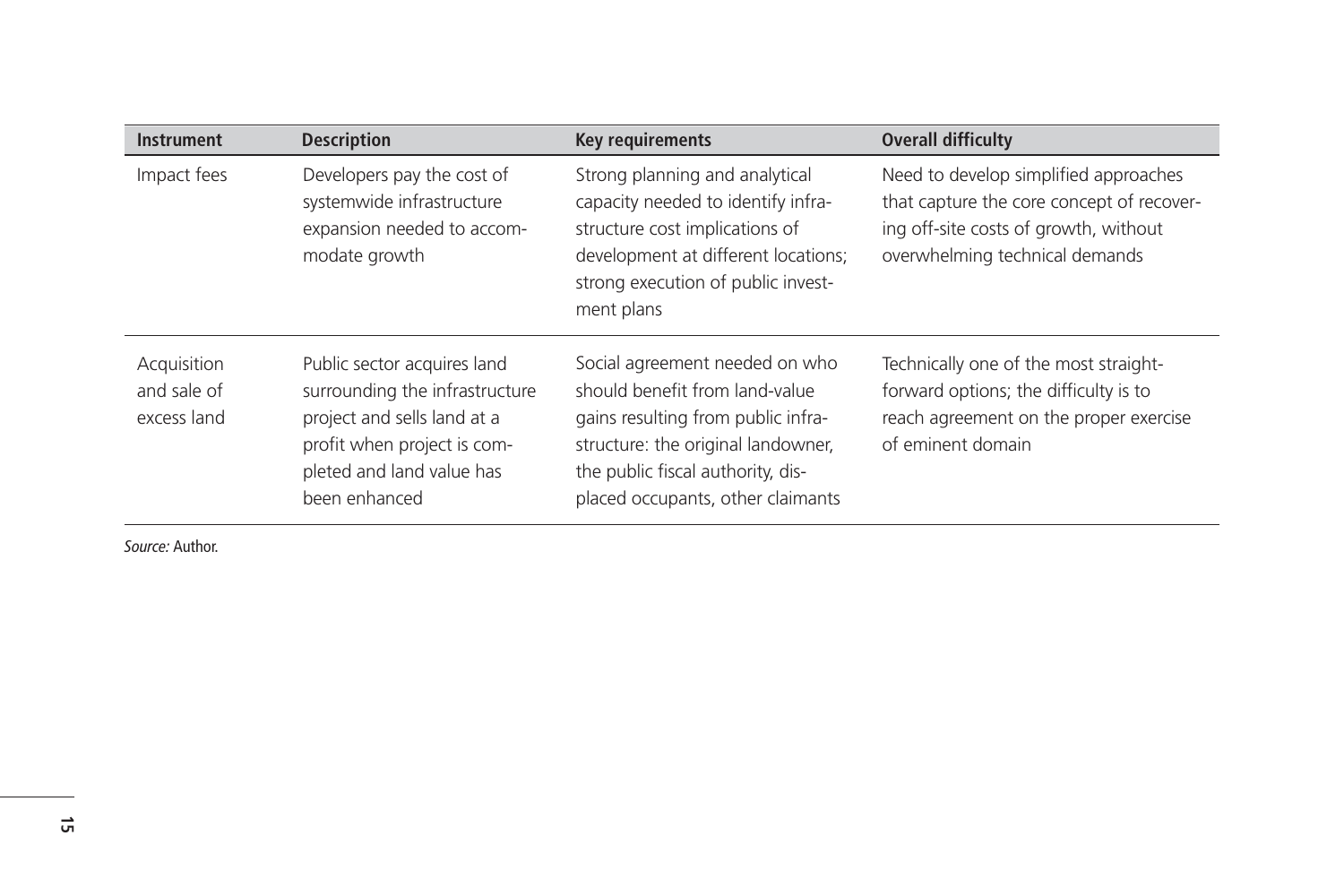| <b>Instrument</b>                         | <b>Description</b>                                                                                                                                                        | <b>Key requirements</b>                                                                                                                                                                                                | <b>Overall difficulty</b>                                                                                                                                     |
|-------------------------------------------|---------------------------------------------------------------------------------------------------------------------------------------------------------------------------|------------------------------------------------------------------------------------------------------------------------------------------------------------------------------------------------------------------------|---------------------------------------------------------------------------------------------------------------------------------------------------------------|
| Impact fees                               | Developers pay the cost of<br>systemwide infrastructure<br>expansion needed to accom-<br>modate growth                                                                    | Strong planning and analytical<br>capacity needed to identify infra-<br>structure cost implications of<br>development at different locations;<br>strong execution of public invest-<br>ment plans                      | Need to develop simplified approaches<br>that capture the core concept of recover-<br>ing off-site costs of growth, without<br>overwhelming technical demands |
| Acquisition<br>and sale of<br>excess land | Public sector acquires land<br>surrounding the infrastructure<br>project and sells land at a<br>profit when project is com-<br>pleted and land value has<br>been enhanced | Social agreement needed on who<br>should benefit from land-value<br>gains resulting from public infra-<br>structure: the original landowner,<br>the public fiscal authority, dis-<br>placed occupants, other claimants | Technically one of the most straight-<br>forward options; the difficulty is to<br>reach agreement on the proper exercise<br>of eminent domain                 |

Source: Author.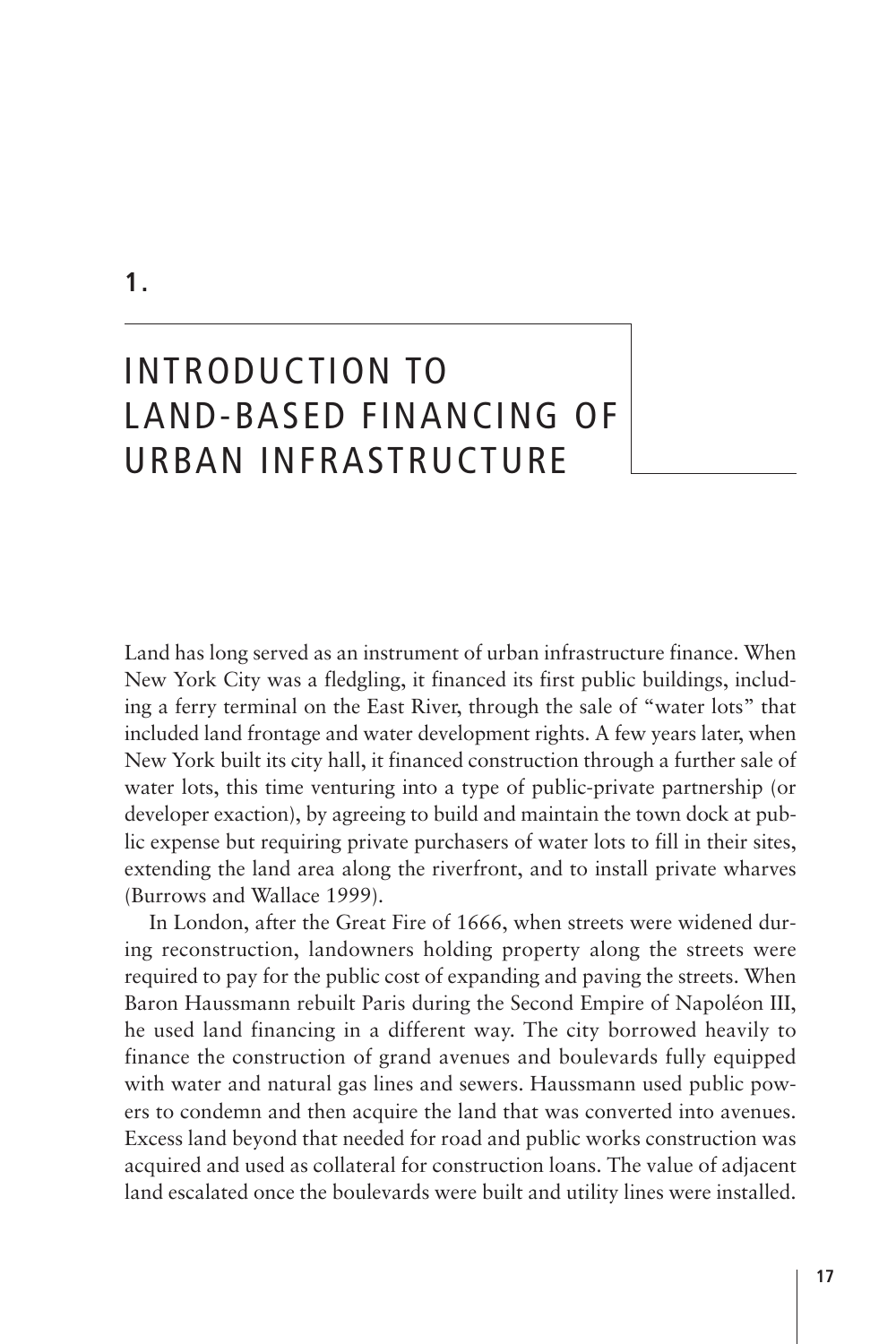## <span id="page-35-0"></span>INTRODUCTION TO LAND-BASED FINANCING OF URBAN INFRASTRUCTURE

Land has long served as an instrument of urban infrastructure finance. When New York City was a fledgling, it financed its first public buildings, including a ferry terminal on the East River, through the sale of "water lots" that included land frontage and water development rights. A few years later, when New York built its city hall, it financed construction through a further sale of water lots, this time venturing into a type of public-private partnership (or developer exaction), by agreeing to build and maintain the town dock at public expense but requiring private purchasers of water lots to fill in their sites, extending the land area along the riverfront, and to install private wharves (Burrows and Wallace 1999).

In London, after the Great Fire of 1666, when streets were widened during reconstruction, landowners holding property along the streets were required to pay for the public cost of expanding and paving the streets. When Baron Haussmann rebuilt Paris during the Second Empire of Napoléon III, he used land financing in a different way. The city borrowed heavily to finance the construction of grand avenues and boulevards fully equipped with water and natural gas lines and sewers. Haussmann used public powers to condemn and then acquire the land that was converted into avenues. Excess land beyond that needed for road and public works construction was acquired and used as collateral for construction loans. The value of adjacent land escalated once the boulevards were built and utility lines were installed.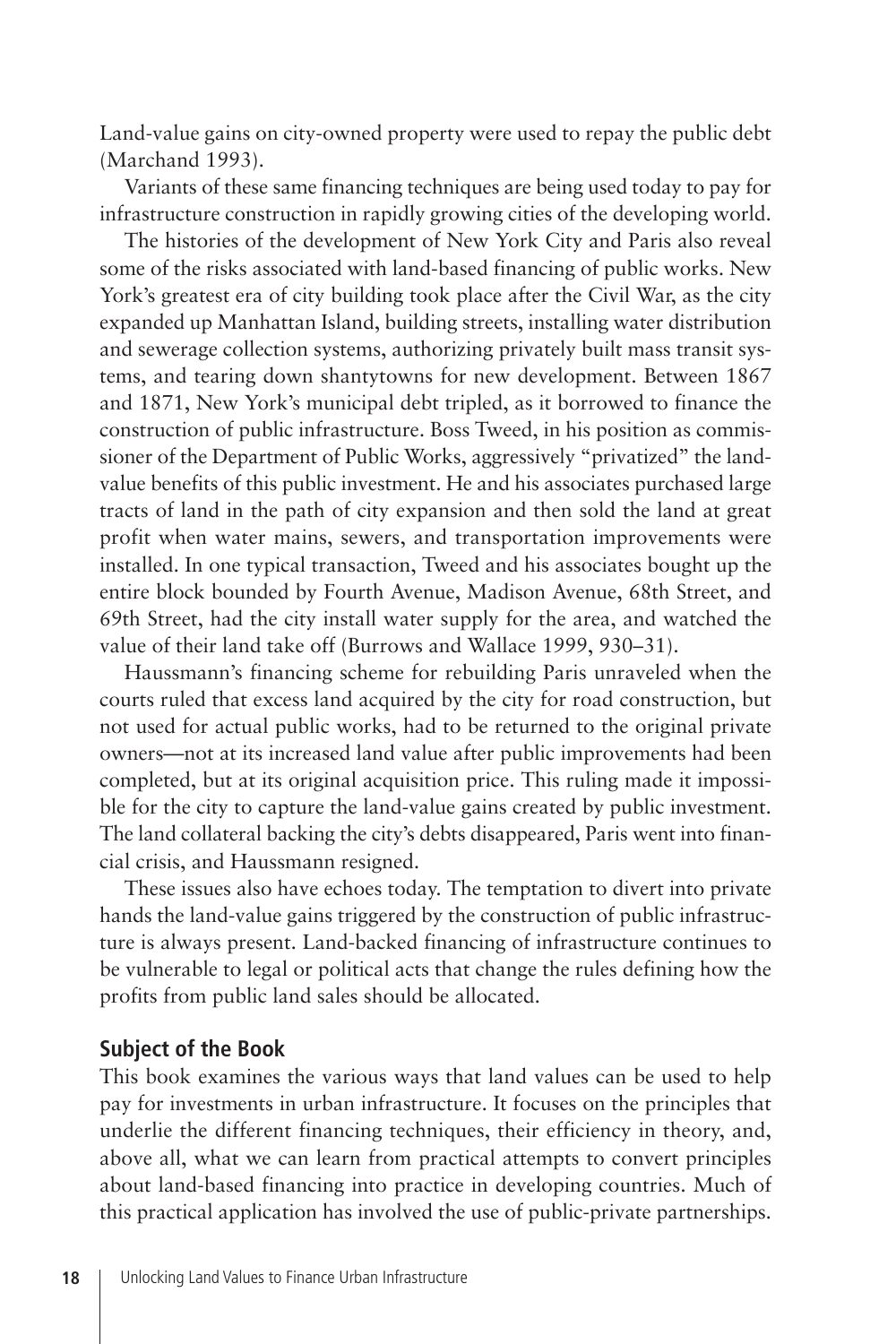Land-value gains on city-owned property were used to repay the public debt (Marchand 1993).

Variants of these same financing techniques are being used today to pay for infrastructure construction in rapidly growing cities of the developing world.

The histories of the development of New York City and Paris also reveal some of the risks associated with land-based financing of public works. New York's greatest era of city building took place after the Civil War, as the city expanded up Manhattan Island, building streets, installing water distribution and sewerage collection systems, authorizing privately built mass transit systems, and tearing down shantytowns for new development. Between 1867 and 1871, New York's municipal debt tripled, as it borrowed to finance the construction of public infrastructure. Boss Tweed, in his position as commissioner of the Department of Public Works, aggressively "privatized" the landvalue benefits of this public investment. He and his associates purchased large tracts of land in the path of city expansion and then sold the land at great profit when water mains, sewers, and transportation improvements were installed. In one typical transaction, Tweed and his associates bought up the entire block bounded by Fourth Avenue, Madison Avenue, 68th Street, and 69th Street, had the city install water supply for the area, and watched the value of their land take off (Burrows and Wallace 1999, 930–31).

Haussmann's financing scheme for rebuilding Paris unraveled when the courts ruled that excess land acquired by the city for road construction, but not used for actual public works, had to be returned to the original private owners—not at its increased land value after public improvements had been completed, but at its original acquisition price. This ruling made it impossible for the city to capture the land-value gains created by public investment. The land collateral backing the city's debts disappeared, Paris went into financial crisis, and Haussmann resigned.

These issues also have echoes today. The temptation to divert into private hands the land-value gains triggered by the construction of public infrastructure is always present. Land-backed financing of infrastructure continues to be vulnerable to legal or political acts that change the rules defining how the profits from public land sales should be allocated.

#### **Subject of the Book**

This book examines the various ways that land values can be used to help pay for investments in urban infrastructure. It focuses on the principles that underlie the different financing techniques, their efficiency in theory, and, above all, what we can learn from practical attempts to convert principles about land-based financing into practice in developing countries. Much of this practical application has involved the use of public-private partnerships.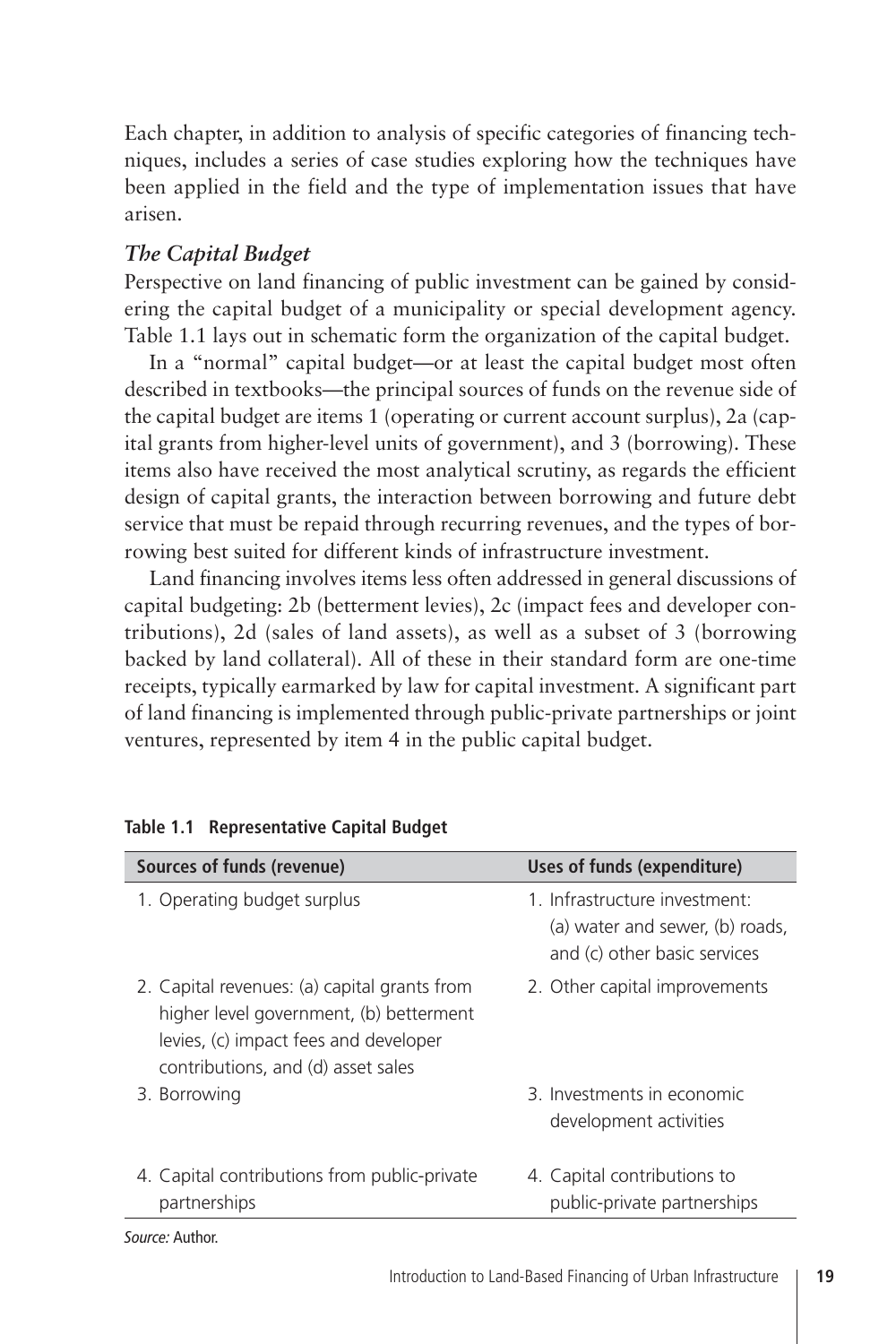Each chapter, in addition to analysis of specific categories of financing techniques, includes a series of case studies exploring how the techniques have been applied in the field and the type of implementation issues that have arisen.

# *The Capital Budget*

Perspective on land financing of public investment can be gained by considering the capital budget of a municipality or special development agency. Table 1.1 lays out in schematic form the organization of the capital budget.

In a "normal" capital budget—or at least the capital budget most often described in textbooks—the principal sources of funds on the revenue side of the capital budget are items 1 (operating or current account surplus), 2a (capital grants from higher-level units of government), and 3 (borrowing). These items also have received the most analytical scrutiny, as regards the efficient design of capital grants, the interaction between borrowing and future debt service that must be repaid through recurring revenues, and the types of borrowing best suited for different kinds of infrastructure investment.

Land financing involves items less often addressed in general discussions of capital budgeting: 2b (betterment levies), 2c (impact fees and developer contributions), 2d (sales of land assets), as well as a subset of 3 (borrowing backed by land collateral). All of these in their standard form are one-time receipts, typically earmarked by law for capital investment. A significant part of land financing is implemented through public-private partnerships or joint ventures, represented by item 4 in the public capital budget.

| Sources of funds (revenue)                                                                                                                                             | Uses of funds (expenditure)                                                                      |
|------------------------------------------------------------------------------------------------------------------------------------------------------------------------|--------------------------------------------------------------------------------------------------|
| 1. Operating budget surplus                                                                                                                                            | 1. Infrastructure investment:<br>(a) water and sewer, (b) roads,<br>and (c) other basic services |
| 2. Capital revenues: (a) capital grants from<br>higher level government, (b) betterment<br>levies, (c) impact fees and developer<br>contributions, and (d) asset sales | 2. Other capital improvements                                                                    |
| 3. Borrowing                                                                                                                                                           | 3. Investments in economic<br>development activities                                             |
| 4. Capital contributions from public-private<br>partnerships                                                                                                           | 4. Capital contributions to<br>public-private partnerships                                       |

## **Table 1.1 Representative Capital Budget**

Source: Author.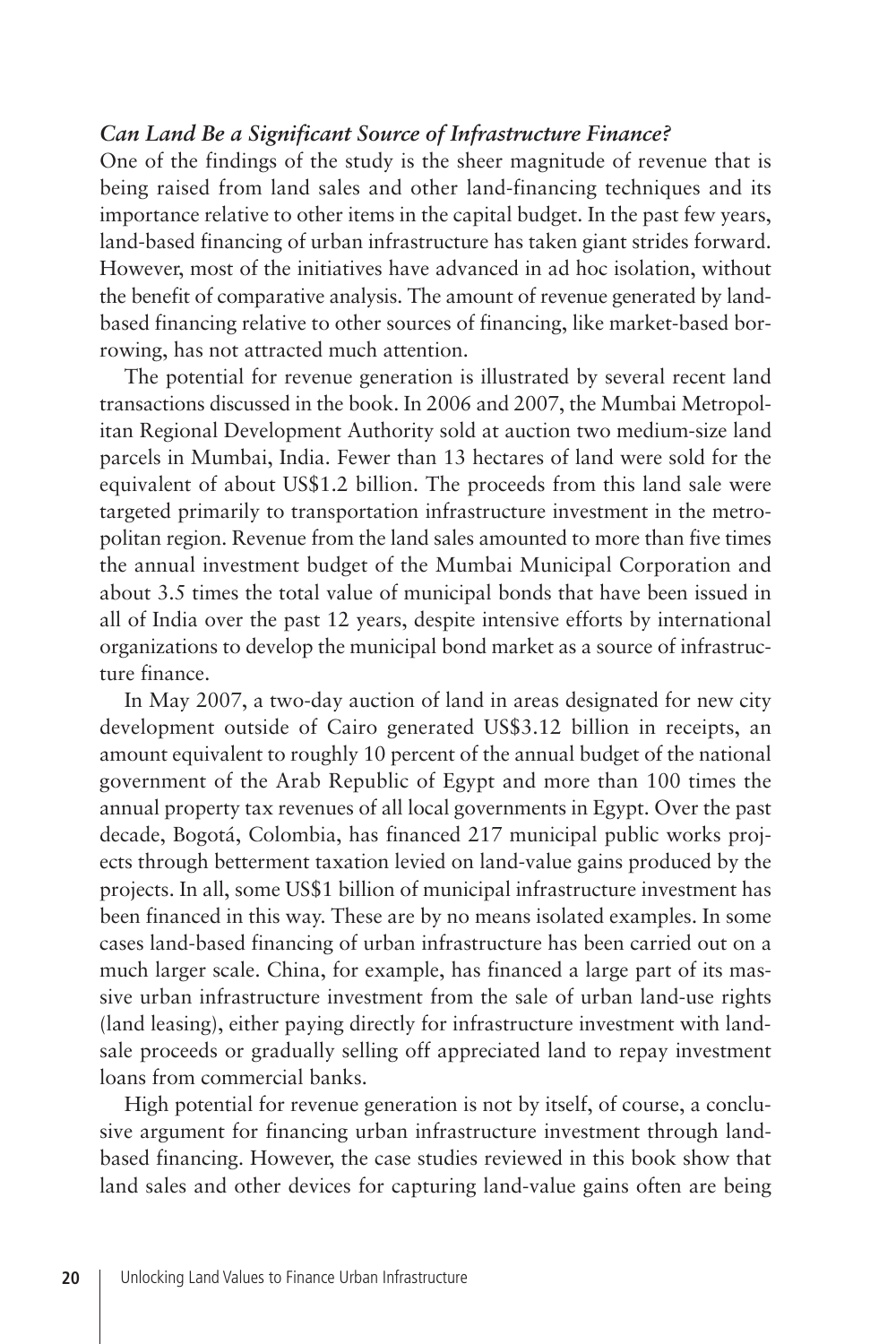### *Can Land Be a Significant Source of Infrastructure Finance?*

One of the findings of the study is the sheer magnitude of revenue that is being raised from land sales and other land-financing techniques and its importance relative to other items in the capital budget. In the past few years, land-based financing of urban infrastructure has taken giant strides forward. However, most of the initiatives have advanced in ad hoc isolation, without the benefit of comparative analysis. The amount of revenue generated by landbased financing relative to other sources of financing, like market-based borrowing, has not attracted much attention.

The potential for revenue generation is illustrated by several recent land transactions discussed in the book. In 2006 and 2007, the Mumbai Metropolitan Regional Development Authority sold at auction two medium-size land parcels in Mumbai, India. Fewer than 13 hectares of land were sold for the equivalent of about US\$1.2 billion. The proceeds from this land sale were targeted primarily to transportation infrastructure investment in the metropolitan region. Revenue from the land sales amounted to more than five times the annual investment budget of the Mumbai Municipal Corporation and about 3.5 times the total value of municipal bonds that have been issued in all of India over the past 12 years, despite intensive efforts by international organizations to develop the municipal bond market as a source of infrastructure finance.

In May 2007, a two-day auction of land in areas designated for new city development outside of Cairo generated US\$3.12 billion in receipts, an amount equivalent to roughly 10 percent of the annual budget of the national government of the Arab Republic of Egypt and more than 100 times the annual property tax revenues of all local governments in Egypt. Over the past decade, Bogotá, Colombia, has financed 217 municipal public works projects through betterment taxation levied on land-value gains produced by the projects. In all, some US\$1 billion of municipal infrastructure investment has been financed in this way. These are by no means isolated examples. In some cases land-based financing of urban infrastructure has been carried out on a much larger scale. China, for example, has financed a large part of its massive urban infrastructure investment from the sale of urban land-use rights (land leasing), either paying directly for infrastructure investment with landsale proceeds or gradually selling off appreciated land to repay investment loans from commercial banks.

High potential for revenue generation is not by itself, of course, a conclusive argument for financing urban infrastructure investment through landbased financing. However, the case studies reviewed in this book show that land sales and other devices for capturing land-value gains often are being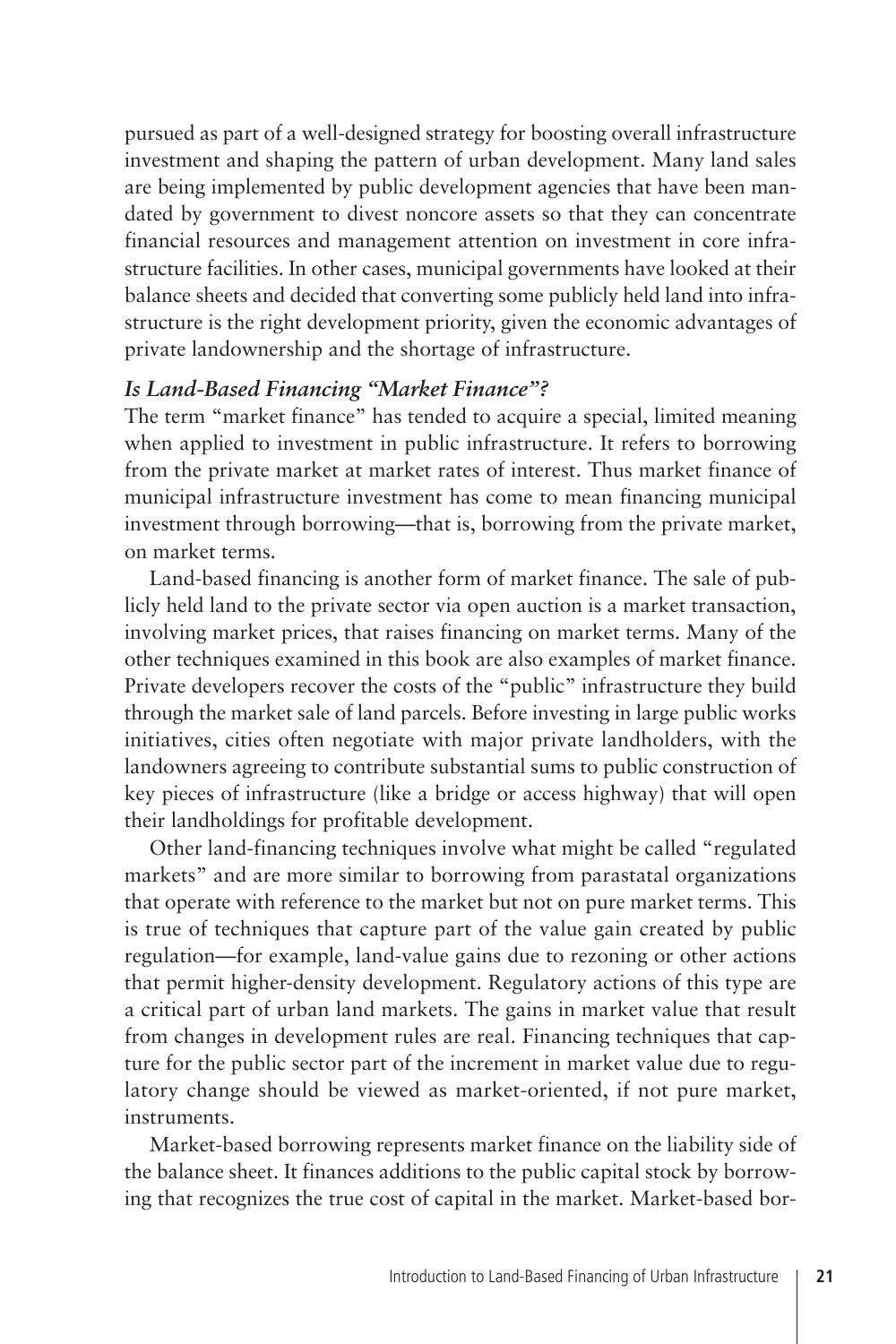pursued as part of a well-designed strategy for boosting overall infrastructure investment and shaping the pattern of urban development. Many land sales are being implemented by public development agencies that have been mandated by government to divest noncore assets so that they can concentrate financial resources and management attention on investment in core infrastructure facilities. In other cases, municipal governments have looked at their balance sheets and decided that converting some publicly held land into infrastructure is the right development priority, given the economic advantages of private landownership and the shortage of infrastructure.

#### *Is Land-Based Financing "Market Finance"?*

The term "market finance" has tended to acquire a special, limited meaning when applied to investment in public infrastructure. It refers to borrowing from the private market at market rates of interest. Thus market finance of municipal infrastructure investment has come to mean financing municipal investment through borrowing—that is, borrowing from the private market, on market terms.

Land-based financing is another form of market finance. The sale of publicly held land to the private sector via open auction is a market transaction, involving market prices, that raises financing on market terms. Many of the other techniques examined in this book are also examples of market finance. Private developers recover the costs of the "public" infrastructure they build through the market sale of land parcels. Before investing in large public works initiatives, cities often negotiate with major private landholders, with the landowners agreeing to contribute substantial sums to public construction of key pieces of infrastructure (like a bridge or access highway) that will open their landholdings for profitable development.

Other land-financing techniques involve what might be called "regulated markets" and are more similar to borrowing from parastatal organizations that operate with reference to the market but not on pure market terms. This is true of techniques that capture part of the value gain created by public regulation—for example, land-value gains due to rezoning or other actions that permit higher-density development. Regulatory actions of this type are a critical part of urban land markets. The gains in market value that result from changes in development rules are real. Financing techniques that capture for the public sector part of the increment in market value due to regulatory change should be viewed as market-oriented, if not pure market, instruments.

Market-based borrowing represents market finance on the liability side of the balance sheet. It finances additions to the public capital stock by borrowing that recognizes the true cost of capital in the market. Market-based bor-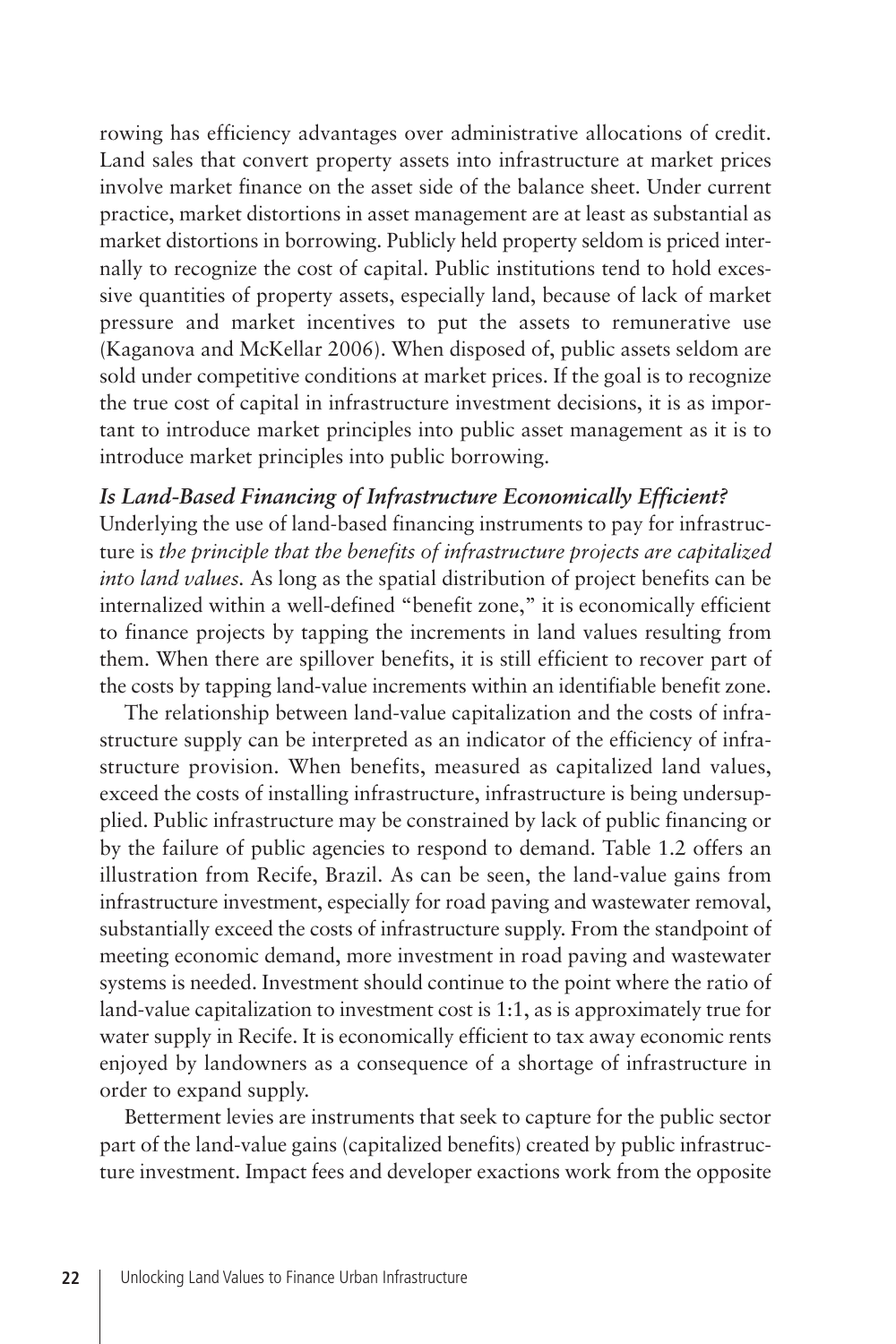rowing has efficiency advantages over administrative allocations of credit. Land sales that convert property assets into infrastructure at market prices involve market finance on the asset side of the balance sheet. Under current practice, market distortions in asset management are at least as substantial as market distortions in borrowing. Publicly held property seldom is priced internally to recognize the cost of capital. Public institutions tend to hold excessive quantities of property assets, especially land, because of lack of market pressure and market incentives to put the assets to remunerative use (Kaganova and McKellar 2006). When disposed of, public assets seldom are sold under competitive conditions at market prices. If the goal is to recognize the true cost of capital in infrastructure investment decisions, it is as important to introduce market principles into public asset management as it is to introduce market principles into public borrowing.

## *Is Land-Based Financing of Infrastructure Economically Efficient?*

Underlying the use of land-based financing instruments to pay for infrastructure is *the principle that the benefits of infrastructure projects are capitalized into land values.* As long as the spatial distribution of project benefits can be internalized within a well-defined "benefit zone," it is economically efficient to finance projects by tapping the increments in land values resulting from them. When there are spillover benefits, it is still efficient to recover part of the costs by tapping land-value increments within an identifiable benefit zone.

The relationship between land-value capitalization and the costs of infrastructure supply can be interpreted as an indicator of the efficiency of infrastructure provision. When benefits, measured as capitalized land values, exceed the costs of installing infrastructure, infrastructure is being undersupplied. Public infrastructure may be constrained by lack of public financing or by the failure of public agencies to respond to demand. Table 1.2 offers an illustration from Recife, Brazil. As can be seen, the land-value gains from infrastructure investment, especially for road paving and wastewater removal, substantially exceed the costs of infrastructure supply. From the standpoint of meeting economic demand, more investment in road paving and wastewater systems is needed. Investment should continue to the point where the ratio of land-value capitalization to investment cost is 1:1, as is approximately true for water supply in Recife. It is economically efficient to tax away economic rents enjoyed by landowners as a consequence of a shortage of infrastructure in order to expand supply.

Betterment levies are instruments that seek to capture for the public sector part of the land-value gains (capitalized benefits) created by public infrastructure investment. Impact fees and developer exactions work from the opposite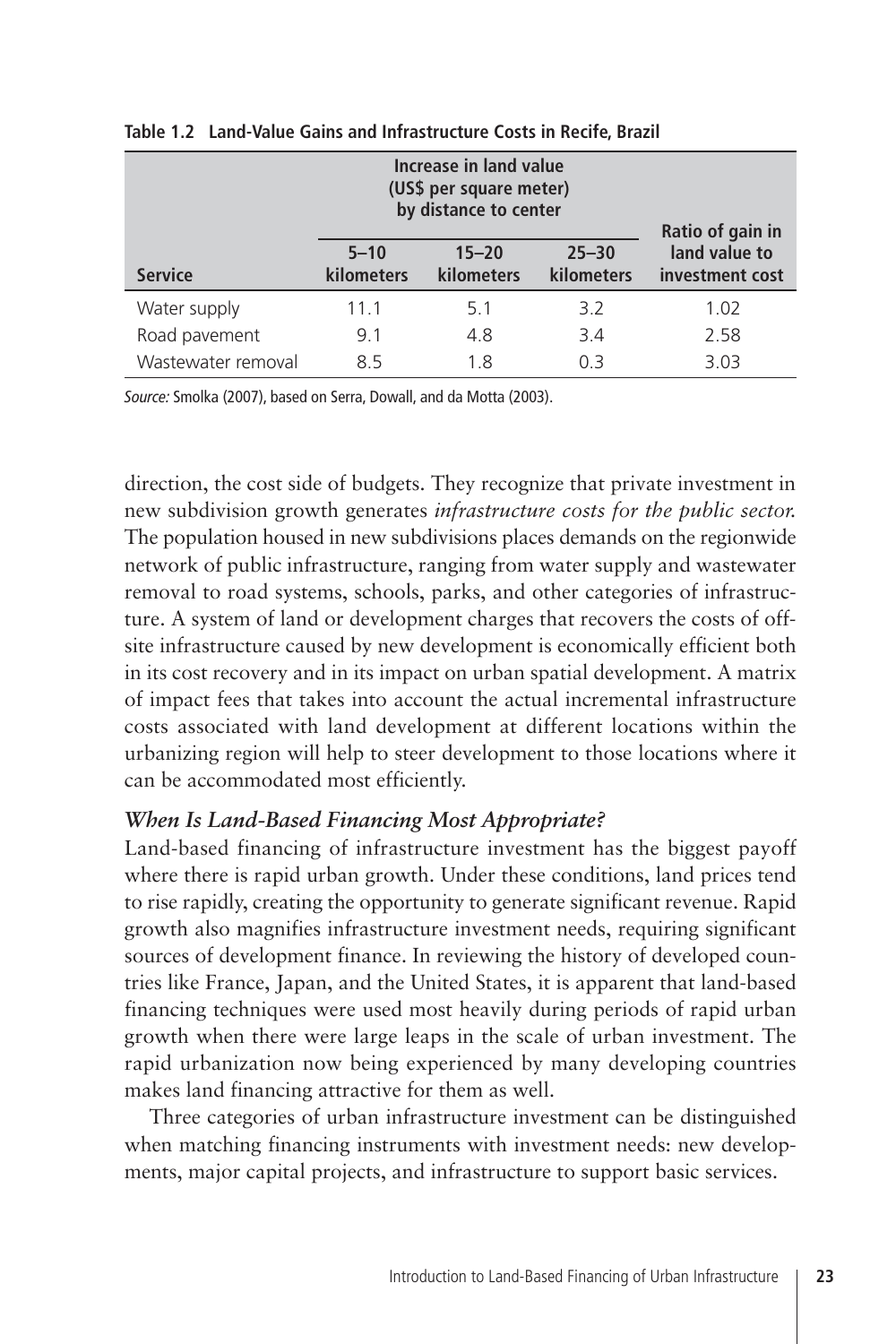|                    | Increase in land value<br>(US\$ per square meter)<br>by distance to center | Ratio of gain in        |                         |                                  |
|--------------------|----------------------------------------------------------------------------|-------------------------|-------------------------|----------------------------------|
| <b>Service</b>     | $5 - 10$<br>kilometers                                                     | $15 - 20$<br>kilometers | $25 - 30$<br>kilometers | land value to<br>investment cost |
| Water supply       | 11.1                                                                       | 51                      | 3.2                     | 1.02                             |
| Road pavement      | 9.1                                                                        | 4.8                     | 3.4                     | 2.58                             |
| Wastewater removal | 85                                                                         | 1.8                     | 03                      | 3.03                             |

**Table 1.2 Land-Value Gains and Infrastructure Costs in Recife, Brazil**

Source: Smolka (2007), based on Serra, Dowall, and da Motta (2003).

direction, the cost side of budgets. They recognize that private investment in new subdivision growth generates *infrastructure costs for the public sector.* The population housed in new subdivisions places demands on the regionwide network of public infrastructure, ranging from water supply and wastewater removal to road systems, schools, parks, and other categories of infrastructure. A system of land or development charges that recovers the costs of offsite infrastructure caused by new development is economically efficient both in its cost recovery and in its impact on urban spatial development. A matrix of impact fees that takes into account the actual incremental infrastructure costs associated with land development at different locations within the urbanizing region will help to steer development to those locations where it can be accommodated most efficiently.

## *When Is Land-Based Financing Most Appropriate?*

Land-based financing of infrastructure investment has the biggest payoff where there is rapid urban growth. Under these conditions, land prices tend to rise rapidly, creating the opportunity to generate significant revenue. Rapid growth also magnifies infrastructure investment needs, requiring significant sources of development finance. In reviewing the history of developed countries like France, Japan, and the United States, it is apparent that land-based financing techniques were used most heavily during periods of rapid urban growth when there were large leaps in the scale of urban investment. The rapid urbanization now being experienced by many developing countries makes land financing attractive for them as well.

Three categories of urban infrastructure investment can be distinguished when matching financing instruments with investment needs: new developments, major capital projects, and infrastructure to support basic services.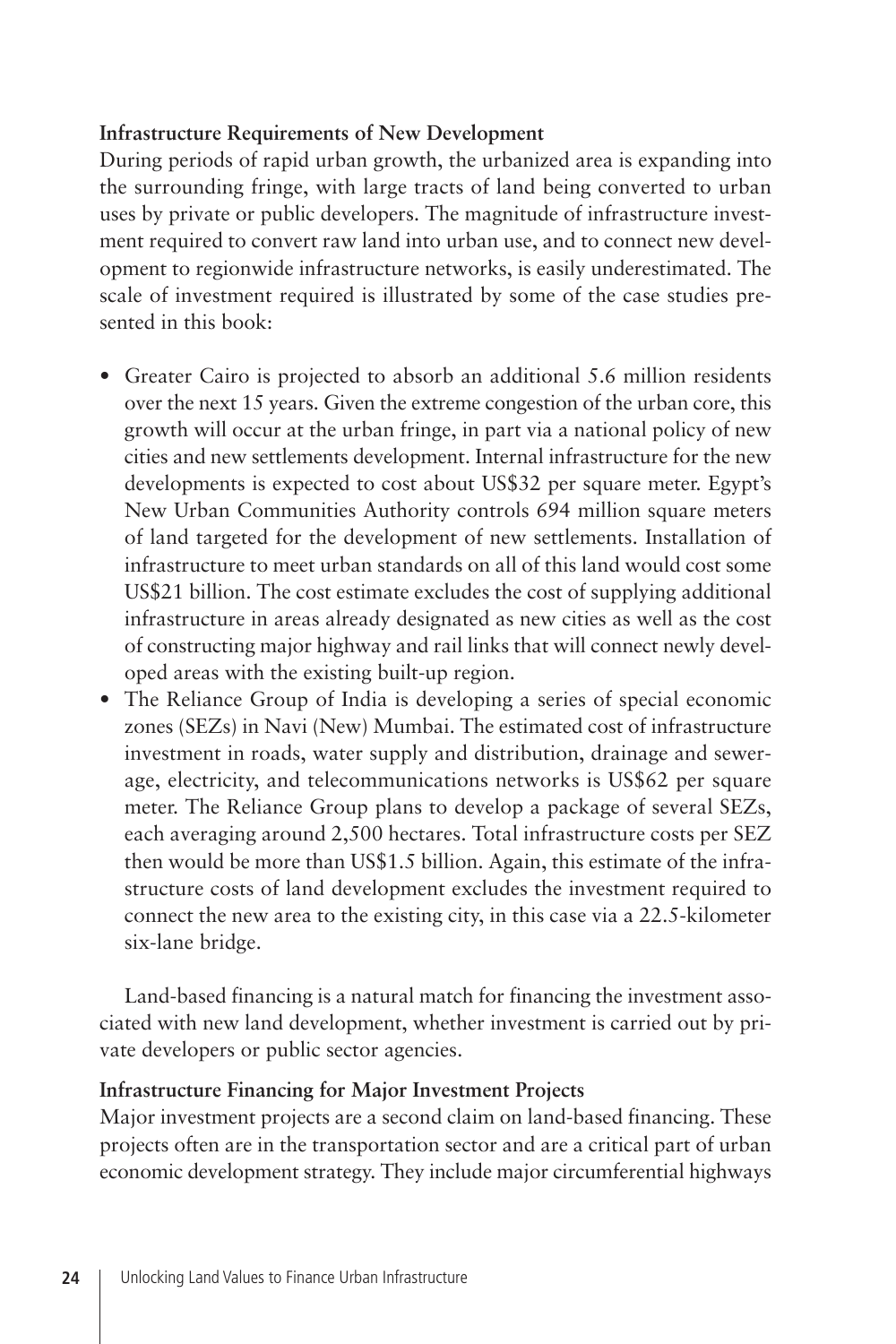#### **Infrastructure Requirements of New Development**

During periods of rapid urban growth, the urbanized area is expanding into the surrounding fringe, with large tracts of land being converted to urban uses by private or public developers. The magnitude of infrastructure investment required to convert raw land into urban use, and to connect new development to regionwide infrastructure networks, is easily underestimated. The scale of investment required is illustrated by some of the case studies presented in this book:

- Greater Cairo is projected to absorb an additional 5.6 million residents over the next 15 years. Given the extreme congestion of the urban core, this growth will occur at the urban fringe, in part via a national policy of new cities and new settlements development. Internal infrastructure for the new developments is expected to cost about US\$32 per square meter. Egypt's New Urban Communities Authority controls 694 million square meters of land targeted for the development of new settlements. Installation of infrastructure to meet urban standards on all of this land would cost some US\$21 billion. The cost estimate excludes the cost of supplying additional infrastructure in areas already designated as new cities as well as the cost of constructing major highway and rail links that will connect newly developed areas with the existing built-up region.
- The Reliance Group of India is developing a series of special economic zones (SEZs) in Navi (New) Mumbai. The estimated cost of infrastructure investment in roads, water supply and distribution, drainage and sewerage, electricity, and telecommunications networks is US\$62 per square meter. The Reliance Group plans to develop a package of several SEZs, each averaging around 2,500 hectares. Total infrastructure costs per SEZ then would be more than US\$1.5 billion. Again, this estimate of the infrastructure costs of land development excludes the investment required to connect the new area to the existing city, in this case via a 22.5-kilometer six-lane bridge.

Land-based financing is a natural match for financing the investment associated with new land development, whether investment is carried out by private developers or public sector agencies.

#### **Infrastructure Financing for Major Investment Projects**

Major investment projects are a second claim on land-based financing. These projects often are in the transportation sector and are a critical part of urban economic development strategy. They include major circumferential highways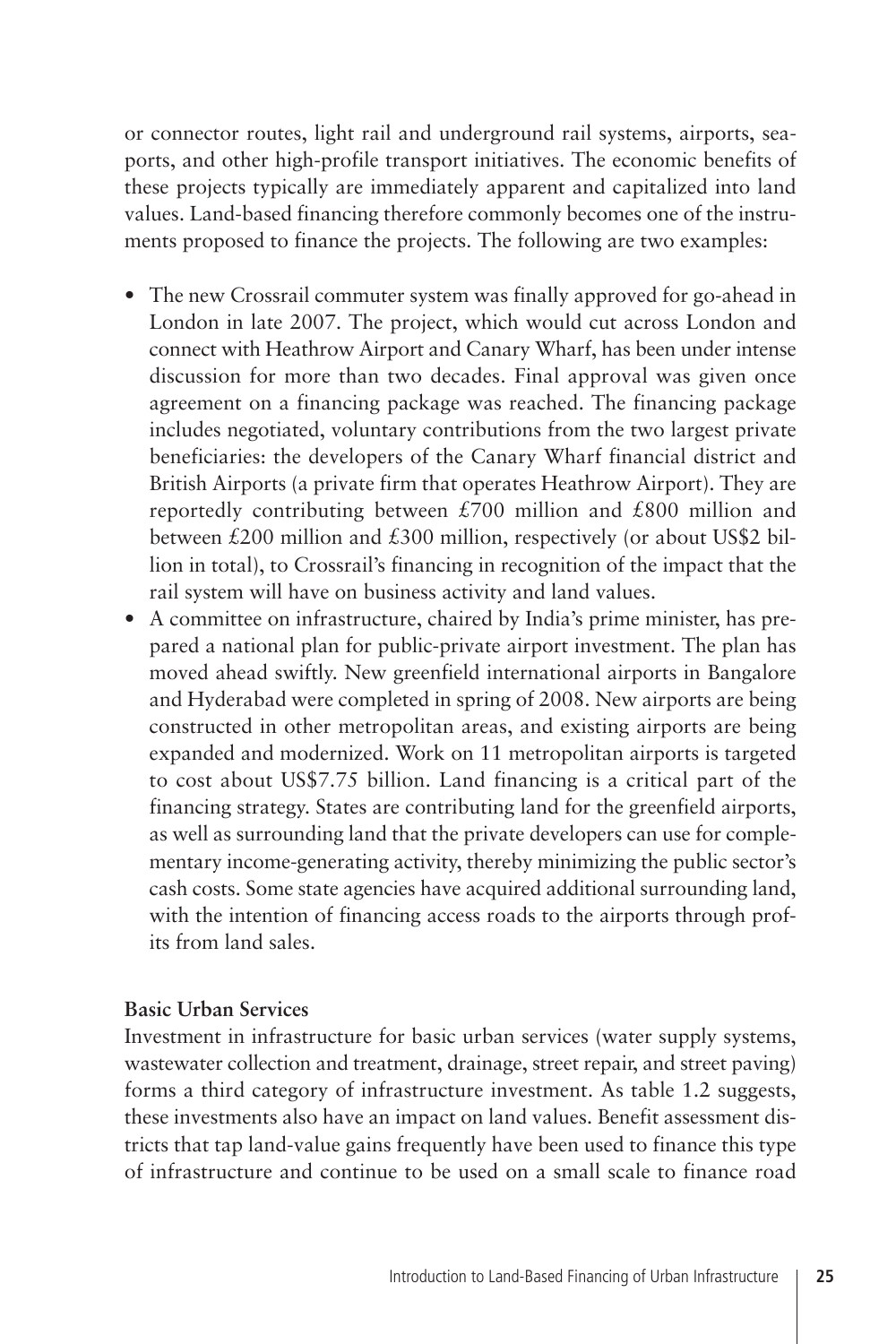or connector routes, light rail and underground rail systems, airports, seaports, and other high-profile transport initiatives. The economic benefits of these projects typically are immediately apparent and capitalized into land values. Land-based financing therefore commonly becomes one of the instruments proposed to finance the projects. The following are two examples:

- The new Crossrail commuter system was finally approved for go-ahead in London in late 2007. The project, which would cut across London and connect with Heathrow Airport and Canary Wharf, has been under intense discussion for more than two decades. Final approval was given once agreement on a financing package was reached. The financing package includes negotiated, voluntary contributions from the two largest private beneficiaries: the developers of the Canary Wharf financial district and British Airports (a private firm that operates Heathrow Airport). They are reportedly contributing between  $£700$  million and  $£800$  million and between £200 million and £300 million, respectively (or about US\$2 billion in total), to Crossrail's financing in recognition of the impact that the rail system will have on business activity and land values.
- A committee on infrastructure, chaired by India's prime minister, has prepared a national plan for public-private airport investment. The plan has moved ahead swiftly. New greenfield international airports in Bangalore and Hyderabad were completed in spring of 2008. New airports are being constructed in other metropolitan areas, and existing airports are being expanded and modernized. Work on 11 metropolitan airports is targeted to cost about US\$7.75 billion. Land financing is a critical part of the financing strategy. States are contributing land for the greenfield airports, as well as surrounding land that the private developers can use for complementary income-generating activity, thereby minimizing the public sector's cash costs. Some state agencies have acquired additional surrounding land, with the intention of financing access roads to the airports through profits from land sales.

#### **Basic Urban Services**

Investment in infrastructure for basic urban services (water supply systems, wastewater collection and treatment, drainage, street repair, and street paving) forms a third category of infrastructure investment. As table 1.2 suggests, these investments also have an impact on land values. Benefit assessment districts that tap land-value gains frequently have been used to finance this type of infrastructure and continue to be used on a small scale to finance road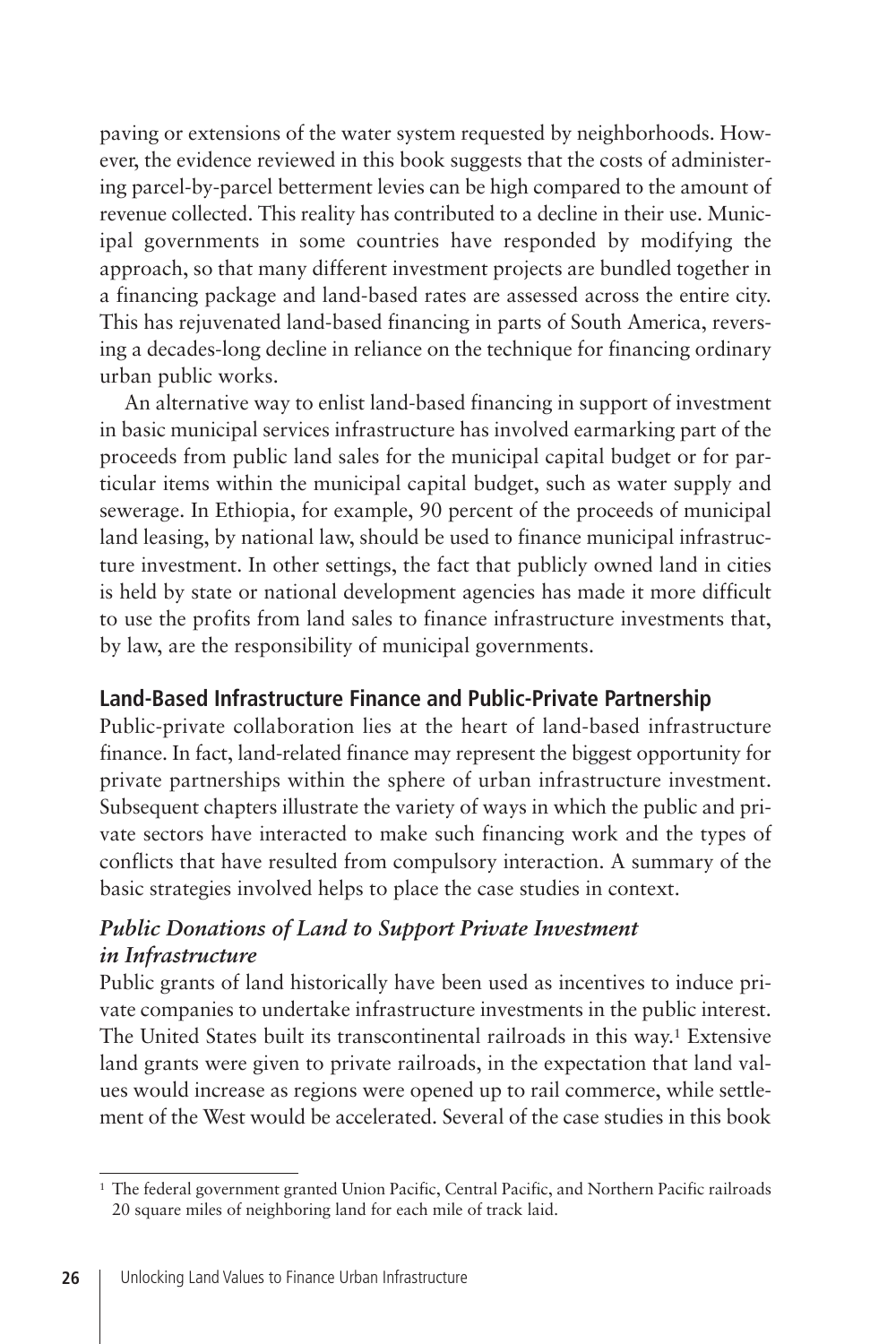paving or extensions of the water system requested by neighborhoods. However, the evidence reviewed in this book suggests that the costs of administering parcel-by-parcel betterment levies can be high compared to the amount of revenue collected. This reality has contributed to a decline in their use. Municipal governments in some countries have responded by modifying the approach, so that many different investment projects are bundled together in a financing package and land-based rates are assessed across the entire city. This has rejuvenated land-based financing in parts of South America, reversing a decades-long decline in reliance on the technique for financing ordinary urban public works.

An alternative way to enlist land-based financing in support of investment in basic municipal services infrastructure has involved earmarking part of the proceeds from public land sales for the municipal capital budget or for particular items within the municipal capital budget, such as water supply and sewerage. In Ethiopia, for example, 90 percent of the proceeds of municipal land leasing, by national law, should be used to finance municipal infrastructure investment. In other settings, the fact that publicly owned land in cities is held by state or national development agencies has made it more difficult to use the profits from land sales to finance infrastructure investments that, by law, are the responsibility of municipal governments.

## **Land-Based Infrastructure Finance and Public-Private Partnership**

Public-private collaboration lies at the heart of land-based infrastructure finance. In fact, land-related finance may represent the biggest opportunity for private partnerships within the sphere of urban infrastructure investment. Subsequent chapters illustrate the variety of ways in which the public and private sectors have interacted to make such financing work and the types of conflicts that have resulted from compulsory interaction. A summary of the basic strategies involved helps to place the case studies in context.

# *Public Donations of Land to Support Private Investment in Infrastructure*

Public grants of land historically have been used as incentives to induce private companies to undertake infrastructure investments in the public interest. The United States built its transcontinental railroads in this way.1 Extensive land grants were given to private railroads, in the expectation that land values would increase as regions were opened up to rail commerce, while settlement of the West would be accelerated. Several of the case studies in this book

<sup>1</sup> The federal government granted Union Pacific, Central Pacific, and Northern Pacific railroads 20 square miles of neighboring land for each mile of track laid.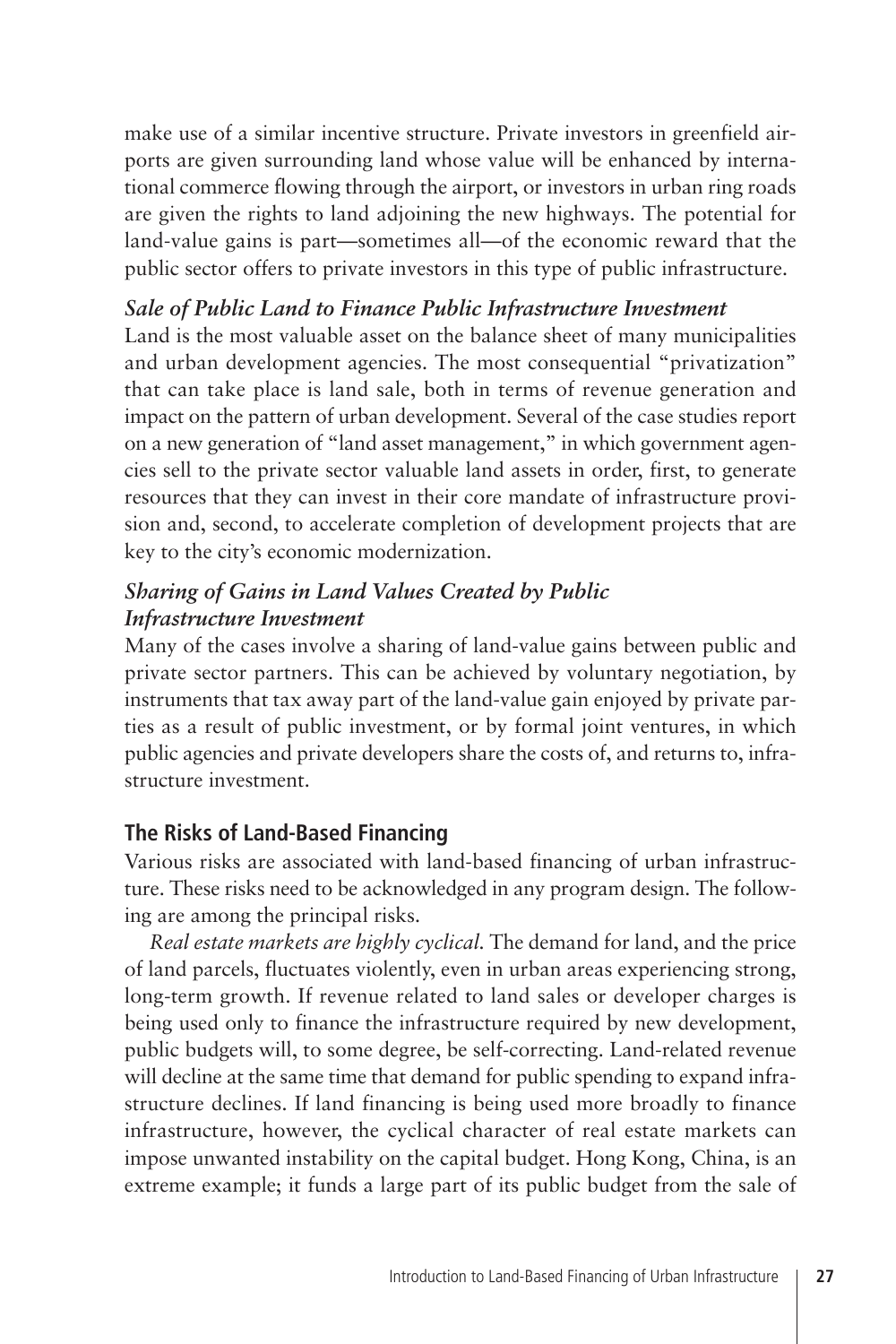make use of a similar incentive structure. Private investors in greenfield airports are given surrounding land whose value will be enhanced by international commerce flowing through the airport, or investors in urban ring roads are given the rights to land adjoining the new highways. The potential for land-value gains is part—sometimes all—of the economic reward that the public sector offers to private investors in this type of public infrastructure.

## *Sale of Public Land to Finance Public Infrastructure Investment*

Land is the most valuable asset on the balance sheet of many municipalities and urban development agencies. The most consequential "privatization" that can take place is land sale, both in terms of revenue generation and impact on the pattern of urban development. Several of the case studies report on a new generation of "land asset management," in which government agencies sell to the private sector valuable land assets in order, first, to generate resources that they can invest in their core mandate of infrastructure provision and, second, to accelerate completion of development projects that are key to the city's economic modernization.

# *Sharing of Gains in Land Values Created by Public Infrastructure Investment*

Many of the cases involve a sharing of land-value gains between public and private sector partners. This can be achieved by voluntary negotiation, by instruments that tax away part of the land-value gain enjoyed by private parties as a result of public investment, or by formal joint ventures, in which public agencies and private developers share the costs of, and returns to, infrastructure investment.

## **The Risks of Land-Based Financing**

Various risks are associated with land-based financing of urban infrastructure. These risks need to be acknowledged in any program design. The following are among the principal risks.

*Real estate markets are highly cyclical.* The demand for land, and the price of land parcels, fluctuates violently, even in urban areas experiencing strong, long-term growth. If revenue related to land sales or developer charges is being used only to finance the infrastructure required by new development, public budgets will, to some degree, be self-correcting. Land-related revenue will decline at the same time that demand for public spending to expand infrastructure declines. If land financing is being used more broadly to finance infrastructure, however, the cyclical character of real estate markets can impose unwanted instability on the capital budget. Hong Kong, China, is an extreme example; it funds a large part of its public budget from the sale of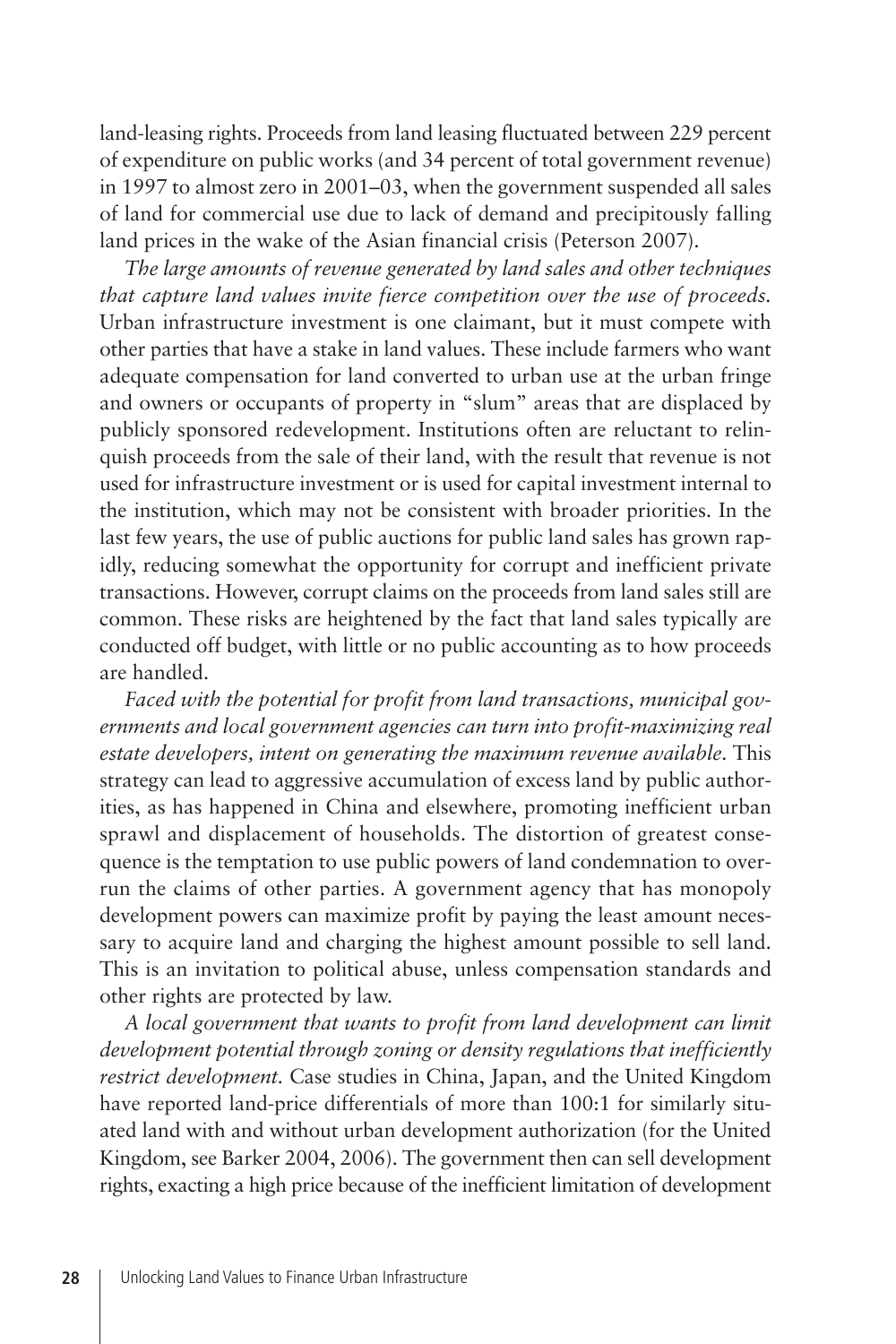land-leasing rights. Proceeds from land leasing fluctuated between 229 percent of expenditure on public works (and 34 percent of total government revenue) in 1997 to almost zero in 2001–03, when the government suspended all sales of land for commercial use due to lack of demand and precipitously falling land prices in the wake of the Asian financial crisis (Peterson 2007).

*The large amounts of revenue generated by land sales and other techniques that capture land values invite fierce competition over the use of proceeds.* Urban infrastructure investment is one claimant, but it must compete with other parties that have a stake in land values. These include farmers who want adequate compensation for land converted to urban use at the urban fringe and owners or occupants of property in "slum" areas that are displaced by publicly sponsored redevelopment. Institutions often are reluctant to relinquish proceeds from the sale of their land, with the result that revenue is not used for infrastructure investment or is used for capital investment internal to the institution, which may not be consistent with broader priorities. In the last few years, the use of public auctions for public land sales has grown rapidly, reducing somewhat the opportunity for corrupt and inefficient private transactions. However, corrupt claims on the proceeds from land sales still are common. These risks are heightened by the fact that land sales typically are conducted off budget, with little or no public accounting as to how proceeds are handled.

*Faced with the potential for profit from land transactions, municipal governments and local government agencies can turn into profit-maximizing real estate developers, intent on generating the maximum revenue available.* This strategy can lead to aggressive accumulation of excess land by public authorities, as has happened in China and elsewhere, promoting inefficient urban sprawl and displacement of households. The distortion of greatest consequence is the temptation to use public powers of land condemnation to overrun the claims of other parties. A government agency that has monopoly development powers can maximize profit by paying the least amount necessary to acquire land and charging the highest amount possible to sell land. This is an invitation to political abuse, unless compensation standards and other rights are protected by law.

*A local government that wants to profit from land development can limit development potential through zoning or density regulations that inefficiently restrict development.* Case studies in China, Japan, and the United Kingdom have reported land-price differentials of more than 100:1 for similarly situated land with and without urban development authorization (for the United Kingdom, see Barker 2004, 2006). The government then can sell development rights, exacting a high price because of the inefficient limitation of development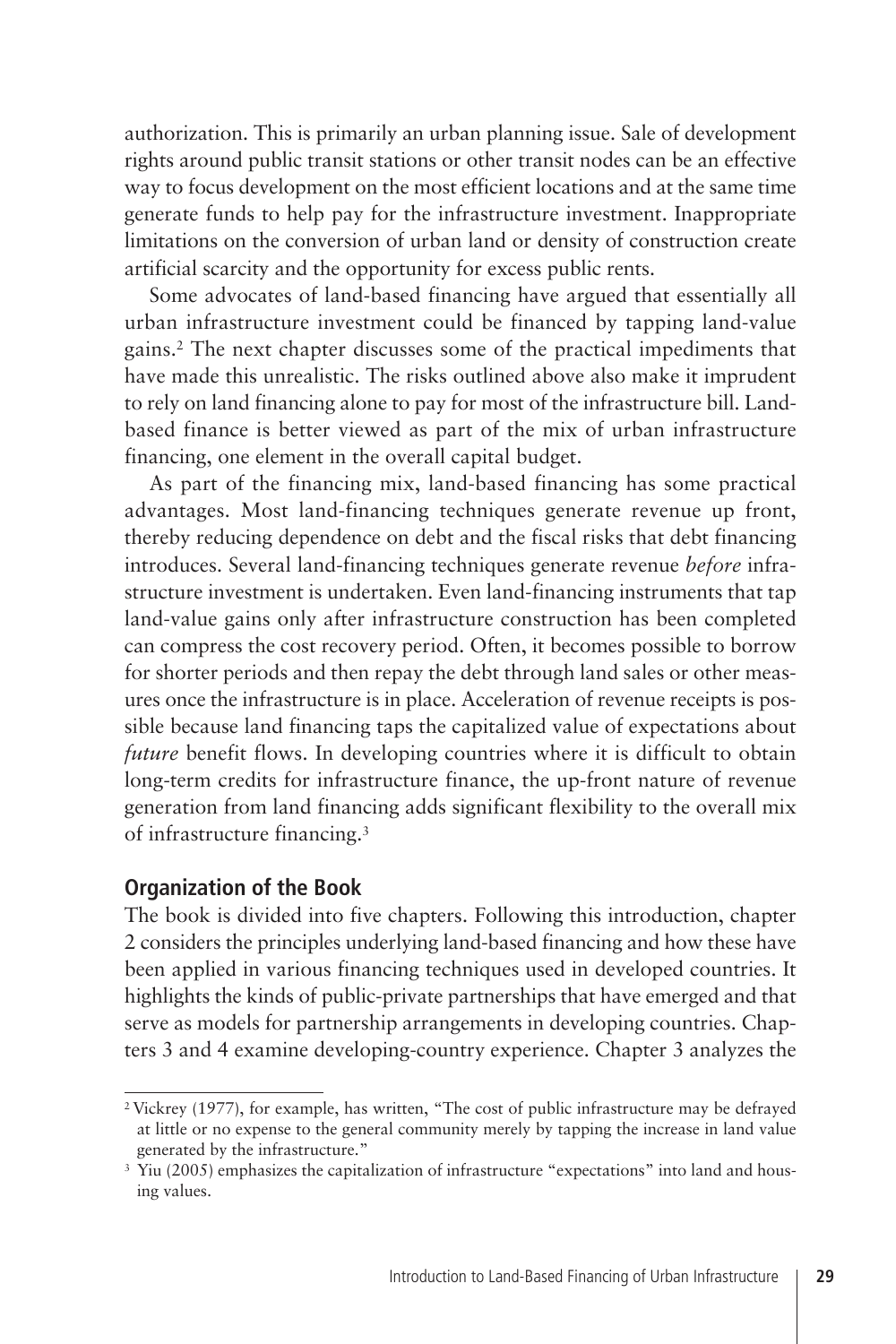authorization. This is primarily an urban planning issue. Sale of development rights around public transit stations or other transit nodes can be an effective way to focus development on the most efficient locations and at the same time generate funds to help pay for the infrastructure investment. Inappropriate limitations on the conversion of urban land or density of construction create artificial scarcity and the opportunity for excess public rents.

Some advocates of land-based financing have argued that essentially all urban infrastructure investment could be financed by tapping land-value gains.2 The next chapter discusses some of the practical impediments that have made this unrealistic. The risks outlined above also make it imprudent to rely on land financing alone to pay for most of the infrastructure bill. Landbased finance is better viewed as part of the mix of urban infrastructure financing, one element in the overall capital budget.

As part of the financing mix, land-based financing has some practical advantages. Most land-financing techniques generate revenue up front, thereby reducing dependence on debt and the fiscal risks that debt financing introduces. Several land-financing techniques generate revenue *before* infrastructure investment is undertaken. Even land-financing instruments that tap land-value gains only after infrastructure construction has been completed can compress the cost recovery period. Often, it becomes possible to borrow for shorter periods and then repay the debt through land sales or other measures once the infrastructure is in place. Acceleration of revenue receipts is possible because land financing taps the capitalized value of expectations about *future* benefit flows. In developing countries where it is difficult to obtain long-term credits for infrastructure finance, the up-front nature of revenue generation from land financing adds significant flexibility to the overall mix of infrastructure financing.3

#### **Organization of the Book**

The book is divided into five chapters. Following this introduction, chapter 2 considers the principles underlying land-based financing and how these have been applied in various financing techniques used in developed countries. It highlights the kinds of public-private partnerships that have emerged and that serve as models for partnership arrangements in developing countries. Chapters 3 and 4 examine developing-country experience. Chapter 3 analyzes the

<sup>2</sup> Vickrey (1977), for example, has written, "The cost of public infrastructure may be defrayed at little or no expense to the general community merely by tapping the increase in land value generated by the infrastructure."

<sup>&</sup>lt;sup>3</sup> Yiu (2005) emphasizes the capitalization of infrastructure "expectations" into land and housing values.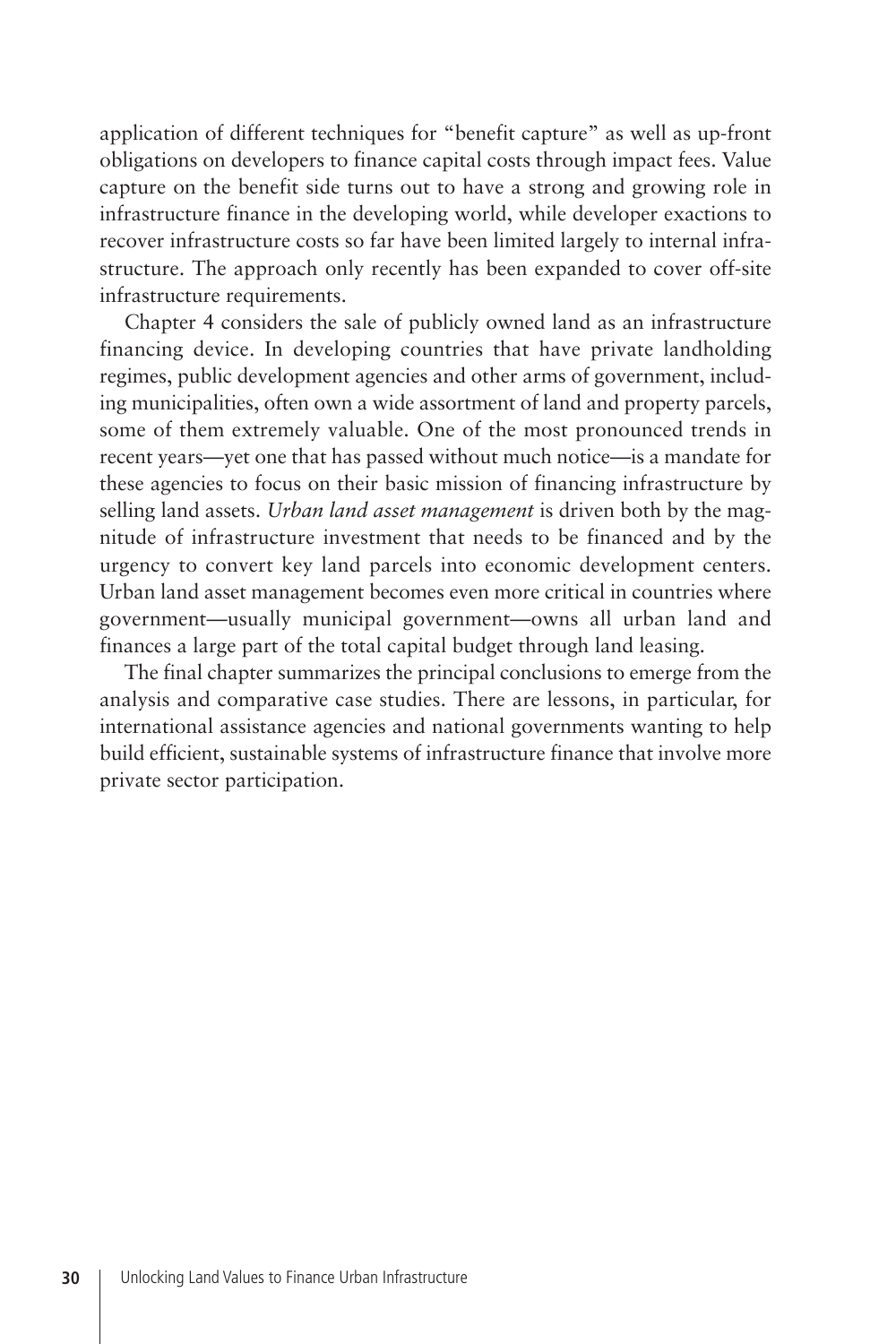application of different techniques for "benefit capture" as well as up-front obligations on developers to finance capital costs through impact fees. Value capture on the benefit side turns out to have a strong and growing role in infrastructure finance in the developing world, while developer exactions to recover infrastructure costs so far have been limited largely to internal infrastructure. The approach only recently has been expanded to cover off-site infrastructure requirements.

Chapter 4 considers the sale of publicly owned land as an infrastructure financing device. In developing countries that have private landholding regimes, public development agencies and other arms of government, including municipalities, often own a wide assortment of land and property parcels, some of them extremely valuable. One of the most pronounced trends in recent years—yet one that has passed without much notice—is a mandate for these agencies to focus on their basic mission of financing infrastructure by selling land assets. *Urban land asset management* is driven both by the magnitude of infrastructure investment that needs to be financed and by the urgency to convert key land parcels into economic development centers. Urban land asset management becomes even more critical in countries where government—usually municipal government—owns all urban land and finances a large part of the total capital budget through land leasing.

The final chapter summarizes the principal conclusions to emerge from the analysis and comparative case studies. There are lessons, in particular, for international assistance agencies and national governments wanting to help build efficient, sustainable systems of infrastructure finance that involve more private sector participation.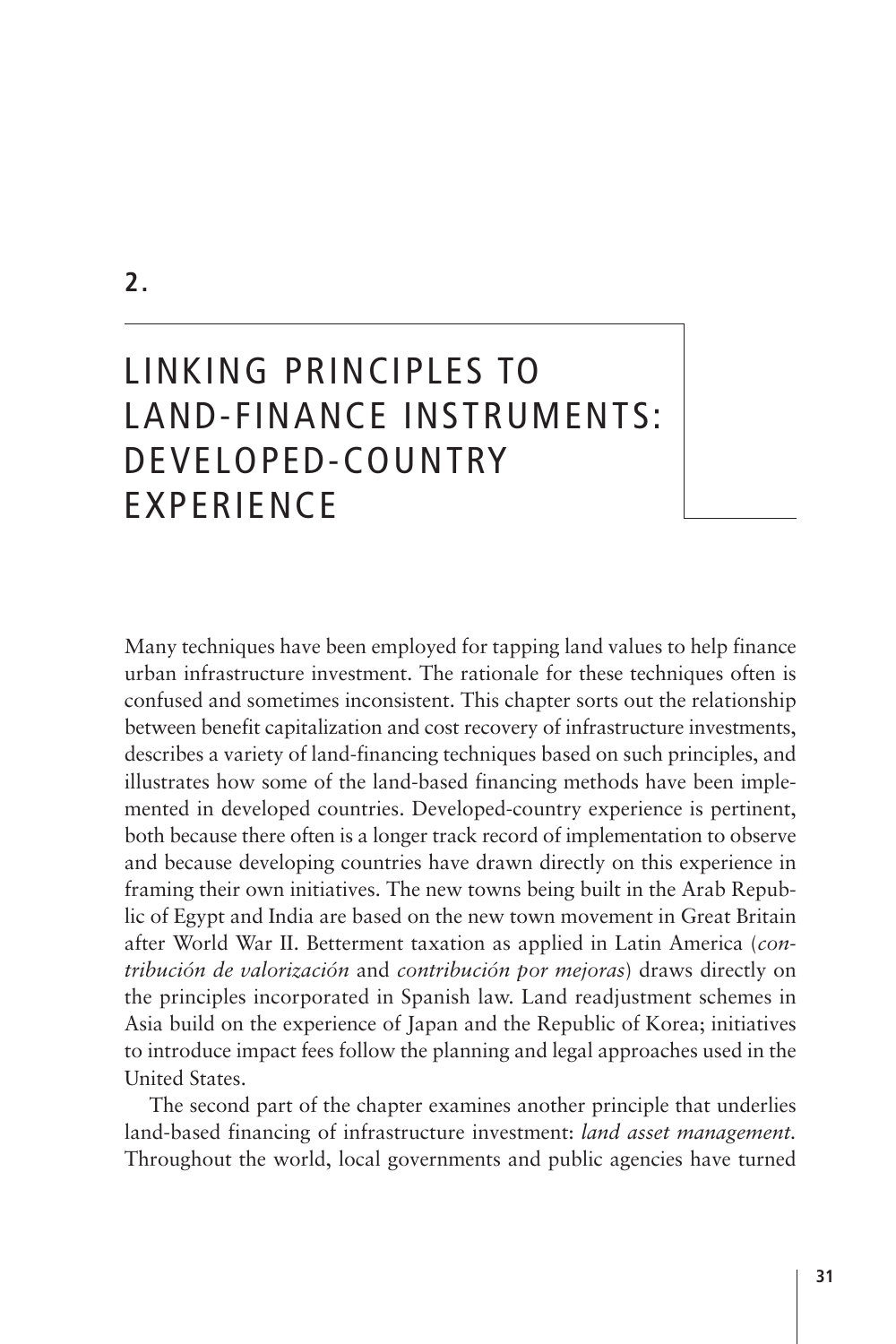# LINKING PRINCIPLES TO LAND-FINANCE INSTRUMENTS: DEVELOPED-COUNTRY **FXPFRIFNCF**

Many techniques have been employed for tapping land values to help finance urban infrastructure investment. The rationale for these techniques often is confused and sometimes inconsistent. This chapter sorts out the relationship between benefit capitalization and cost recovery of infrastructure investments, describes a variety of land-financing techniques based on such principles, and illustrates how some of the land-based financing methods have been implemented in developed countries. Developed-country experience is pertinent, both because there often is a longer track record of implementation to observe and because developing countries have drawn directly on this experience in framing their own initiatives. The new towns being built in the Arab Republic of Egypt and India are based on the new town movement in Great Britain after World War II. Betterment taxation as applied in Latin America (*contribución de valorización* and *contribución por mejoras*) draws directly on the principles incorporated in Spanish law. Land readjustment schemes in Asia build on the experience of Japan and the Republic of Korea; initiatives to introduce impact fees follow the planning and legal approaches used in the United States.

The second part of the chapter examines another principle that underlies land-based financing of infrastructure investment: *land asset management.* Throughout the world, local governments and public agencies have turned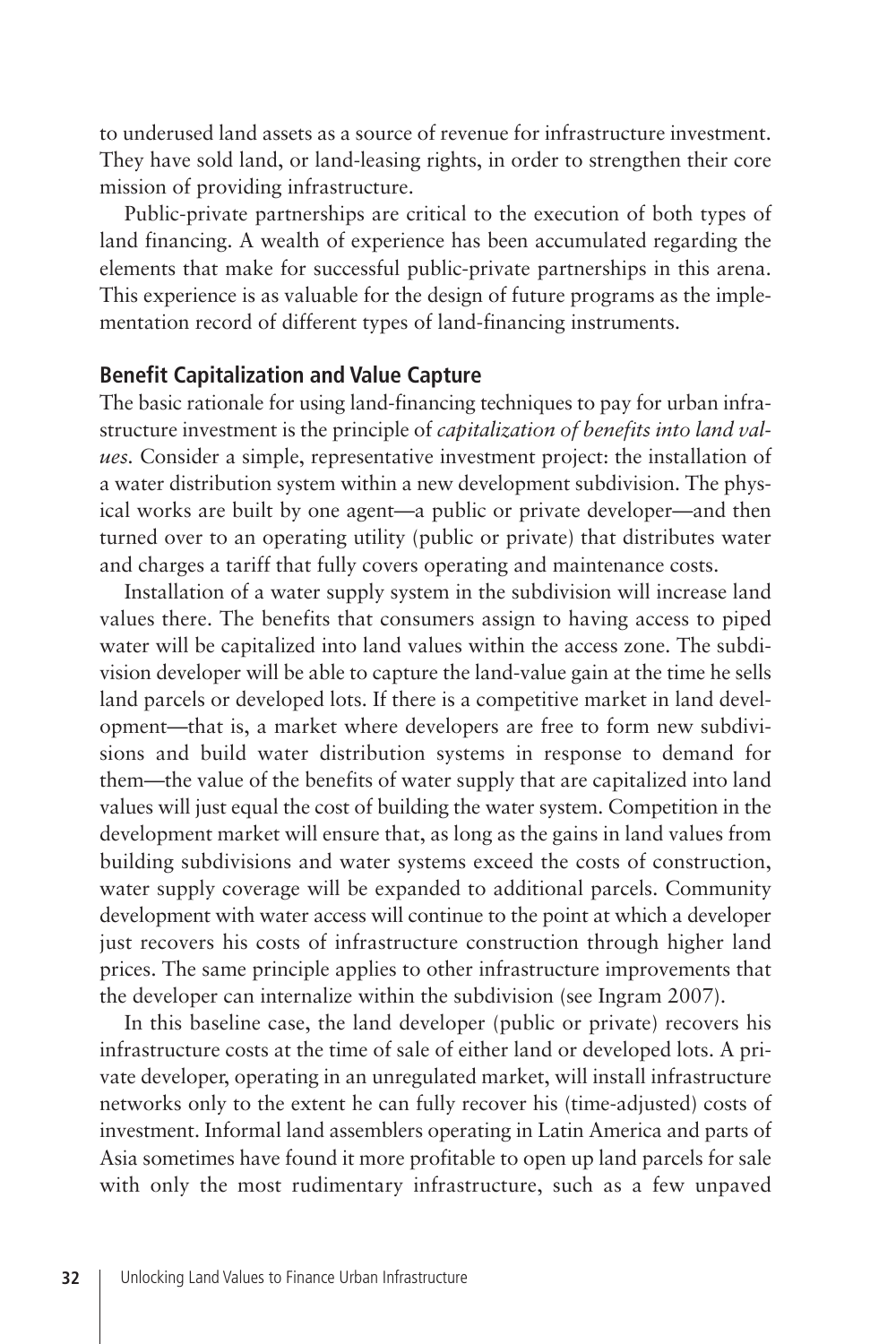to underused land assets as a source of revenue for infrastructure investment. They have sold land, or land-leasing rights, in order to strengthen their core mission of providing infrastructure.

Public-private partnerships are critical to the execution of both types of land financing. A wealth of experience has been accumulated regarding the elements that make for successful public-private partnerships in this arena. This experience is as valuable for the design of future programs as the implementation record of different types of land-financing instruments.

#### **Benefit Capitalization and Value Capture**

The basic rationale for using land-financing techniques to pay for urban infrastructure investment is the principle of *capitalization of benefits into land values.* Consider a simple, representative investment project: the installation of a water distribution system within a new development subdivision. The physical works are built by one agent—a public or private developer—and then turned over to an operating utility (public or private) that distributes water and charges a tariff that fully covers operating and maintenance costs.

Installation of a water supply system in the subdivision will increase land values there. The benefits that consumers assign to having access to piped water will be capitalized into land values within the access zone. The subdivision developer will be able to capture the land-value gain at the time he sells land parcels or developed lots. If there is a competitive market in land development—that is, a market where developers are free to form new subdivisions and build water distribution systems in response to demand for them—the value of the benefits of water supply that are capitalized into land values will just equal the cost of building the water system. Competition in the development market will ensure that, as long as the gains in land values from building subdivisions and water systems exceed the costs of construction, water supply coverage will be expanded to additional parcels. Community development with water access will continue to the point at which a developer just recovers his costs of infrastructure construction through higher land prices. The same principle applies to other infrastructure improvements that the developer can internalize within the subdivision (see Ingram 2007).

In this baseline case, the land developer (public or private) recovers his infrastructure costs at the time of sale of either land or developed lots. A private developer, operating in an unregulated market, will install infrastructure networks only to the extent he can fully recover his (time-adjusted) costs of investment. Informal land assemblers operating in Latin America and parts of Asia sometimes have found it more profitable to open up land parcels for sale with only the most rudimentary infrastructure, such as a few unpaved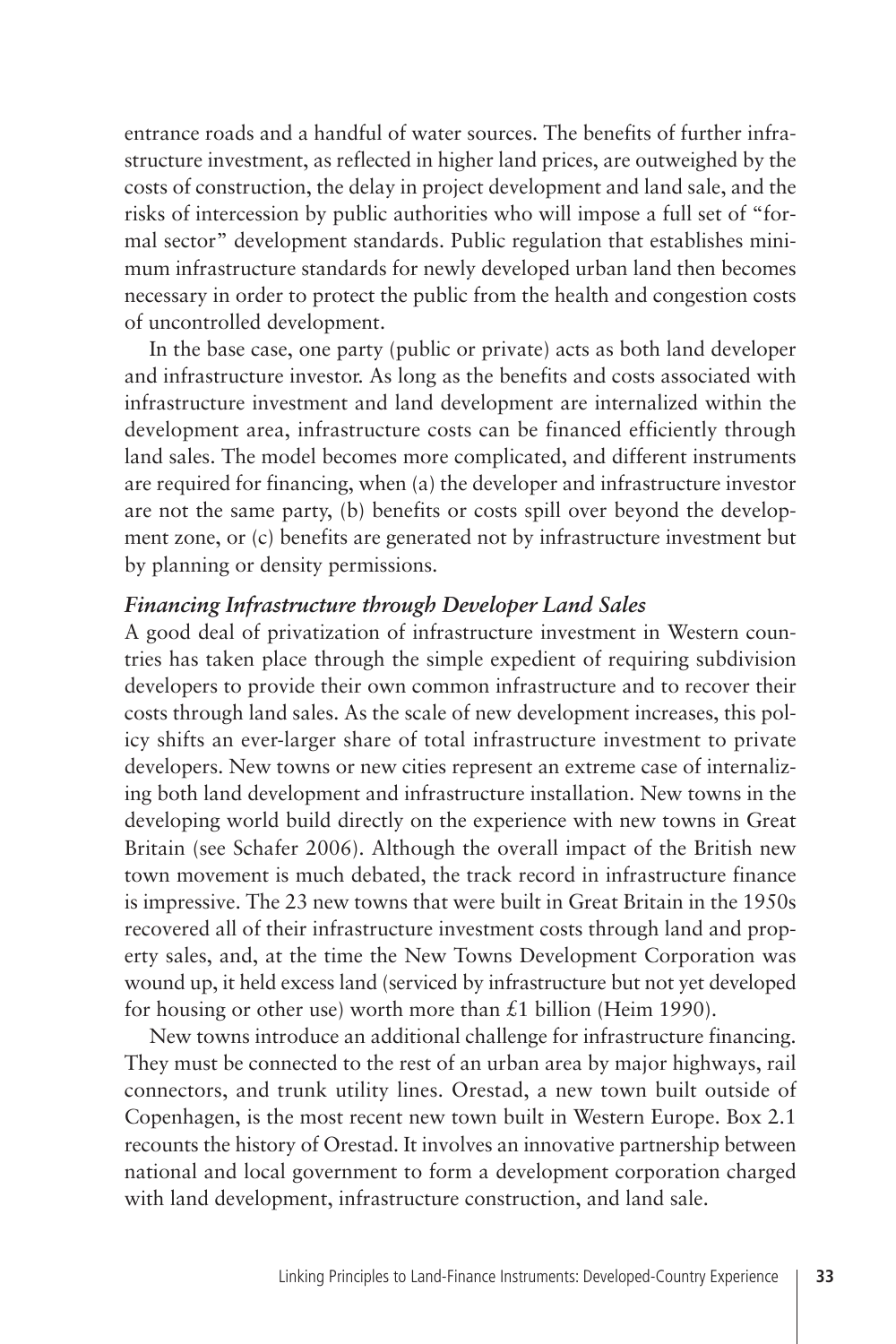entrance roads and a handful of water sources. The benefits of further infrastructure investment, as reflected in higher land prices, are outweighed by the costs of construction, the delay in project development and land sale, and the risks of intercession by public authorities who will impose a full set of "formal sector" development standards. Public regulation that establishes minimum infrastructure standards for newly developed urban land then becomes necessary in order to protect the public from the health and congestion costs of uncontrolled development.

In the base case, one party (public or private) acts as both land developer and infrastructure investor. As long as the benefits and costs associated with infrastructure investment and land development are internalized within the development area, infrastructure costs can be financed efficiently through land sales. The model becomes more complicated, and different instruments are required for financing, when (a) the developer and infrastructure investor are not the same party, (b) benefits or costs spill over beyond the development zone, or (c) benefits are generated not by infrastructure investment but by planning or density permissions.

## *Financing Infrastructure through Developer Land Sales*

A good deal of privatization of infrastructure investment in Western countries has taken place through the simple expedient of requiring subdivision developers to provide their own common infrastructure and to recover their costs through land sales. As the scale of new development increases, this policy shifts an ever-larger share of total infrastructure investment to private developers. New towns or new cities represent an extreme case of internalizing both land development and infrastructure installation. New towns in the developing world build directly on the experience with new towns in Great Britain (see Schafer 2006). Although the overall impact of the British new town movement is much debated, the track record in infrastructure finance is impressive. The 23 new towns that were built in Great Britain in the 1950s recovered all of their infrastructure investment costs through land and property sales, and, at the time the New Towns Development Corporation was wound up, it held excess land (serviced by infrastructure but not yet developed for housing or other use) worth more than  $£1$  billion (Heim 1990).

New towns introduce an additional challenge for infrastructure financing. They must be connected to the rest of an urban area by major highways, rail connectors, and trunk utility lines. Orestad, a new town built outside of Copenhagen, is the most recent new town built in Western Europe. Box 2.1 recounts the history of Orestad. It involves an innovative partnership between national and local government to form a development corporation charged with land development, infrastructure construction, and land sale.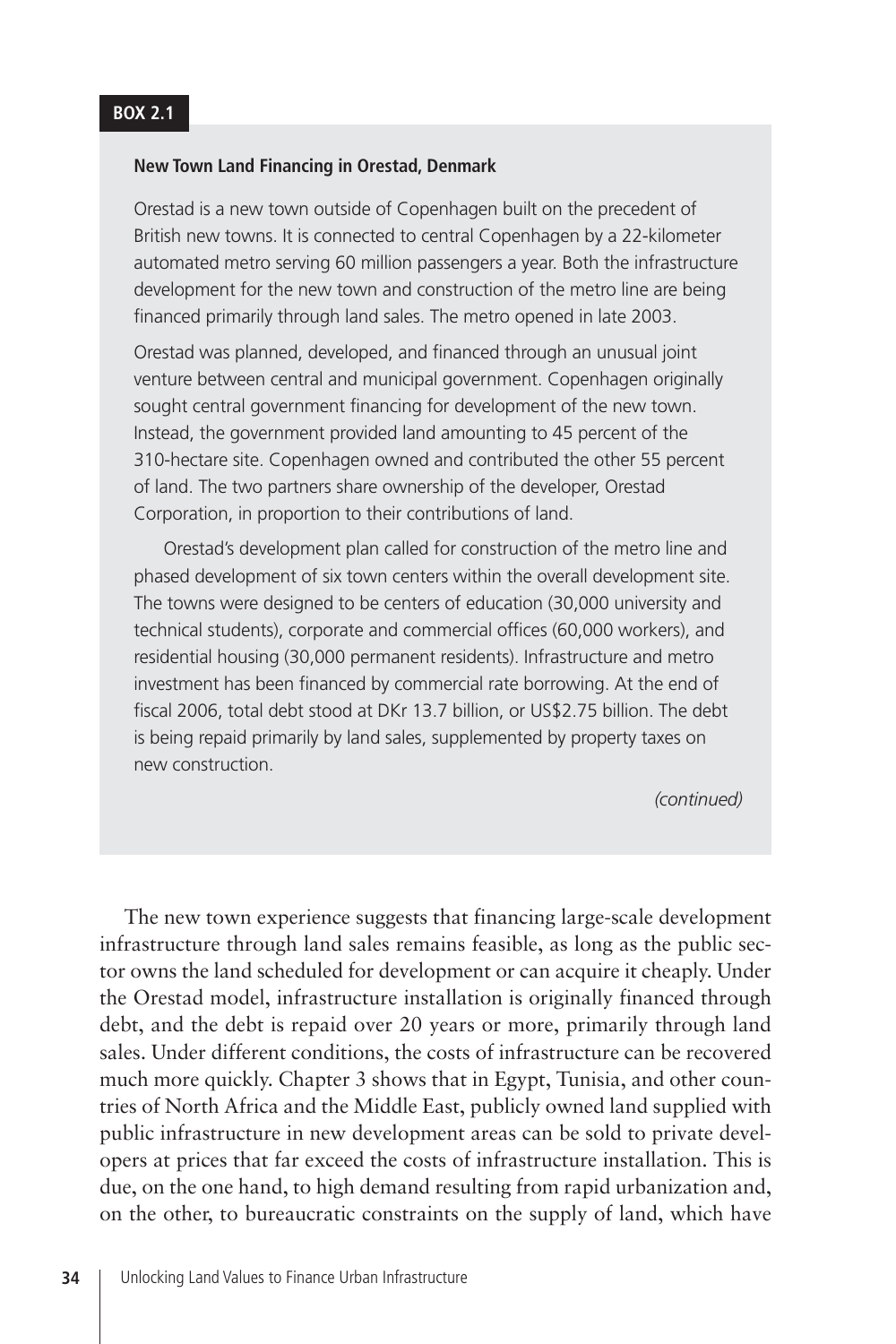#### **New Town Land Financing in Orestad, Denmark**

Orestad is a new town outside of Copenhagen built on the precedent of British new towns. It is connected to central Copenhagen by a 22-kilometer automated metro serving 60 million passengers a year. Both the infrastructure development for the new town and construction of the metro line are being financed primarily through land sales. The metro opened in late 2003.

Orestad was planned, developed, and financed through an unusual joint venture between central and municipal government. Copenhagen originally sought central government financing for development of the new town. Instead, the government provided land amounting to 45 percent of the 310-hectare site. Copenhagen owned and contributed the other 55 percent of land. The two partners share ownership of the developer, Orestad Corporation, in proportion to their contributions of land.

Orestad's development plan called for construction of the metro line and phased development of six town centers within the overall development site. The towns were designed to be centers of education (30,000 university and technical students), corporate and commercial offices (60,000 workers), and residential housing (30,000 permanent residents). Infrastructure and metro investment has been financed by commercial rate borrowing. At the end of fiscal 2006, total debt stood at DKr 13.7 billion, or US\$2.75 billion. The debt is being repaid primarily by land sales, supplemented by property taxes on new construction.

*(continued)*

The new town experience suggests that financing large-scale development infrastructure through land sales remains feasible, as long as the public sector owns the land scheduled for development or can acquire it cheaply. Under the Orestad model, infrastructure installation is originally financed through debt, and the debt is repaid over 20 years or more, primarily through land sales. Under different conditions, the costs of infrastructure can be recovered much more quickly. Chapter 3 shows that in Egypt, Tunisia, and other countries of North Africa and the Middle East, publicly owned land supplied with public infrastructure in new development areas can be sold to private developers at prices that far exceed the costs of infrastructure installation. This is due, on the one hand, to high demand resulting from rapid urbanization and, on the other, to bureaucratic constraints on the supply of land, which have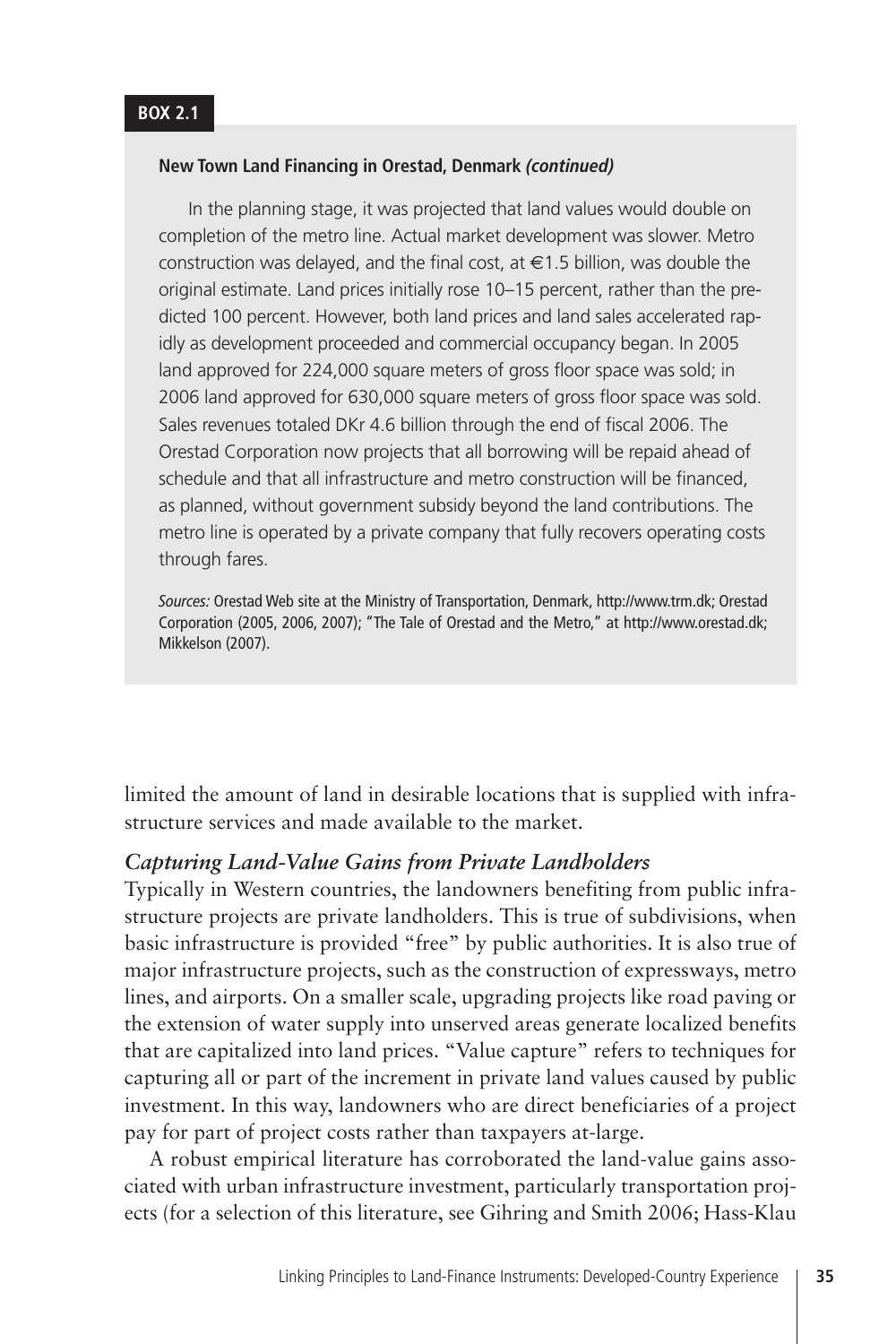#### **New Town Land Financing in Orestad, Denmark (continued)**

In the planning stage, it was projected that land values would double on completion of the metro line. Actual market development was slower. Metro construction was delayed, and the final cost, at €1.5 billion, was double the original estimate. Land prices initially rose 10–15 percent, rather than the predicted 100 percent. However, both land prices and land sales accelerated rapidly as development proceeded and commercial occupancy began. In 2005 land approved for 224,000 square meters of gross floor space was sold; in 2006 land approved for 630,000 square meters of gross floor space was sold. Sales revenues totaled DKr 4.6 billion through the end of fiscal 2006. The Orestad Corporation now projects that all borrowing will be repaid ahead of schedule and that all infrastructure and metro construction will be financed, as planned, without government subsidy beyond the land contributions. The metro line is operated by a private company that fully recovers operating costs through fares.

Sources: Orestad Web site at the Ministry of Transportation, Denmark, http://www.trm.dk; Orestad Corporation (2005, 2006, 2007); "The Tale of Orestad and the Metro," at http://www.orestad.dk; Mikkelson (2007).

limited the amount of land in desirable locations that is supplied with infrastructure services and made available to the market.

### *Capturing Land-Value Gains from Private Landholders*

Typically in Western countries, the landowners benefiting from public infrastructure projects are private landholders. This is true of subdivisions, when basic infrastructure is provided "free" by public authorities. It is also true of major infrastructure projects, such as the construction of expressways, metro lines, and airports. On a smaller scale, upgrading projects like road paving or the extension of water supply into unserved areas generate localized benefits that are capitalized into land prices. "Value capture" refers to techniques for capturing all or part of the increment in private land values caused by public investment. In this way, landowners who are direct beneficiaries of a project pay for part of project costs rather than taxpayers at-large.

A robust empirical literature has corroborated the land-value gains associated with urban infrastructure investment, particularly transportation projects (for a selection of this literature, see Gihring and Smith 2006; Hass-Klau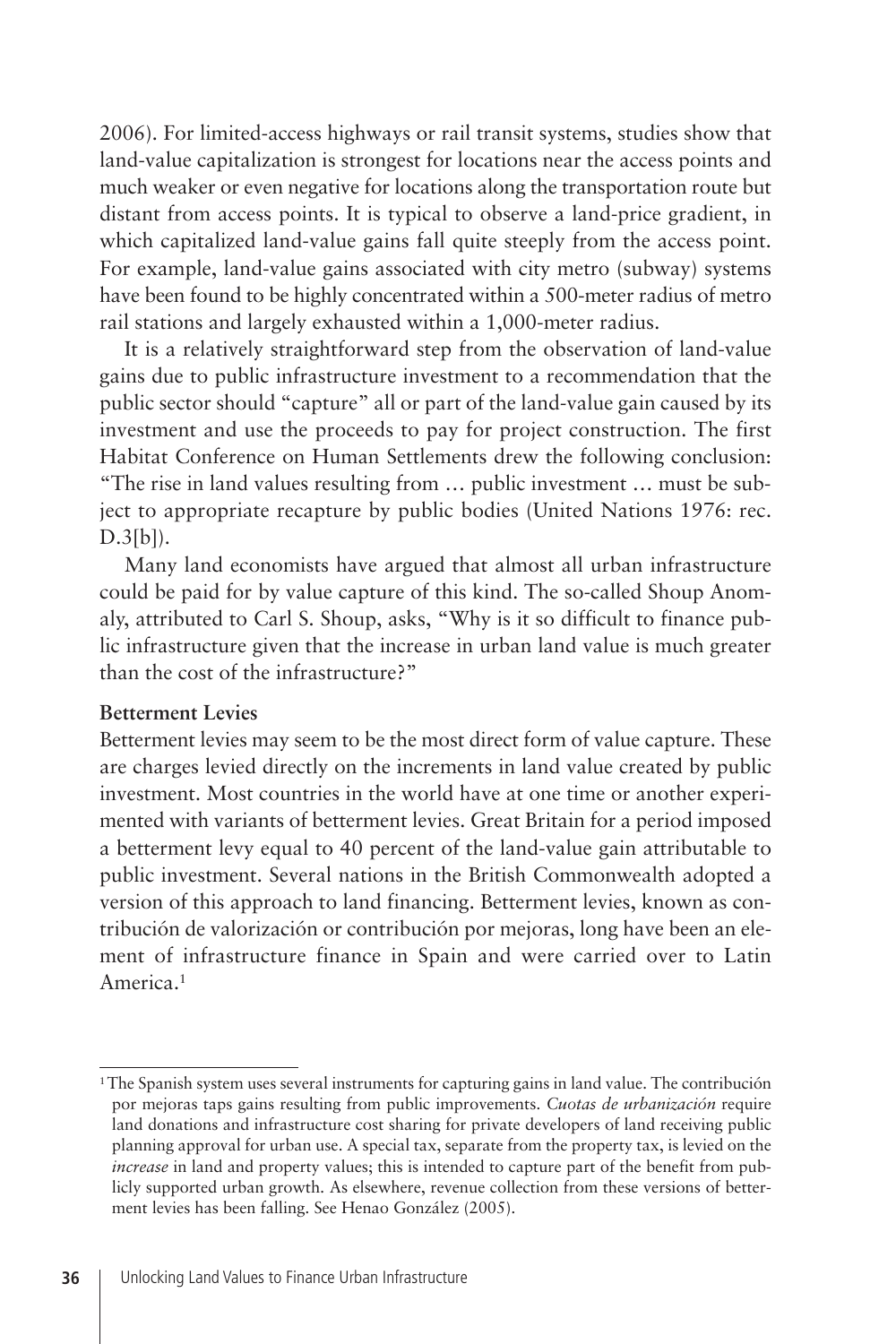2006). For limited-access highways or rail transit systems, studies show that land-value capitalization is strongest for locations near the access points and much weaker or even negative for locations along the transportation route but distant from access points. It is typical to observe a land-price gradient, in which capitalized land-value gains fall quite steeply from the access point. For example, land-value gains associated with city metro (subway) systems have been found to be highly concentrated within a 500-meter radius of metro rail stations and largely exhausted within a 1,000-meter radius.

It is a relatively straightforward step from the observation of land-value gains due to public infrastructure investment to a recommendation that the public sector should "capture" all or part of the land-value gain caused by its investment and use the proceeds to pay for project construction. The first Habitat Conference on Human Settlements drew the following conclusion: "The rise in land values resulting from … public investment … must be subject to appropriate recapture by public bodies (United Nations 1976: rec.  $D.3[b]$ ).

Many land economists have argued that almost all urban infrastructure could be paid for by value capture of this kind. The so-called Shoup Anomaly, attributed to Carl S. Shoup, asks, "Why is it so difficult to finance public infrastructure given that the increase in urban land value is much greater than the cost of the infrastructure?"

#### **Betterment Levies**

Betterment levies may seem to be the most direct form of value capture. These are charges levied directly on the increments in land value created by public investment. Most countries in the world have at one time or another experimented with variants of betterment levies. Great Britain for a period imposed a betterment levy equal to 40 percent of the land-value gain attributable to public investment. Several nations in the British Commonwealth adopted a version of this approach to land financing. Betterment levies, known as contribución de valorización or contribución por mejoras, long have been an element of infrastructure finance in Spain and were carried over to Latin America.1

<sup>1</sup> The Spanish system uses several instruments for capturing gains in land value. The contribución por mejoras taps gains resulting from public improvements. *Cuotas de urbanización* require land donations and infrastructure cost sharing for private developers of land receiving public planning approval for urban use. A special tax, separate from the property tax, is levied on the *increase* in land and property values; this is intended to capture part of the benefit from publicly supported urban growth. As elsewhere, revenue collection from these versions of betterment levies has been falling. See Henao González (2005).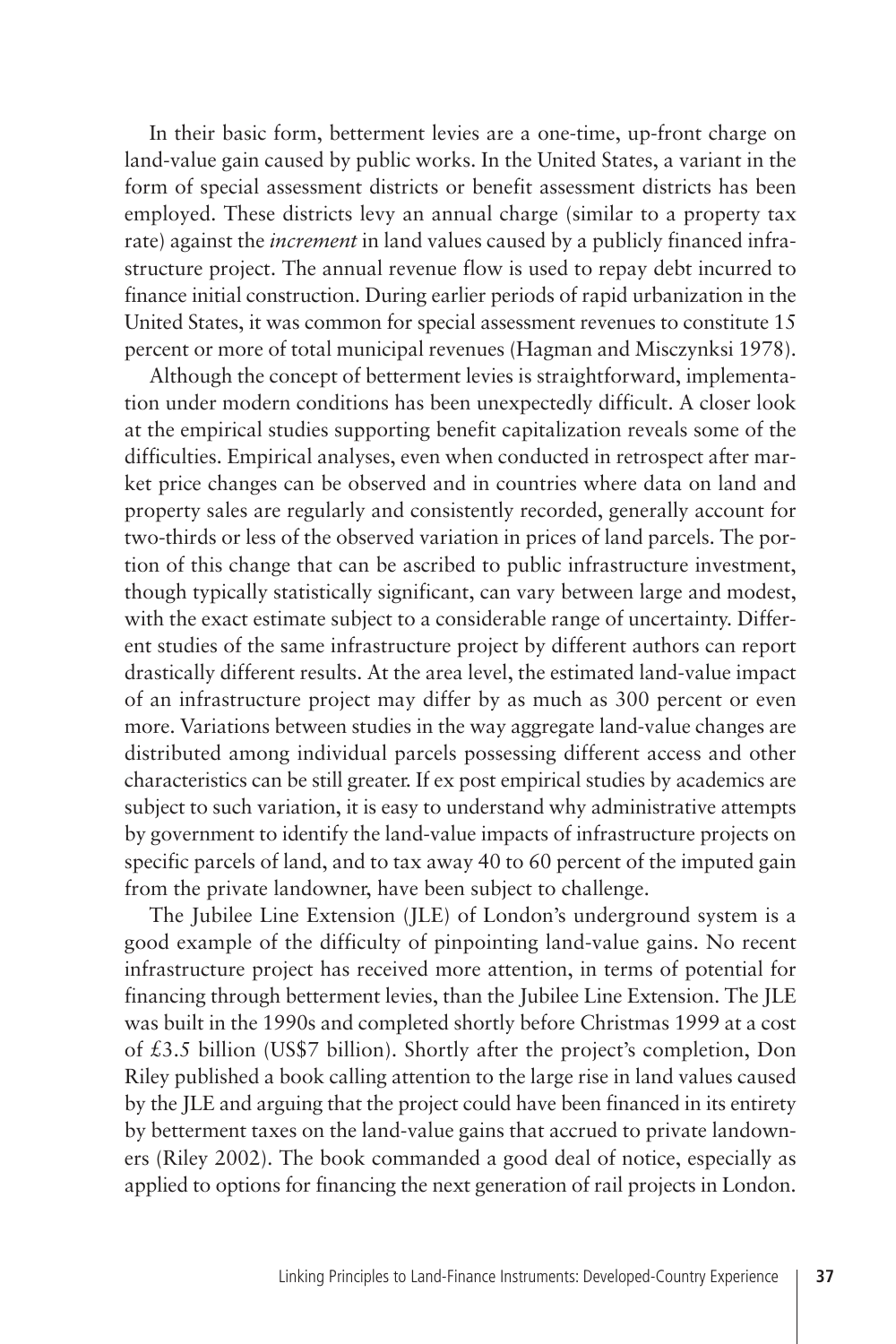In their basic form, betterment levies are a one-time, up-front charge on land-value gain caused by public works. In the United States, a variant in the form of special assessment districts or benefit assessment districts has been employed. These districts levy an annual charge (similar to a property tax rate) against the *increment* in land values caused by a publicly financed infrastructure project. The annual revenue flow is used to repay debt incurred to finance initial construction. During earlier periods of rapid urbanization in the United States, it was common for special assessment revenues to constitute 15 percent or more of total municipal revenues (Hagman and Misczynksi 1978).

Although the concept of betterment levies is straightforward, implementation under modern conditions has been unexpectedly difficult. A closer look at the empirical studies supporting benefit capitalization reveals some of the difficulties. Empirical analyses, even when conducted in retrospect after market price changes can be observed and in countries where data on land and property sales are regularly and consistently recorded, generally account for two-thirds or less of the observed variation in prices of land parcels. The portion of this change that can be ascribed to public infrastructure investment, though typically statistically significant, can vary between large and modest, with the exact estimate subject to a considerable range of uncertainty. Different studies of the same infrastructure project by different authors can report drastically different results. At the area level, the estimated land-value impact of an infrastructure project may differ by as much as 300 percent or even more. Variations between studies in the way aggregate land-value changes are distributed among individual parcels possessing different access and other characteristics can be still greater. If ex post empirical studies by academics are subject to such variation, it is easy to understand why administrative attempts by government to identify the land-value impacts of infrastructure projects on specific parcels of land, and to tax away 40 to 60 percent of the imputed gain from the private landowner, have been subject to challenge.

The Jubilee Line Extension (JLE) of London's underground system is a good example of the difficulty of pinpointing land-value gains. No recent infrastructure project has received more attention, in terms of potential for financing through betterment levies, than the Jubilee Line Extension. The JLE was built in the 1990s and completed shortly before Christmas 1999 at a cost of £3.5 billion (US\$7 billion). Shortly after the project's completion, Don Riley published a book calling attention to the large rise in land values caused by the JLE and arguing that the project could have been financed in its entirety by betterment taxes on the land-value gains that accrued to private landowners (Riley 2002). The book commanded a good deal of notice, especially as applied to options for financing the next generation of rail projects in London.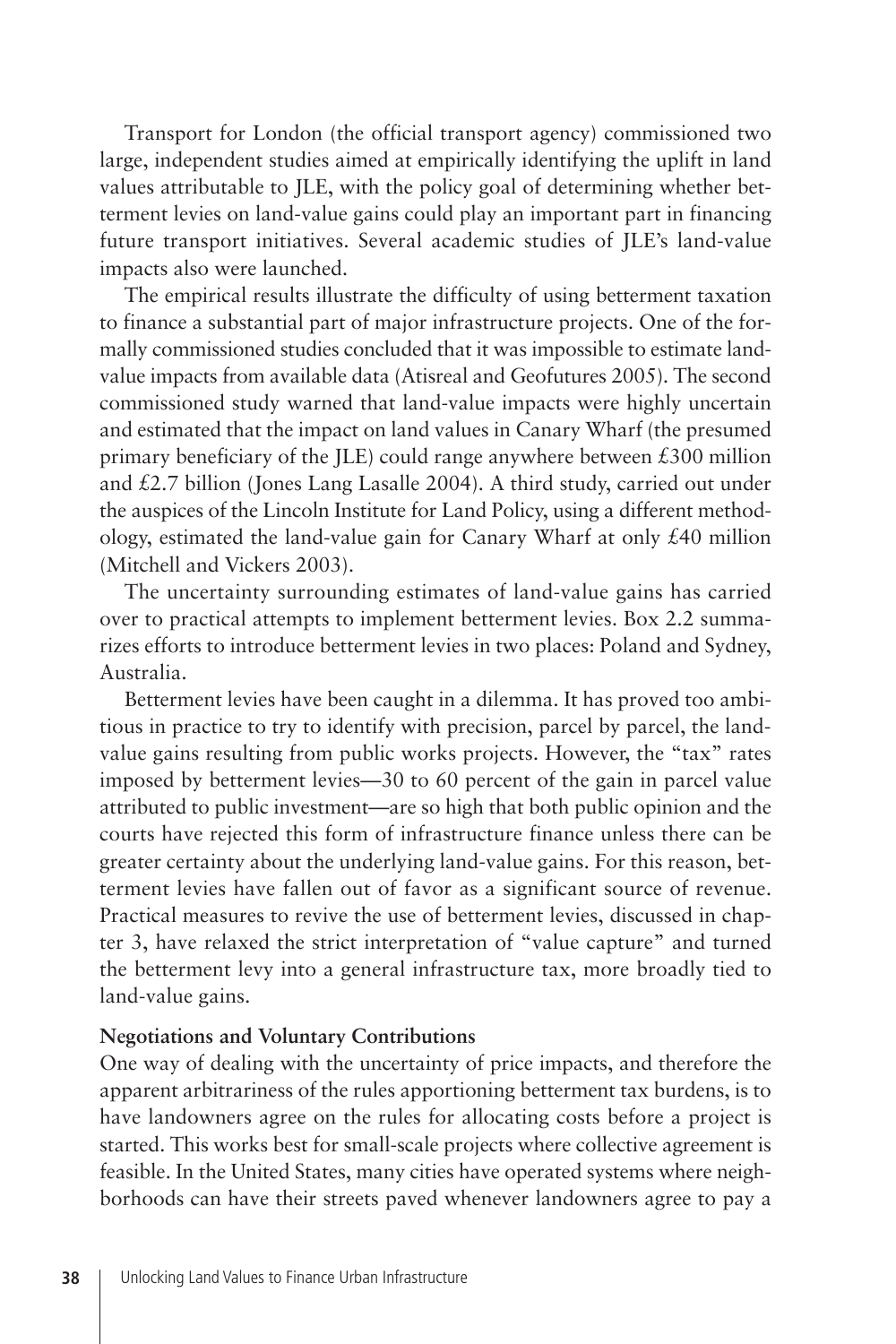Transport for London (the official transport agency) commissioned two large, independent studies aimed at empirically identifying the uplift in land values attributable to JLE, with the policy goal of determining whether betterment levies on land-value gains could play an important part in financing future transport initiatives. Several academic studies of JLE's land-value impacts also were launched.

The empirical results illustrate the difficulty of using betterment taxation to finance a substantial part of major infrastructure projects. One of the formally commissioned studies concluded that it was impossible to estimate landvalue impacts from available data (Atisreal and Geofutures 2005). The second commissioned study warned that land-value impacts were highly uncertain and estimated that the impact on land values in Canary Wharf (the presumed primary beneficiary of the JLE) could range anywhere between  $£300$  million and £2.7 billion (Jones Lang Lasalle 2004). A third study, carried out under the auspices of the Lincoln Institute for Land Policy, using a different methodology, estimated the land-value gain for Canary Wharf at only £40 million (Mitchell and Vickers 2003).

The uncertainty surrounding estimates of land-value gains has carried over to practical attempts to implement betterment levies. Box 2.2 summarizes efforts to introduce betterment levies in two places: Poland and Sydney, Australia.

Betterment levies have been caught in a dilemma. It has proved too ambitious in practice to try to identify with precision, parcel by parcel, the landvalue gains resulting from public works projects. However, the "tax" rates imposed by betterment levies—30 to 60 percent of the gain in parcel value attributed to public investment—are so high that both public opinion and the courts have rejected this form of infrastructure finance unless there can be greater certainty about the underlying land-value gains. For this reason, betterment levies have fallen out of favor as a significant source of revenue. Practical measures to revive the use of betterment levies, discussed in chapter 3, have relaxed the strict interpretation of "value capture" and turned the betterment levy into a general infrastructure tax, more broadly tied to land-value gains.

#### **Negotiations and Voluntary Contributions**

One way of dealing with the uncertainty of price impacts, and therefore the apparent arbitrariness of the rules apportioning betterment tax burdens, is to have landowners agree on the rules for allocating costs before a project is started. This works best for small-scale projects where collective agreement is feasible. In the United States, many cities have operated systems where neighborhoods can have their streets paved whenever landowners agree to pay a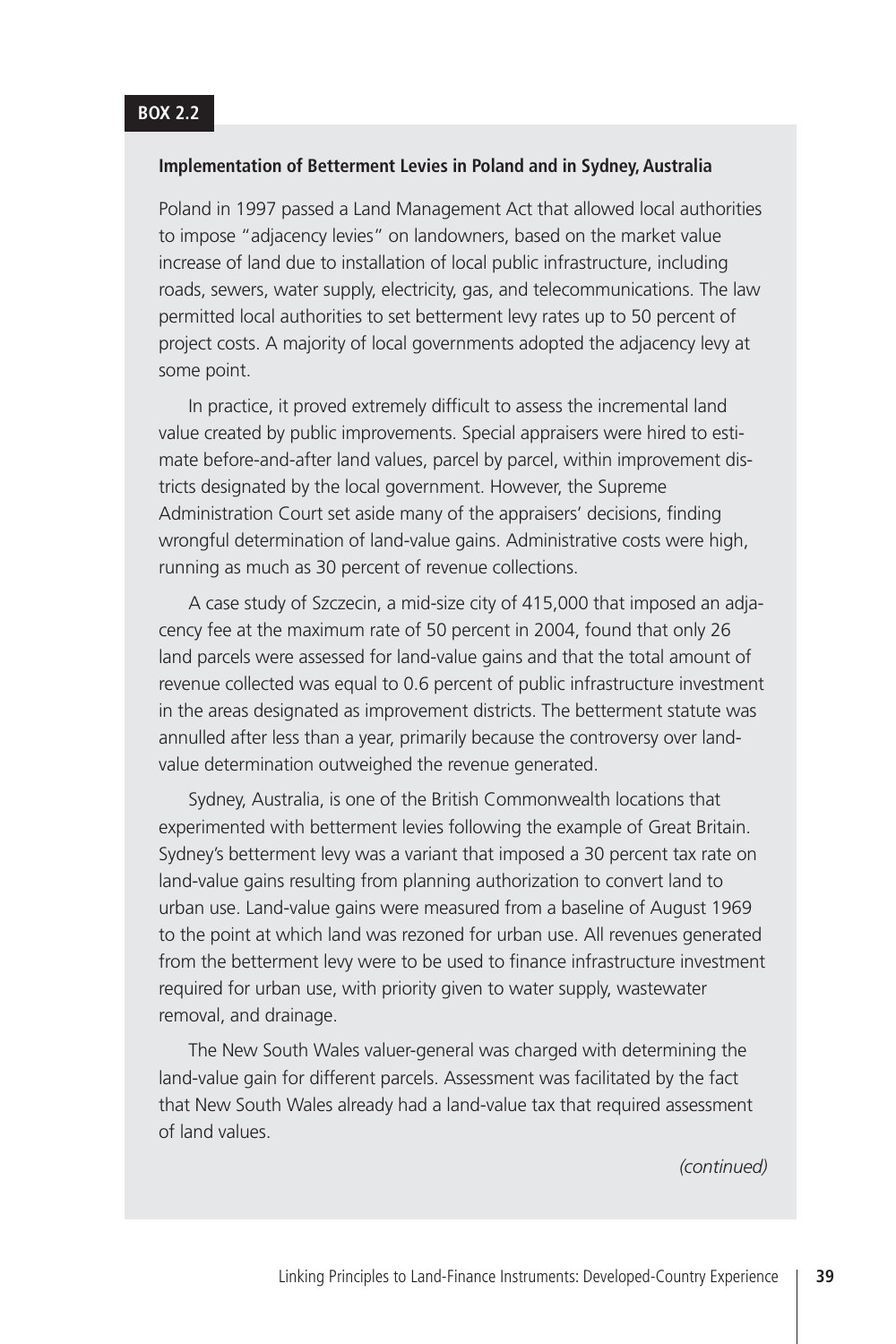#### **Implementation of Betterment Levies in Poland and in Sydney, Australia**

Poland in 1997 passed a Land Management Act that allowed local authorities to impose "adjacency levies" on landowners, based on the market value increase of land due to installation of local public infrastructure, including roads, sewers, water supply, electricity, gas, and telecommunications. The law permitted local authorities to set betterment levy rates up to 50 percent of project costs. A majority of local governments adopted the adjacency levy at some point.

In practice, it proved extremely difficult to assess the incremental land value created by public improvements. Special appraisers were hired to estimate before-and-after land values, parcel by parcel, within improvement districts designated by the local government. However, the Supreme Administration Court set aside many of the appraisers' decisions, finding wrongful determination of land-value gains. Administrative costs were high, running as much as 30 percent of revenue collections.

A case study of Szczecin, a mid-size city of 415,000 that imposed an adjacency fee at the maximum rate of 50 percent in 2004, found that only 26 land parcels were assessed for land-value gains and that the total amount of revenue collected was equal to 0.6 percent of public infrastructure investment in the areas designated as improvement districts. The betterment statute was annulled after less than a year, primarily because the controversy over landvalue determination outweighed the revenue generated.

Sydney, Australia, is one of the British Commonwealth locations that experimented with betterment levies following the example of Great Britain. Sydney's betterment levy was a variant that imposed a 30 percent tax rate on land-value gains resulting from planning authorization to convert land to urban use. Land-value gains were measured from a baseline of August 1969 to the point at which land was rezoned for urban use. All revenues generated from the betterment levy were to be used to finance infrastructure investment required for urban use, with priority given to water supply, wastewater removal, and drainage.

The New South Wales valuer-general was charged with determining the land-value gain for different parcels. Assessment was facilitated by the fact that New South Wales already had a land-value tax that required assessment of land values.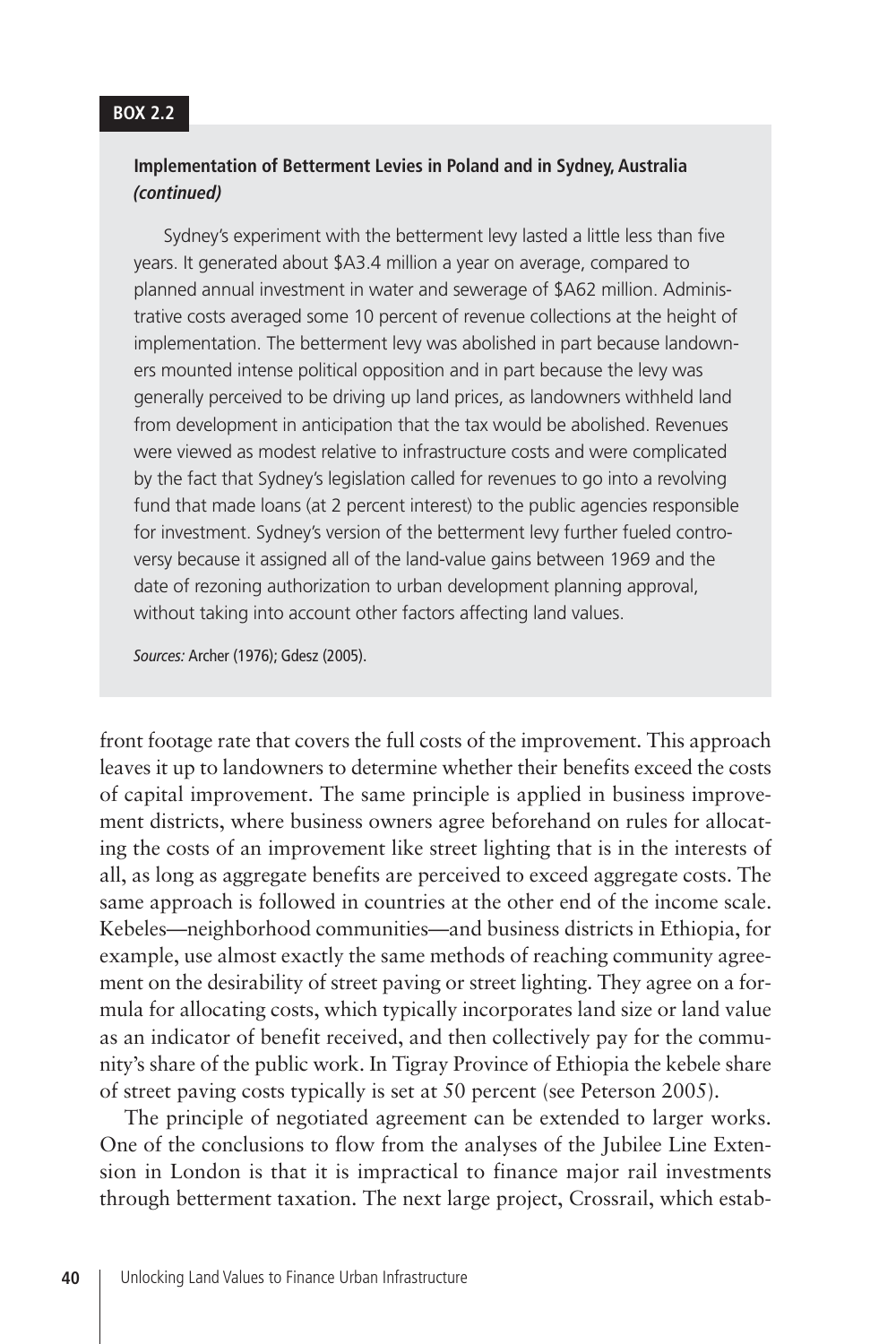#### **Implementation of Betterment Levies in Poland and in Sydney, Australia (continued)**

Sydney's experiment with the betterment levy lasted a little less than five years. It generated about \$A3.4 million a year on average, compared to planned annual investment in water and sewerage of \$A62 million. Administrative costs averaged some 10 percent of revenue collections at the height of implementation. The betterment levy was abolished in part because landowners mounted intense political opposition and in part because the levy was generally perceived to be driving up land prices, as landowners withheld land from development in anticipation that the tax would be abolished. Revenues were viewed as modest relative to infrastructure costs and were complicated by the fact that Sydney's legislation called for revenues to go into a revolving fund that made loans (at 2 percent interest) to the public agencies responsible for investment. Sydney's version of the betterment levy further fueled controversy because it assigned all of the land-value gains between 1969 and the date of rezoning authorization to urban development planning approval, without taking into account other factors affecting land values.

Sources: Archer (1976); Gdesz (2005).

front footage rate that covers the full costs of the improvement. This approach leaves it up to landowners to determine whether their benefits exceed the costs of capital improvement. The same principle is applied in business improvement districts, where business owners agree beforehand on rules for allocating the costs of an improvement like street lighting that is in the interests of all, as long as aggregate benefits are perceived to exceed aggregate costs. The same approach is followed in countries at the other end of the income scale. Kebeles—neighborhood communities—and business districts in Ethiopia, for example, use almost exactly the same methods of reaching community agreement on the desirability of street paving or street lighting. They agree on a formula for allocating costs, which typically incorporates land size or land value as an indicator of benefit received, and then collectively pay for the community's share of the public work. In Tigray Province of Ethiopia the kebele share of street paving costs typically is set at 50 percent (see Peterson 2005).

The principle of negotiated agreement can be extended to larger works. One of the conclusions to flow from the analyses of the Jubilee Line Extension in London is that it is impractical to finance major rail investments through betterment taxation. The next large project, Crossrail, which estab-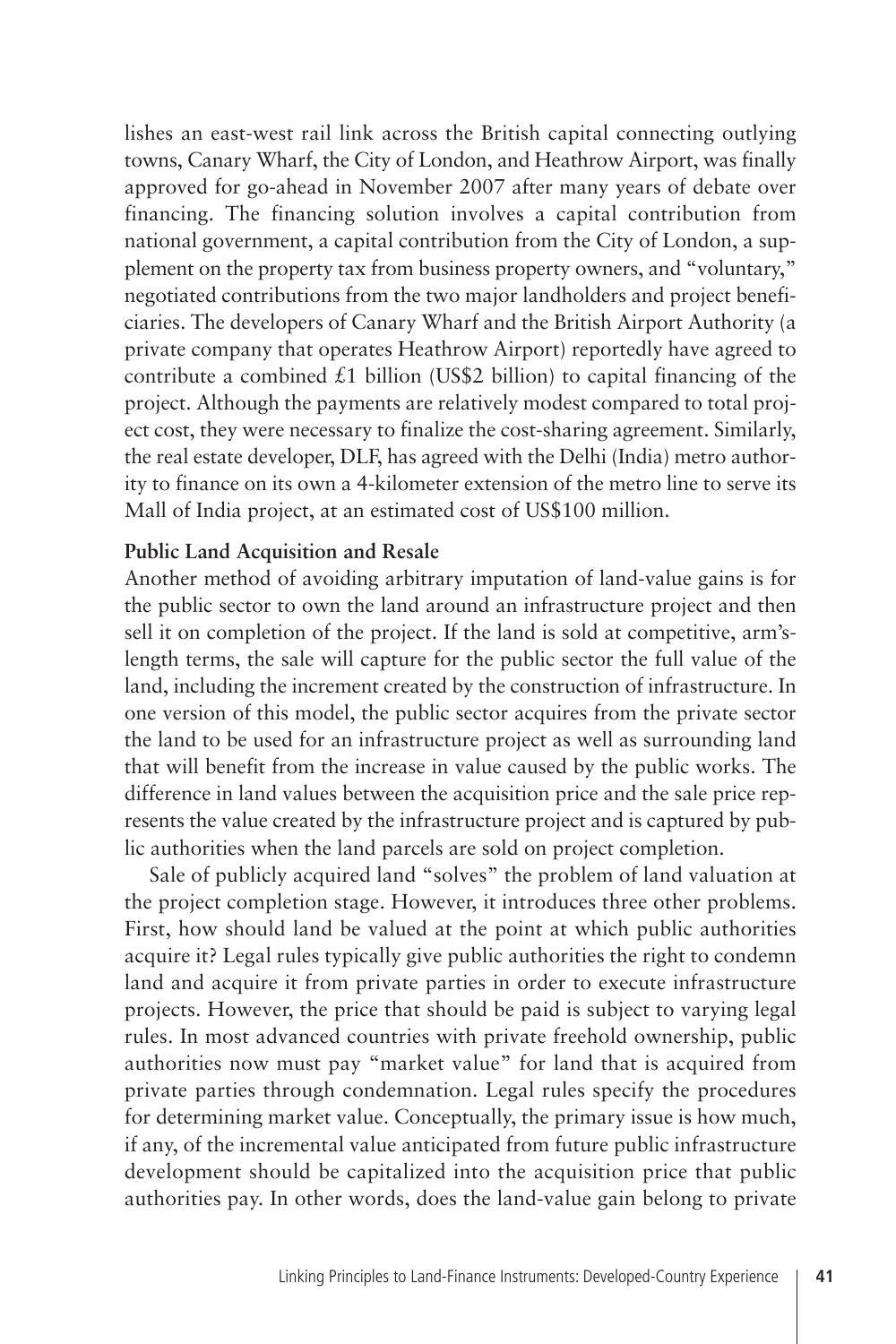lishes an east-west rail link across the British capital connecting outlying towns, Canary Wharf, the City of London, and Heathrow Airport, was finally approved for go-ahead in November 2007 after many years of debate over financing. The financing solution involves a capital contribution from national government, a capital contribution from the City of London, a supplement on the property tax from business property owners, and "voluntary," negotiated contributions from the two major landholders and project beneficiaries. The developers of Canary Wharf and the British Airport Authority (a private company that operates Heathrow Airport) reportedly have agreed to contribute a combined  $\pounds$ 1 billion (US\$2 billion) to capital financing of the project. Although the payments are relatively modest compared to total project cost, they were necessary to finalize the cost-sharing agreement. Similarly, the real estate developer, DLF, has agreed with the Delhi (India) metro authority to finance on its own a 4-kilometer extension of the metro line to serve its Mall of India project, at an estimated cost of US\$100 million.

#### **Public Land Acquisition and Resale**

Another method of avoiding arbitrary imputation of land-value gains is for the public sector to own the land around an infrastructure project and then sell it on completion of the project. If the land is sold at competitive, arm'slength terms, the sale will capture for the public sector the full value of the land, including the increment created by the construction of infrastructure. In one version of this model, the public sector acquires from the private sector the land to be used for an infrastructure project as well as surrounding land that will benefit from the increase in value caused by the public works. The difference in land values between the acquisition price and the sale price represents the value created by the infrastructure project and is captured by public authorities when the land parcels are sold on project completion.

Sale of publicly acquired land "solves" the problem of land valuation at the project completion stage. However, it introduces three other problems. First, how should land be valued at the point at which public authorities acquire it? Legal rules typically give public authorities the right to condemn land and acquire it from private parties in order to execute infrastructure projects. However, the price that should be paid is subject to varying legal rules. In most advanced countries with private freehold ownership, public authorities now must pay "market value" for land that is acquired from private parties through condemnation. Legal rules specify the procedures for determining market value. Conceptually, the primary issue is how much, if any, of the incremental value anticipated from future public infrastructure development should be capitalized into the acquisition price that public authorities pay. In other words, does the land-value gain belong to private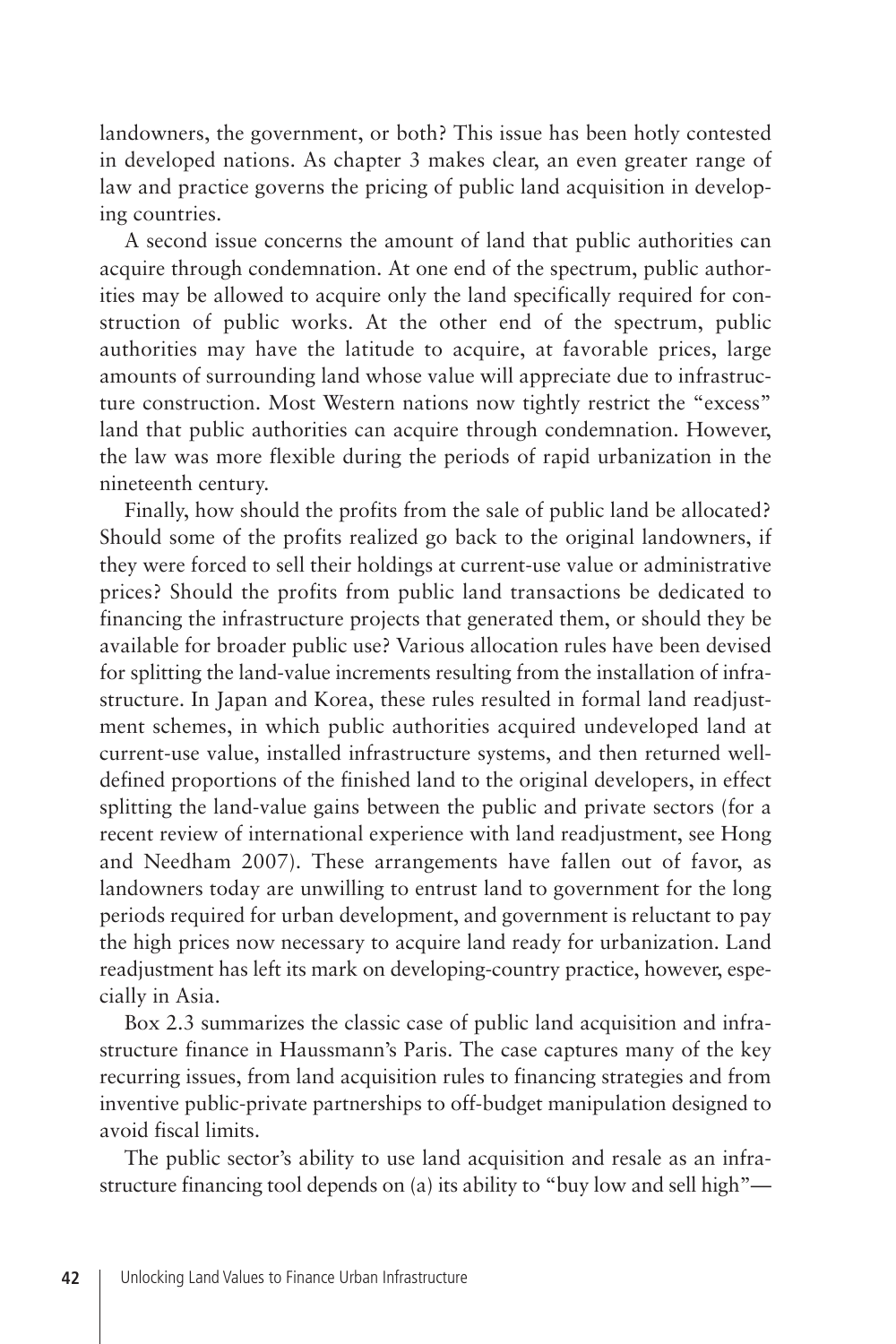landowners, the government, or both? This issue has been hotly contested in developed nations. As chapter 3 makes clear, an even greater range of law and practice governs the pricing of public land acquisition in developing countries.

A second issue concerns the amount of land that public authorities can acquire through condemnation. At one end of the spectrum, public authorities may be allowed to acquire only the land specifically required for construction of public works. At the other end of the spectrum, public authorities may have the latitude to acquire, at favorable prices, large amounts of surrounding land whose value will appreciate due to infrastructure construction. Most Western nations now tightly restrict the "excess" land that public authorities can acquire through condemnation. However, the law was more flexible during the periods of rapid urbanization in the nineteenth century.

Finally, how should the profits from the sale of public land be allocated? Should some of the profits realized go back to the original landowners, if they were forced to sell their holdings at current-use value or administrative prices? Should the profits from public land transactions be dedicated to financing the infrastructure projects that generated them, or should they be available for broader public use? Various allocation rules have been devised for splitting the land-value increments resulting from the installation of infrastructure. In Japan and Korea, these rules resulted in formal land readjustment schemes, in which public authorities acquired undeveloped land at current-use value, installed infrastructure systems, and then returned welldefined proportions of the finished land to the original developers, in effect splitting the land-value gains between the public and private sectors (for a recent review of international experience with land readjustment, see Hong and Needham 2007). These arrangements have fallen out of favor, as landowners today are unwilling to entrust land to government for the long periods required for urban development, and government is reluctant to pay the high prices now necessary to acquire land ready for urbanization. Land readjustment has left its mark on developing-country practice, however, especially in Asia.

Box 2.3 summarizes the classic case of public land acquisition and infrastructure finance in Haussmann's Paris. The case captures many of the key recurring issues, from land acquisition rules to financing strategies and from inventive public-private partnerships to off-budget manipulation designed to avoid fiscal limits.

The public sector's ability to use land acquisition and resale as an infrastructure financing tool depends on (a) its ability to "buy low and sell high"—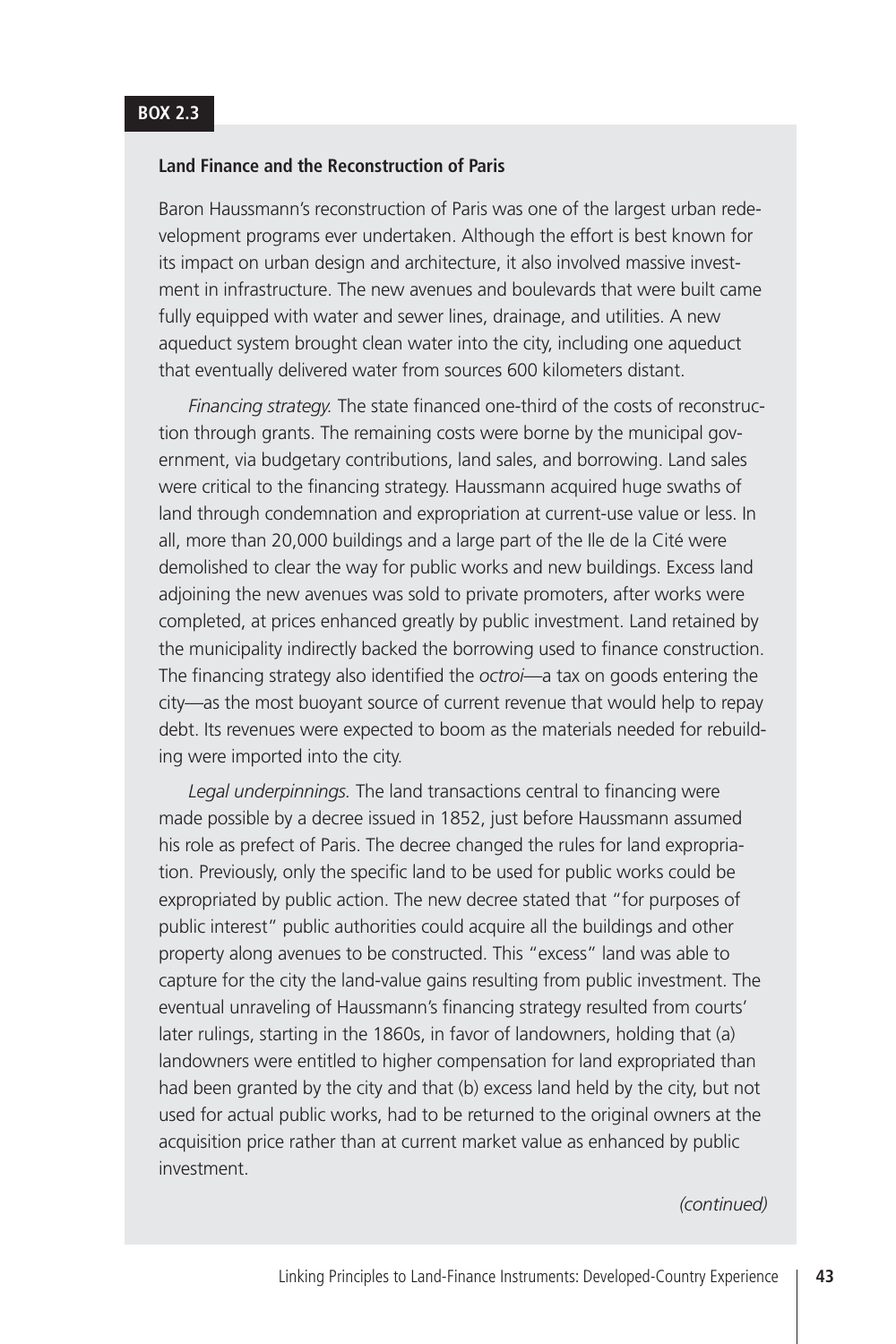#### **Land Finance and the Reconstruction of Paris**

Baron Haussmann's reconstruction of Paris was one of the largest urban redevelopment programs ever undertaken. Although the effort is best known for its impact on urban design and architecture, it also involved massive investment in infrastructure. The new avenues and boulevards that were built came fully equipped with water and sewer lines, drainage, and utilities. A new aqueduct system brought clean water into the city, including one aqueduct that eventually delivered water from sources 600 kilometers distant.

*Financing strategy.* The state financed one-third of the costs of reconstruction through grants. The remaining costs were borne by the municipal government, via budgetary contributions, land sales, and borrowing. Land sales were critical to the financing strategy. Haussmann acquired huge swaths of land through condemnation and expropriation at current-use value or less. In all, more than 20,000 buildings and a large part of the Ile de la Cité were demolished to clear the way for public works and new buildings. Excess land adjoining the new avenues was sold to private promoters, after works were completed, at prices enhanced greatly by public investment. Land retained by the municipality indirectly backed the borrowing used to finance construction. The financing strategy also identified the *octroi*—a tax on goods entering the city—as the most buoyant source of current revenue that would help to repay debt. Its revenues were expected to boom as the materials needed for rebuilding were imported into the city.

*Legal underpinnings.* The land transactions central to financing were made possible by a decree issued in 1852, just before Haussmann assumed his role as prefect of Paris. The decree changed the rules for land expropriation. Previously, only the specific land to be used for public works could be expropriated by public action. The new decree stated that "for purposes of public interest" public authorities could acquire all the buildings and other property along avenues to be constructed. This "excess" land was able to capture for the city the land-value gains resulting from public investment. The eventual unraveling of Haussmann's financing strategy resulted from courts' later rulings, starting in the 1860s, in favor of landowners, holding that (a) landowners were entitled to higher compensation for land expropriated than had been granted by the city and that (b) excess land held by the city, but not used for actual public works, had to be returned to the original owners at the acquisition price rather than at current market value as enhanced by public investment.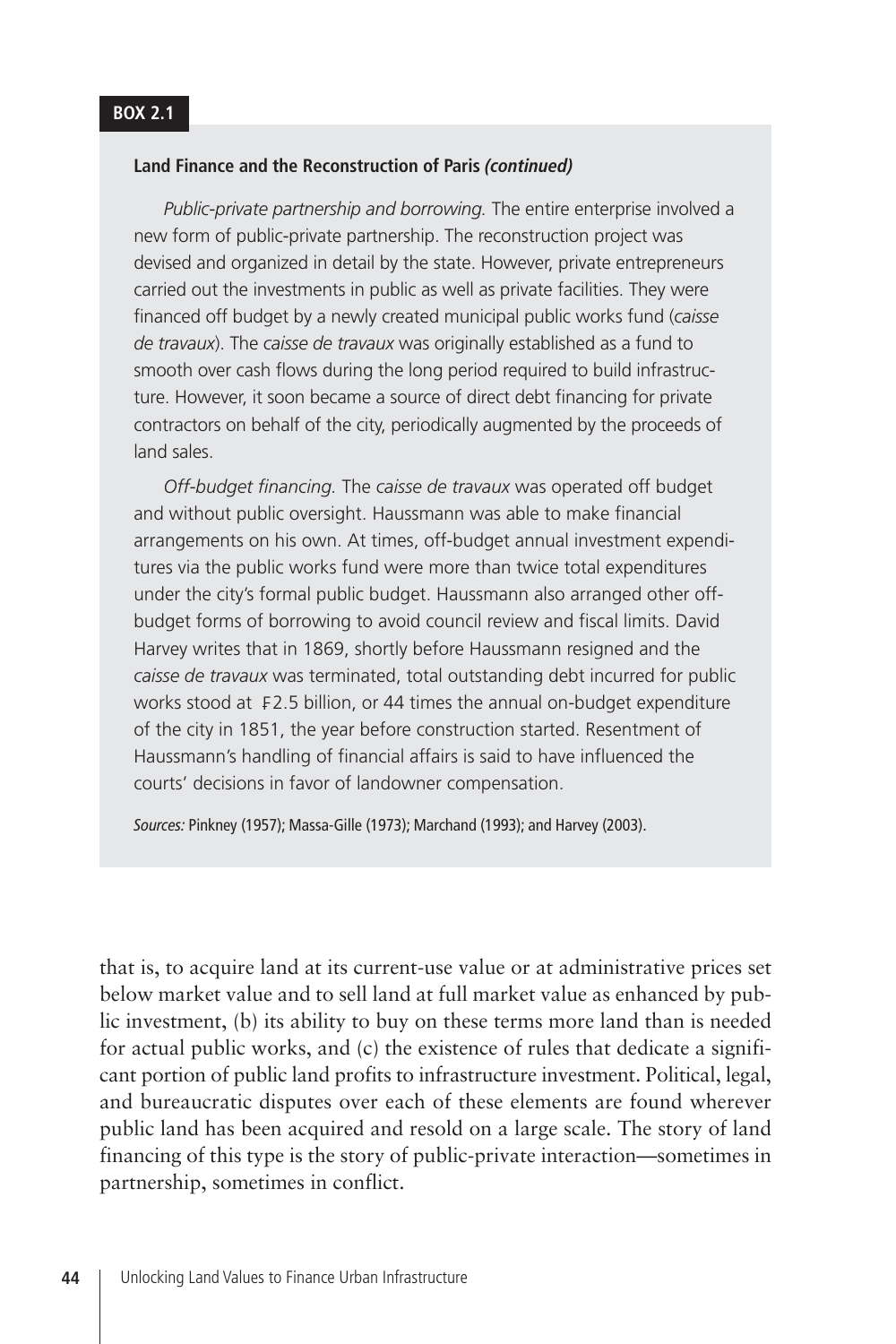#### **Land Finance and the Reconstruction of Paris (continued)**

*Public-private partnership and borrowing.* The entire enterprise involved a new form of public-private partnership. The reconstruction project was devised and organized in detail by the state. However, private entrepreneurs carried out the investments in public as well as private facilities. They were financed off budget by a newly created municipal public works fund (*caisse de travaux*). The *caisse de travaux* was originally established as a fund to smooth over cash flows during the long period required to build infrastructure. However, it soon became a source of direct debt financing for private contractors on behalf of the city, periodically augmented by the proceeds of land sales.

*Off-budget financing.* The *caisse de travaux* was operated off budget and without public oversight. Haussmann was able to make financial arrangements on his own. At times, off-budget annual investment expenditures via the public works fund were more than twice total expenditures under the city's formal public budget. Haussmann also arranged other offbudget forms of borrowing to avoid council review and fiscal limits. David Harvey writes that in 1869, shortly before Haussmann resigned and the *caisse de travaux* was terminated, total outstanding debt incurred for public works stood at  $\,$  F2.5 billion, or 44 times the annual on-budget expenditure of the city in 1851, the year before construction started. Resentment of Haussmann's handling of financial affairs is said to have influenced the courts' decisions in favor of landowner compensation.

Sources: Pinkney (1957); Massa-Gille (1973); Marchand (1993); and Harvey (2003).

that is, to acquire land at its current-use value or at administrative prices set below market value and to sell land at full market value as enhanced by public investment, (b) its ability to buy on these terms more land than is needed for actual public works, and (c) the existence of rules that dedicate a significant portion of public land profits to infrastructure investment. Political, legal, and bureaucratic disputes over each of these elements are found wherever public land has been acquired and resold on a large scale. The story of land financing of this type is the story of public-private interaction—sometimes in partnership, sometimes in conflict.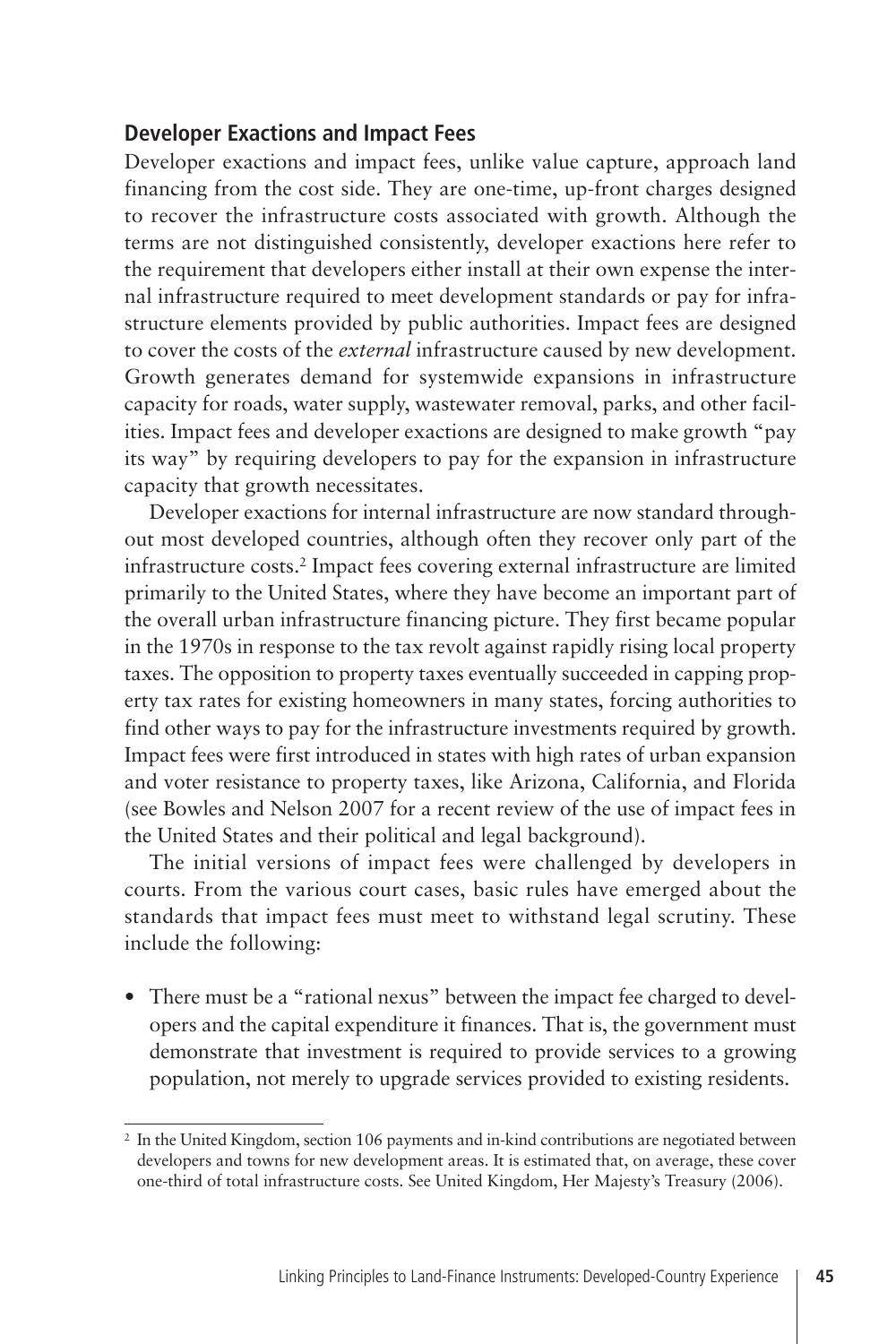#### **Developer Exactions and Impact Fees**

Developer exactions and impact fees, unlike value capture, approach land financing from the cost side. They are one-time, up-front charges designed to recover the infrastructure costs associated with growth. Although the terms are not distinguished consistently, developer exactions here refer to the requirement that developers either install at their own expense the internal infrastructure required to meet development standards or pay for infrastructure elements provided by public authorities. Impact fees are designed to cover the costs of the *external* infrastructure caused by new development. Growth generates demand for systemwide expansions in infrastructure capacity for roads, water supply, wastewater removal, parks, and other facilities. Impact fees and developer exactions are designed to make growth "pay its way" by requiring developers to pay for the expansion in infrastructure capacity that growth necessitates.

Developer exactions for internal infrastructure are now standard throughout most developed countries, although often they recover only part of the infrastructure costs.2 Impact fees covering external infrastructure are limited primarily to the United States, where they have become an important part of the overall urban infrastructure financing picture. They first became popular in the 1970s in response to the tax revolt against rapidly rising local property taxes. The opposition to property taxes eventually succeeded in capping property tax rates for existing homeowners in many states, forcing authorities to find other ways to pay for the infrastructure investments required by growth. Impact fees were first introduced in states with high rates of urban expansion and voter resistance to property taxes, like Arizona, California, and Florida (see Bowles and Nelson 2007 for a recent review of the use of impact fees in the United States and their political and legal background).

The initial versions of impact fees were challenged by developers in courts. From the various court cases, basic rules have emerged about the standards that impact fees must meet to withstand legal scrutiny. These include the following:

• There must be a "rational nexus" between the impact fee charged to developers and the capital expenditure it finances. That is, the government must demonstrate that investment is required to provide services to a growing population, not merely to upgrade services provided to existing residents.

<sup>2</sup> In the United Kingdom, section 106 payments and in-kind contributions are negotiated between developers and towns for new development areas. It is estimated that, on average, these cover one-third of total infrastructure costs. See United Kingdom, Her Majesty's Treasury (2006).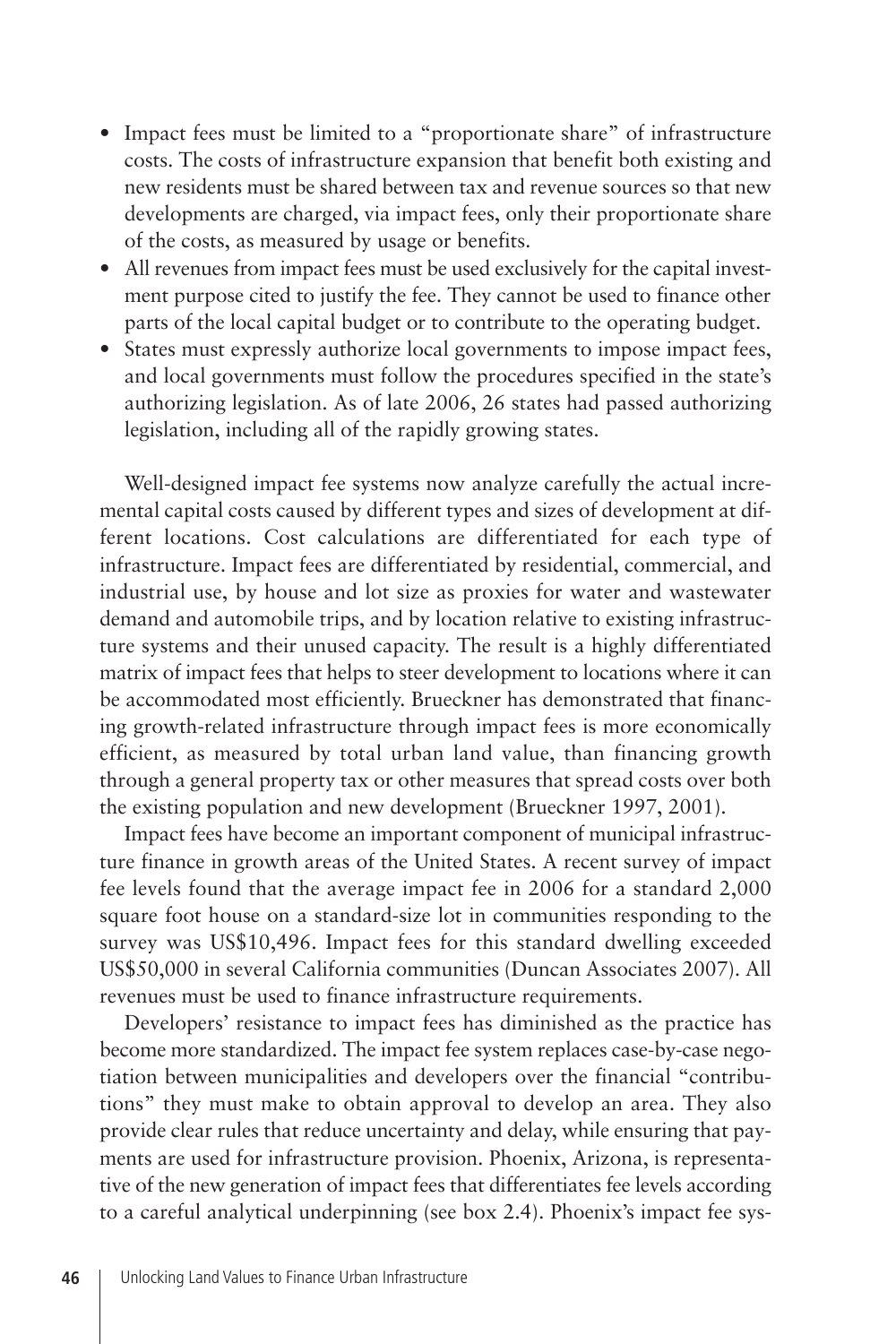- Impact fees must be limited to a "proportionate share" of infrastructure costs. The costs of infrastructure expansion that benefit both existing and new residents must be shared between tax and revenue sources so that new developments are charged, via impact fees, only their proportionate share of the costs, as measured by usage or benefits.
- All revenues from impact fees must be used exclusively for the capital investment purpose cited to justify the fee. They cannot be used to finance other parts of the local capital budget or to contribute to the operating budget.
- States must expressly authorize local governments to impose impact fees, and local governments must follow the procedures specified in the state's authorizing legislation. As of late 2006, 26 states had passed authorizing legislation, including all of the rapidly growing states.

Well-designed impact fee systems now analyze carefully the actual incremental capital costs caused by different types and sizes of development at different locations. Cost calculations are differentiated for each type of infrastructure. Impact fees are differentiated by residential, commercial, and industrial use, by house and lot size as proxies for water and wastewater demand and automobile trips, and by location relative to existing infrastructure systems and their unused capacity. The result is a highly differentiated matrix of impact fees that helps to steer development to locations where it can be accommodated most efficiently. Brueckner has demonstrated that financing growth-related infrastructure through impact fees is more economically efficient, as measured by total urban land value, than financing growth through a general property tax or other measures that spread costs over both the existing population and new development (Brueckner 1997, 2001).

Impact fees have become an important component of municipal infrastructure finance in growth areas of the United States. A recent survey of impact fee levels found that the average impact fee in 2006 for a standard 2,000 square foot house on a standard-size lot in communities responding to the survey was US\$10,496. Impact fees for this standard dwelling exceeded US\$50,000 in several California communities (Duncan Associates 2007). All revenues must be used to finance infrastructure requirements.

Developers' resistance to impact fees has diminished as the practice has become more standardized. The impact fee system replaces case-by-case negotiation between municipalities and developers over the financial "contributions" they must make to obtain approval to develop an area. They also provide clear rules that reduce uncertainty and delay, while ensuring that payments are used for infrastructure provision. Phoenix, Arizona, is representative of the new generation of impact fees that differentiates fee levels according to a careful analytical underpinning (see box 2.4). Phoenix's impact fee sys-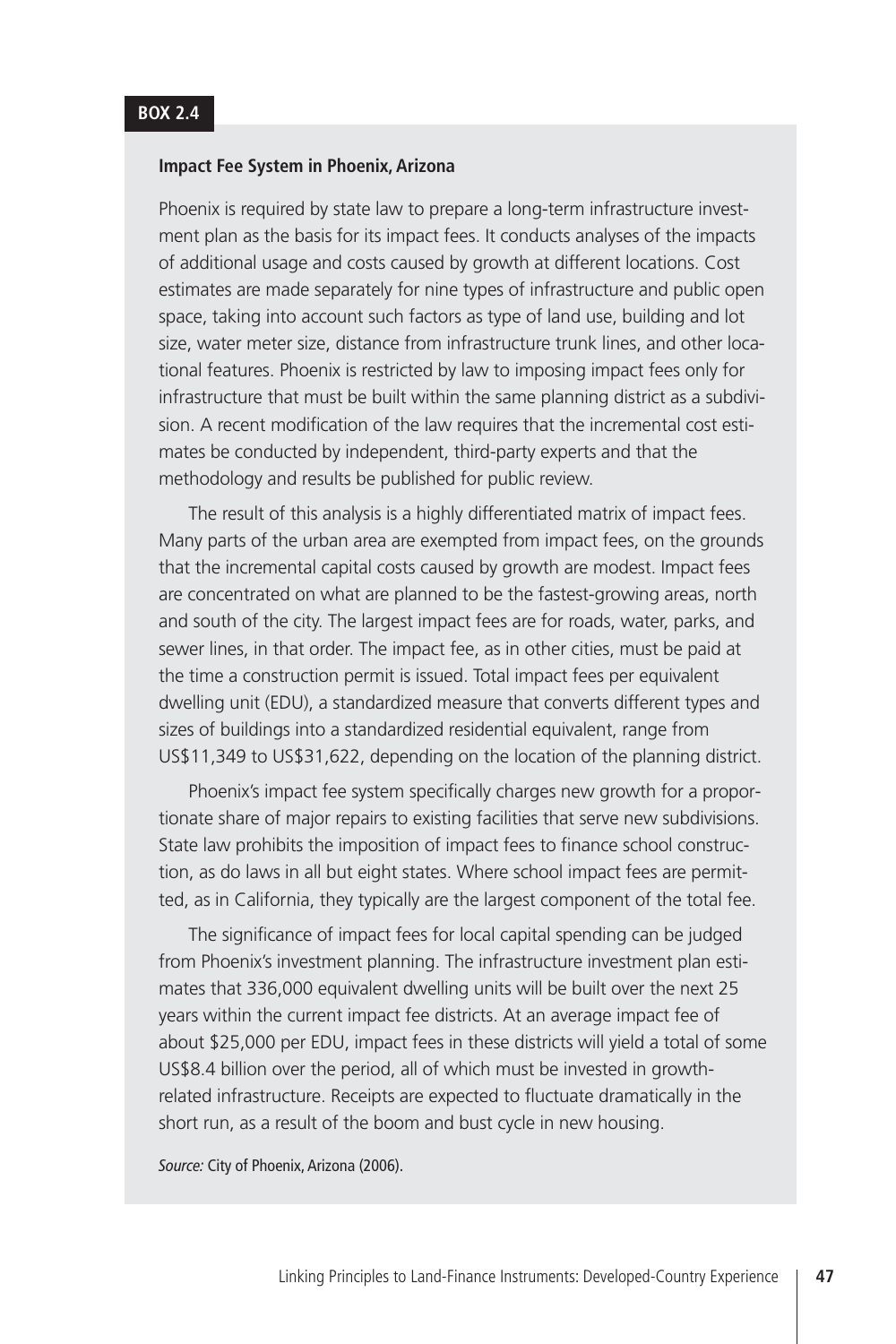#### **Impact Fee System in Phoenix, Arizona**

Phoenix is required by state law to prepare a long-term infrastructure investment plan as the basis for its impact fees. It conducts analyses of the impacts of additional usage and costs caused by growth at different locations. Cost estimates are made separately for nine types of infrastructure and public open space, taking into account such factors as type of land use, building and lot size, water meter size, distance from infrastructure trunk lines, and other locational features. Phoenix is restricted by law to imposing impact fees only for infrastructure that must be built within the same planning district as a subdivision. A recent modification of the law requires that the incremental cost estimates be conducted by independent, third-party experts and that the methodology and results be published for public review.

The result of this analysis is a highly differentiated matrix of impact fees. Many parts of the urban area are exempted from impact fees, on the grounds that the incremental capital costs caused by growth are modest. Impact fees are concentrated on what are planned to be the fastest-growing areas, north and south of the city. The largest impact fees are for roads, water, parks, and sewer lines, in that order. The impact fee, as in other cities, must be paid at the time a construction permit is issued. Total impact fees per equivalent dwelling unit (EDU), a standardized measure that converts different types and sizes of buildings into a standardized residential equivalent, range from US\$11,349 to US\$31,622, depending on the location of the planning district.

Phoenix's impact fee system specifically charges new growth for a proportionate share of major repairs to existing facilities that serve new subdivisions. State law prohibits the imposition of impact fees to finance school construction, as do laws in all but eight states. Where school impact fees are permitted, as in California, they typically are the largest component of the total fee.

The significance of impact fees for local capital spending can be judged from Phoenix's investment planning. The infrastructure investment plan estimates that 336,000 equivalent dwelling units will be built over the next 25 years within the current impact fee districts. At an average impact fee of about \$25,000 per EDU, impact fees in these districts will yield a total of some US\$8.4 billion over the period, all of which must be invested in growthrelated infrastructure. Receipts are expected to fluctuate dramatically in the short run, as a result of the boom and bust cycle in new housing.

Source: City of Phoenix, Arizona (2006).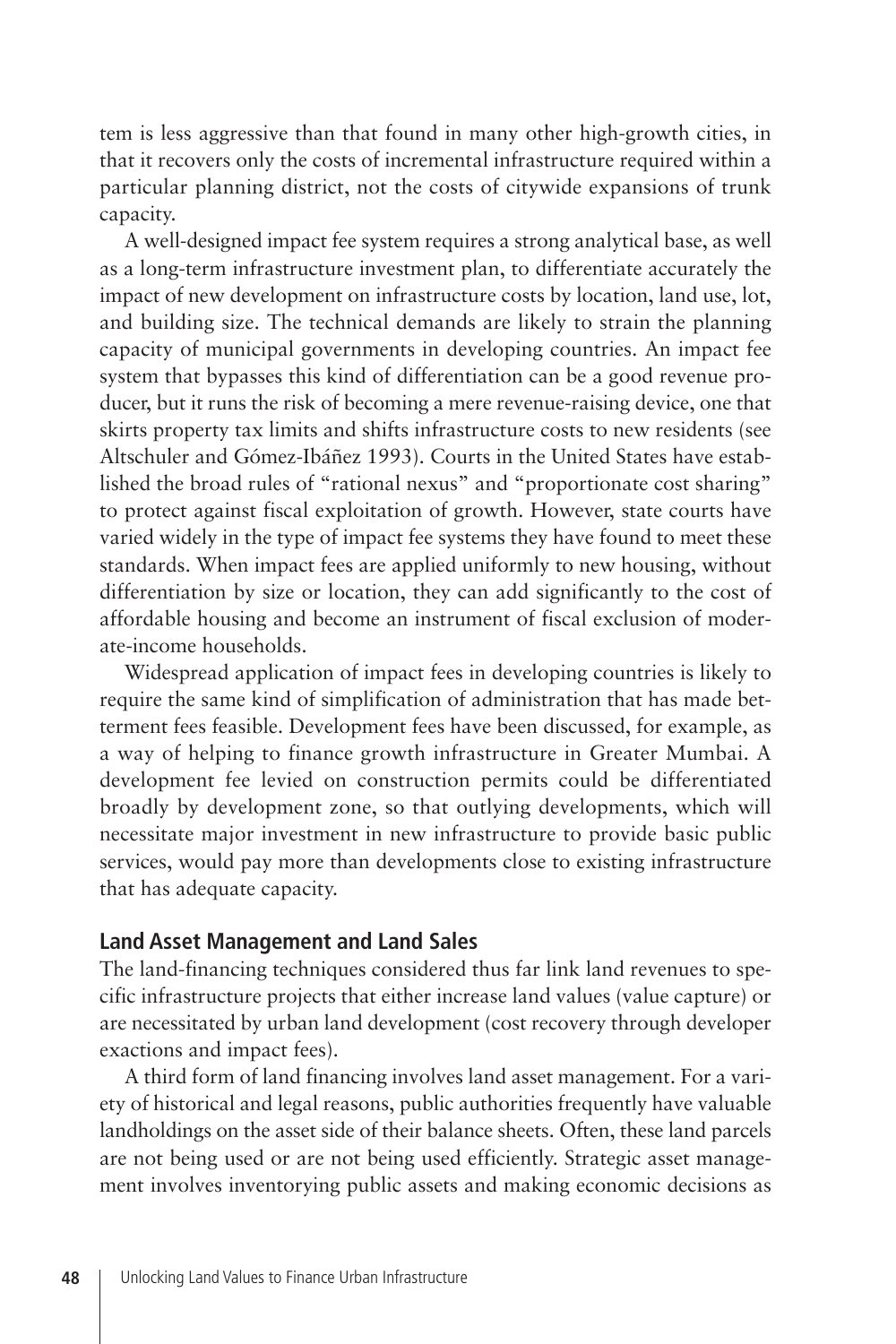tem is less aggressive than that found in many other high-growth cities, in that it recovers only the costs of incremental infrastructure required within a particular planning district, not the costs of citywide expansions of trunk capacity.

A well-designed impact fee system requires a strong analytical base, as well as a long-term infrastructure investment plan, to differentiate accurately the impact of new development on infrastructure costs by location, land use, lot, and building size. The technical demands are likely to strain the planning capacity of municipal governments in developing countries. An impact fee system that bypasses this kind of differentiation can be a good revenue producer, but it runs the risk of becoming a mere revenue-raising device, one that skirts property tax limits and shifts infrastructure costs to new residents (see Altschuler and Gómez-Ibáñez 1993). Courts in the United States have established the broad rules of "rational nexus" and "proportionate cost sharing" to protect against fiscal exploitation of growth. However, state courts have varied widely in the type of impact fee systems they have found to meet these standards. When impact fees are applied uniformly to new housing, without differentiation by size or location, they can add significantly to the cost of affordable housing and become an instrument of fiscal exclusion of moderate-income households.

Widespread application of impact fees in developing countries is likely to require the same kind of simplification of administration that has made betterment fees feasible. Development fees have been discussed, for example, as a way of helping to finance growth infrastructure in Greater Mumbai. A development fee levied on construction permits could be differentiated broadly by development zone, so that outlying developments, which will necessitate major investment in new infrastructure to provide basic public services, would pay more than developments close to existing infrastructure that has adequate capacity.

#### **Land Asset Management and Land Sales**

The land-financing techniques considered thus far link land revenues to specific infrastructure projects that either increase land values (value capture) or are necessitated by urban land development (cost recovery through developer exactions and impact fees).

A third form of land financing involves land asset management. For a variety of historical and legal reasons, public authorities frequently have valuable landholdings on the asset side of their balance sheets. Often, these land parcels are not being used or are not being used efficiently. Strategic asset management involves inventorying public assets and making economic decisions as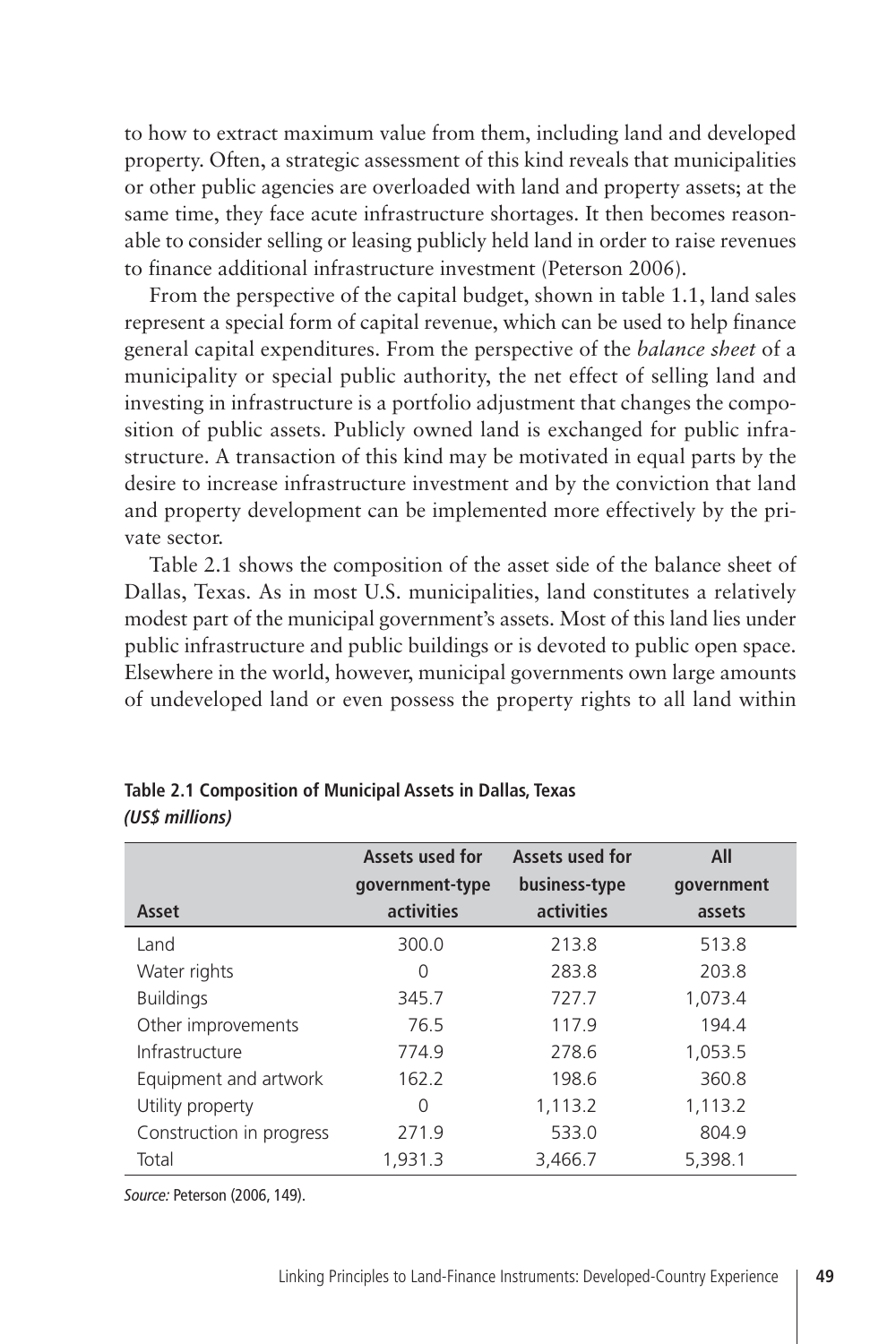to how to extract maximum value from them, including land and developed property. Often, a strategic assessment of this kind reveals that municipalities or other public agencies are overloaded with land and property assets; at the same time, they face acute infrastructure shortages. It then becomes reasonable to consider selling or leasing publicly held land in order to raise revenues to finance additional infrastructure investment (Peterson 2006).

From the perspective of the capital budget, shown in table 1.1, land sales represent a special form of capital revenue, which can be used to help finance general capital expenditures. From the perspective of the *balance sheet* of a municipality or special public authority, the net effect of selling land and investing in infrastructure is a portfolio adjustment that changes the composition of public assets. Publicly owned land is exchanged for public infrastructure. A transaction of this kind may be motivated in equal parts by the desire to increase infrastructure investment and by the conviction that land and property development can be implemented more effectively by the private sector.

Table 2.1 shows the composition of the asset side of the balance sheet of Dallas, Texas. As in most U.S. municipalities, land constitutes a relatively modest part of the municipal government's assets. Most of this land lies under public infrastructure and public buildings or is devoted to public open space. Elsewhere in the world, however, municipal governments own large amounts of undeveloped land or even possess the property rights to all land within

|                          | Assets used for<br>government-type | Assets used for<br>business-type | All<br>government |
|--------------------------|------------------------------------|----------------------------------|-------------------|
| Asset                    | activities                         | activities                       | assets            |
| Land                     | 300.0                              | 213.8                            | 513.8             |
| Water rights             | 0                                  | 283.8                            | 203.8             |
| <b>Buildings</b>         | 345.7                              | 727.7                            | 1,073.4           |
| Other improvements       | 76.5                               | 117.9                            | 194.4             |
| Infrastructure           | 7749                               | 278.6                            | 1,053.5           |
| Equipment and artwork    | 162.2                              | 198.6                            | 360.8             |
| Utility property         | 0                                  | 1,113.2                          | 1,113.2           |
| Construction in progress | 2719                               | 533.0                            | 804.9             |
| Total                    | 1.931.3                            | 3.466.7                          | 5.398.1           |

**Table 2.1 Composition of Municipal Assets in Dallas, Texas (US\$ millions)**

Source: Peterson (2006, 149).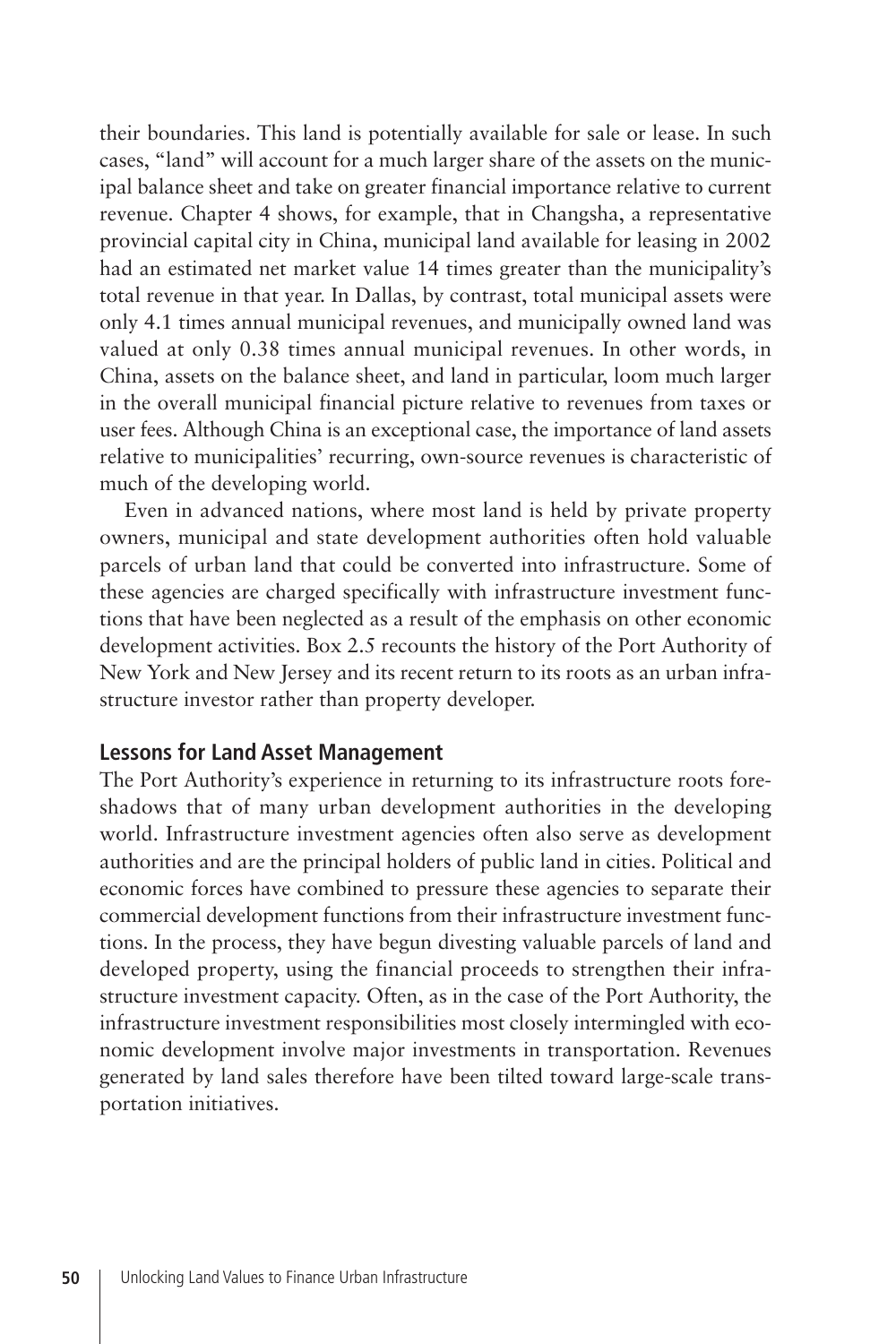their boundaries. This land is potentially available for sale or lease. In such cases, "land" will account for a much larger share of the assets on the municipal balance sheet and take on greater financial importance relative to current revenue. Chapter 4 shows, for example, that in Changsha, a representative provincial capital city in China, municipal land available for leasing in 2002 had an estimated net market value 14 times greater than the municipality's total revenue in that year. In Dallas, by contrast, total municipal assets were only 4.1 times annual municipal revenues, and municipally owned land was valued at only 0.38 times annual municipal revenues. In other words, in China, assets on the balance sheet, and land in particular, loom much larger in the overall municipal financial picture relative to revenues from taxes or user fees. Although China is an exceptional case, the importance of land assets relative to municipalities' recurring, own-source revenues is characteristic of much of the developing world.

Even in advanced nations, where most land is held by private property owners, municipal and state development authorities often hold valuable parcels of urban land that could be converted into infrastructure. Some of these agencies are charged specifically with infrastructure investment functions that have been neglected as a result of the emphasis on other economic development activities. Box 2.5 recounts the history of the Port Authority of New York and New Jersey and its recent return to its roots as an urban infrastructure investor rather than property developer.

#### **Lessons for Land Asset Management**

The Port Authority's experience in returning to its infrastructure roots foreshadows that of many urban development authorities in the developing world. Infrastructure investment agencies often also serve as development authorities and are the principal holders of public land in cities. Political and economic forces have combined to pressure these agencies to separate their commercial development functions from their infrastructure investment functions. In the process, they have begun divesting valuable parcels of land and developed property, using the financial proceeds to strengthen their infrastructure investment capacity. Often, as in the case of the Port Authority, the infrastructure investment responsibilities most closely intermingled with economic development involve major investments in transportation. Revenues generated by land sales therefore have been tilted toward large-scale transportation initiatives.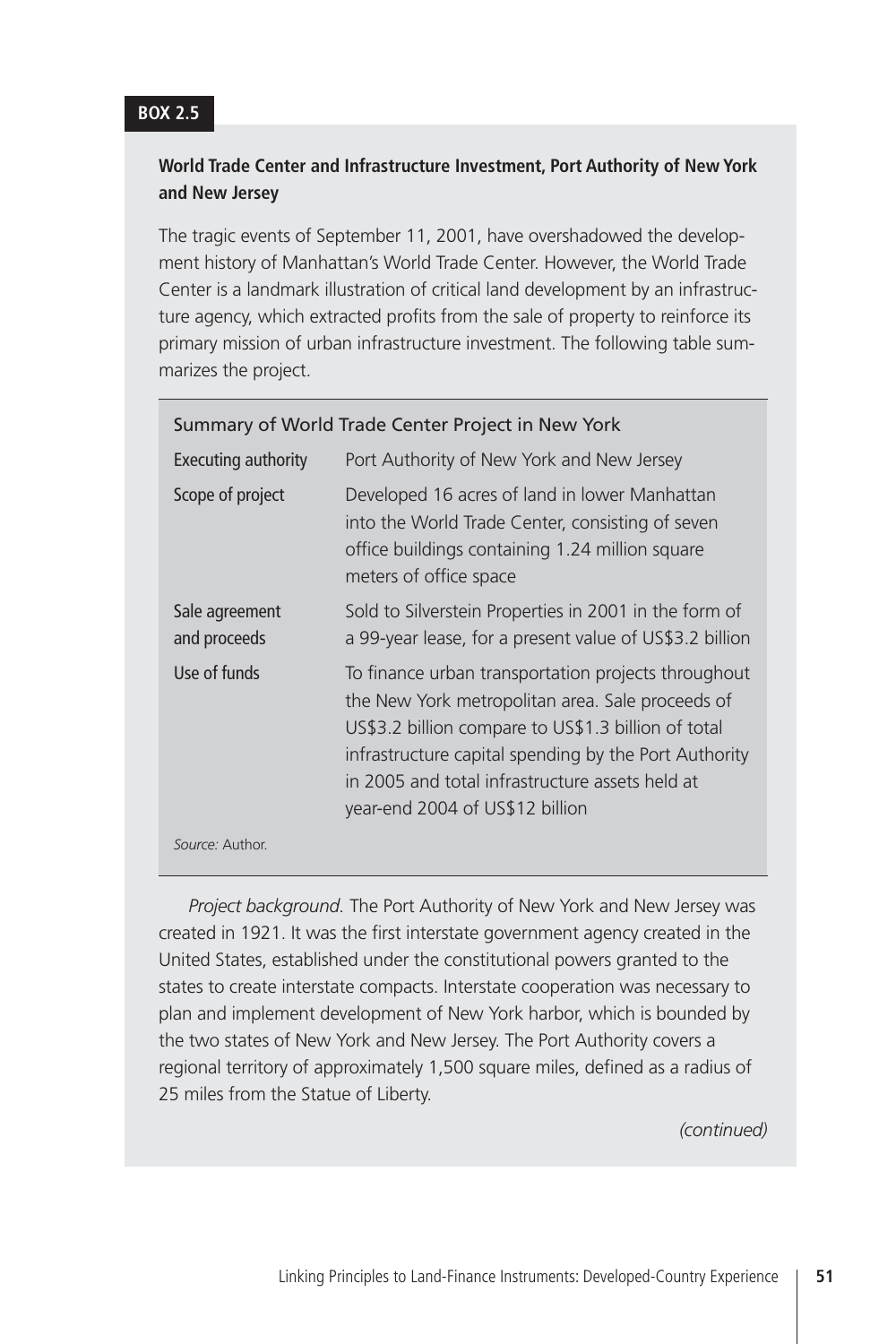#### **World Trade Center and Infrastructure Investment, Port Authority of New York and New Jersey**

The tragic events of September 11, 2001, have overshadowed the development history of Manhattan's World Trade Center. However, the World Trade Center is a landmark illustration of critical land development by an infrastructure agency, which extracted profits from the sale of property to reinforce its primary mission of urban infrastructure investment. The following table summarizes the project.

| Executing authority            | Port Authority of New York and New Jersey                                                                                                                                                                                                                                                                     |
|--------------------------------|---------------------------------------------------------------------------------------------------------------------------------------------------------------------------------------------------------------------------------------------------------------------------------------------------------------|
| Scope of project               | Developed 16 acres of land in lower Manhattan<br>into the World Trade Center, consisting of seven<br>office buildings containing 1.24 million square<br>meters of office space                                                                                                                                |
| Sale agreement<br>and proceeds | Sold to Silverstein Properties in 2001 in the form of<br>a 99-year lease, for a present value of US\$3.2 billion                                                                                                                                                                                              |
| Use of funds                   | To finance urban transportation projects throughout<br>the New York metropolitan area. Sale proceeds of<br>US\$3.2 billion compare to US\$1.3 billion of total<br>infrastructure capital spending by the Port Authority<br>in 2005 and total infrastructure assets held at<br>year-end 2004 of US\$12 billion |
| Source: Author.                |                                                                                                                                                                                                                                                                                                               |

#### Summary of World Trade Center Project in New York

*Project background.* The Port Authority of New York and New Jersey was created in 1921. It was the first interstate government agency created in the United States, established under the constitutional powers granted to the states to create interstate compacts. Interstate cooperation was necessary to plan and implement development of New York harbor, which is bounded by the two states of New York and New Jersey. The Port Authority covers a regional territory of approximately 1,500 square miles, defined as a radius of 25 miles from the Statue of Liberty.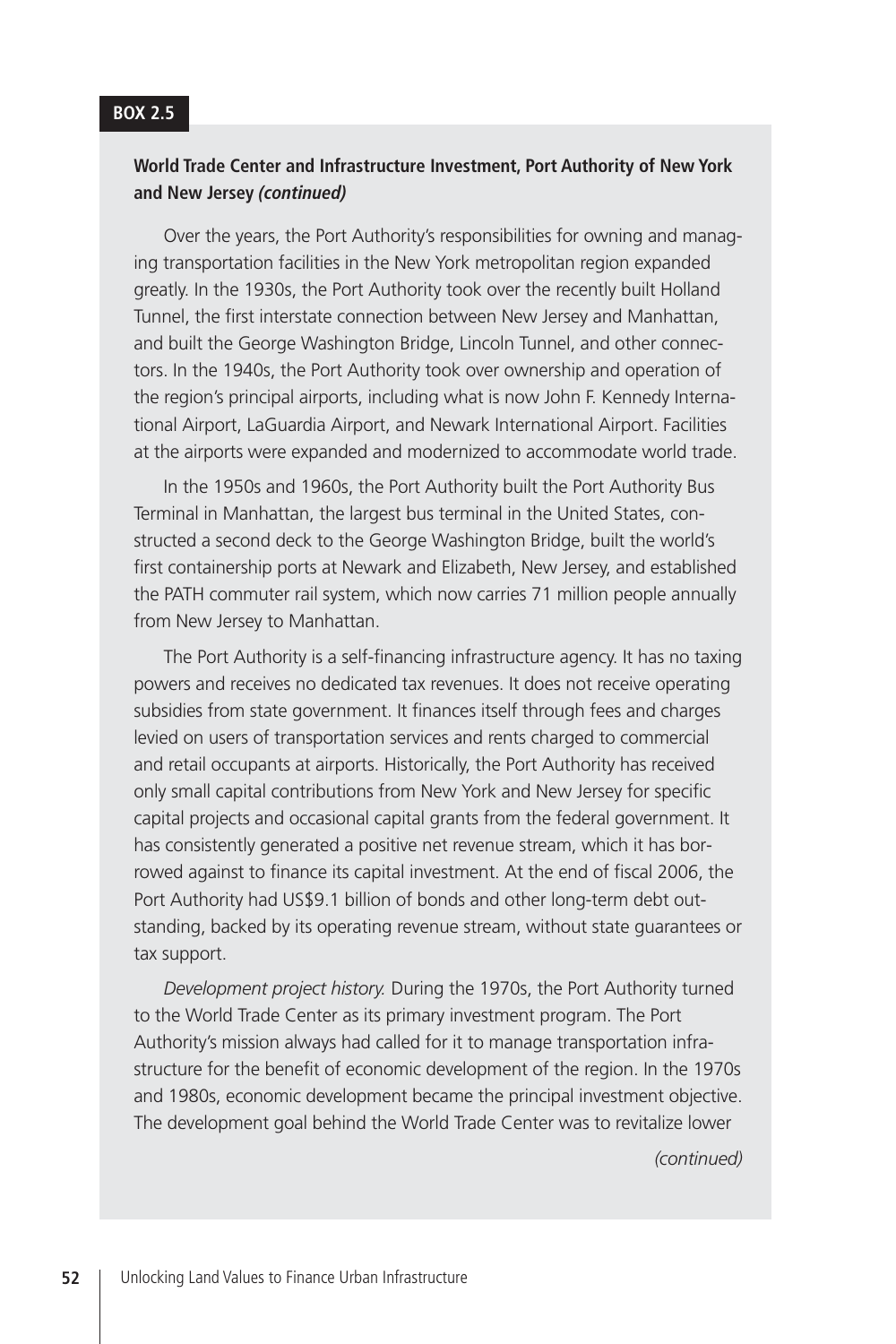#### **World Trade Center and Infrastructure Investment, Port Authority of New York and New Jersey (continued)**

Over the years, the Port Authority's responsibilities for owning and managing transportation facilities in the New York metropolitan region expanded greatly. In the 1930s, the Port Authority took over the recently built Holland Tunnel, the first interstate connection between New Jersey and Manhattan, and built the George Washington Bridge, Lincoln Tunnel, and other connectors. In the 1940s, the Port Authority took over ownership and operation of the region's principal airports, including what is now John F. Kennedy International Airport, LaGuardia Airport, and Newark International Airport. Facilities at the airports were expanded and modernized to accommodate world trade.

In the 1950s and 1960s, the Port Authority built the Port Authority Bus Terminal in Manhattan, the largest bus terminal in the United States, constructed a second deck to the George Washington Bridge, built the world's first containership ports at Newark and Elizabeth, New Jersey, and established the PATH commuter rail system, which now carries 71 million people annually from New Jersey to Manhattan.

The Port Authority is a self-financing infrastructure agency. It has no taxing powers and receives no dedicated tax revenues. It does not receive operating subsidies from state government. It finances itself through fees and charges levied on users of transportation services and rents charged to commercial and retail occupants at airports. Historically, the Port Authority has received only small capital contributions from New York and New Jersey for specific capital projects and occasional capital grants from the federal government. It has consistently generated a positive net revenue stream, which it has borrowed against to finance its capital investment. At the end of fiscal 2006, the Port Authority had US\$9.1 billion of bonds and other long-term debt outstanding, backed by its operating revenue stream, without state guarantees or tax support.

*Development project history.* During the 1970s, the Port Authority turned to the World Trade Center as its primary investment program. The Port Authority's mission always had called for it to manage transportation infrastructure for the benefit of economic development of the region. In the 1970s and 1980s, economic development became the principal investment objective. The development goal behind the World Trade Center was to revitalize lower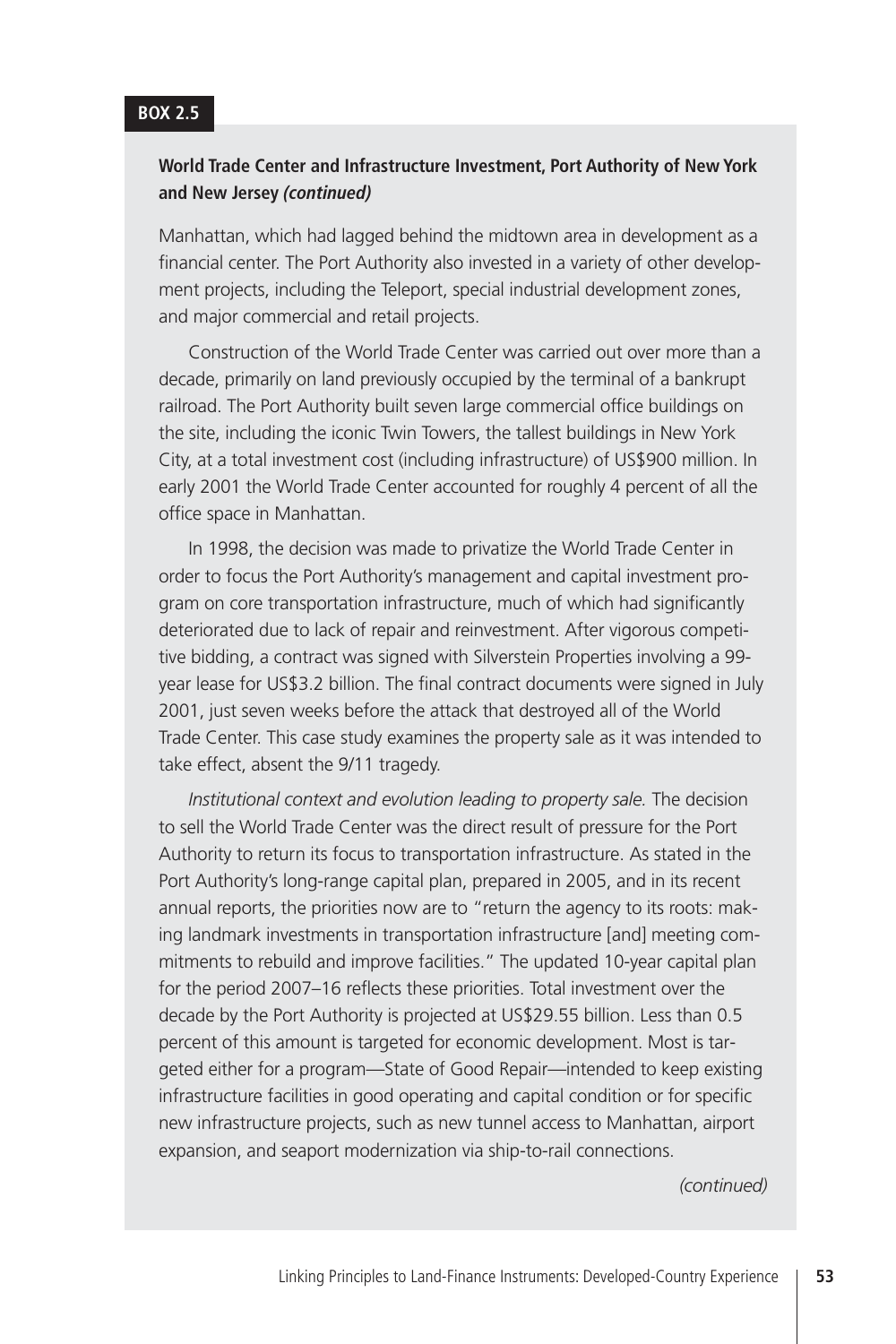#### **World Trade Center and Infrastructure Investment, Port Authority of New York and New Jersey (continued)**

Manhattan, which had lagged behind the midtown area in development as a financial center. The Port Authority also invested in a variety of other development projects, including the Teleport, special industrial development zones, and major commercial and retail projects.

Construction of the World Trade Center was carried out over more than a decade, primarily on land previously occupied by the terminal of a bankrupt railroad. The Port Authority built seven large commercial office buildings on the site, including the iconic Twin Towers, the tallest buildings in New York City, at a total investment cost (including infrastructure) of US\$900 million. In early 2001 the World Trade Center accounted for roughly 4 percent of all the office space in Manhattan.

In 1998, the decision was made to privatize the World Trade Center in order to focus the Port Authority's management and capital investment program on core transportation infrastructure, much of which had significantly deteriorated due to lack of repair and reinvestment. After vigorous competitive bidding, a contract was signed with Silverstein Properties involving a 99 year lease for US\$3.2 billion. The final contract documents were signed in July 2001, just seven weeks before the attack that destroyed all of the World Trade Center. This case study examines the property sale as it was intended to take effect, absent the 9/11 tragedy.

*Institutional context and evolution leading to property sale.* The decision to sell the World Trade Center was the direct result of pressure for the Port Authority to return its focus to transportation infrastructure. As stated in the Port Authority's long-range capital plan, prepared in 2005, and in its recent annual reports, the priorities now are to "return the agency to its roots: making landmark investments in transportation infrastructure [and] meeting commitments to rebuild and improve facilities." The updated 10-year capital plan for the period 2007–16 reflects these priorities. Total investment over the decade by the Port Authority is projected at US\$29.55 billion. Less than 0.5 percent of this amount is targeted for economic development. Most is targeted either for a program—State of Good Repair—intended to keep existing infrastructure facilities in good operating and capital condition or for specific new infrastructure projects, such as new tunnel access to Manhattan, airport expansion, and seaport modernization via ship-to-rail connections.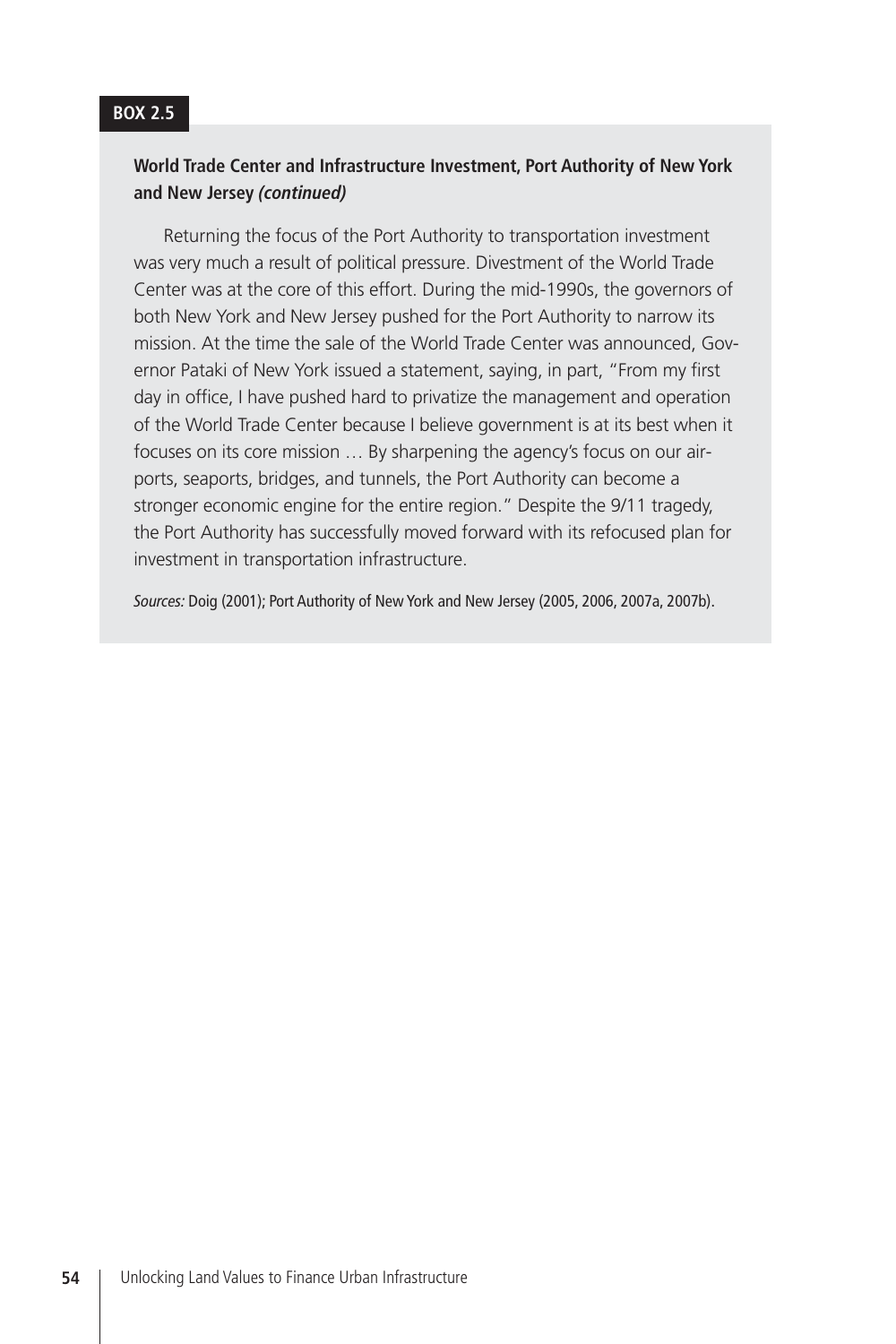# **BOX 2.5**

#### **World Trade Center and Infrastructure Investment, Port Authority of New York and New Jersey (continued)**

Returning the focus of the Port Authority to transportation investment was very much a result of political pressure. Divestment of the World Trade Center was at the core of this effort. During the mid-1990s, the governors of both New York and New Jersey pushed for the Port Authority to narrow its mission. At the time the sale of the World Trade Center was announced, Governor Pataki of New York issued a statement, saying, in part, "From my first day in office, I have pushed hard to privatize the management and operation of the World Trade Center because I believe government is at its best when it focuses on its core mission … By sharpening the agency's focus on our airports, seaports, bridges, and tunnels, the Port Authority can become a stronger economic engine for the entire region." Despite the 9/11 tragedy, the Port Authority has successfully moved forward with its refocused plan for investment in transportation infrastructure.

Sources: Doig (2001); Port Authority of New York and New Jersey (2005, 2006, 2007a, 2007b).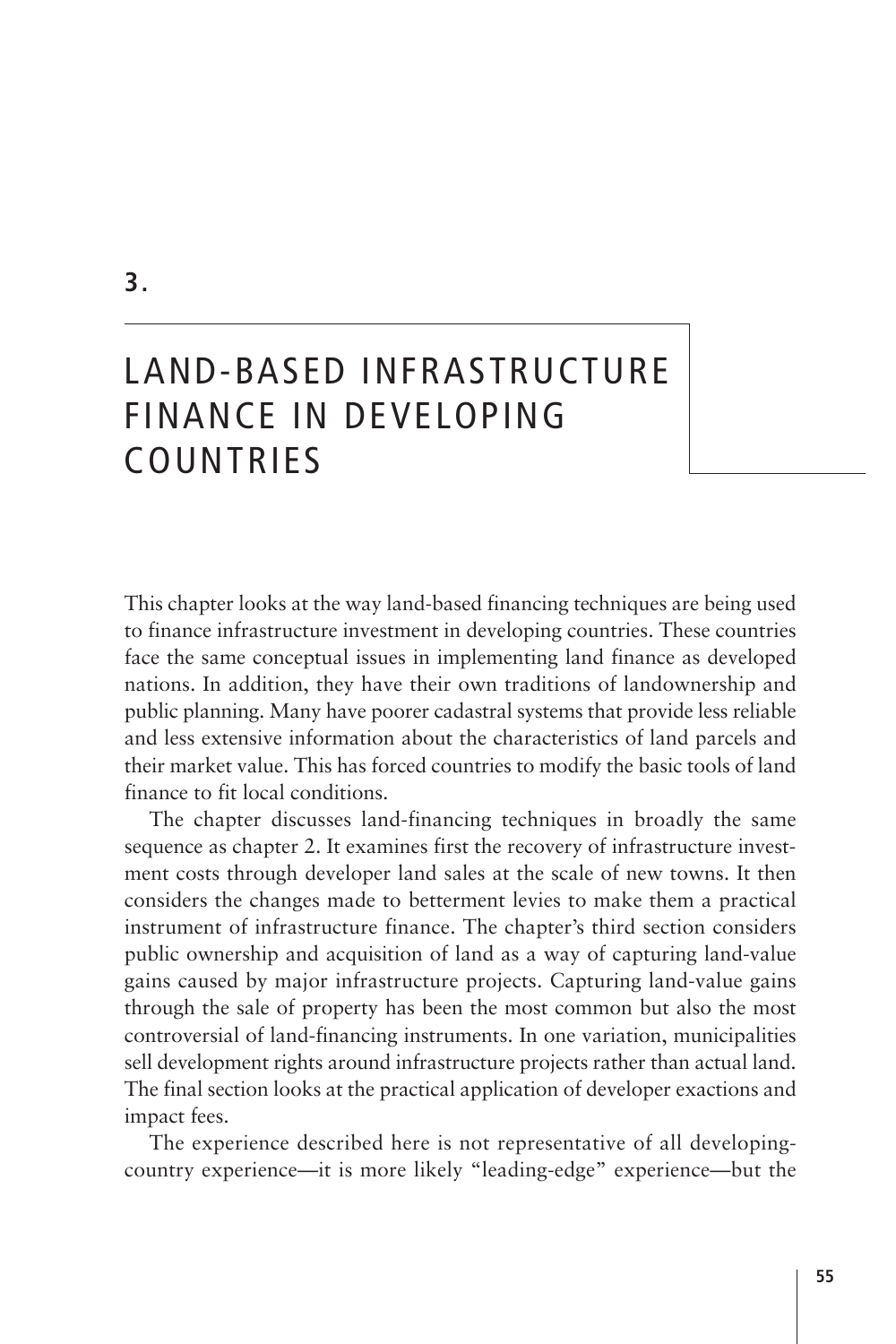# LAND-BASED INFRASTRUCTURE FINANCE IN DEVELOPING **COUNTRIES**

This chapter looks at the way land-based financing techniques are being used to finance infrastructure investment in developing countries. These countries face the same conceptual issues in implementing land finance as developed nations. In addition, they have their own traditions of landownership and public planning. Many have poorer cadastral systems that provide less reliable and less extensive information about the characteristics of land parcels and their market value. This has forced countries to modify the basic tools of land finance to fit local conditions.

The chapter discusses land-financing techniques in broadly the same sequence as chapter 2. It examines first the recovery of infrastructure investment costs through developer land sales at the scale of new towns. It then considers the changes made to betterment levies to make them a practical instrument of infrastructure finance. The chapter's third section considers public ownership and acquisition of land as a way of capturing land-value gains caused by major infrastructure projects. Capturing land-value gains through the sale of property has been the most common but also the most controversial of land-financing instruments. In one variation, municipalities sell development rights around infrastructure projects rather than actual land. The final section looks at the practical application of developer exactions and impact fees.

The experience described here is not representative of all developingcountry experience—it is more likely "leading-edge" experience—but the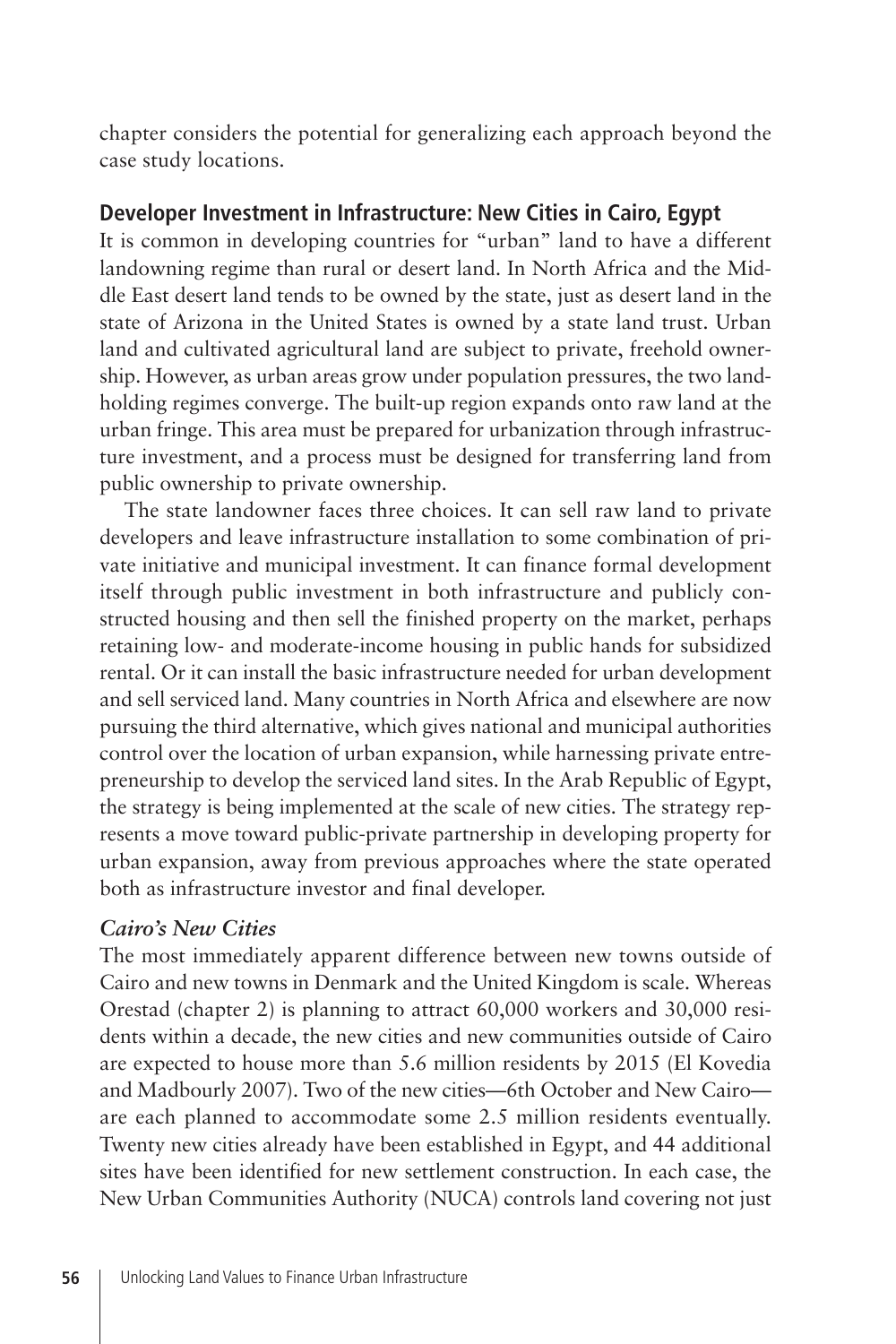chapter considers the potential for generalizing each approach beyond the case study locations.

# **Developer Investment in Infrastructure: New Cities in Cairo, Egypt**

It is common in developing countries for "urban" land to have a different landowning regime than rural or desert land. In North Africa and the Middle East desert land tends to be owned by the state, just as desert land in the state of Arizona in the United States is owned by a state land trust. Urban land and cultivated agricultural land are subject to private, freehold ownership. However, as urban areas grow under population pressures, the two landholding regimes converge. The built-up region expands onto raw land at the urban fringe. This area must be prepared for urbanization through infrastructure investment, and a process must be designed for transferring land from public ownership to private ownership.

The state landowner faces three choices. It can sell raw land to private developers and leave infrastructure installation to some combination of private initiative and municipal investment. It can finance formal development itself through public investment in both infrastructure and publicly constructed housing and then sell the finished property on the market, perhaps retaining low- and moderate-income housing in public hands for subsidized rental. Or it can install the basic infrastructure needed for urban development and sell serviced land. Many countries in North Africa and elsewhere are now pursuing the third alternative, which gives national and municipal authorities control over the location of urban expansion, while harnessing private entrepreneurship to develop the serviced land sites. In the Arab Republic of Egypt, the strategy is being implemented at the scale of new cities. The strategy represents a move toward public-private partnership in developing property for urban expansion, away from previous approaches where the state operated both as infrastructure investor and final developer.

# *Cairo's New Cities*

The most immediately apparent difference between new towns outside of Cairo and new towns in Denmark and the United Kingdom is scale. Whereas Orestad (chapter 2) is planning to attract 60,000 workers and 30,000 residents within a decade, the new cities and new communities outside of Cairo are expected to house more than 5.6 million residents by 2015 (El Kovedia and Madbourly 2007). Two of the new cities—6th October and New Cairo are each planned to accommodate some 2.5 million residents eventually. Twenty new cities already have been established in Egypt, and 44 additional sites have been identified for new settlement construction. In each case, the New Urban Communities Authority (NUCA) controls land covering not just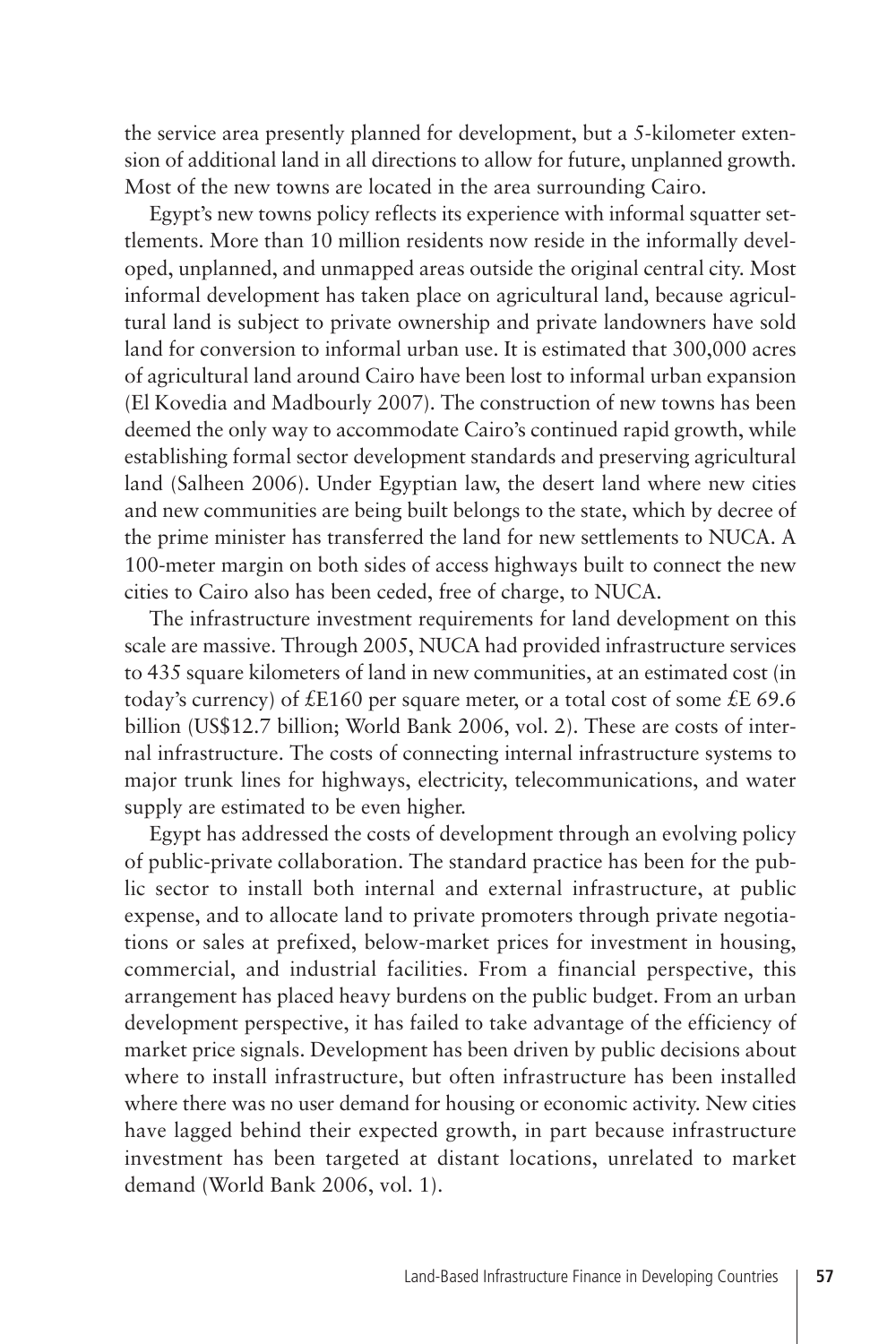the service area presently planned for development, but a 5-kilometer extension of additional land in all directions to allow for future, unplanned growth. Most of the new towns are located in the area surrounding Cairo.

Egypt's new towns policy reflects its experience with informal squatter settlements. More than 10 million residents now reside in the informally developed, unplanned, and unmapped areas outside the original central city. Most informal development has taken place on agricultural land, because agricultural land is subject to private ownership and private landowners have sold land for conversion to informal urban use. It is estimated that 300,000 acres of agricultural land around Cairo have been lost to informal urban expansion (El Kovedia and Madbourly 2007). The construction of new towns has been deemed the only way to accommodate Cairo's continued rapid growth, while establishing formal sector development standards and preserving agricultural land (Salheen 2006). Under Egyptian law, the desert land where new cities and new communities are being built belongs to the state, which by decree of the prime minister has transferred the land for new settlements to NUCA. A 100-meter margin on both sides of access highways built to connect the new cities to Cairo also has been ceded, free of charge, to NUCA.

The infrastructure investment requirements for land development on this scale are massive. Through 2005, NUCA had provided infrastructure services to 435 square kilometers of land in new communities, at an estimated cost (in today's currency) of £E160 per square meter, or a total cost of some £E 69.6 billion (US\$12.7 billion; World Bank 2006, vol. 2). These are costs of internal infrastructure. The costs of connecting internal infrastructure systems to major trunk lines for highways, electricity, telecommunications, and water supply are estimated to be even higher.

Egypt has addressed the costs of development through an evolving policy of public-private collaboration. The standard practice has been for the public sector to install both internal and external infrastructure, at public expense, and to allocate land to private promoters through private negotiations or sales at prefixed, below-market prices for investment in housing, commercial, and industrial facilities. From a financial perspective, this arrangement has placed heavy burdens on the public budget. From an urban development perspective, it has failed to take advantage of the efficiency of market price signals. Development has been driven by public decisions about where to install infrastructure, but often infrastructure has been installed where there was no user demand for housing or economic activity. New cities have lagged behind their expected growth, in part because infrastructure investment has been targeted at distant locations, unrelated to market demand (World Bank 2006, vol. 1).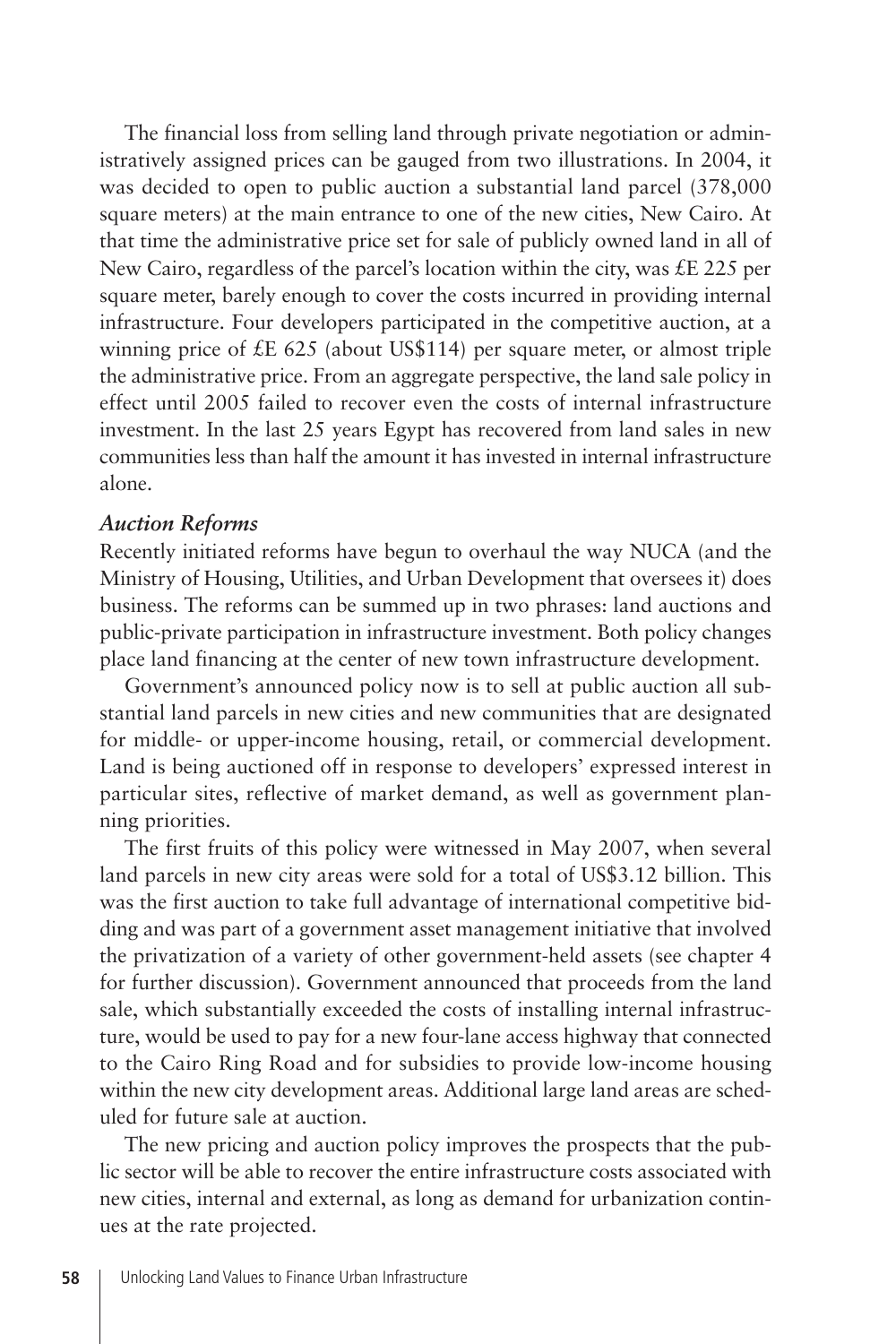The financial loss from selling land through private negotiation or administratively assigned prices can be gauged from two illustrations. In 2004, it was decided to open to public auction a substantial land parcel (378,000 square meters) at the main entrance to one of the new cities, New Cairo. At that time the administrative price set for sale of publicly owned land in all of New Cairo, regardless of the parcel's location within the city, was £E 225 per square meter, barely enough to cover the costs incurred in providing internal infrastructure. Four developers participated in the competitive auction, at a winning price of £E 625 (about US\$114) per square meter, or almost triple the administrative price. From an aggregate perspective, the land sale policy in effect until 2005 failed to recover even the costs of internal infrastructure investment. In the last 25 years Egypt has recovered from land sales in new communities less than half the amount it has invested in internal infrastructure alone.

#### *Auction Reforms*

Recently initiated reforms have begun to overhaul the way NUCA (and the Ministry of Housing, Utilities, and Urban Development that oversees it) does business. The reforms can be summed up in two phrases: land auctions and public-private participation in infrastructure investment. Both policy changes place land financing at the center of new town infrastructure development.

Government's announced policy now is to sell at public auction all substantial land parcels in new cities and new communities that are designated for middle- or upper-income housing, retail, or commercial development. Land is being auctioned off in response to developers' expressed interest in particular sites, reflective of market demand, as well as government planning priorities.

The first fruits of this policy were witnessed in May 2007, when several land parcels in new city areas were sold for a total of US\$3.12 billion. This was the first auction to take full advantage of international competitive bidding and was part of a government asset management initiative that involved the privatization of a variety of other government-held assets (see chapter 4 for further discussion). Government announced that proceeds from the land sale, which substantially exceeded the costs of installing internal infrastructure, would be used to pay for a new four-lane access highway that connected to the Cairo Ring Road and for subsidies to provide low-income housing within the new city development areas. Additional large land areas are scheduled for future sale at auction.

The new pricing and auction policy improves the prospects that the public sector will be able to recover the entire infrastructure costs associated with new cities, internal and external, as long as demand for urbanization continues at the rate projected.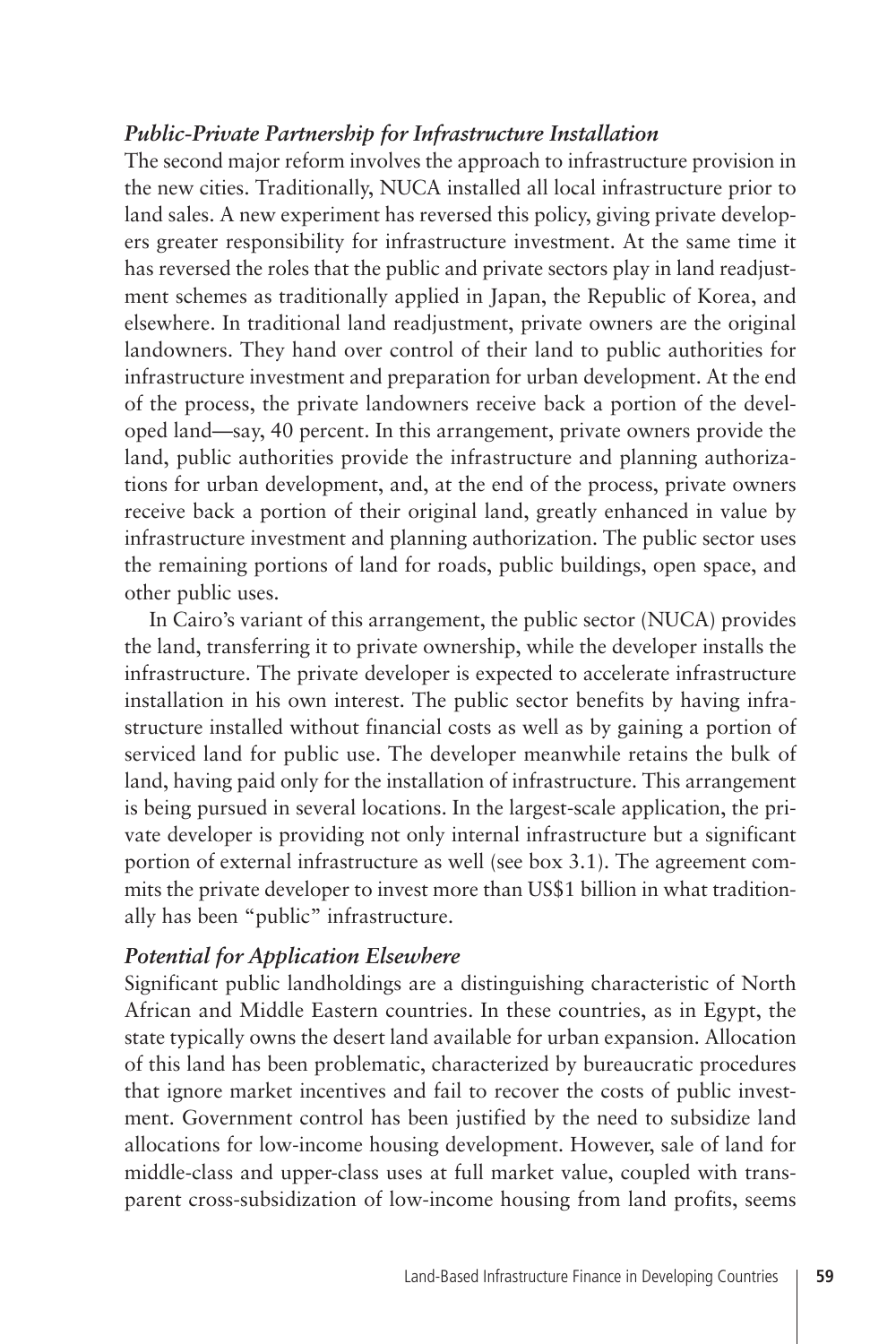# *Public-Private Partnership for Infrastructure Installation*

The second major reform involves the approach to infrastructure provision in the new cities. Traditionally, NUCA installed all local infrastructure prior to land sales. A new experiment has reversed this policy, giving private developers greater responsibility for infrastructure investment. At the same time it has reversed the roles that the public and private sectors play in land readjustment schemes as traditionally applied in Japan, the Republic of Korea, and elsewhere. In traditional land readjustment, private owners are the original landowners. They hand over control of their land to public authorities for infrastructure investment and preparation for urban development. At the end of the process, the private landowners receive back a portion of the developed land—say, 40 percent. In this arrangement, private owners provide the land, public authorities provide the infrastructure and planning authorizations for urban development, and, at the end of the process, private owners receive back a portion of their original land, greatly enhanced in value by infrastructure investment and planning authorization. The public sector uses the remaining portions of land for roads, public buildings, open space, and other public uses.

In Cairo's variant of this arrangement, the public sector (NUCA) provides the land, transferring it to private ownership, while the developer installs the infrastructure. The private developer is expected to accelerate infrastructure installation in his own interest. The public sector benefits by having infrastructure installed without financial costs as well as by gaining a portion of serviced land for public use. The developer meanwhile retains the bulk of land, having paid only for the installation of infrastructure. This arrangement is being pursued in several locations. In the largest-scale application, the private developer is providing not only internal infrastructure but a significant portion of external infrastructure as well (see box 3.1). The agreement commits the private developer to invest more than US\$1 billion in what traditionally has been "public" infrastructure.

# *Potential for Application Elsewhere*

Significant public landholdings are a distinguishing characteristic of North African and Middle Eastern countries. In these countries, as in Egypt, the state typically owns the desert land available for urban expansion. Allocation of this land has been problematic, characterized by bureaucratic procedures that ignore market incentives and fail to recover the costs of public investment. Government control has been justified by the need to subsidize land allocations for low-income housing development. However, sale of land for middle-class and upper-class uses at full market value, coupled with transparent cross-subsidization of low-income housing from land profits, seems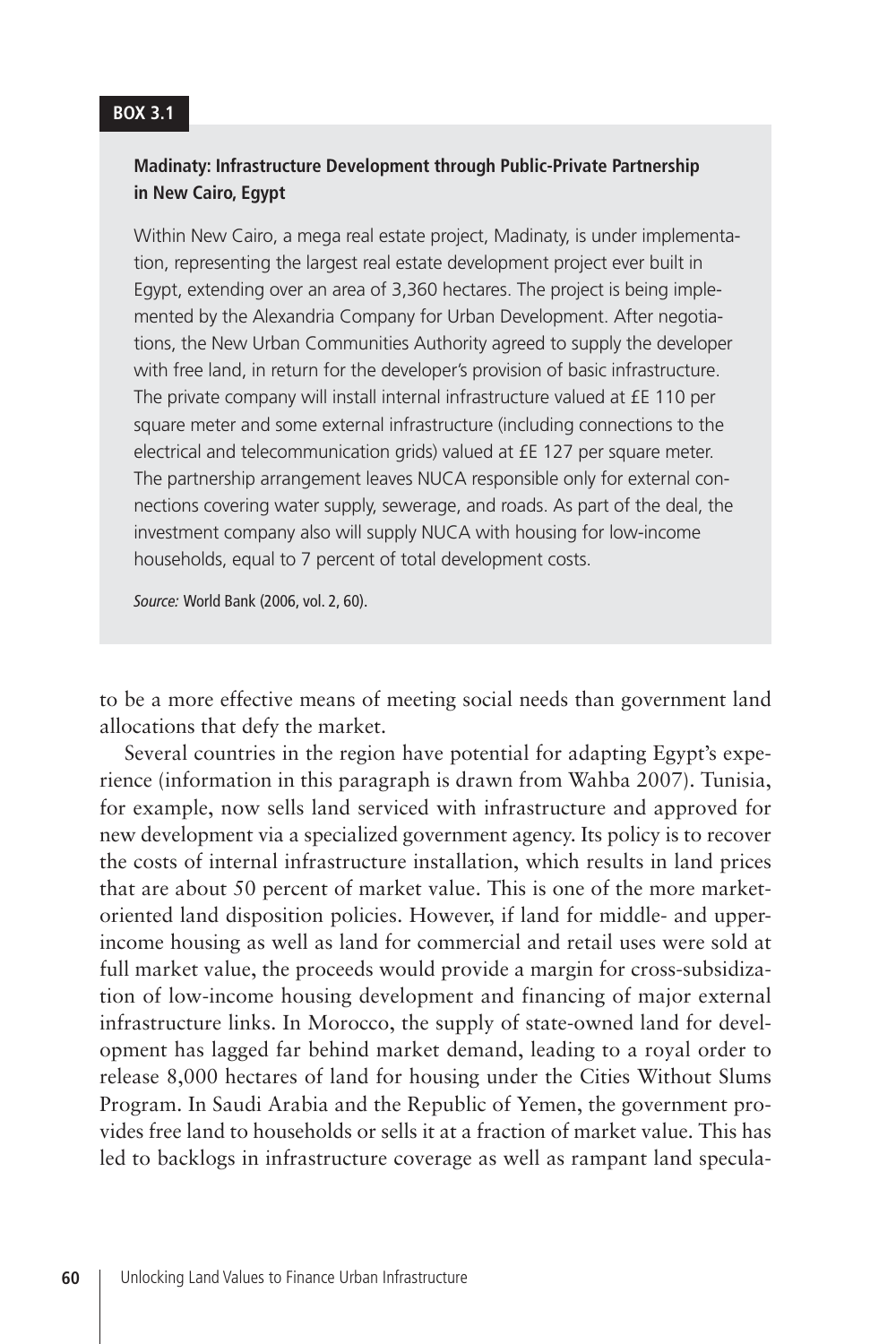# **BOX 3.1**

# **Madinaty: Infrastructure Development through Public-Private Partnership in New Cairo, Egypt**

Within New Cairo, a mega real estate project, Madinaty, is under implementation, representing the largest real estate development project ever built in Egypt, extending over an area of 3,360 hectares. The project is being implemented by the Alexandria Company for Urban Development. After negotiations, the New Urban Communities Authority agreed to supply the developer with free land, in return for the developer's provision of basic infrastructure. The private company will install internal infrastructure valued at £E 110 per square meter and some external infrastructure (including connections to the electrical and telecommunication grids) valued at £E 127 per square meter. The partnership arrangement leaves NUCA responsible only for external connections covering water supply, sewerage, and roads. As part of the deal, the investment company also will supply NUCA with housing for low-income households, equal to 7 percent of total development costs.

Source: World Bank (2006, vol. 2, 60).

to be a more effective means of meeting social needs than government land allocations that defy the market.

Several countries in the region have potential for adapting Egypt's experience (information in this paragraph is drawn from Wahba 2007). Tunisia, for example, now sells land serviced with infrastructure and approved for new development via a specialized government agency. Its policy is to recover the costs of internal infrastructure installation, which results in land prices that are about 50 percent of market value. This is one of the more marketoriented land disposition policies. However, if land for middle- and upperincome housing as well as land for commercial and retail uses were sold at full market value, the proceeds would provide a margin for cross-subsidization of low-income housing development and financing of major external infrastructure links. In Morocco, the supply of state-owned land for development has lagged far behind market demand, leading to a royal order to release 8,000 hectares of land for housing under the Cities Without Slums Program. In Saudi Arabia and the Republic of Yemen, the government provides free land to households or sells it at a fraction of market value. This has led to backlogs in infrastructure coverage as well as rampant land specula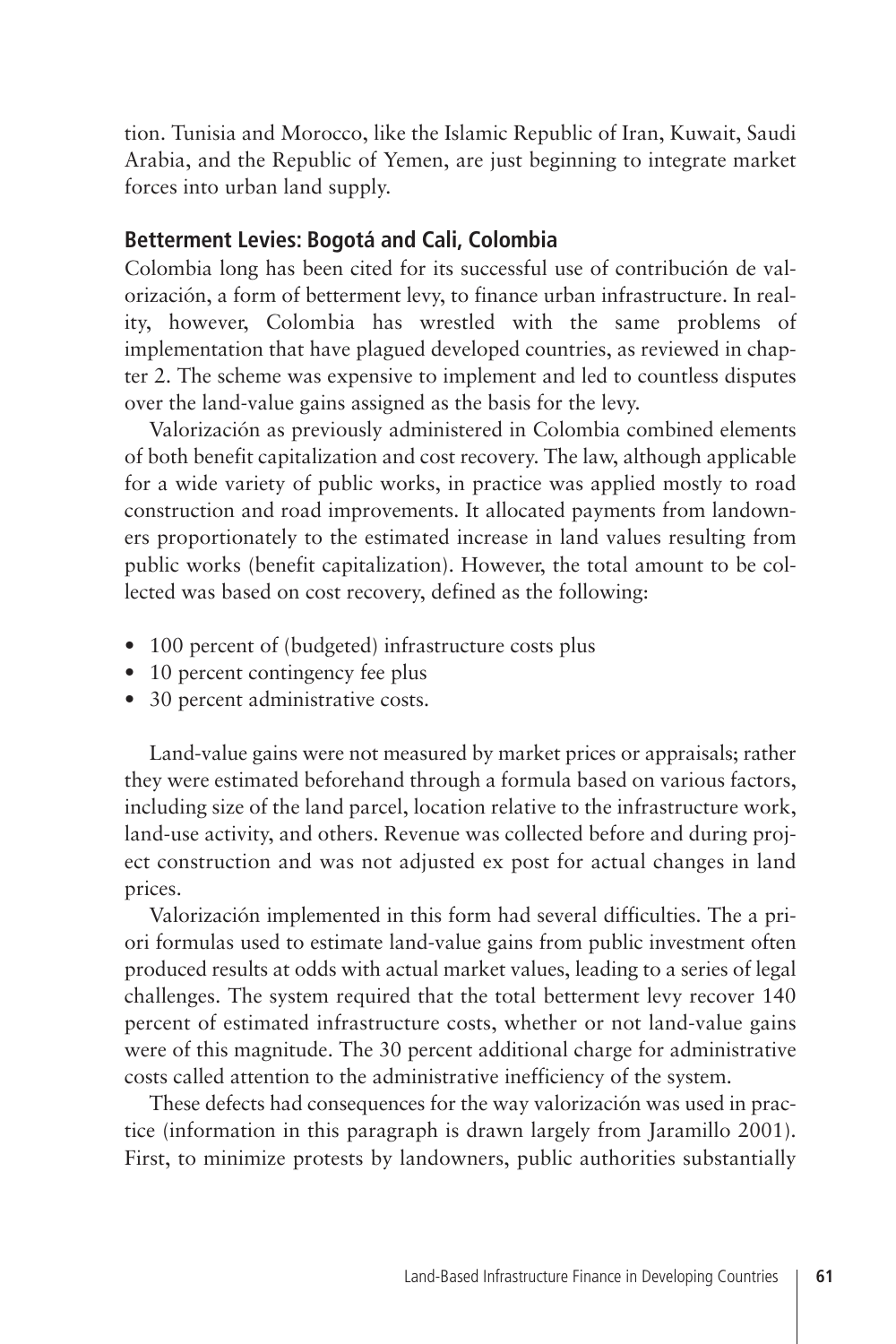tion. Tunisia and Morocco, like the Islamic Republic of Iran, Kuwait, Saudi Arabia, and the Republic of Yemen, are just beginning to integrate market forces into urban land supply.

# **Betterment Levies: Bogotá and Cali, Colombia**

Colombia long has been cited for its successful use of contribución de valorización, a form of betterment levy, to finance urban infrastructure. In reality, however, Colombia has wrestled with the same problems of implementation that have plagued developed countries, as reviewed in chapter 2. The scheme was expensive to implement and led to countless disputes over the land-value gains assigned as the basis for the levy.

Valorización as previously administered in Colombia combined elements of both benefit capitalization and cost recovery. The law, although applicable for a wide variety of public works, in practice was applied mostly to road construction and road improvements. It allocated payments from landowners proportionately to the estimated increase in land values resulting from public works (benefit capitalization). However, the total amount to be collected was based on cost recovery, defined as the following:

- 100 percent of (budgeted) infrastructure costs plus
- 10 percent contingency fee plus
- 30 percent administrative costs.

Land-value gains were not measured by market prices or appraisals; rather they were estimated beforehand through a formula based on various factors, including size of the land parcel, location relative to the infrastructure work, land-use activity, and others. Revenue was collected before and during project construction and was not adjusted ex post for actual changes in land prices.

Valorización implemented in this form had several difficulties. The a priori formulas used to estimate land-value gains from public investment often produced results at odds with actual market values, leading to a series of legal challenges. The system required that the total betterment levy recover 140 percent of estimated infrastructure costs, whether or not land-value gains were of this magnitude. The 30 percent additional charge for administrative costs called attention to the administrative inefficiency of the system.

These defects had consequences for the way valorización was used in practice (information in this paragraph is drawn largely from Jaramillo 2001). First, to minimize protests by landowners, public authorities substantially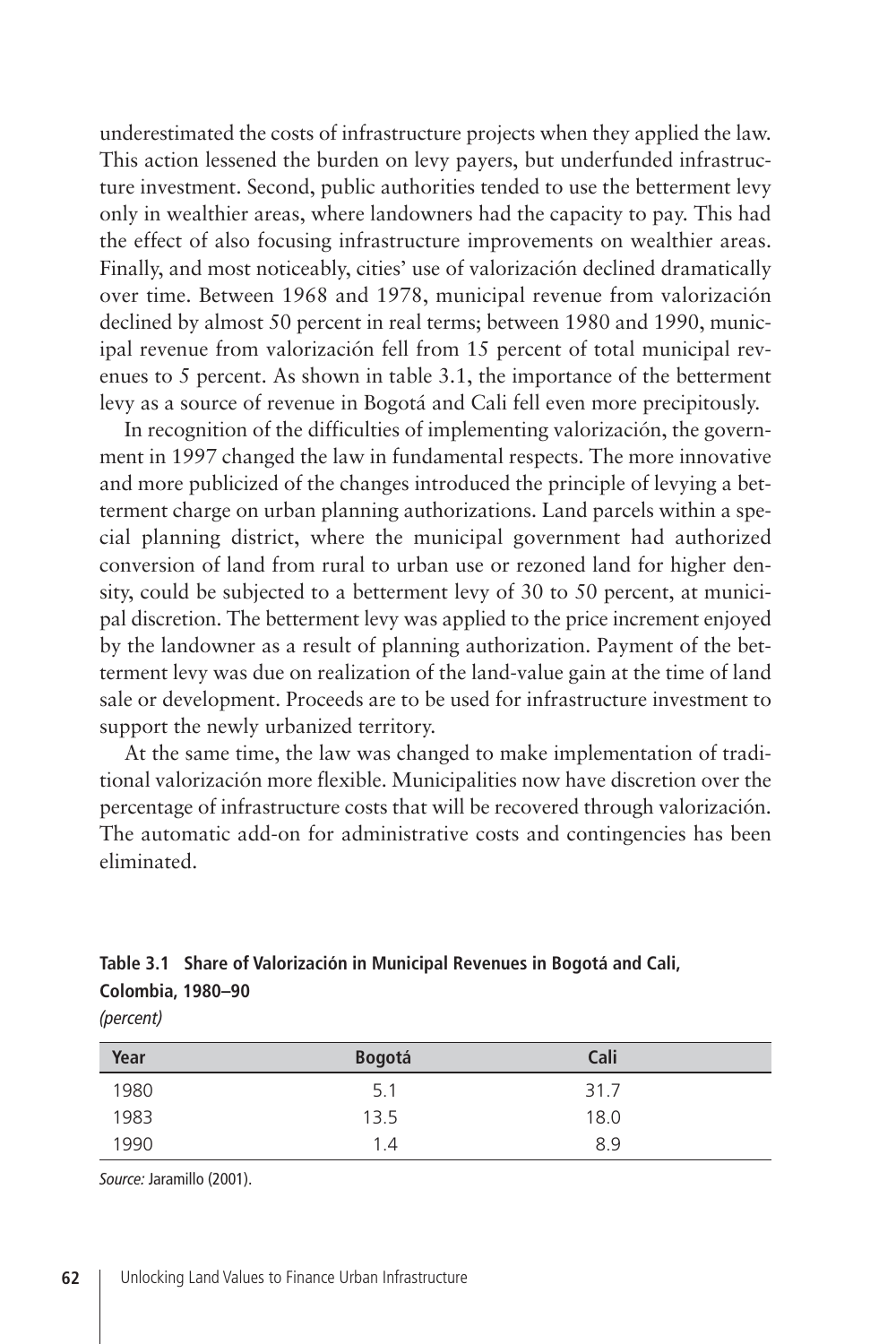underestimated the costs of infrastructure projects when they applied the law. This action lessened the burden on levy payers, but underfunded infrastructure investment. Second, public authorities tended to use the betterment levy only in wealthier areas, where landowners had the capacity to pay. This had the effect of also focusing infrastructure improvements on wealthier areas. Finally, and most noticeably, cities' use of valorización declined dramatically over time. Between 1968 and 1978, municipal revenue from valorización declined by almost 50 percent in real terms; between 1980 and 1990, municipal revenue from valorización fell from 15 percent of total municipal revenues to 5 percent. As shown in table 3.1, the importance of the betterment levy as a source of revenue in Bogotá and Cali fell even more precipitously.

In recognition of the difficulties of implementing valorización, the government in 1997 changed the law in fundamental respects. The more innovative and more publicized of the changes introduced the principle of levying a betterment charge on urban planning authorizations. Land parcels within a special planning district, where the municipal government had authorized conversion of land from rural to urban use or rezoned land for higher density, could be subjected to a betterment levy of 30 to 50 percent, at municipal discretion. The betterment levy was applied to the price increment enjoyed by the landowner as a result of planning authorization. Payment of the betterment levy was due on realization of the land-value gain at the time of land sale or development. Proceeds are to be used for infrastructure investment to support the newly urbanized territory.

At the same time, the law was changed to make implementation of traditional valorización more flexible. Municipalities now have discretion over the percentage of infrastructure costs that will be recovered through valorización. The automatic add-on for administrative costs and contingencies has been eliminated.

# **Table 3.1 Share of Valorización in Municipal Revenues in Bogotá and Cali, Colombia, 1980–90**

| (percent) |  |
|-----------|--|
|-----------|--|

| Year | <b>Bogotá</b> | Cali |  |
|------|---------------|------|--|
| 1980 | 5.1           | 31.7 |  |
| 1983 | 13.5          | 18.0 |  |
| 1990 | 1.4           | 8.9  |  |

Source: Jaramillo (2001).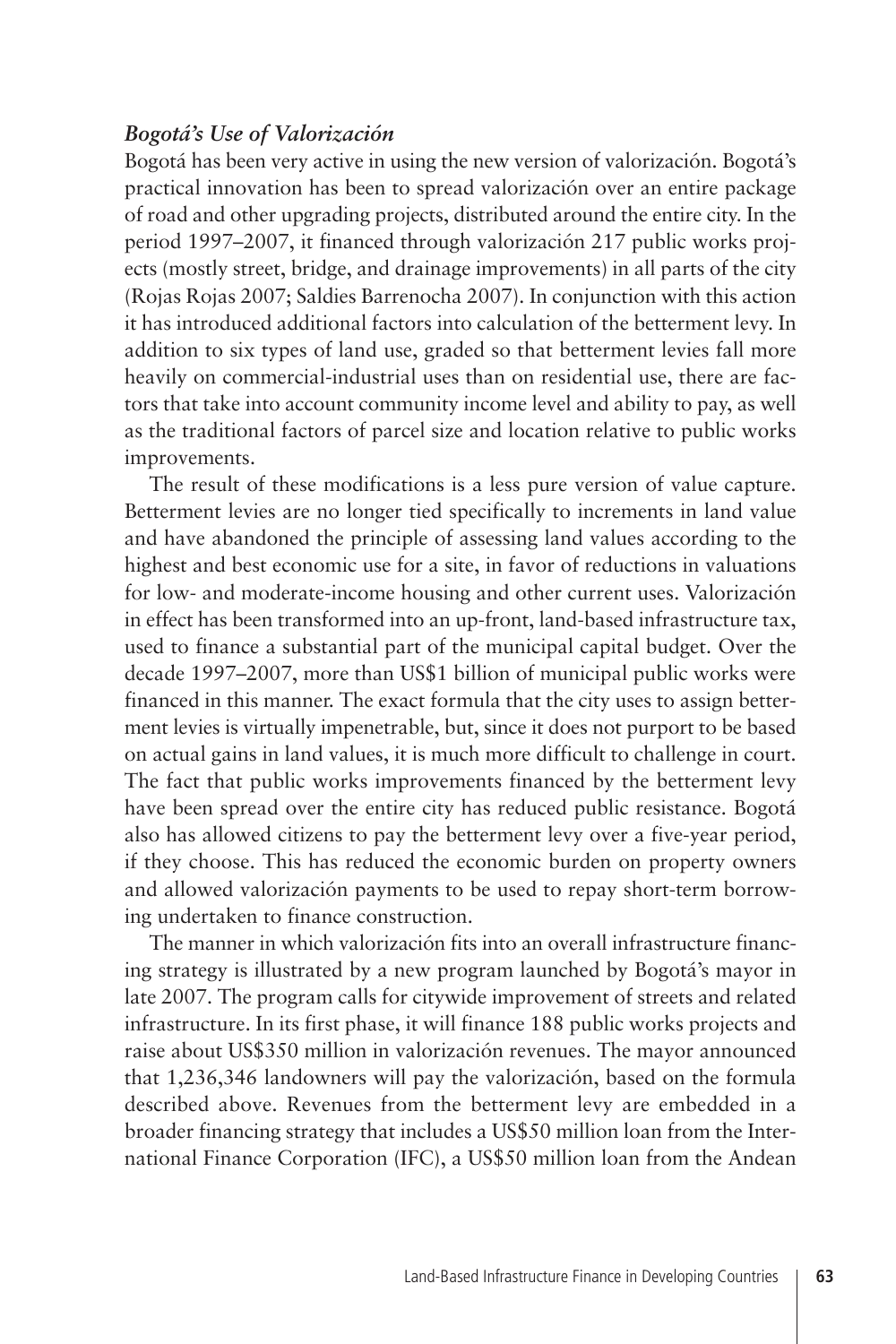# *Bogotá's Use of Valorización*

Bogotá has been very active in using the new version of valorización. Bogotá's practical innovation has been to spread valorización over an entire package of road and other upgrading projects, distributed around the entire city. In the period 1997–2007, it financed through valorización 217 public works projects (mostly street, bridge, and drainage improvements) in all parts of the city (Rojas Rojas 2007; Saldies Barrenocha 2007). In conjunction with this action it has introduced additional factors into calculation of the betterment levy. In addition to six types of land use, graded so that betterment levies fall more heavily on commercial-industrial uses than on residential use, there are factors that take into account community income level and ability to pay, as well as the traditional factors of parcel size and location relative to public works improvements.

The result of these modifications is a less pure version of value capture. Betterment levies are no longer tied specifically to increments in land value and have abandoned the principle of assessing land values according to the highest and best economic use for a site, in favor of reductions in valuations for low- and moderate-income housing and other current uses. Valorización in effect has been transformed into an up-front, land-based infrastructure tax, used to finance a substantial part of the municipal capital budget. Over the decade 1997–2007, more than US\$1 billion of municipal public works were financed in this manner. The exact formula that the city uses to assign betterment levies is virtually impenetrable, but, since it does not purport to be based on actual gains in land values, it is much more difficult to challenge in court. The fact that public works improvements financed by the betterment levy have been spread over the entire city has reduced public resistance. Bogotá also has allowed citizens to pay the betterment levy over a five-year period, if they choose. This has reduced the economic burden on property owners and allowed valorización payments to be used to repay short-term borrowing undertaken to finance construction.

The manner in which valorización fits into an overall infrastructure financing strategy is illustrated by a new program launched by Bogotá's mayor in late 2007. The program calls for citywide improvement of streets and related infrastructure. In its first phase, it will finance 188 public works projects and raise about US\$350 million in valorización revenues. The mayor announced that 1,236,346 landowners will pay the valorización, based on the formula described above. Revenues from the betterment levy are embedded in a broader financing strategy that includes a US\$50 million loan from the International Finance Corporation (IFC), a US\$50 million loan from the Andean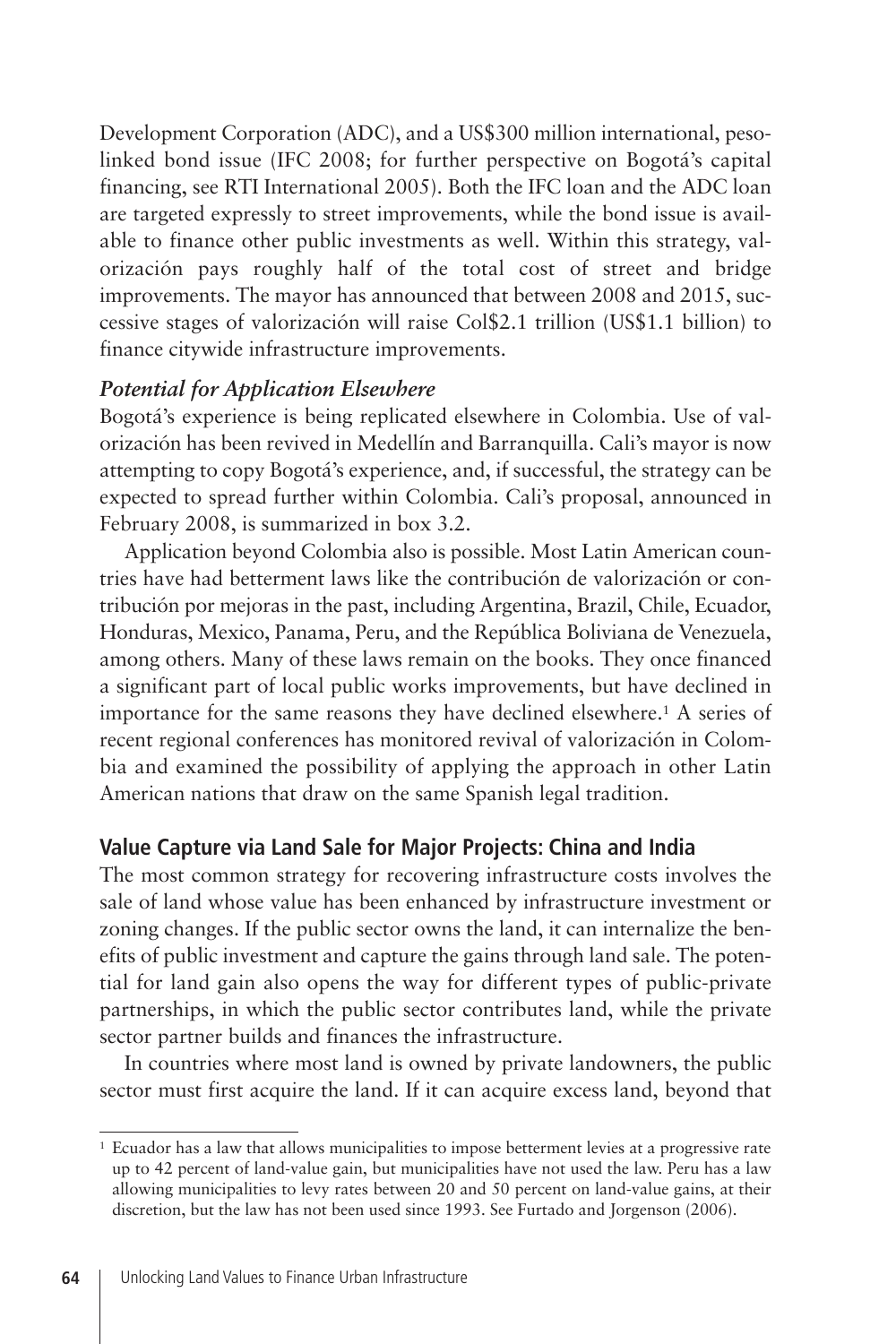Development Corporation (ADC), and a US\$300 million international, pesolinked bond issue (IFC 2008; for further perspective on Bogotá's capital financing, see RTI International 2005). Both the IFC loan and the ADC loan are targeted expressly to street improvements, while the bond issue is available to finance other public investments as well. Within this strategy, valorización pays roughly half of the total cost of street and bridge improvements. The mayor has announced that between 2008 and 2015, successive stages of valorización will raise Col\$2.1 trillion (US\$1.1 billion) to finance citywide infrastructure improvements.

# *Potential for Application Elsewhere*

Bogotá's experience is being replicated elsewhere in Colombia. Use of valorización has been revived in Medellín and Barranquilla. Cali's mayor is now attempting to copy Bogotá's experience, and, if successful, the strategy can be expected to spread further within Colombia. Cali's proposal, announced in February 2008, is summarized in box 3.2.

Application beyond Colombia also is possible. Most Latin American countries have had betterment laws like the contribución de valorización or contribución por mejoras in the past, including Argentina, Brazil, Chile, Ecuador, Honduras, Mexico, Panama, Peru, and the República Boliviana de Venezuela, among others. Many of these laws remain on the books. They once financed a significant part of local public works improvements, but have declined in importance for the same reasons they have declined elsewhere.<sup>1</sup> A series of recent regional conferences has monitored revival of valorización in Colombia and examined the possibility of applying the approach in other Latin American nations that draw on the same Spanish legal tradition.

# **Value Capture via Land Sale for Major Projects: China and India**

The most common strategy for recovering infrastructure costs involves the sale of land whose value has been enhanced by infrastructure investment or zoning changes. If the public sector owns the land, it can internalize the benefits of public investment and capture the gains through land sale. The potential for land gain also opens the way for different types of public-private partnerships, in which the public sector contributes land, while the private sector partner builds and finances the infrastructure.

In countries where most land is owned by private landowners, the public sector must first acquire the land. If it can acquire excess land, beyond that

<sup>&</sup>lt;sup>1</sup> Ecuador has a law that allows municipalities to impose betterment levies at a progressive rate up to 42 percent of land-value gain, but municipalities have not used the law. Peru has a law allowing municipalities to levy rates between 20 and 50 percent on land-value gains, at their discretion, but the law has not been used since 1993. See Furtado and Jorgenson (2006).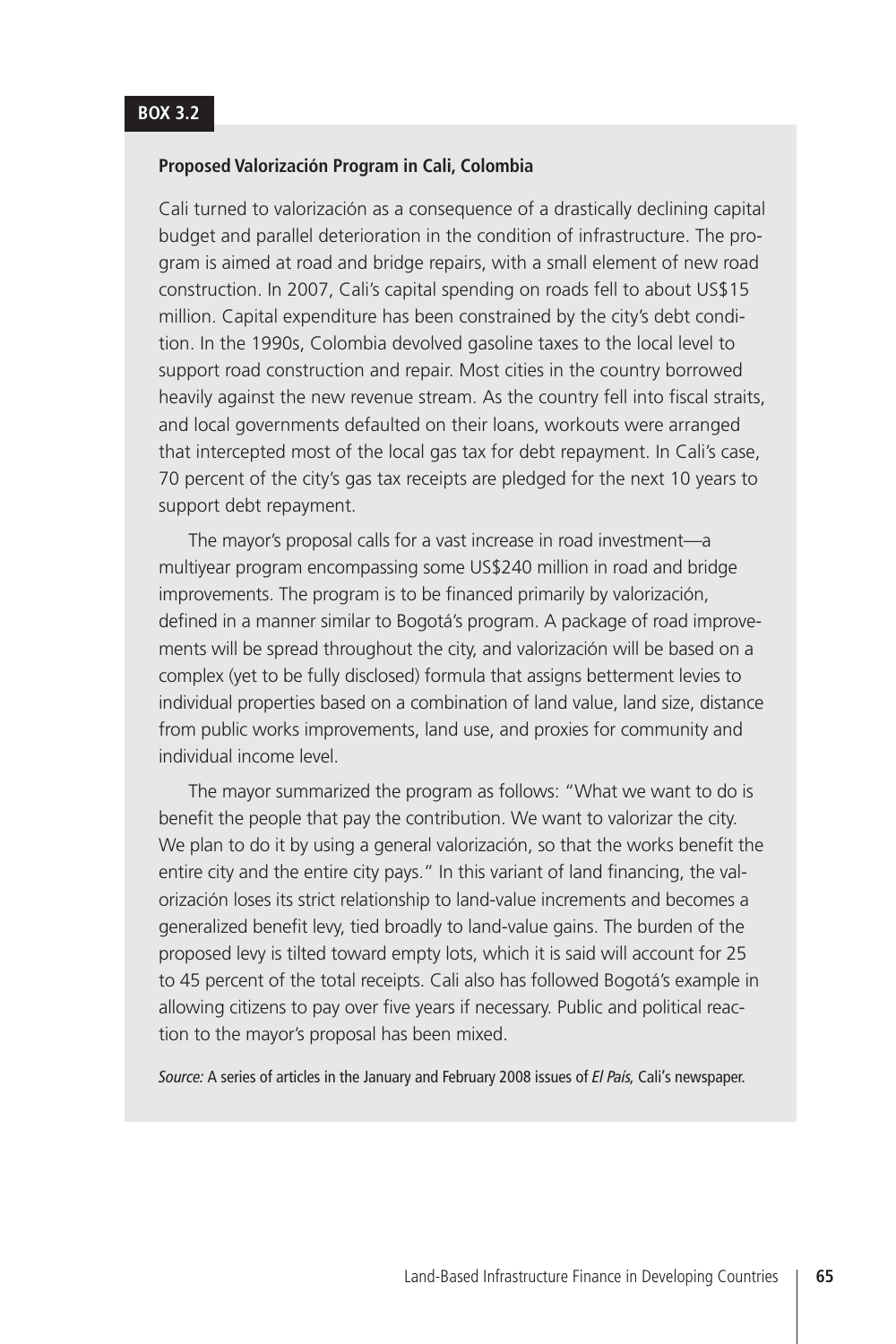#### **Proposed Valorización Program in Cali, Colombia**

Cali turned to valorización as a consequence of a drastically declining capital budget and parallel deterioration in the condition of infrastructure. The program is aimed at road and bridge repairs, with a small element of new road construction. In 2007, Cali's capital spending on roads fell to about US\$15 million. Capital expenditure has been constrained by the city's debt condition. In the 1990s, Colombia devolved gasoline taxes to the local level to support road construction and repair. Most cities in the country borrowed heavily against the new revenue stream. As the country fell into fiscal straits, and local governments defaulted on their loans, workouts were arranged that intercepted most of the local gas tax for debt repayment. In Cali's case, 70 percent of the city's gas tax receipts are pledged for the next 10 years to support debt repayment.

The mayor's proposal calls for a vast increase in road investment—a multiyear program encompassing some US\$240 million in road and bridge improvements. The program is to be financed primarily by valorización, defined in a manner similar to Bogotá's program. A package of road improvements will be spread throughout the city, and valorización will be based on a complex (yet to be fully disclosed) formula that assigns betterment levies to individual properties based on a combination of land value, land size, distance from public works improvements, land use, and proxies for community and individual income level.

The mayor summarized the program as follows: "What we want to do is benefit the people that pay the contribution. We want to valorizar the city. We plan to do it by using a general valorización, so that the works benefit the entire city and the entire city pays." In this variant of land financing, the valorización loses its strict relationship to land-value increments and becomes a generalized benefit levy, tied broadly to land-value gains. The burden of the proposed levy is tilted toward empty lots, which it is said will account for 25 to 45 percent of the total receipts. Cali also has followed Bogotá's example in allowing citizens to pay over five years if necessary. Public and political reaction to the mayor's proposal has been mixed.

Source: A series of articles in the January and February 2008 issues of El País, Cali's newspaper.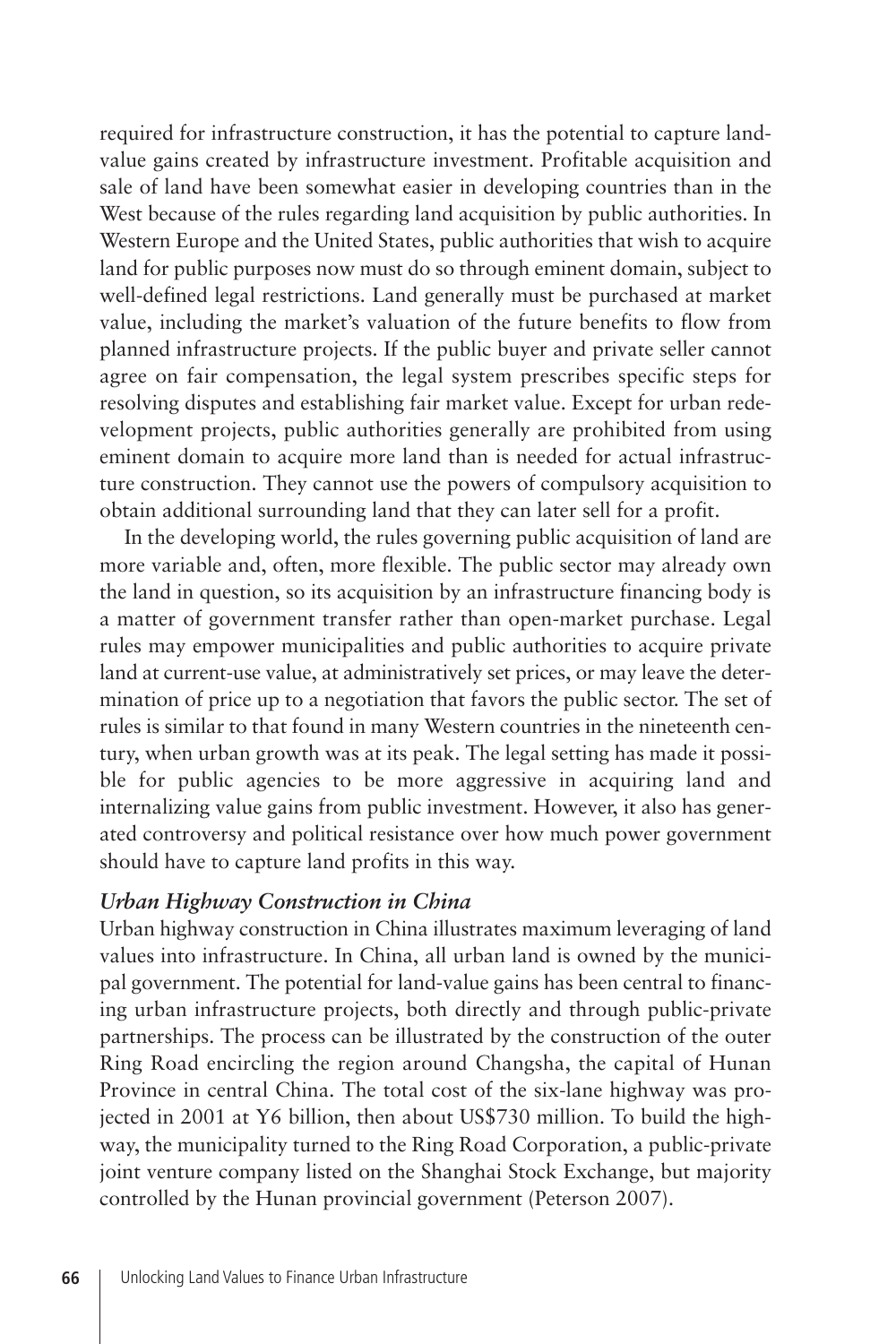required for infrastructure construction, it has the potential to capture landvalue gains created by infrastructure investment. Profitable acquisition and sale of land have been somewhat easier in developing countries than in the West because of the rules regarding land acquisition by public authorities. In Western Europe and the United States, public authorities that wish to acquire land for public purposes now must do so through eminent domain, subject to well-defined legal restrictions. Land generally must be purchased at market value, including the market's valuation of the future benefits to flow from planned infrastructure projects. If the public buyer and private seller cannot agree on fair compensation, the legal system prescribes specific steps for resolving disputes and establishing fair market value. Except for urban redevelopment projects, public authorities generally are prohibited from using eminent domain to acquire more land than is needed for actual infrastructure construction. They cannot use the powers of compulsory acquisition to obtain additional surrounding land that they can later sell for a profit.

In the developing world, the rules governing public acquisition of land are more variable and, often, more flexible. The public sector may already own the land in question, so its acquisition by an infrastructure financing body is a matter of government transfer rather than open-market purchase. Legal rules may empower municipalities and public authorities to acquire private land at current-use value, at administratively set prices, or may leave the determination of price up to a negotiation that favors the public sector. The set of rules is similar to that found in many Western countries in the nineteenth century, when urban growth was at its peak. The legal setting has made it possible for public agencies to be more aggressive in acquiring land and internalizing value gains from public investment. However, it also has generated controversy and political resistance over how much power government should have to capture land profits in this way.

#### *Urban Highway Construction in China*

Urban highway construction in China illustrates maximum leveraging of land values into infrastructure. In China, all urban land is owned by the municipal government. The potential for land-value gains has been central to financing urban infrastructure projects, both directly and through public-private partnerships. The process can be illustrated by the construction of the outer Ring Road encircling the region around Changsha, the capital of Hunan Province in central China. The total cost of the six-lane highway was projected in 2001 at Y6 billion, then about US\$730 million. To build the highway, the municipality turned to the Ring Road Corporation, a public-private joint venture company listed on the Shanghai Stock Exchange, but majority controlled by the Hunan provincial government (Peterson 2007).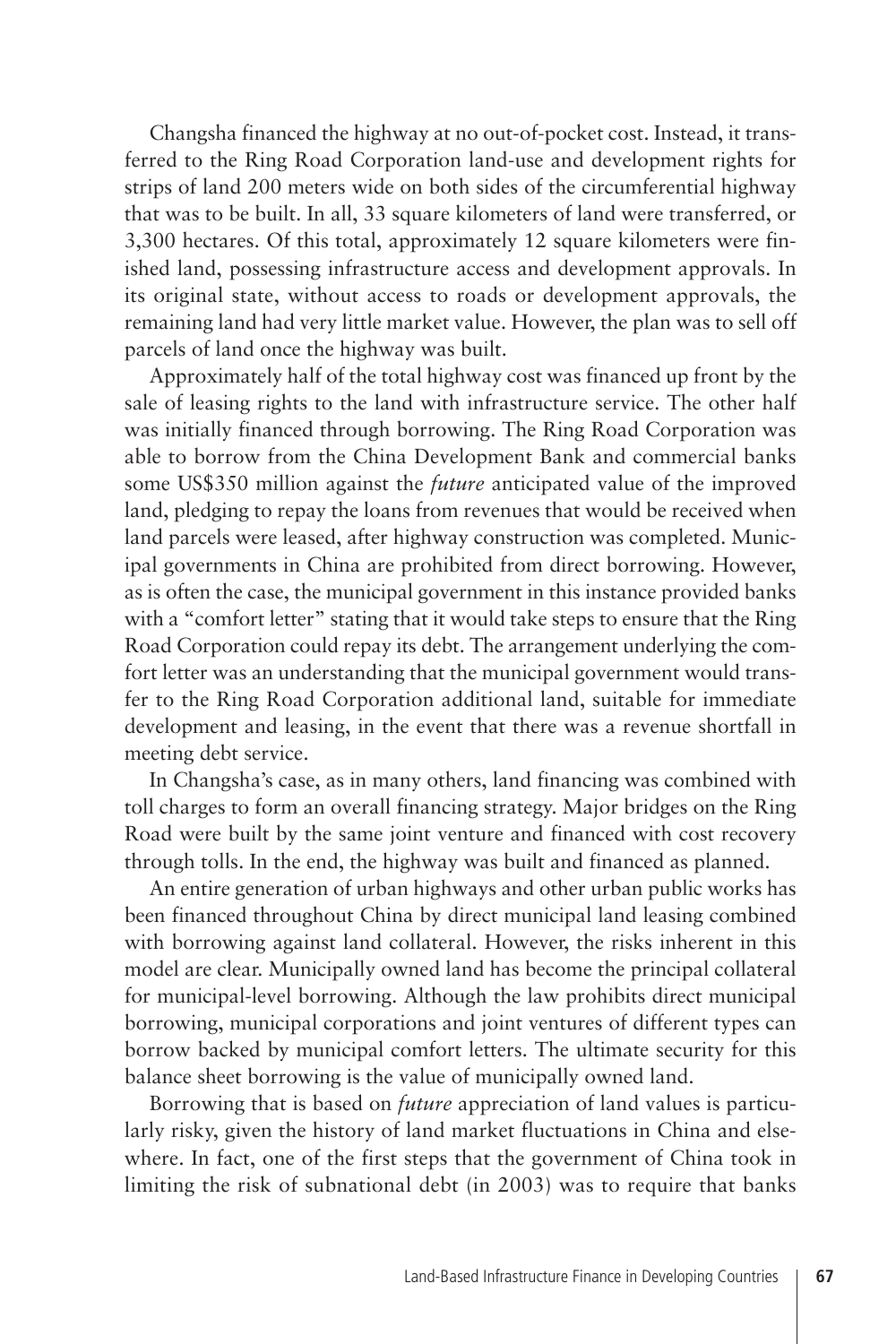Changsha financed the highway at no out-of-pocket cost. Instead, it transferred to the Ring Road Corporation land-use and development rights for strips of land 200 meters wide on both sides of the circumferential highway that was to be built. In all, 33 square kilometers of land were transferred, or 3,300 hectares. Of this total, approximately 12 square kilometers were finished land, possessing infrastructure access and development approvals. In its original state, without access to roads or development approvals, the remaining land had very little market value. However, the plan was to sell off parcels of land once the highway was built.

Approximately half of the total highway cost was financed up front by the sale of leasing rights to the land with infrastructure service. The other half was initially financed through borrowing. The Ring Road Corporation was able to borrow from the China Development Bank and commercial banks some US\$350 million against the *future* anticipated value of the improved land, pledging to repay the loans from revenues that would be received when land parcels were leased, after highway construction was completed. Municipal governments in China are prohibited from direct borrowing. However, as is often the case, the municipal government in this instance provided banks with a "comfort letter" stating that it would take steps to ensure that the Ring Road Corporation could repay its debt. The arrangement underlying the comfort letter was an understanding that the municipal government would transfer to the Ring Road Corporation additional land, suitable for immediate development and leasing, in the event that there was a revenue shortfall in meeting debt service.

In Changsha's case, as in many others, land financing was combined with toll charges to form an overall financing strategy. Major bridges on the Ring Road were built by the same joint venture and financed with cost recovery through tolls. In the end, the highway was built and financed as planned.

An entire generation of urban highways and other urban public works has been financed throughout China by direct municipal land leasing combined with borrowing against land collateral. However, the risks inherent in this model are clear. Municipally owned land has become the principal collateral for municipal-level borrowing. Although the law prohibits direct municipal borrowing, municipal corporations and joint ventures of different types can borrow backed by municipal comfort letters. The ultimate security for this balance sheet borrowing is the value of municipally owned land.

Borrowing that is based on *future* appreciation of land values is particularly risky, given the history of land market fluctuations in China and elsewhere. In fact, one of the first steps that the government of China took in limiting the risk of subnational debt (in 2003) was to require that banks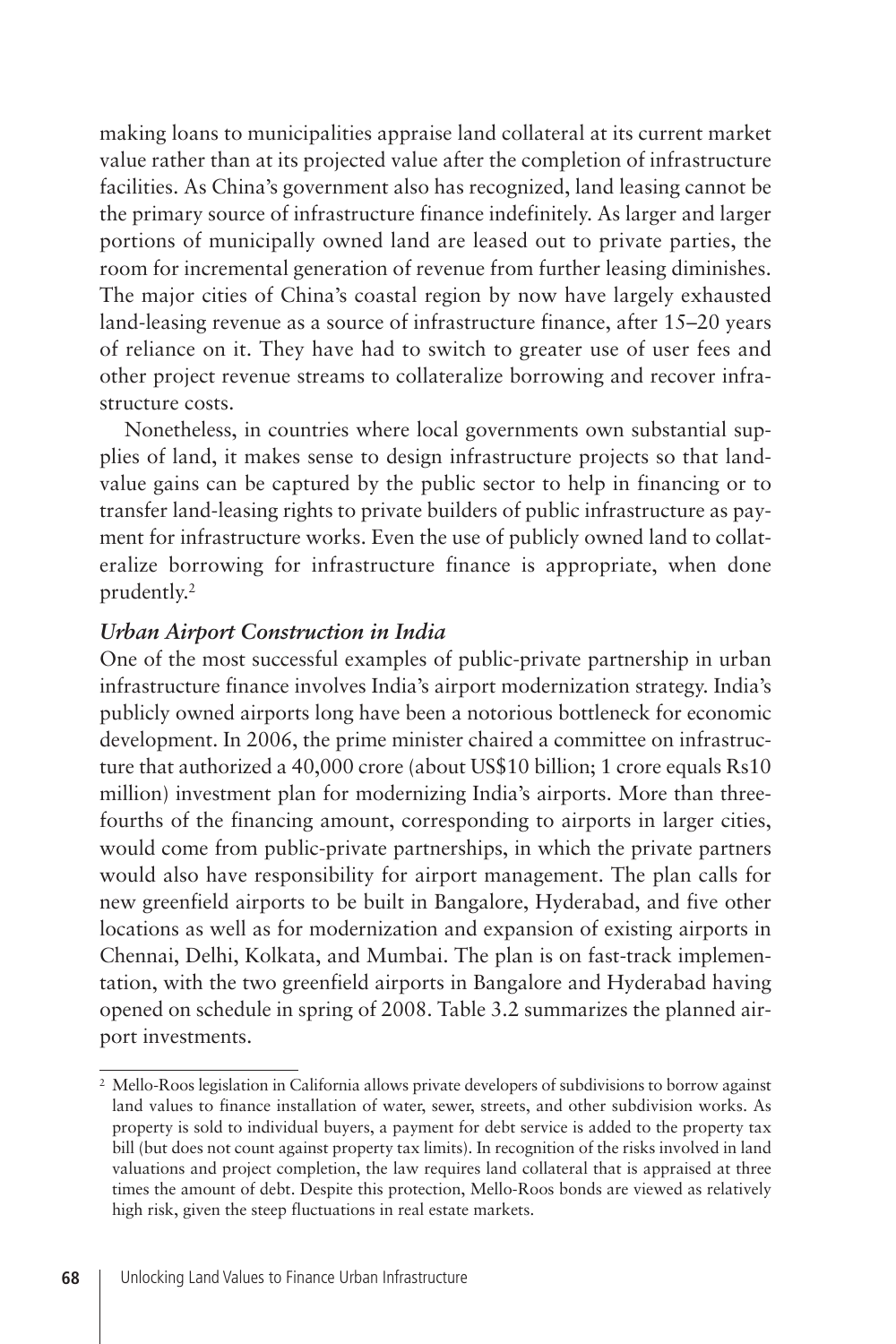making loans to municipalities appraise land collateral at its current market value rather than at its projected value after the completion of infrastructure facilities. As China's government also has recognized, land leasing cannot be the primary source of infrastructure finance indefinitely. As larger and larger portions of municipally owned land are leased out to private parties, the room for incremental generation of revenue from further leasing diminishes. The major cities of China's coastal region by now have largely exhausted land-leasing revenue as a source of infrastructure finance, after 15–20 years of reliance on it. They have had to switch to greater use of user fees and other project revenue streams to collateralize borrowing and recover infrastructure costs.

Nonetheless, in countries where local governments own substantial supplies of land, it makes sense to design infrastructure projects so that landvalue gains can be captured by the public sector to help in financing or to transfer land-leasing rights to private builders of public infrastructure as payment for infrastructure works. Even the use of publicly owned land to collateralize borrowing for infrastructure finance is appropriate, when done prudently.2

# *Urban Airport Construction in India*

One of the most successful examples of public-private partnership in urban infrastructure finance involves India's airport modernization strategy. India's publicly owned airports long have been a notorious bottleneck for economic development. In 2006, the prime minister chaired a committee on infrastructure that authorized a 40,000 crore (about US\$10 billion; 1 crore equals Rs10 million) investment plan for modernizing India's airports. More than threefourths of the financing amount, corresponding to airports in larger cities, would come from public-private partnerships, in which the private partners would also have responsibility for airport management. The plan calls for new greenfield airports to be built in Bangalore, Hyderabad, and five other locations as well as for modernization and expansion of existing airports in Chennai, Delhi, Kolkata, and Mumbai. The plan is on fast-track implementation, with the two greenfield airports in Bangalore and Hyderabad having opened on schedule in spring of 2008. Table 3.2 summarizes the planned airport investments.

<sup>2</sup> Mello-Roos legislation in California allows private developers of subdivisions to borrow against land values to finance installation of water, sewer, streets, and other subdivision works. As property is sold to individual buyers, a payment for debt service is added to the property tax bill (but does not count against property tax limits). In recognition of the risks involved in land valuations and project completion, the law requires land collateral that is appraised at three times the amount of debt. Despite this protection, Mello-Roos bonds are viewed as relatively high risk, given the steep fluctuations in real estate markets.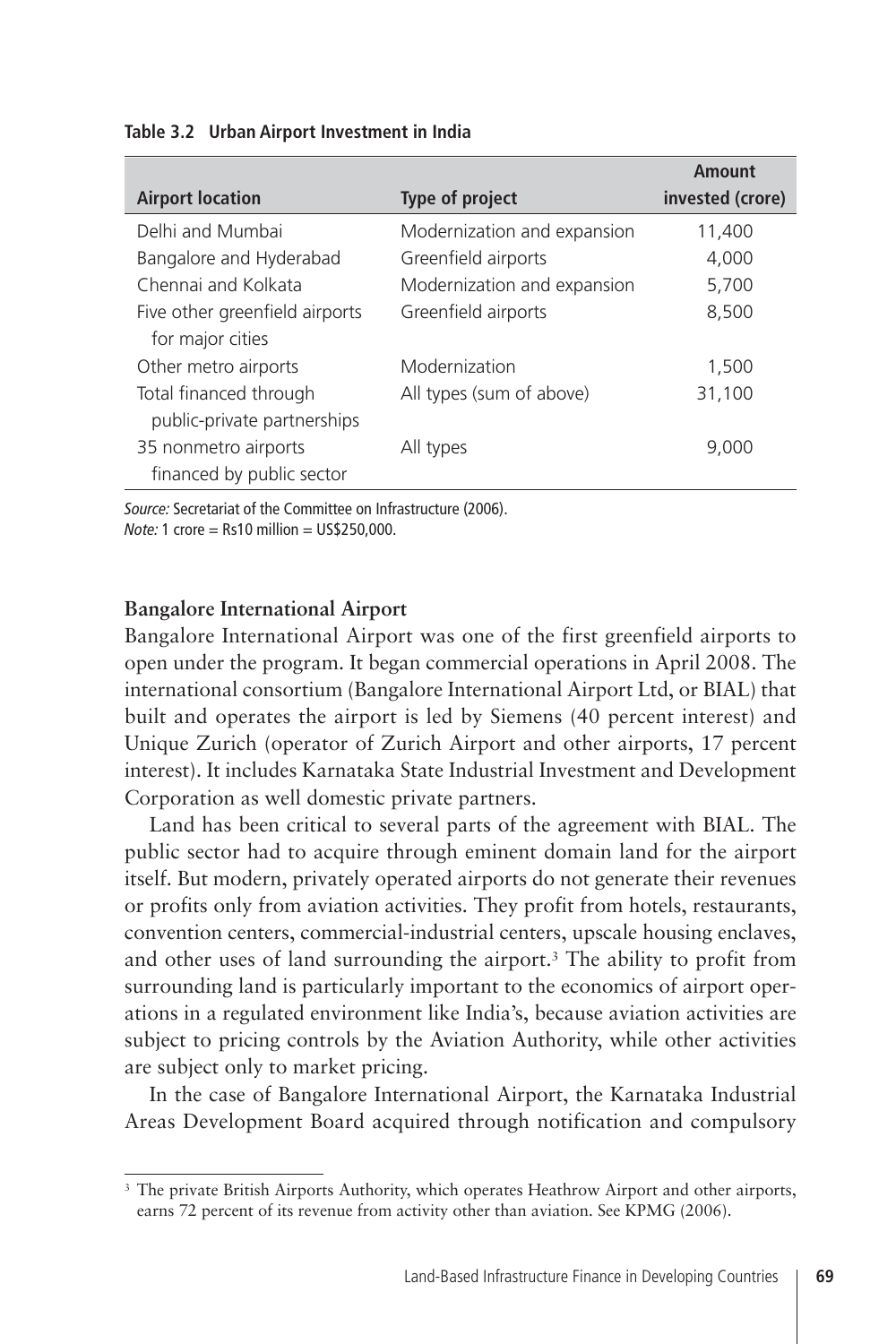|                                |                             | Amount           |
|--------------------------------|-----------------------------|------------------|
| <b>Airport location</b>        | <b>Type of project</b>      | invested (crore) |
| Delhi and Mumbai               | Modernization and expansion | 11,400           |
| Bangalore and Hyderabad        | Greenfield airports         | 4,000            |
| Chennai and Kolkata            | Modernization and expansion | 5,700            |
| Five other greenfield airports | Greenfield airports         | 8,500            |
| for major cities               |                             |                  |
| Other metro airports           | Modernization               | 1.500            |
| Total financed through         | All types (sum of above)    | 31,100           |
| public-private partnerships    |                             |                  |
| 35 nonmetro airports           | All types                   | 9.000            |
| financed by public sector      |                             |                  |

#### **Table 3.2 Urban Airport Investment in India**

Source: Secretariat of the Committee on Infrastructure (2006).

 $Note: 1$  crore = Rs10 million = US\$250,000.

#### **Bangalore International Airport**

Bangalore International Airport was one of the first greenfield airports to open under the program. It began commercial operations in April 2008. The international consortium (Bangalore International Airport Ltd, or BIAL) that built and operates the airport is led by Siemens (40 percent interest) and Unique Zurich (operator of Zurich Airport and other airports, 17 percent interest). It includes Karnataka State Industrial Investment and Development Corporation as well domestic private partners.

Land has been critical to several parts of the agreement with BIAL. The public sector had to acquire through eminent domain land for the airport itself. But modern, privately operated airports do not generate their revenues or profits only from aviation activities. They profit from hotels, restaurants, convention centers, commercial-industrial centers, upscale housing enclaves, and other uses of land surrounding the airport.<sup>3</sup> The ability to profit from surrounding land is particularly important to the economics of airport operations in a regulated environment like India's, because aviation activities are subject to pricing controls by the Aviation Authority, while other activities are subject only to market pricing.

In the case of Bangalore International Airport, the Karnataka Industrial Areas Development Board acquired through notification and compulsory

<sup>&</sup>lt;sup>3</sup> The private British Airports Authority, which operates Heathrow Airport and other airports, earns 72 percent of its revenue from activity other than aviation. See KPMG (2006).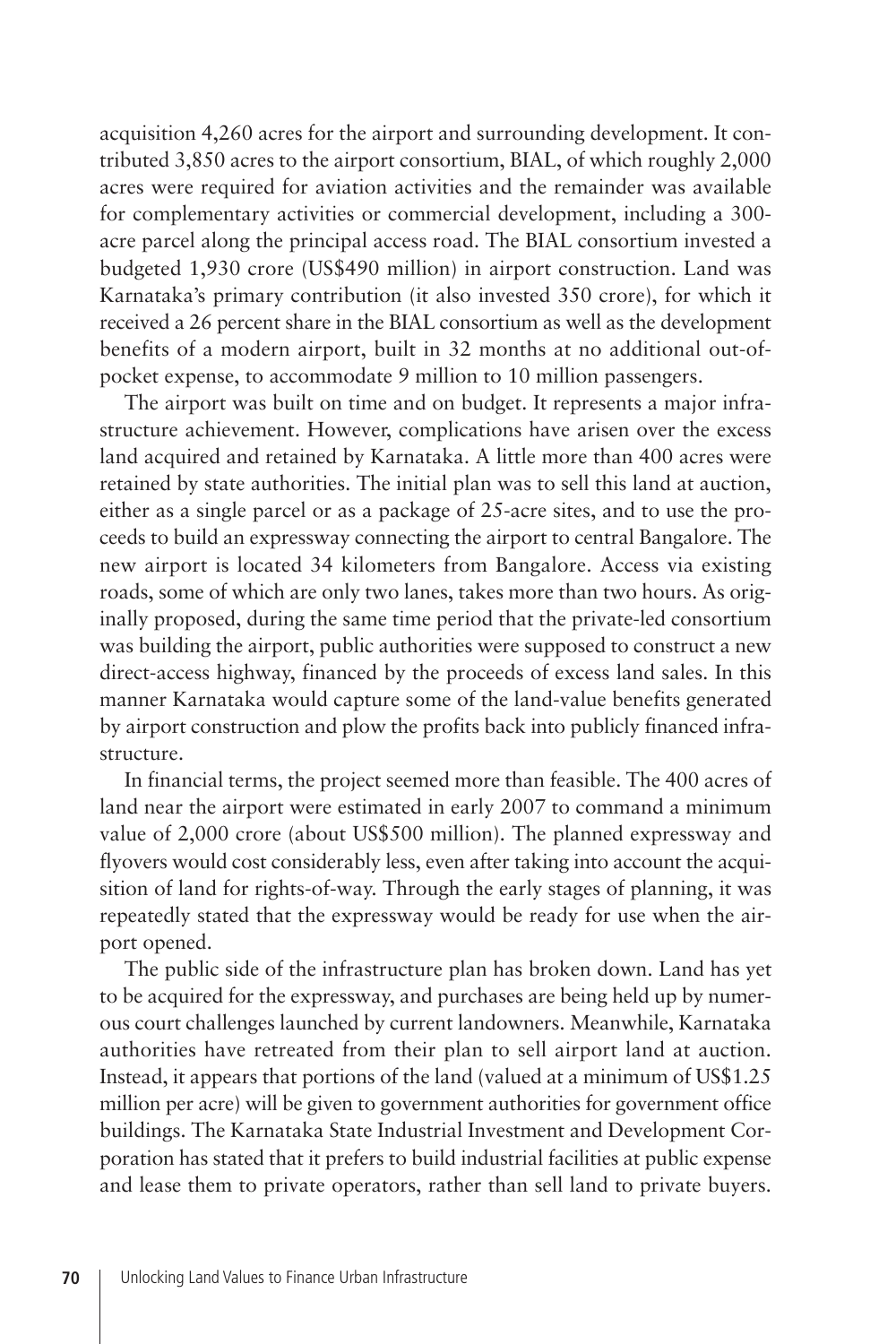acquisition 4,260 acres for the airport and surrounding development. It contributed 3,850 acres to the airport consortium, BIAL, of which roughly 2,000 acres were required for aviation activities and the remainder was available for complementary activities or commercial development, including a 300 acre parcel along the principal access road. The BIAL consortium invested a budgeted 1,930 crore (US\$490 million) in airport construction. Land was Karnataka's primary contribution (it also invested 350 crore), for which it received a 26 percent share in the BIAL consortium as well as the development benefits of a modern airport, built in 32 months at no additional out-ofpocket expense, to accommodate 9 million to 10 million passengers.

The airport was built on time and on budget. It represents a major infrastructure achievement. However, complications have arisen over the excess land acquired and retained by Karnataka. A little more than 400 acres were retained by state authorities. The initial plan was to sell this land at auction, either as a single parcel or as a package of 25-acre sites, and to use the proceeds to build an expressway connecting the airport to central Bangalore. The new airport is located 34 kilometers from Bangalore. Access via existing roads, some of which are only two lanes, takes more than two hours. As originally proposed, during the same time period that the private-led consortium was building the airport, public authorities were supposed to construct a new direct-access highway, financed by the proceeds of excess land sales. In this manner Karnataka would capture some of the land-value benefits generated by airport construction and plow the profits back into publicly financed infrastructure.

In financial terms, the project seemed more than feasible. The 400 acres of land near the airport were estimated in early 2007 to command a minimum value of 2,000 crore (about US\$500 million). The planned expressway and flyovers would cost considerably less, even after taking into account the acquisition of land for rights-of-way. Through the early stages of planning, it was repeatedly stated that the expressway would be ready for use when the airport opened.

The public side of the infrastructure plan has broken down. Land has yet to be acquired for the expressway, and purchases are being held up by numerous court challenges launched by current landowners. Meanwhile, Karnataka authorities have retreated from their plan to sell airport land at auction. Instead, it appears that portions of the land (valued at a minimum of US\$1.25 million per acre) will be given to government authorities for government office buildings. The Karnataka State Industrial Investment and Development Corporation has stated that it prefers to build industrial facilities at public expense and lease them to private operators, rather than sell land to private buyers.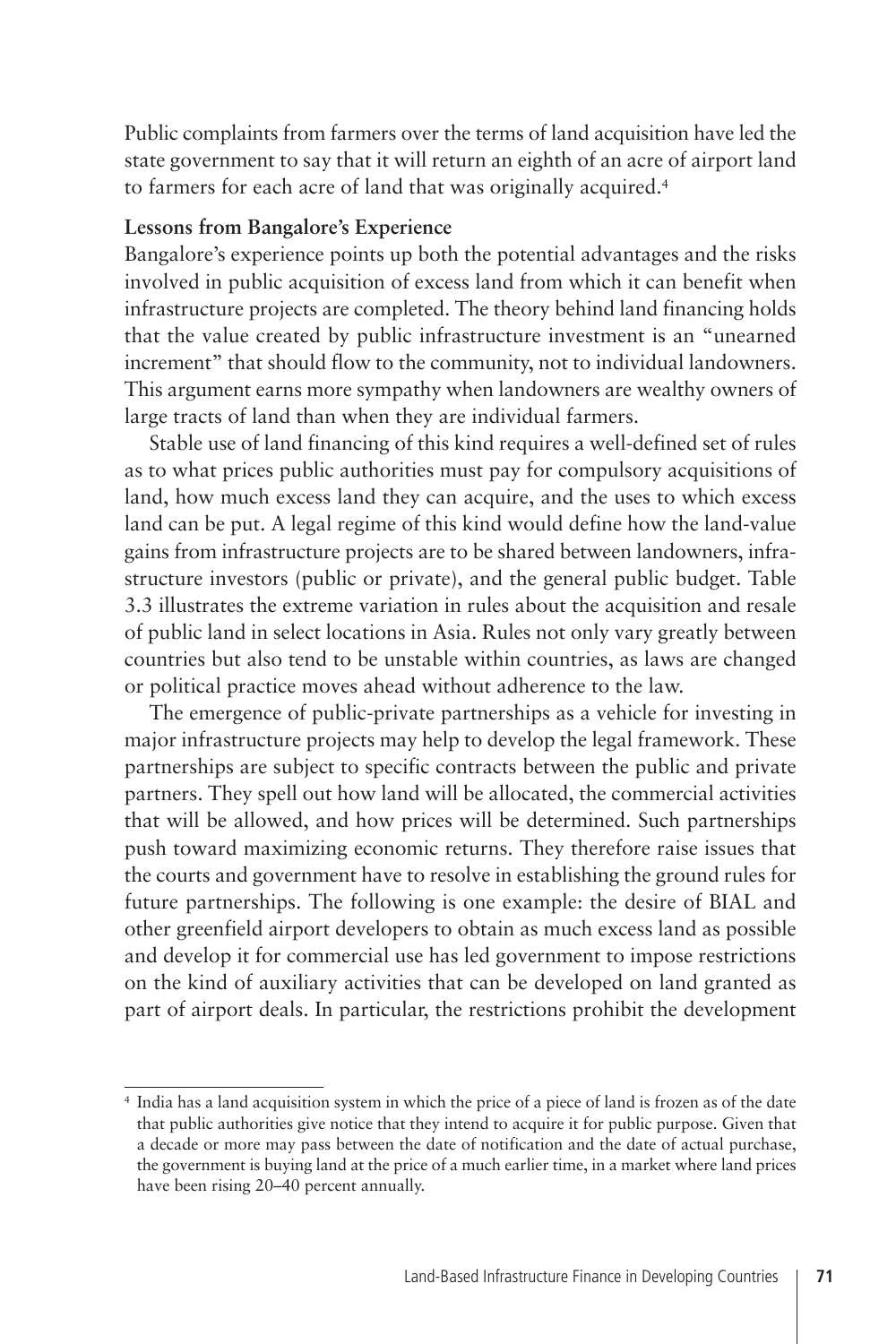Public complaints from farmers over the terms of land acquisition have led the state government to say that it will return an eighth of an acre of airport land to farmers for each acre of land that was originally acquired.4

### **Lessons from Bangalore's Experience**

Bangalore's experience points up both the potential advantages and the risks involved in public acquisition of excess land from which it can benefit when infrastructure projects are completed. The theory behind land financing holds that the value created by public infrastructure investment is an "unearned increment" that should flow to the community, not to individual landowners. This argument earns more sympathy when landowners are wealthy owners of large tracts of land than when they are individual farmers.

Stable use of land financing of this kind requires a well-defined set of rules as to what prices public authorities must pay for compulsory acquisitions of land, how much excess land they can acquire, and the uses to which excess land can be put. A legal regime of this kind would define how the land-value gains from infrastructure projects are to be shared between landowners, infrastructure investors (public or private), and the general public budget. Table 3.3 illustrates the extreme variation in rules about the acquisition and resale of public land in select locations in Asia. Rules not only vary greatly between countries but also tend to be unstable within countries, as laws are changed or political practice moves ahead without adherence to the law.

The emergence of public-private partnerships as a vehicle for investing in major infrastructure projects may help to develop the legal framework. These partnerships are subject to specific contracts between the public and private partners. They spell out how land will be allocated, the commercial activities that will be allowed, and how prices will be determined. Such partnerships push toward maximizing economic returns. They therefore raise issues that the courts and government have to resolve in establishing the ground rules for future partnerships. The following is one example: the desire of BIAL and other greenfield airport developers to obtain as much excess land as possible and develop it for commercial use has led government to impose restrictions on the kind of auxiliary activities that can be developed on land granted as part of airport deals. In particular, the restrictions prohibit the development

<sup>4</sup> India has a land acquisition system in which the price of a piece of land is frozen as of the date that public authorities give notice that they intend to acquire it for public purpose. Given that a decade or more may pass between the date of notification and the date of actual purchase, the government is buying land at the price of a much earlier time, in a market where land prices have been rising 20–40 percent annually.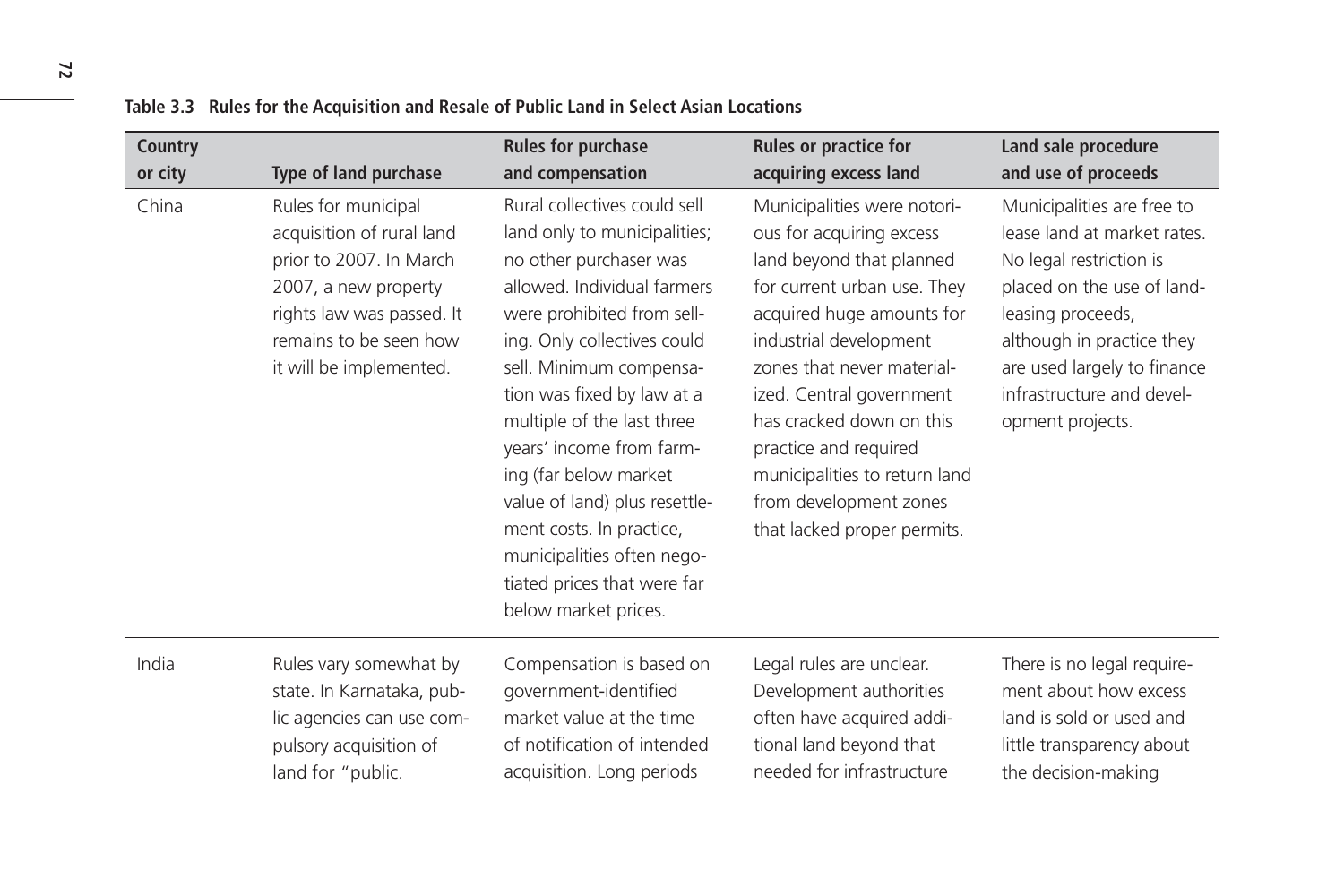| <b>Country</b> |                                                                                                                                                                                       | <b>Rules for purchase</b>                                                                                                                                                                                                                                                                                                                                                                                                                                                        | <b>Rules or practice for</b>                                                                                                                                                                                                                                                                                                                                                       | Land sale procedure                                                                                                                                                                                                                                  |
|----------------|---------------------------------------------------------------------------------------------------------------------------------------------------------------------------------------|----------------------------------------------------------------------------------------------------------------------------------------------------------------------------------------------------------------------------------------------------------------------------------------------------------------------------------------------------------------------------------------------------------------------------------------------------------------------------------|------------------------------------------------------------------------------------------------------------------------------------------------------------------------------------------------------------------------------------------------------------------------------------------------------------------------------------------------------------------------------------|------------------------------------------------------------------------------------------------------------------------------------------------------------------------------------------------------------------------------------------------------|
| or city        | <b>Type of land purchase</b>                                                                                                                                                          | and compensation                                                                                                                                                                                                                                                                                                                                                                                                                                                                 | acquiring excess land                                                                                                                                                                                                                                                                                                                                                              | and use of proceeds                                                                                                                                                                                                                                  |
| China          | Rules for municipal<br>acquisition of rural land<br>prior to 2007. In March<br>2007, a new property<br>rights law was passed. It<br>remains to be seen how<br>it will be implemented. | Rural collectives could sell<br>land only to municipalities;<br>no other purchaser was<br>allowed. Individual farmers<br>were prohibited from sell-<br>ing. Only collectives could<br>sell. Minimum compensa-<br>tion was fixed by law at a<br>multiple of the last three<br>years' income from farm-<br>ing (far below market<br>value of land) plus resettle-<br>ment costs. In practice,<br>municipalities often nego-<br>tiated prices that were far<br>below market prices. | Municipalities were notori-<br>ous for acquiring excess<br>land beyond that planned<br>for current urban use. They<br>acquired huge amounts for<br>industrial development<br>zones that never material-<br>ized. Central government<br>has cracked down on this<br>practice and required<br>municipalities to return land<br>from development zones<br>that lacked proper permits. | Municipalities are free to<br>lease land at market rates.<br>No legal restriction is<br>placed on the use of land-<br>leasing proceeds,<br>although in practice they<br>are used largely to finance<br>infrastructure and devel-<br>opment projects. |
| India          | Rules vary somewhat by<br>state. In Karnataka, pub-<br>lic agencies can use com-<br>pulsory acquisition of<br>land for "public.                                                       | Compensation is based on<br>government-identified<br>market value at the time<br>of notification of intended<br>acquisition. Long periods                                                                                                                                                                                                                                                                                                                                        | Legal rules are unclear.<br>Development authorities<br>often have acquired addi-<br>tional land beyond that<br>needed for infrastructure                                                                                                                                                                                                                                           | There is no legal require-<br>ment about how excess<br>land is sold or used and<br>little transparency about<br>the decision-making                                                                                                                  |

**Table 3.3 Rules for the Acquisition and Resale of Public Land in Select Asian Locations**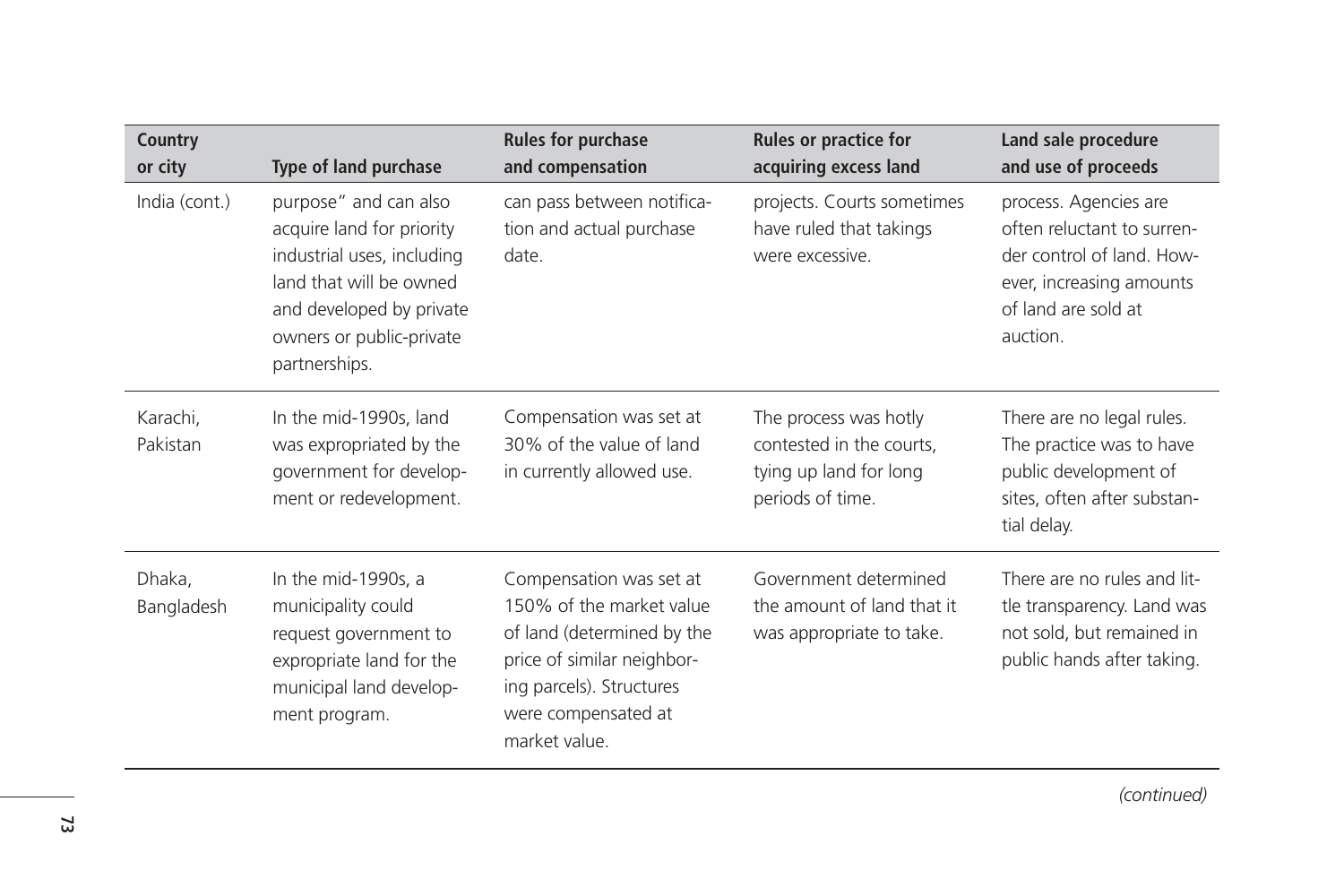| Country<br>or city   | Type of land purchase                                                                                                                                                                | <b>Rules for purchase</b><br>and compensation                                                                                                                                       | Rules or practice for<br>acquiring excess land                                                  | Land sale procedure<br>and use of proceeds                                                                                                      |
|----------------------|--------------------------------------------------------------------------------------------------------------------------------------------------------------------------------------|-------------------------------------------------------------------------------------------------------------------------------------------------------------------------------------|-------------------------------------------------------------------------------------------------|-------------------------------------------------------------------------------------------------------------------------------------------------|
| India (cont.)        | purpose" and can also<br>acquire land for priority<br>industrial uses, including<br>land that will be owned<br>and developed by private<br>owners or public-private<br>partnerships. | can pass between notifica-<br>tion and actual purchase<br>date.                                                                                                                     | projects. Courts sometimes<br>have ruled that takings<br>were excessive.                        | process. Agencies are<br>often reluctant to surren-<br>der control of land. How-<br>ever, increasing amounts<br>of land are sold at<br>auction. |
| Karachi,<br>Pakistan | In the mid-1990s, land<br>was expropriated by the<br>government for develop-<br>ment or redevelopment.                                                                               | Compensation was set at<br>30% of the value of land<br>in currently allowed use.                                                                                                    | The process was hotly<br>contested in the courts,<br>tying up land for long<br>periods of time. | There are no legal rules.<br>The practice was to have<br>public development of<br>sites, often after substan-<br>tial delay.                    |
| Dhaka,<br>Bangladesh | In the mid-1990s, a<br>municipality could<br>request government to<br>expropriate land for the<br>municipal land develop-<br>ment program.                                           | Compensation was set at<br>150% of the market value<br>of land (determined by the<br>price of similar neighbor-<br>ing parcels). Structures<br>were compensated at<br>market value. | Government determined<br>the amount of land that it<br>was appropriate to take.                 | There are no rules and lit-<br>tle transparency. Land was<br>not sold, but remained in<br>public hands after taking.                            |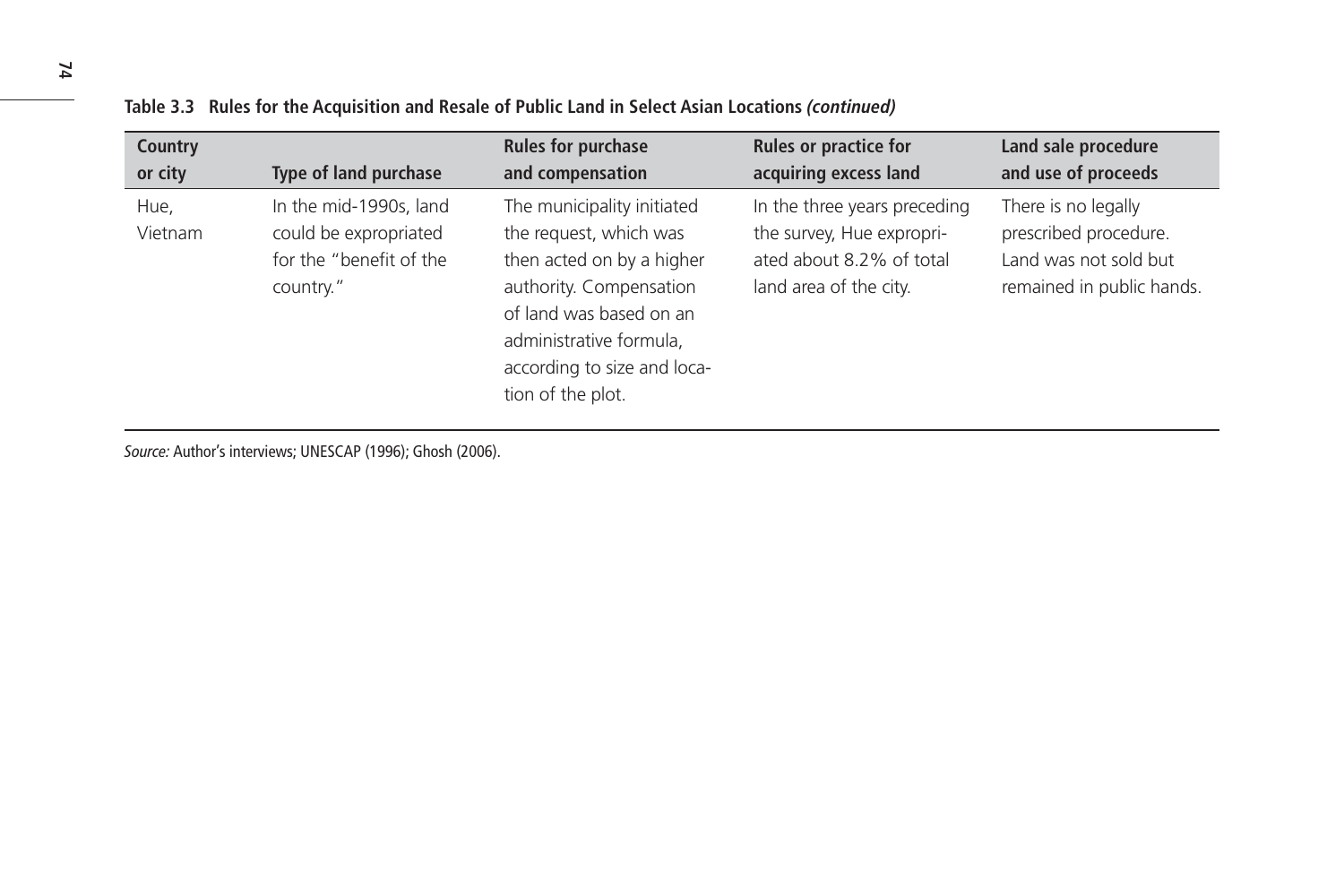| Country         | Type of land purchase                                                                   | <b>Rules for purchase</b>                                                                                                                                                                                              | <b>Rules or practice for</b>                                                                                    | Land sale procedure                                                                                |
|-----------------|-----------------------------------------------------------------------------------------|------------------------------------------------------------------------------------------------------------------------------------------------------------------------------------------------------------------------|-----------------------------------------------------------------------------------------------------------------|----------------------------------------------------------------------------------------------------|
| or city         |                                                                                         | and compensation                                                                                                                                                                                                       | acquiring excess land                                                                                           | and use of proceeds                                                                                |
| Hue,<br>Vietnam | In the mid-1990s, land<br>could be expropriated<br>for the "benefit of the<br>country." | The municipality initiated<br>the request, which was<br>then acted on by a higher<br>authority. Compensation<br>of land was based on an<br>administrative formula,<br>according to size and loca-<br>tion of the plot. | In the three years preceding<br>the survey, Hue expropri-<br>ated about 8.2% of total<br>land area of the city. | There is no legally<br>prescribed procedure.<br>Land was not sold but<br>remained in public hands. |

**Table 3.3 Rules for the Acquisition and Resale of Public Land in Select Asian Locations (continued)**

Source: Author's interviews; UNESCAP (1996); Ghosh (2006).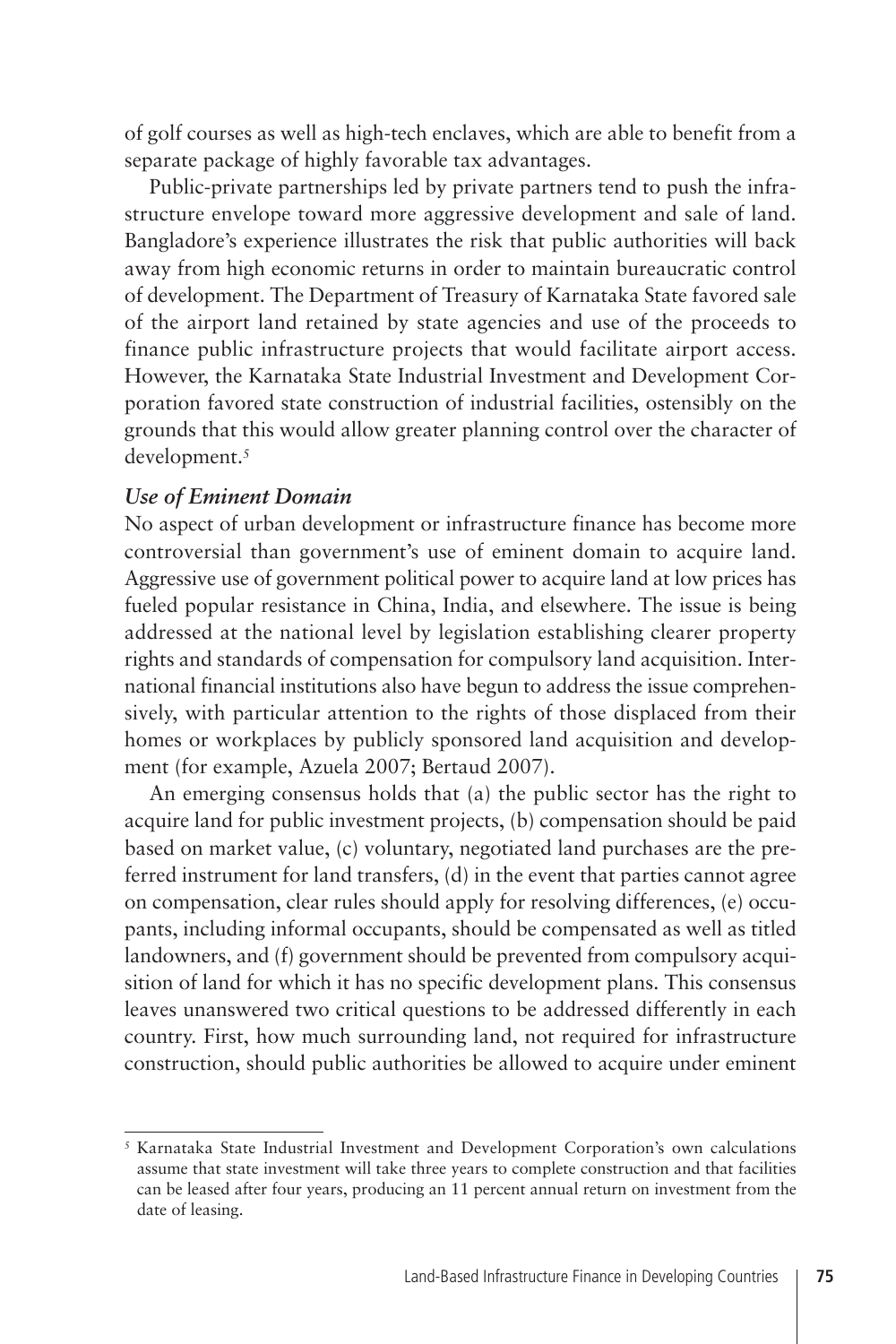of golf courses as well as high-tech enclaves, which are able to benefit from a separate package of highly favorable tax advantages.

Public-private partnerships led by private partners tend to push the infrastructure envelope toward more aggressive development and sale of land. Bangladore's experience illustrates the risk that public authorities will back away from high economic returns in order to maintain bureaucratic control of development. The Department of Treasury of Karnataka State favored sale of the airport land retained by state agencies and use of the proceeds to finance public infrastructure projects that would facilitate airport access. However, the Karnataka State Industrial Investment and Development Corporation favored state construction of industrial facilities, ostensibly on the grounds that this would allow greater planning control over the character of development.<sup>5</sup>

# *Use of Eminent Domain*

No aspect of urban development or infrastructure finance has become more controversial than government's use of eminent domain to acquire land. Aggressive use of government political power to acquire land at low prices has fueled popular resistance in China, India, and elsewhere. The issue is being addressed at the national level by legislation establishing clearer property rights and standards of compensation for compulsory land acquisition. International financial institutions also have begun to address the issue comprehensively, with particular attention to the rights of those displaced from their homes or workplaces by publicly sponsored land acquisition and development (for example, Azuela 2007; Bertaud 2007).

An emerging consensus holds that (a) the public sector has the right to acquire land for public investment projects, (b) compensation should be paid based on market value, (c) voluntary, negotiated land purchases are the preferred instrument for land transfers, (d) in the event that parties cannot agree on compensation, clear rules should apply for resolving differences, (e) occupants, including informal occupants, should be compensated as well as titled landowners, and (f) government should be prevented from compulsory acquisition of land for which it has no specific development plans. This consensus leaves unanswered two critical questions to be addressed differently in each country. First, how much surrounding land, not required for infrastructure construction, should public authorities be allowed to acquire under eminent

<sup>5</sup> Karnataka State Industrial Investment and Development Corporation's own calculations assume that state investment will take three years to complete construction and that facilities can be leased after four years, producing an 11 percent annual return on investment from the date of leasing.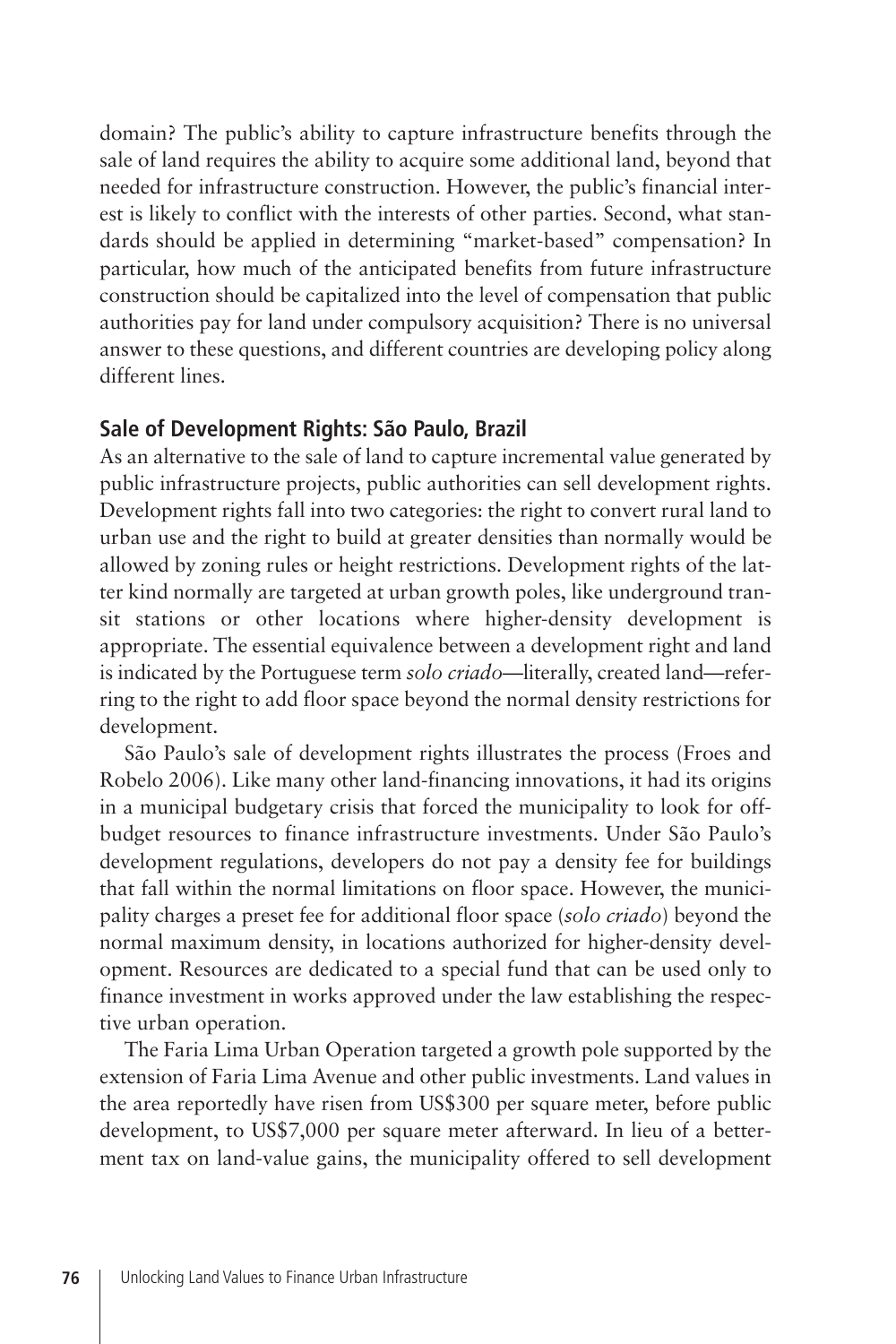domain? The public's ability to capture infrastructure benefits through the sale of land requires the ability to acquire some additional land, beyond that needed for infrastructure construction. However, the public's financial interest is likely to conflict with the interests of other parties. Second, what standards should be applied in determining "market-based" compensation? In particular, how much of the anticipated benefits from future infrastructure construction should be capitalized into the level of compensation that public authorities pay for land under compulsory acquisition? There is no universal answer to these questions, and different countries are developing policy along different lines.

# **Sale of Development Rights: São Paulo, Brazil**

As an alternative to the sale of land to capture incremental value generated by public infrastructure projects, public authorities can sell development rights. Development rights fall into two categories: the right to convert rural land to urban use and the right to build at greater densities than normally would be allowed by zoning rules or height restrictions. Development rights of the latter kind normally are targeted at urban growth poles, like underground transit stations or other locations where higher-density development is appropriate. The essential equivalence between a development right and land is indicated by the Portuguese term *solo criado*—literally, created land—referring to the right to add floor space beyond the normal density restrictions for development.

São Paulo's sale of development rights illustrates the process (Froes and Robelo 2006). Like many other land-financing innovations, it had its origins in a municipal budgetary crisis that forced the municipality to look for offbudget resources to finance infrastructure investments. Under São Paulo's development regulations, developers do not pay a density fee for buildings that fall within the normal limitations on floor space. However, the municipality charges a preset fee for additional floor space (*solo criado*) beyond the normal maximum density, in locations authorized for higher-density development. Resources are dedicated to a special fund that can be used only to finance investment in works approved under the law establishing the respective urban operation.

The Faria Lima Urban Operation targeted a growth pole supported by the extension of Faria Lima Avenue and other public investments. Land values in the area reportedly have risen from US\$300 per square meter, before public development, to US\$7,000 per square meter afterward. In lieu of a betterment tax on land-value gains, the municipality offered to sell development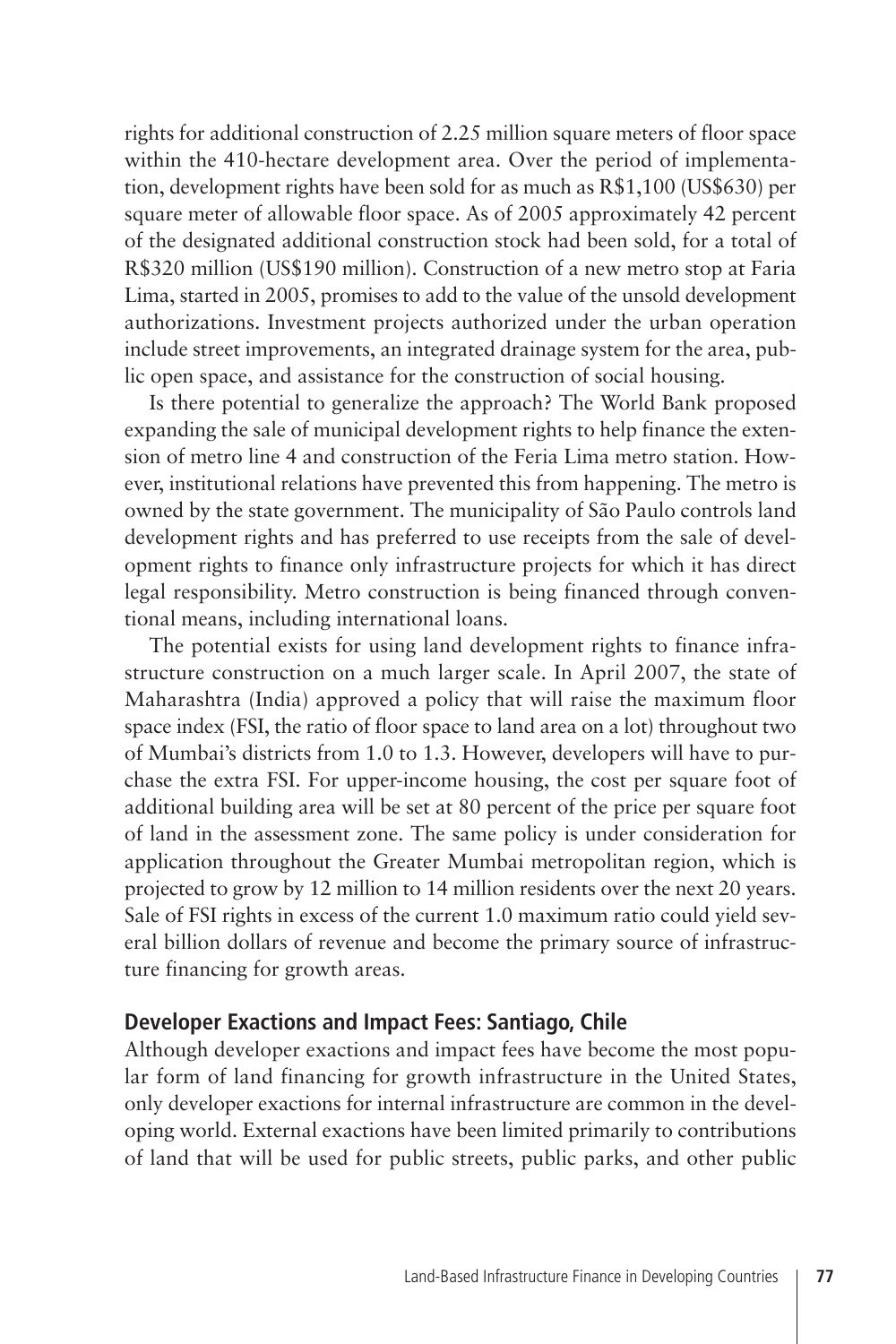rights for additional construction of 2.25 million square meters of floor space within the 410-hectare development area. Over the period of implementation, development rights have been sold for as much as R\$1,100 (US\$630) per square meter of allowable floor space. As of 2005 approximately 42 percent of the designated additional construction stock had been sold, for a total of R\$320 million (US\$190 million). Construction of a new metro stop at Faria Lima, started in 2005, promises to add to the value of the unsold development authorizations. Investment projects authorized under the urban operation include street improvements, an integrated drainage system for the area, public open space, and assistance for the construction of social housing.

Is there potential to generalize the approach? The World Bank proposed expanding the sale of municipal development rights to help finance the extension of metro line 4 and construction of the Feria Lima metro station. However, institutional relations have prevented this from happening. The metro is owned by the state government. The municipality of São Paulo controls land development rights and has preferred to use receipts from the sale of development rights to finance only infrastructure projects for which it has direct legal responsibility. Metro construction is being financed through conventional means, including international loans.

The potential exists for using land development rights to finance infrastructure construction on a much larger scale. In April 2007, the state of Maharashtra (India) approved a policy that will raise the maximum floor space index (FSI, the ratio of floor space to land area on a lot) throughout two of Mumbai's districts from 1.0 to 1.3. However, developers will have to purchase the extra FSI. For upper-income housing, the cost per square foot of additional building area will be set at 80 percent of the price per square foot of land in the assessment zone. The same policy is under consideration for application throughout the Greater Mumbai metropolitan region, which is projected to grow by 12 million to 14 million residents over the next 20 years. Sale of FSI rights in excess of the current 1.0 maximum ratio could yield several billion dollars of revenue and become the primary source of infrastructure financing for growth areas.

# **Developer Exactions and Impact Fees: Santiago, Chile**

Although developer exactions and impact fees have become the most popular form of land financing for growth infrastructure in the United States, only developer exactions for internal infrastructure are common in the developing world. External exactions have been limited primarily to contributions of land that will be used for public streets, public parks, and other public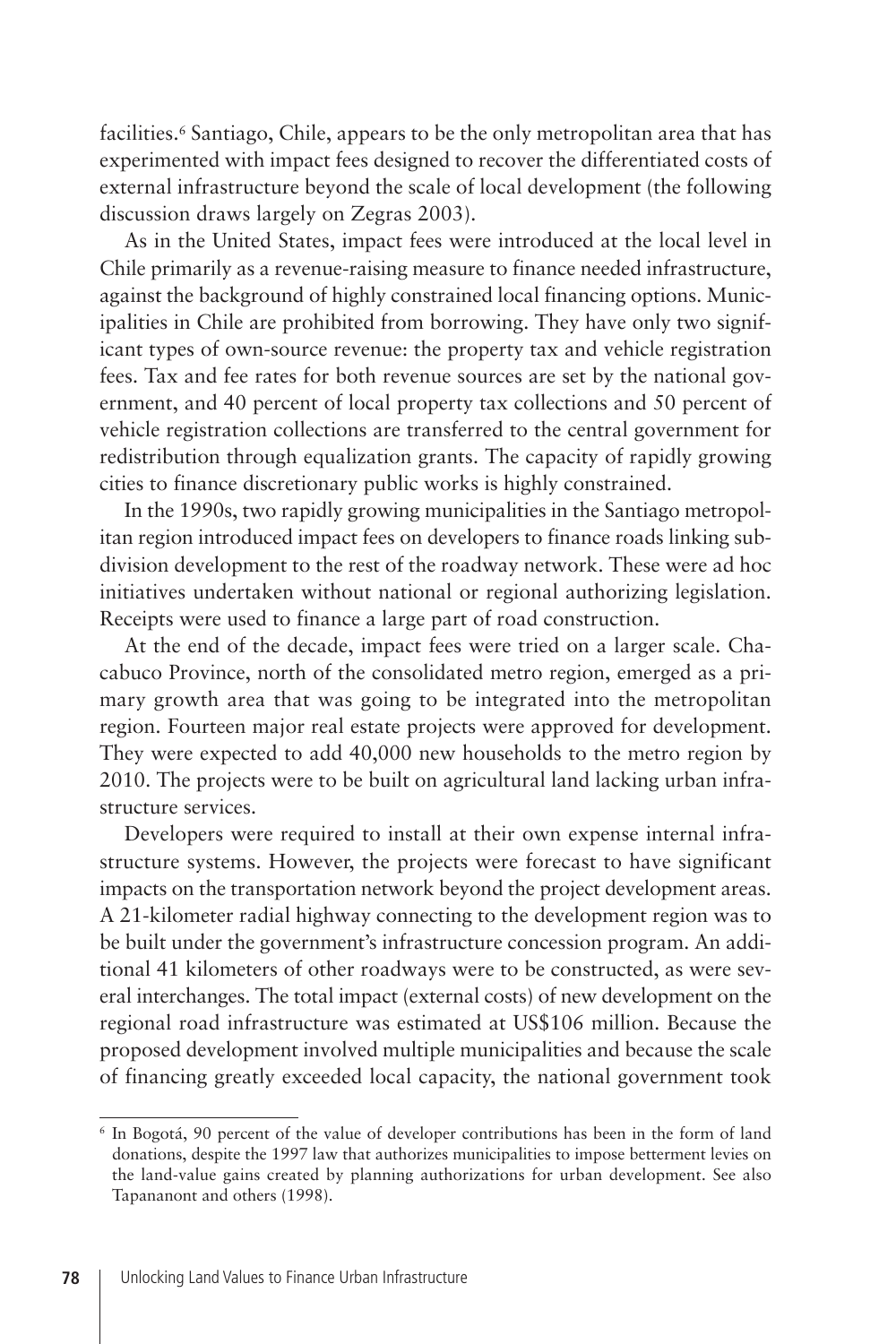facilities.<sup>6</sup> Santiago, Chile, appears to be the only metropolitan area that has experimented with impact fees designed to recover the differentiated costs of external infrastructure beyond the scale of local development (the following discussion draws largely on Zegras 2003).

As in the United States, impact fees were introduced at the local level in Chile primarily as a revenue-raising measure to finance needed infrastructure, against the background of highly constrained local financing options. Municipalities in Chile are prohibited from borrowing. They have only two significant types of own-source revenue: the property tax and vehicle registration fees. Tax and fee rates for both revenue sources are set by the national government, and 40 percent of local property tax collections and 50 percent of vehicle registration collections are transferred to the central government for redistribution through equalization grants. The capacity of rapidly growing cities to finance discretionary public works is highly constrained.

In the 1990s, two rapidly growing municipalities in the Santiago metropolitan region introduced impact fees on developers to finance roads linking subdivision development to the rest of the roadway network. These were ad hoc initiatives undertaken without national or regional authorizing legislation. Receipts were used to finance a large part of road construction.

At the end of the decade, impact fees were tried on a larger scale. Chacabuco Province, north of the consolidated metro region, emerged as a primary growth area that was going to be integrated into the metropolitan region. Fourteen major real estate projects were approved for development. They were expected to add 40,000 new households to the metro region by 2010. The projects were to be built on agricultural land lacking urban infrastructure services.

Developers were required to install at their own expense internal infrastructure systems. However, the projects were forecast to have significant impacts on the transportation network beyond the project development areas. A 21-kilometer radial highway connecting to the development region was to be built under the government's infrastructure concession program. An additional 41 kilometers of other roadways were to be constructed, as were several interchanges. The total impact (external costs) of new development on the regional road infrastructure was estimated at US\$106 million. Because the proposed development involved multiple municipalities and because the scale of financing greatly exceeded local capacity, the national government took

<sup>6</sup> In Bogotá, 90 percent of the value of developer contributions has been in the form of land donations, despite the 1997 law that authorizes municipalities to impose betterment levies on the land-value gains created by planning authorizations for urban development. See also Tapananont and others (1998).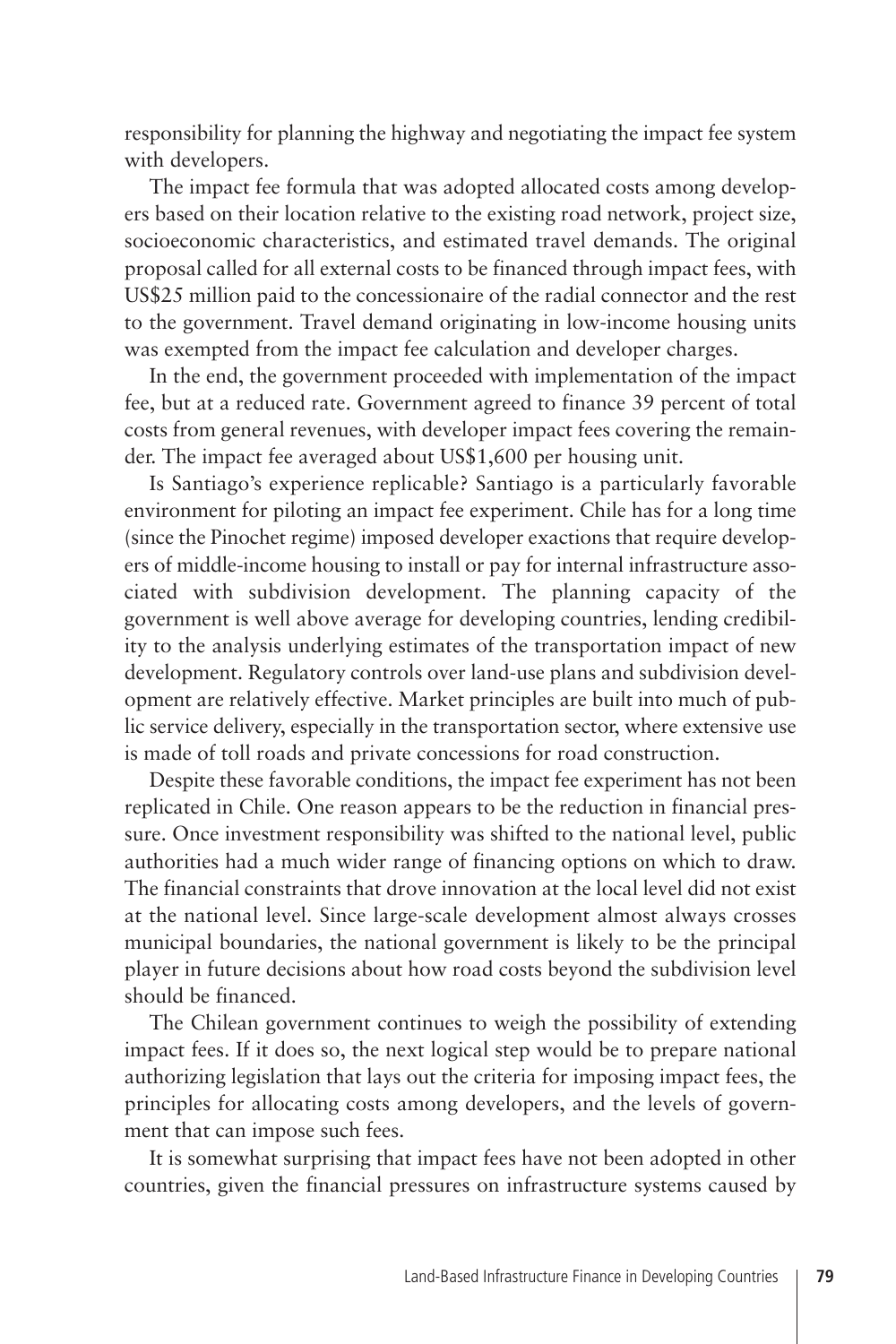responsibility for planning the highway and negotiating the impact fee system with developers.

The impact fee formula that was adopted allocated costs among developers based on their location relative to the existing road network, project size, socioeconomic characteristics, and estimated travel demands. The original proposal called for all external costs to be financed through impact fees, with US\$25 million paid to the concessionaire of the radial connector and the rest to the government. Travel demand originating in low-income housing units was exempted from the impact fee calculation and developer charges.

In the end, the government proceeded with implementation of the impact fee, but at a reduced rate. Government agreed to finance 39 percent of total costs from general revenues, with developer impact fees covering the remainder. The impact fee averaged about US\$1,600 per housing unit.

Is Santiago's experience replicable? Santiago is a particularly favorable environment for piloting an impact fee experiment. Chile has for a long time (since the Pinochet regime) imposed developer exactions that require developers of middle-income housing to install or pay for internal infrastructure associated with subdivision development. The planning capacity of the government is well above average for developing countries, lending credibility to the analysis underlying estimates of the transportation impact of new development. Regulatory controls over land-use plans and subdivision development are relatively effective. Market principles are built into much of public service delivery, especially in the transportation sector, where extensive use is made of toll roads and private concessions for road construction.

Despite these favorable conditions, the impact fee experiment has not been replicated in Chile. One reason appears to be the reduction in financial pressure. Once investment responsibility was shifted to the national level, public authorities had a much wider range of financing options on which to draw. The financial constraints that drove innovation at the local level did not exist at the national level. Since large-scale development almost always crosses municipal boundaries, the national government is likely to be the principal player in future decisions about how road costs beyond the subdivision level should be financed.

The Chilean government continues to weigh the possibility of extending impact fees. If it does so, the next logical step would be to prepare national authorizing legislation that lays out the criteria for imposing impact fees, the principles for allocating costs among developers, and the levels of government that can impose such fees.

It is somewhat surprising that impact fees have not been adopted in other countries, given the financial pressures on infrastructure systems caused by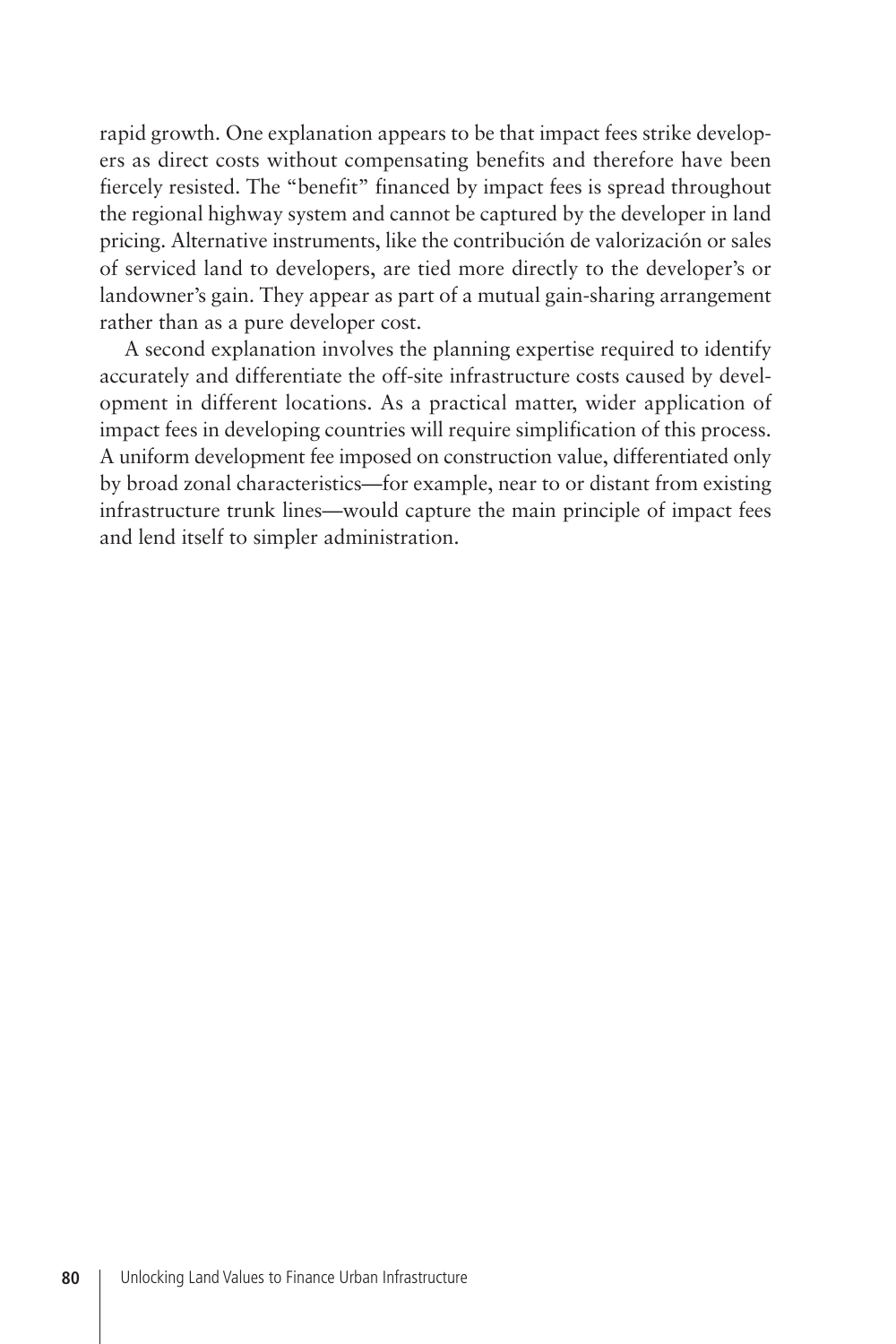rapid growth. One explanation appears to be that impact fees strike developers as direct costs without compensating benefits and therefore have been fiercely resisted. The "benefit" financed by impact fees is spread throughout the regional highway system and cannot be captured by the developer in land pricing. Alternative instruments, like the contribución de valorización or sales of serviced land to developers, are tied more directly to the developer's or landowner's gain. They appear as part of a mutual gain-sharing arrangement rather than as a pure developer cost.

A second explanation involves the planning expertise required to identify accurately and differentiate the off-site infrastructure costs caused by development in different locations. As a practical matter, wider application of impact fees in developing countries will require simplification of this process. A uniform development fee imposed on construction value, differentiated only by broad zonal characteristics—for example, near to or distant from existing infrastructure trunk lines—would capture the main principle of impact fees and lend itself to simpler administration.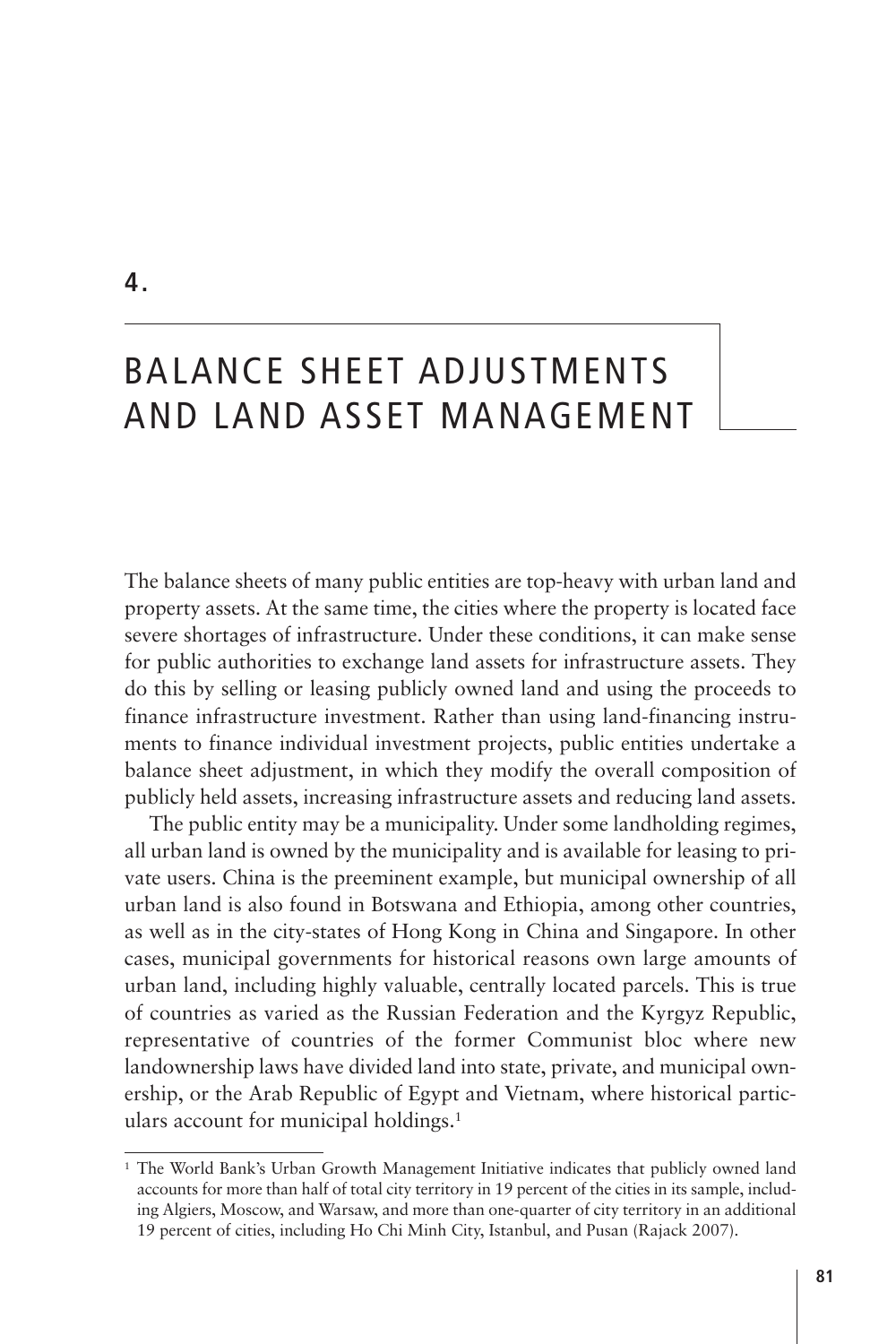# BALANCE SHEET ADJUSTMENTS AND LAND ASSET MANAGEMENT

The balance sheets of many public entities are top-heavy with urban land and property assets. At the same time, the cities where the property is located face severe shortages of infrastructure. Under these conditions, it can make sense for public authorities to exchange land assets for infrastructure assets. They do this by selling or leasing publicly owned land and using the proceeds to finance infrastructure investment. Rather than using land-financing instruments to finance individual investment projects, public entities undertake a balance sheet adjustment, in which they modify the overall composition of publicly held assets, increasing infrastructure assets and reducing land assets.

The public entity may be a municipality. Under some landholding regimes, all urban land is owned by the municipality and is available for leasing to private users. China is the preeminent example, but municipal ownership of all urban land is also found in Botswana and Ethiopia, among other countries, as well as in the city-states of Hong Kong in China and Singapore. In other cases, municipal governments for historical reasons own large amounts of urban land, including highly valuable, centrally located parcels. This is true of countries as varied as the Russian Federation and the Kyrgyz Republic, representative of countries of the former Communist bloc where new landownership laws have divided land into state, private, and municipal ownership, or the Arab Republic of Egypt and Vietnam, where historical particulars account for municipal holdings.<sup>1</sup>

<sup>&</sup>lt;sup>1</sup> The World Bank's Urban Growth Management Initiative indicates that publicly owned land accounts for more than half of total city territory in 19 percent of the cities in its sample, including Algiers, Moscow, and Warsaw, and more than one-quarter of city territory in an additional 19 percent of cities, including Ho Chi Minh City, Istanbul, and Pusan (Rajack 2007).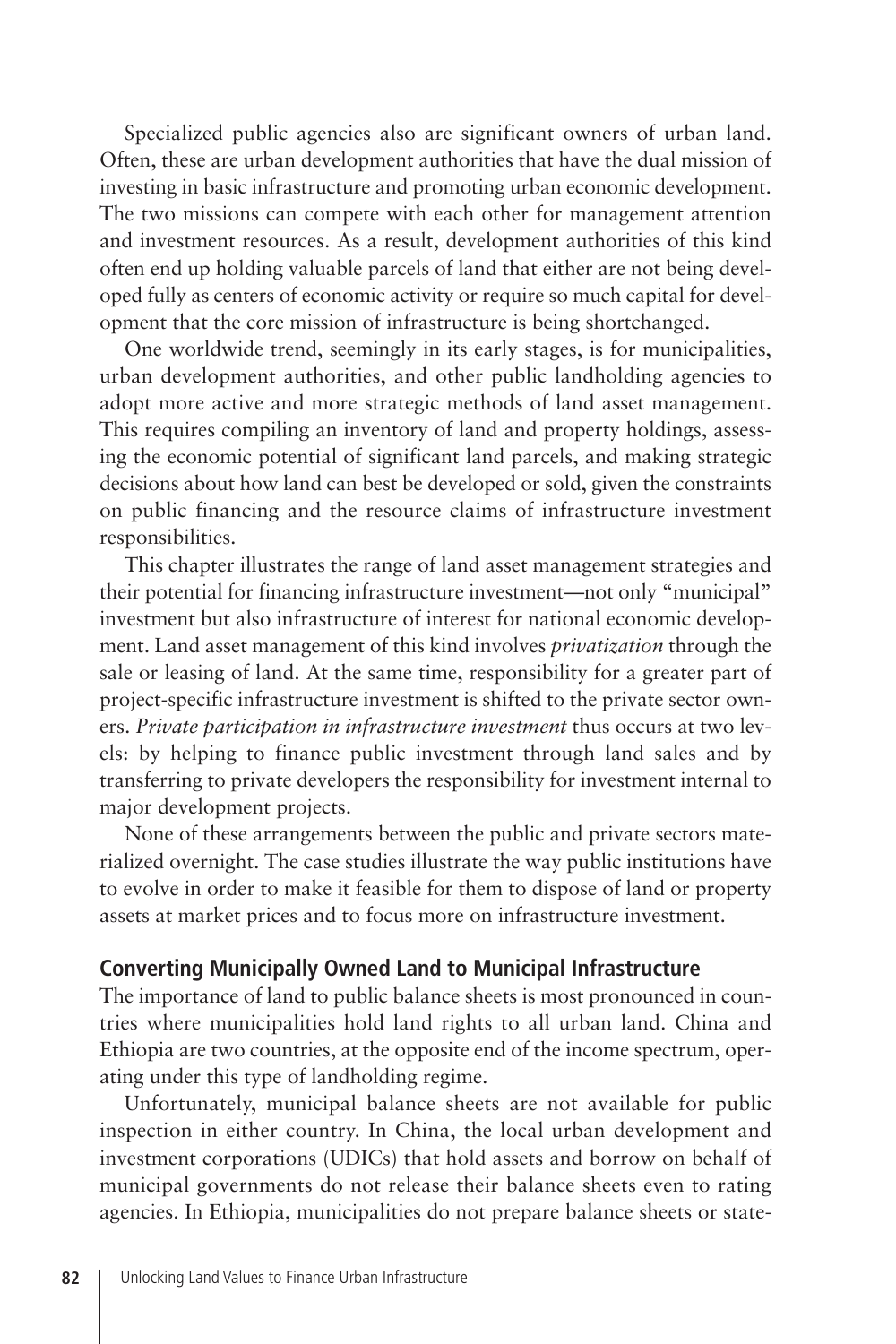Specialized public agencies also are significant owners of urban land. Often, these are urban development authorities that have the dual mission of investing in basic infrastructure and promoting urban economic development. The two missions can compete with each other for management attention and investment resources. As a result, development authorities of this kind often end up holding valuable parcels of land that either are not being developed fully as centers of economic activity or require so much capital for development that the core mission of infrastructure is being shortchanged.

One worldwide trend, seemingly in its early stages, is for municipalities, urban development authorities, and other public landholding agencies to adopt more active and more strategic methods of land asset management. This requires compiling an inventory of land and property holdings, assessing the economic potential of significant land parcels, and making strategic decisions about how land can best be developed or sold, given the constraints on public financing and the resource claims of infrastructure investment responsibilities.

This chapter illustrates the range of land asset management strategies and their potential for financing infrastructure investment—not only "municipal" investment but also infrastructure of interest for national economic development. Land asset management of this kind involves *privatization* through the sale or leasing of land. At the same time, responsibility for a greater part of project-specific infrastructure investment is shifted to the private sector owners. *Private participation in infrastructure investment* thus occurs at two levels: by helping to finance public investment through land sales and by transferring to private developers the responsibility for investment internal to major development projects.

None of these arrangements between the public and private sectors materialized overnight. The case studies illustrate the way public institutions have to evolve in order to make it feasible for them to dispose of land or property assets at market prices and to focus more on infrastructure investment.

#### **Converting Municipally Owned Land to Municipal Infrastructure**

The importance of land to public balance sheets is most pronounced in countries where municipalities hold land rights to all urban land. China and Ethiopia are two countries, at the opposite end of the income spectrum, operating under this type of landholding regime.

Unfortunately, municipal balance sheets are not available for public inspection in either country. In China, the local urban development and investment corporations (UDICs) that hold assets and borrow on behalf of municipal governments do not release their balance sheets even to rating agencies. In Ethiopia, municipalities do not prepare balance sheets or state-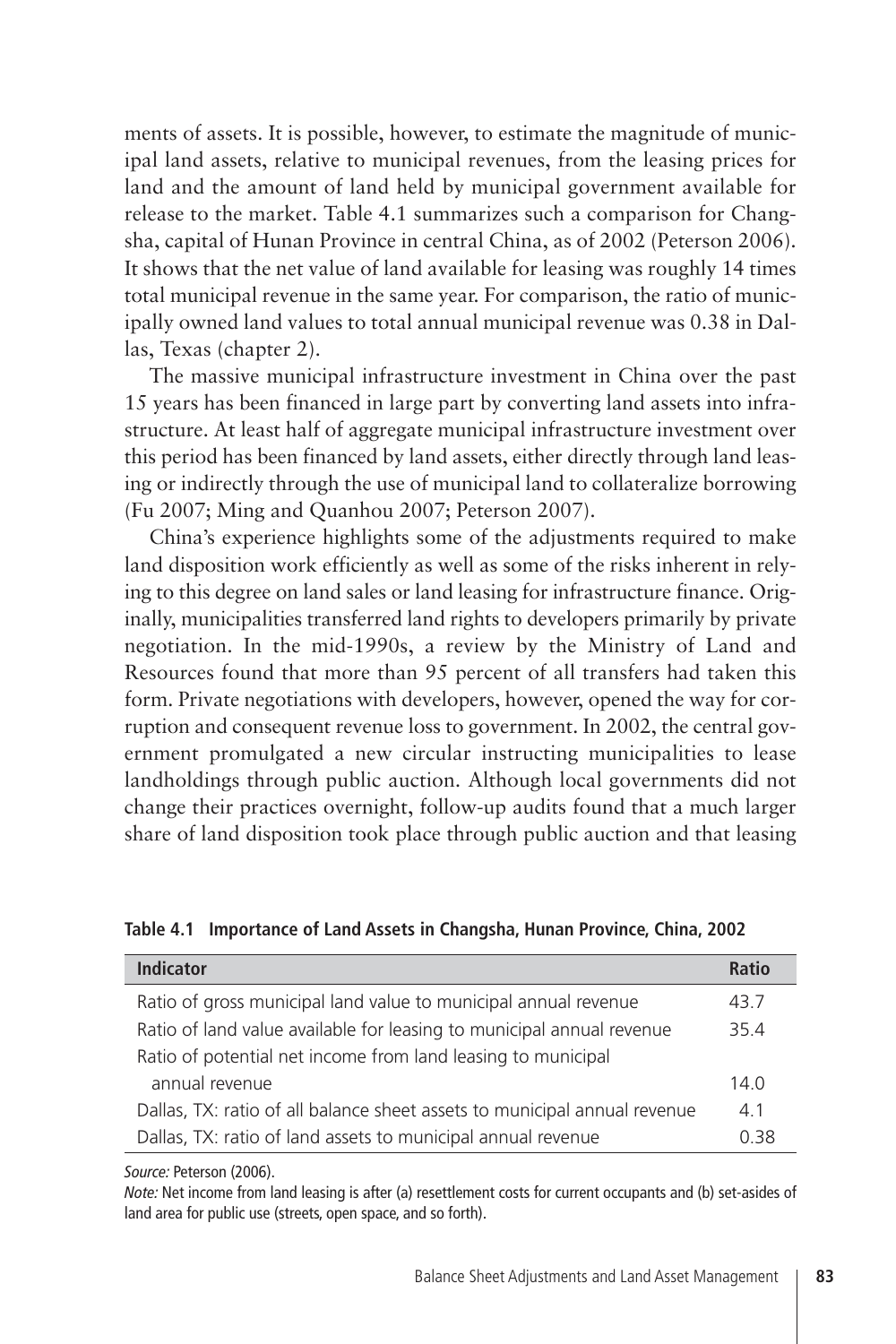ments of assets. It is possible, however, to estimate the magnitude of municipal land assets, relative to municipal revenues, from the leasing prices for land and the amount of land held by municipal government available for release to the market. Table 4.1 summarizes such a comparison for Changsha, capital of Hunan Province in central China, as of 2002 (Peterson 2006). It shows that the net value of land available for leasing was roughly 14 times total municipal revenue in the same year. For comparison, the ratio of municipally owned land values to total annual municipal revenue was 0.38 in Dallas, Texas (chapter 2).

The massive municipal infrastructure investment in China over the past 15 years has been financed in large part by converting land assets into infrastructure. At least half of aggregate municipal infrastructure investment over this period has been financed by land assets, either directly through land leasing or indirectly through the use of municipal land to collateralize borrowing (Fu 2007; Ming and Quanhou 2007; Peterson 2007).

China's experience highlights some of the adjustments required to make land disposition work efficiently as well as some of the risks inherent in relying to this degree on land sales or land leasing for infrastructure finance. Originally, municipalities transferred land rights to developers primarily by private negotiation. In the mid-1990s, a review by the Ministry of Land and Resources found that more than 95 percent of all transfers had taken this form. Private negotiations with developers, however, opened the way for corruption and consequent revenue loss to government. In 2002, the central government promulgated a new circular instructing municipalities to lease landholdings through public auction. Although local governments did not change their practices overnight, follow-up audits found that a much larger share of land disposition took place through public auction and that leasing

| <b>Indicator</b>                                                          | <b>Ratio</b>   |
|---------------------------------------------------------------------------|----------------|
| Ratio of gross municipal land value to municipal annual revenue           | 43.7           |
| Ratio of land value available for leasing to municipal annual revenue     | 354            |
| Ratio of potential net income from land leasing to municipal              |                |
| annual revenue                                                            | 140            |
| Dallas, TX: ratio of all balance sheet assets to municipal annual revenue | 4 <sub>1</sub> |
| Dallas, TX: ratio of land assets to municipal annual revenue              | 0.38           |

**Table 4.1 Importance of Land Assets in Changsha, Hunan Province, China, 2002**

Source: Peterson (2006).

Note: Net income from land leasing is after (a) resettlement costs for current occupants and (b) set-asides of land area for public use (streets, open space, and so forth).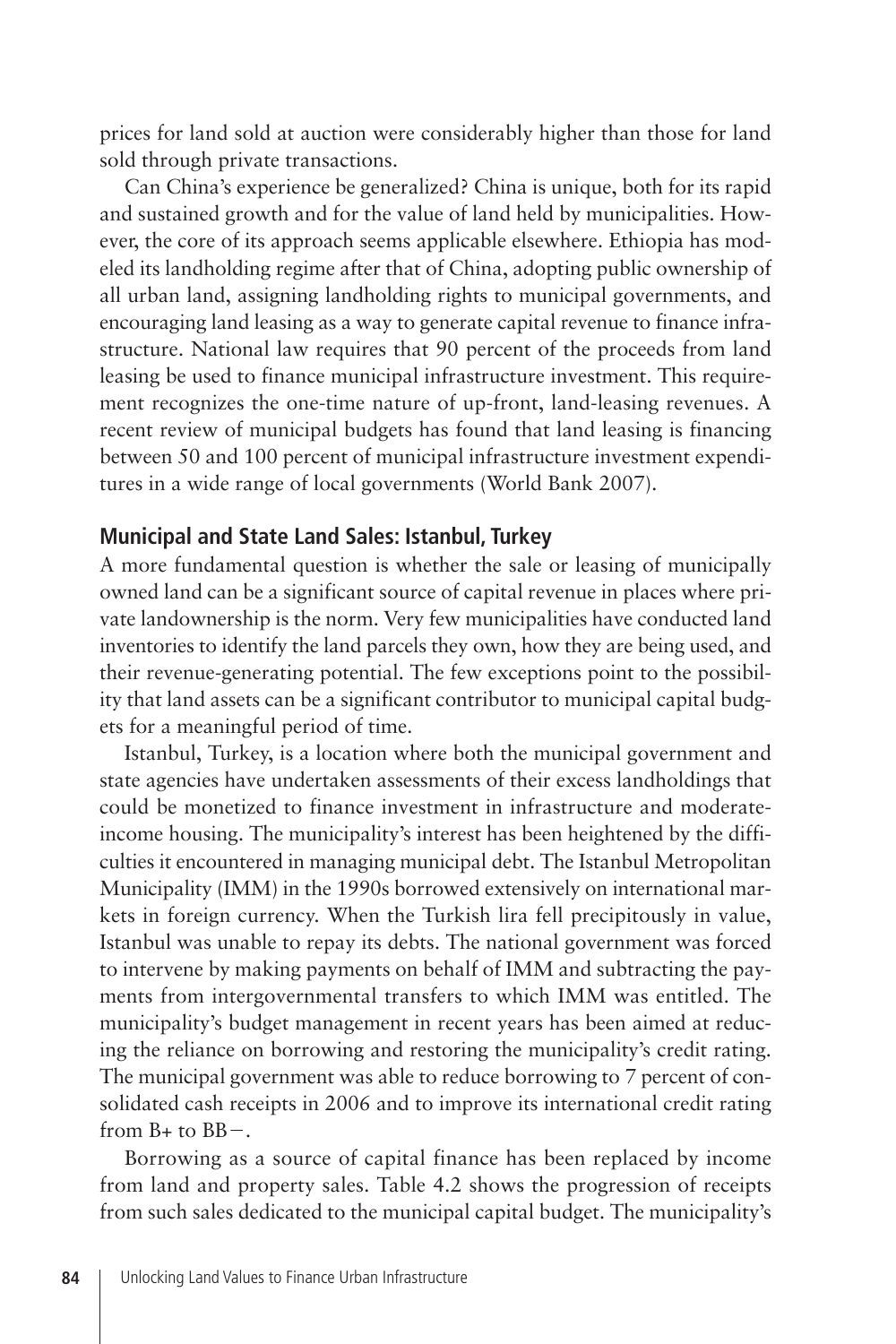prices for land sold at auction were considerably higher than those for land sold through private transactions.

Can China's experience be generalized? China is unique, both for its rapid and sustained growth and for the value of land held by municipalities. However, the core of its approach seems applicable elsewhere. Ethiopia has modeled its landholding regime after that of China, adopting public ownership of all urban land, assigning landholding rights to municipal governments, and encouraging land leasing as a way to generate capital revenue to finance infrastructure. National law requires that 90 percent of the proceeds from land leasing be used to finance municipal infrastructure investment. This requirement recognizes the one-time nature of up-front, land-leasing revenues. A recent review of municipal budgets has found that land leasing is financing between 50 and 100 percent of municipal infrastructure investment expenditures in a wide range of local governments (World Bank 2007).

# **Municipal and State Land Sales: Istanbul, Turkey**

A more fundamental question is whether the sale or leasing of municipally owned land can be a significant source of capital revenue in places where private landownership is the norm. Very few municipalities have conducted land inventories to identify the land parcels they own, how they are being used, and their revenue-generating potential. The few exceptions point to the possibility that land assets can be a significant contributor to municipal capital budgets for a meaningful period of time.

Istanbul, Turkey, is a location where both the municipal government and state agencies have undertaken assessments of their excess landholdings that could be monetized to finance investment in infrastructure and moderateincome housing. The municipality's interest has been heightened by the difficulties it encountered in managing municipal debt. The Istanbul Metropolitan Municipality (IMM) in the 1990s borrowed extensively on international markets in foreign currency. When the Turkish lira fell precipitously in value, Istanbul was unable to repay its debts. The national government was forced to intervene by making payments on behalf of IMM and subtracting the payments from intergovernmental transfers to which IMM was entitled. The municipality's budget management in recent years has been aimed at reducing the reliance on borrowing and restoring the municipality's credit rating. The municipal government was able to reduce borrowing to 7 percent of consolidated cash receipts in 2006 and to improve its international credit rating from  $B+$  to  $BB-$ .

Borrowing as a source of capital finance has been replaced by income from land and property sales. Table 4.2 shows the progression of receipts from such sales dedicated to the municipal capital budget. The municipality's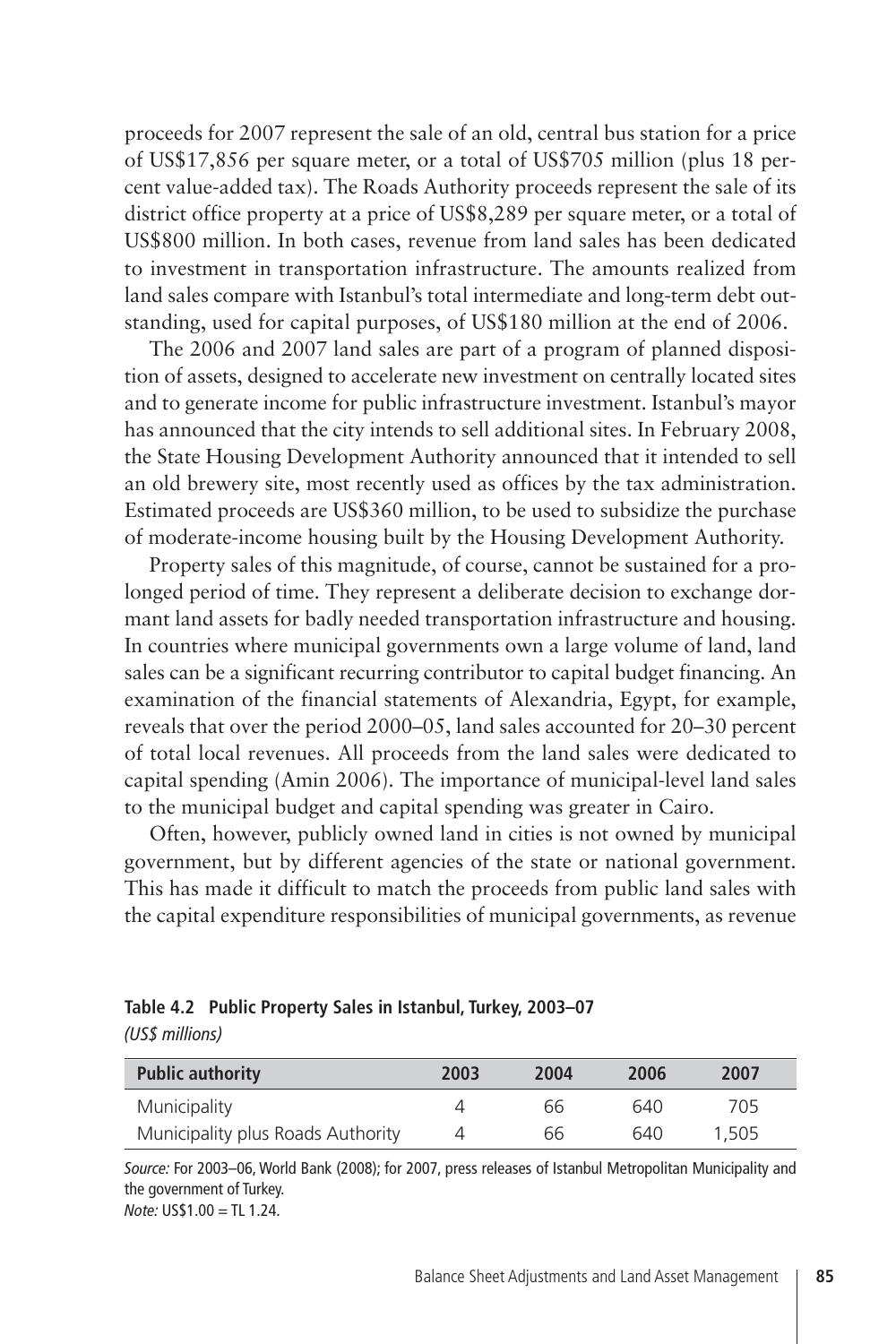proceeds for 2007 represent the sale of an old, central bus station for a price of US\$17,856 per square meter, or a total of US\$705 million (plus 18 percent value-added tax). The Roads Authority proceeds represent the sale of its district office property at a price of US\$8,289 per square meter, or a total of US\$800 million. In both cases, revenue from land sales has been dedicated to investment in transportation infrastructure. The amounts realized from land sales compare with Istanbul's total intermediate and long-term debt outstanding, used for capital purposes, of US\$180 million at the end of 2006.

The 2006 and 2007 land sales are part of a program of planned disposition of assets, designed to accelerate new investment on centrally located sites and to generate income for public infrastructure investment. Istanbul's mayor has announced that the city intends to sell additional sites. In February 2008, the State Housing Development Authority announced that it intended to sell an old brewery site, most recently used as offices by the tax administration. Estimated proceeds are US\$360 million, to be used to subsidize the purchase of moderate-income housing built by the Housing Development Authority.

Property sales of this magnitude, of course, cannot be sustained for a prolonged period of time. They represent a deliberate decision to exchange dormant land assets for badly needed transportation infrastructure and housing. In countries where municipal governments own a large volume of land, land sales can be a significant recurring contributor to capital budget financing. An examination of the financial statements of Alexandria, Egypt, for example, reveals that over the period 2000–05, land sales accounted for 20–30 percent of total local revenues. All proceeds from the land sales were dedicated to capital spending (Amin 2006). The importance of municipal-level land sales to the municipal budget and capital spending was greater in Cairo.

Often, however, publicly owned land in cities is not owned by municipal government, but by different agencies of the state or national government. This has made it difficult to match the proceeds from public land sales with the capital expenditure responsibilities of municipal governments, as revenue

|                 | Table 4.2 Public Property Sales in Istanbul, Turkey, 2003–07 |
|-----------------|--------------------------------------------------------------|
| (US\$ millions) |                                                              |

| <b>Public authority</b>           | 2003 | 2004 | 2006 | 2007  |
|-----------------------------------|------|------|------|-------|
| Municipality                      |      | 66   | 640  | 705.  |
| Municipality plus Roads Authority |      | 66   | 640  | 1.505 |

Source: For 2003–06, World Bank (2008); for 2007, press releases of Istanbul Metropolitan Municipality and the government of Turkey.

 $Note: US$1.00 = TL~1.24.$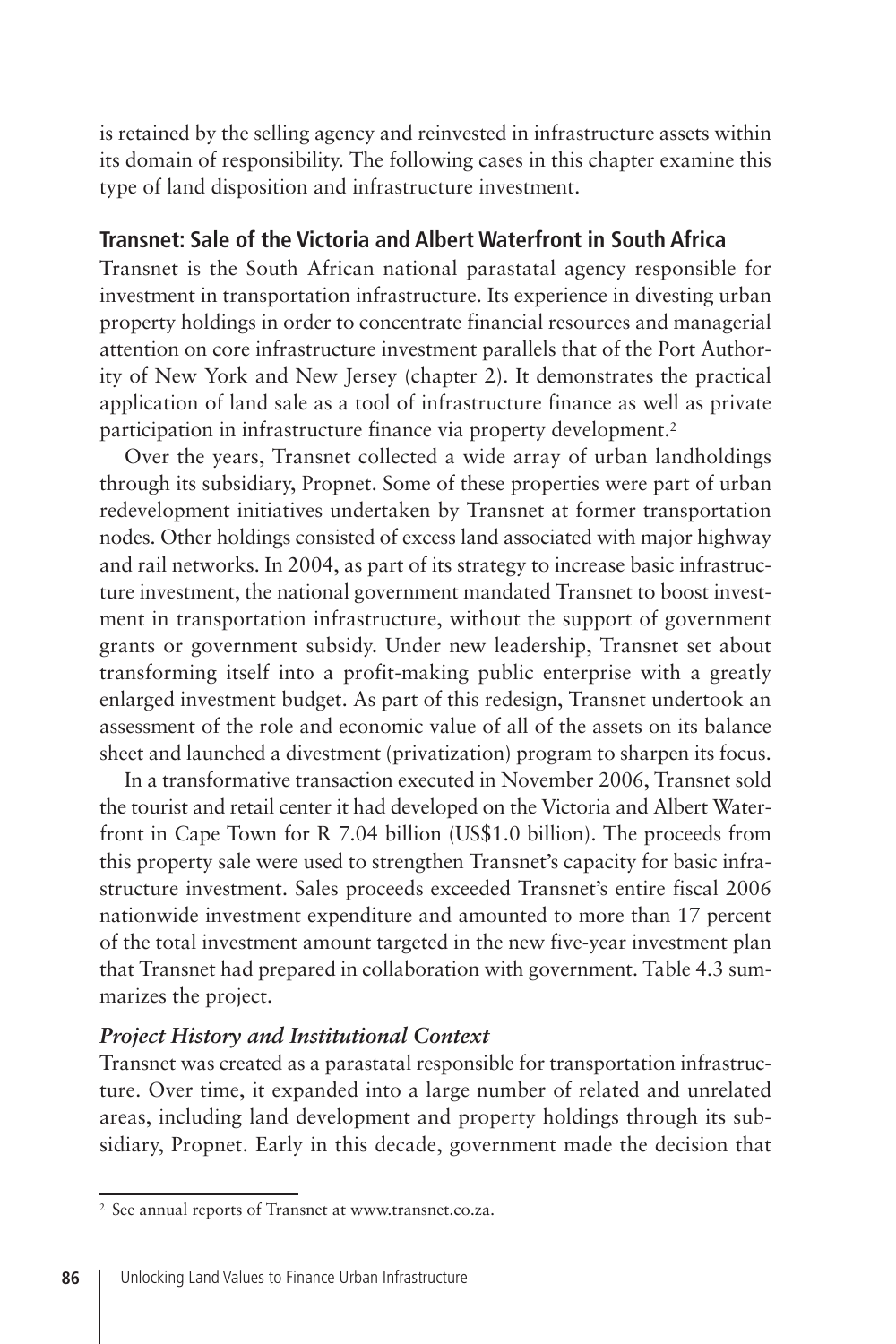is retained by the selling agency and reinvested in infrastructure assets within its domain of responsibility. The following cases in this chapter examine this type of land disposition and infrastructure investment.

# **Transnet: Sale of the Victoria and Albert Waterfront in South Africa**

Transnet is the South African national parastatal agency responsible for investment in transportation infrastructure. Its experience in divesting urban property holdings in order to concentrate financial resources and managerial attention on core infrastructure investment parallels that of the Port Authority of New York and New Jersey (chapter 2). It demonstrates the practical application of land sale as a tool of infrastructure finance as well as private participation in infrastructure finance via property development.<sup>2</sup>

Over the years, Transnet collected a wide array of urban landholdings through its subsidiary, Propnet. Some of these properties were part of urban redevelopment initiatives undertaken by Transnet at former transportation nodes. Other holdings consisted of excess land associated with major highway and rail networks. In 2004, as part of its strategy to increase basic infrastructure investment, the national government mandated Transnet to boost investment in transportation infrastructure, without the support of government grants or government subsidy. Under new leadership, Transnet set about transforming itself into a profit-making public enterprise with a greatly enlarged investment budget. As part of this redesign, Transnet undertook an assessment of the role and economic value of all of the assets on its balance sheet and launched a divestment (privatization) program to sharpen its focus.

In a transformative transaction executed in November 2006, Transnet sold the tourist and retail center it had developed on the Victoria and Albert Waterfront in Cape Town for R 7.04 billion (US\$1.0 billion). The proceeds from this property sale were used to strengthen Transnet's capacity for basic infrastructure investment. Sales proceeds exceeded Transnet's entire fiscal 2006 nationwide investment expenditure and amounted to more than 17 percent of the total investment amount targeted in the new five-year investment plan that Transnet had prepared in collaboration with government. Table 4.3 summarizes the project.

# *Project History and Institutional Context*

Transnet was created as a parastatal responsible for transportation infrastructure. Over time, it expanded into a large number of related and unrelated areas, including land development and property holdings through its subsidiary, Propnet. Early in this decade, government made the decision that

<sup>2</sup> See annual reports of Transnet at www.transnet.co.za.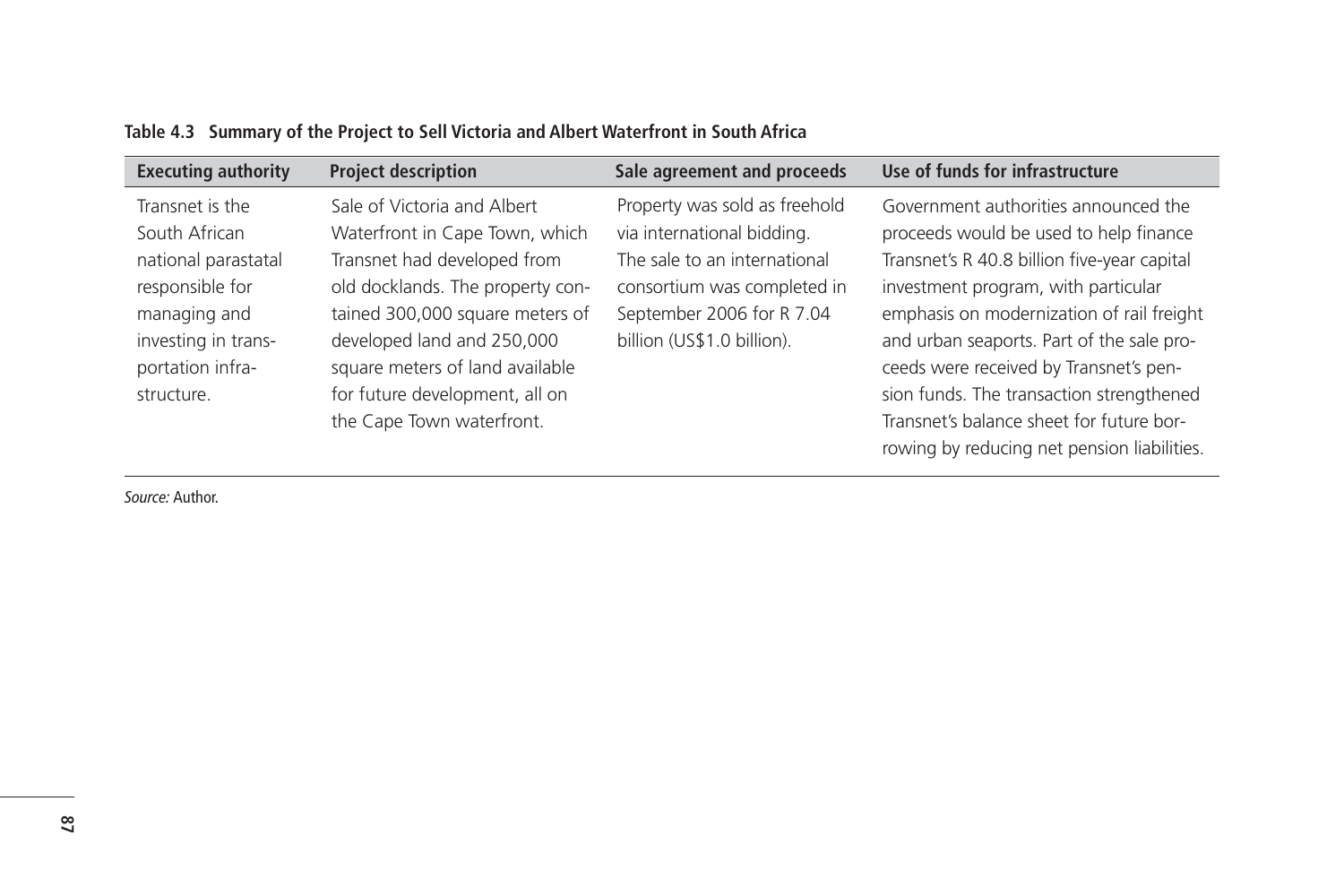| <b>Executing authority</b> | <b>Project description</b>       | Sale agreement and proceeds   | Use of funds for infrastructure             |
|----------------------------|----------------------------------|-------------------------------|---------------------------------------------|
| Transnet is the            | Sale of Victoria and Albert      | Property was sold as freehold | Government authorities announced the        |
| South African              | Waterfront in Cape Town, which   | via international bidding.    | proceeds would be used to help finance      |
| national parastatal        | Transnet had developed from      | The sale to an international  | Transnet's R 40.8 billion five-year capital |
| responsible for            | old docklands. The property con- | consortium was completed in   | investment program, with particular         |
| managing and               | tained 300,000 square meters of  | September 2006 for R 7.04     | emphasis on modernization of rail freight   |
| investing in trans-        | developed land and 250,000       | billion (US\$1.0 billion).    | and urban seaports. Part of the sale pro-   |
| portation infra-           | square meters of land available  |                               | ceeds were received by Transnet's pen-      |
| structure.                 | for future development, all on   |                               | sion funds. The transaction strengthened    |
|                            | the Cape Town waterfront.        |                               | Transnet's balance sheet for future bor-    |
|                            |                                  |                               | rowing by reducing net pension liabilities. |

**Table 4.3 Summary of the Project to Sell Victoria and Alber t Waterfront in South Africa**

Source: Author.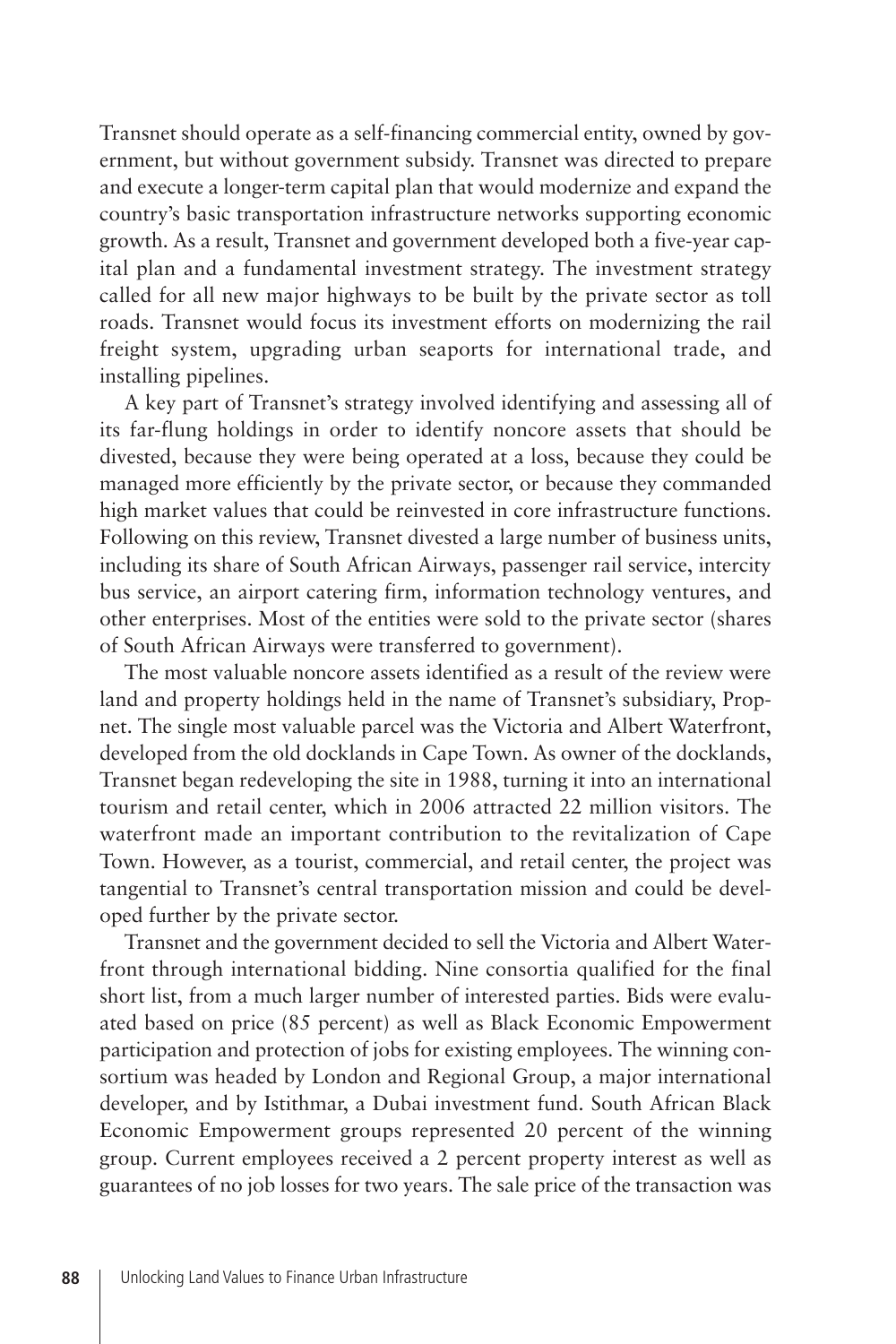Transnet should operate as a self-financing commercial entity, owned by government, but without government subsidy. Transnet was directed to prepare and execute a longer-term capital plan that would modernize and expand the country's basic transportation infrastructure networks supporting economic growth. As a result, Transnet and government developed both a five-year capital plan and a fundamental investment strategy. The investment strategy called for all new major highways to be built by the private sector as toll roads. Transnet would focus its investment efforts on modernizing the rail freight system, upgrading urban seaports for international trade, and installing pipelines.

A key part of Transnet's strategy involved identifying and assessing all of its far-flung holdings in order to identify noncore assets that should be divested, because they were being operated at a loss, because they could be managed more efficiently by the private sector, or because they commanded high market values that could be reinvested in core infrastructure functions. Following on this review, Transnet divested a large number of business units, including its share of South African Airways, passenger rail service, intercity bus service, an airport catering firm, information technology ventures, and other enterprises. Most of the entities were sold to the private sector (shares of South African Airways were transferred to government).

The most valuable noncore assets identified as a result of the review were land and property holdings held in the name of Transnet's subsidiary, Propnet. The single most valuable parcel was the Victoria and Albert Waterfront, developed from the old docklands in Cape Town. As owner of the docklands, Transnet began redeveloping the site in 1988, turning it into an international tourism and retail center, which in 2006 attracted 22 million visitors. The waterfront made an important contribution to the revitalization of Cape Town. However, as a tourist, commercial, and retail center, the project was tangential to Transnet's central transportation mission and could be developed further by the private sector.

Transnet and the government decided to sell the Victoria and Albert Waterfront through international bidding. Nine consortia qualified for the final short list, from a much larger number of interested parties. Bids were evaluated based on price (85 percent) as well as Black Economic Empowerment participation and protection of jobs for existing employees. The winning consortium was headed by London and Regional Group, a major international developer, and by Istithmar, a Dubai investment fund. South African Black Economic Empowerment groups represented 20 percent of the winning group. Current employees received a 2 percent property interest as well as guarantees of no job losses for two years. The sale price of the transaction was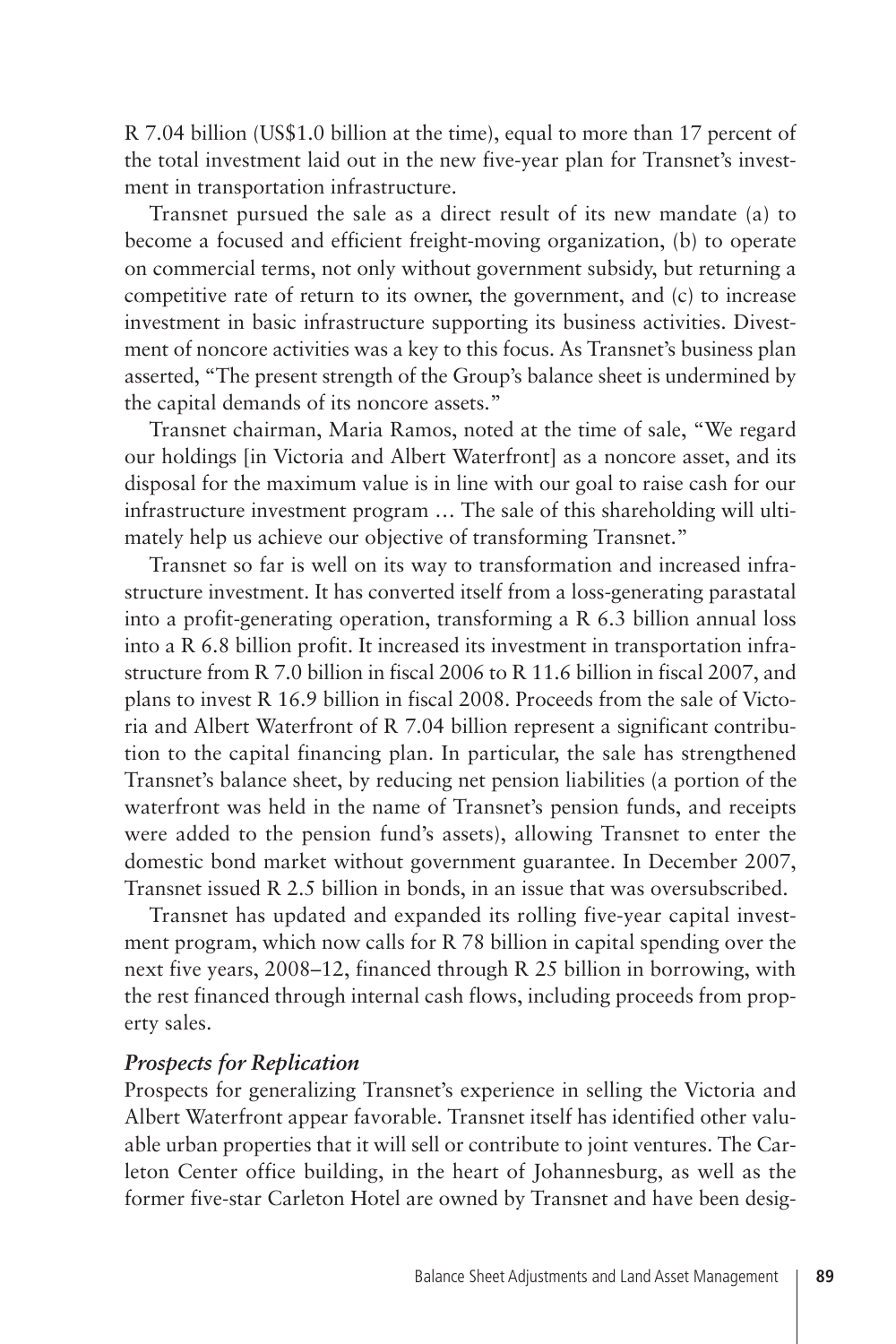R 7.04 billion (US\$1.0 billion at the time), equal to more than 17 percent of the total investment laid out in the new five-year plan for Transnet's investment in transportation infrastructure.

Transnet pursued the sale as a direct result of its new mandate (a) to become a focused and efficient freight-moving organization, (b) to operate on commercial terms, not only without government subsidy, but returning a competitive rate of return to its owner, the government, and (c) to increase investment in basic infrastructure supporting its business activities. Divestment of noncore activities was a key to this focus. As Transnet's business plan asserted, "The present strength of the Group's balance sheet is undermined by the capital demands of its noncore assets."

Transnet chairman, Maria Ramos, noted at the time of sale, "We regard our holdings [in Victoria and Albert Waterfront] as a noncore asset, and its disposal for the maximum value is in line with our goal to raise cash for our infrastructure investment program … The sale of this shareholding will ultimately help us achieve our objective of transforming Transnet."

Transnet so far is well on its way to transformation and increased infrastructure investment. It has converted itself from a loss-generating parastatal into a profit-generating operation, transforming a R 6.3 billion annual loss into a R 6.8 billion profit. It increased its investment in transportation infrastructure from R 7.0 billion in fiscal 2006 to R 11.6 billion in fiscal 2007, and plans to invest R 16.9 billion in fiscal 2008. Proceeds from the sale of Victoria and Albert Waterfront of R 7.04 billion represent a significant contribution to the capital financing plan. In particular, the sale has strengthened Transnet's balance sheet, by reducing net pension liabilities (a portion of the waterfront was held in the name of Transnet's pension funds, and receipts were added to the pension fund's assets), allowing Transnet to enter the domestic bond market without government guarantee. In December 2007, Transnet issued R 2.5 billion in bonds, in an issue that was oversubscribed.

Transnet has updated and expanded its rolling five-year capital investment program, which now calls for R 78 billion in capital spending over the next five years, 2008–12, financed through R 25 billion in borrowing, with the rest financed through internal cash flows, including proceeds from property sales.

#### *Prospects for Replication*

Prospects for generalizing Transnet's experience in selling the Victoria and Albert Waterfront appear favorable. Transnet itself has identified other valuable urban properties that it will sell or contribute to joint ventures. The Carleton Center office building, in the heart of Johannesburg, as well as the former five-star Carleton Hotel are owned by Transnet and have been desig-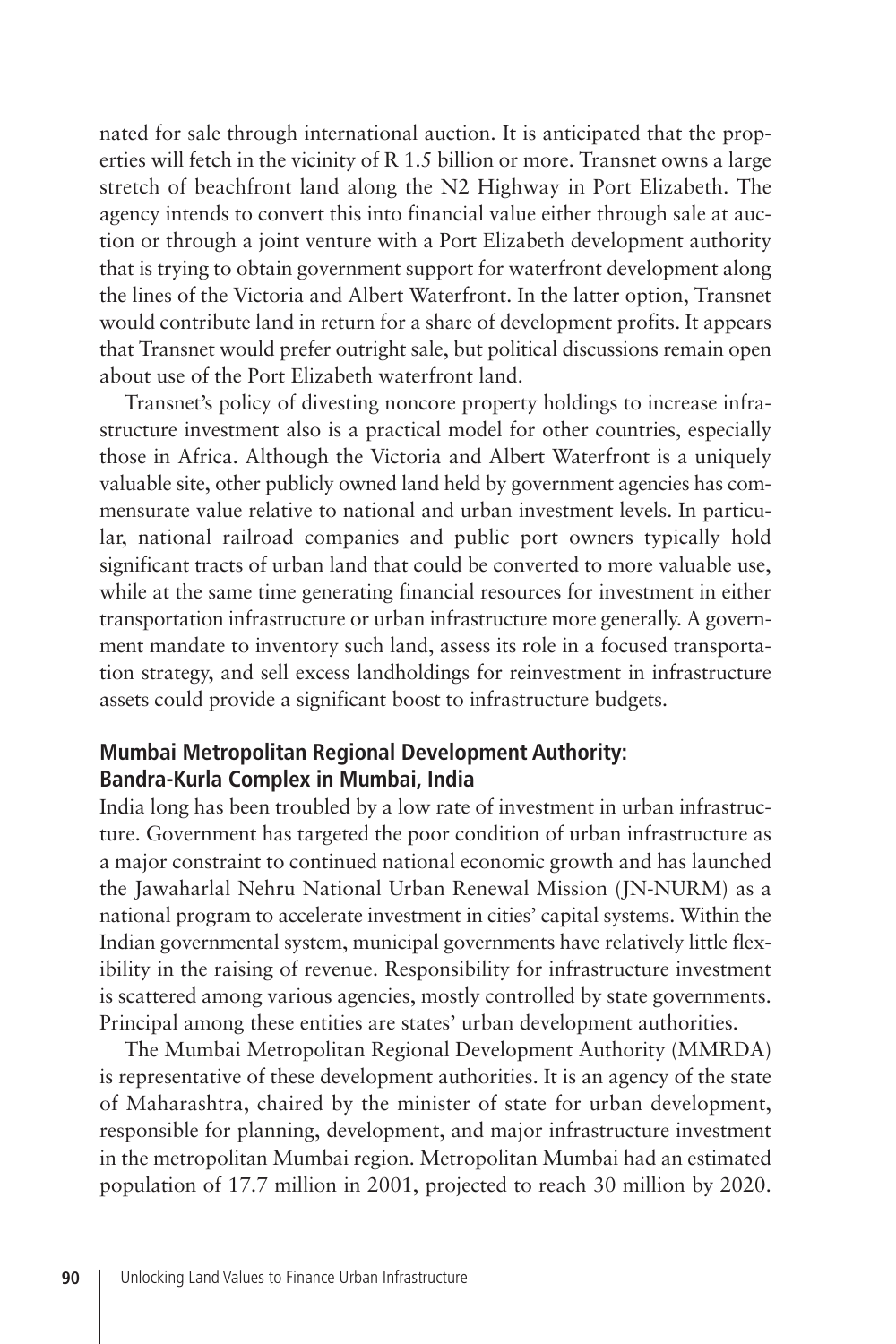nated for sale through international auction. It is anticipated that the properties will fetch in the vicinity of R 1.5 billion or more. Transnet owns a large stretch of beachfront land along the N2 Highway in Port Elizabeth. The agency intends to convert this into financial value either through sale at auction or through a joint venture with a Port Elizabeth development authority that is trying to obtain government support for waterfront development along the lines of the Victoria and Albert Waterfront. In the latter option, Transnet would contribute land in return for a share of development profits. It appears that Transnet would prefer outright sale, but political discussions remain open about use of the Port Elizabeth waterfront land.

Transnet's policy of divesting noncore property holdings to increase infrastructure investment also is a practical model for other countries, especially those in Africa. Although the Victoria and Albert Waterfront is a uniquely valuable site, other publicly owned land held by government agencies has commensurate value relative to national and urban investment levels. In particular, national railroad companies and public port owners typically hold significant tracts of urban land that could be converted to more valuable use, while at the same time generating financial resources for investment in either transportation infrastructure or urban infrastructure more generally. A government mandate to inventory such land, assess its role in a focused transportation strategy, and sell excess landholdings for reinvestment in infrastructure assets could provide a significant boost to infrastructure budgets.

## **Mumbai Metropolitan Regional Development Authority: Bandra-Kurla Complex in Mumbai, India**

India long has been troubled by a low rate of investment in urban infrastructure. Government has targeted the poor condition of urban infrastructure as a major constraint to continued national economic growth and has launched the Jawaharlal Nehru National Urban Renewal Mission (JN-NURM) as a national program to accelerate investment in cities' capital systems. Within the Indian governmental system, municipal governments have relatively little flexibility in the raising of revenue. Responsibility for infrastructure investment is scattered among various agencies, mostly controlled by state governments. Principal among these entities are states' urban development authorities.

The Mumbai Metropolitan Regional Development Authority (MMRDA) is representative of these development authorities. It is an agency of the state of Maharashtra, chaired by the minister of state for urban development, responsible for planning, development, and major infrastructure investment in the metropolitan Mumbai region. Metropolitan Mumbai had an estimated population of 17.7 million in 2001, projected to reach 30 million by 2020.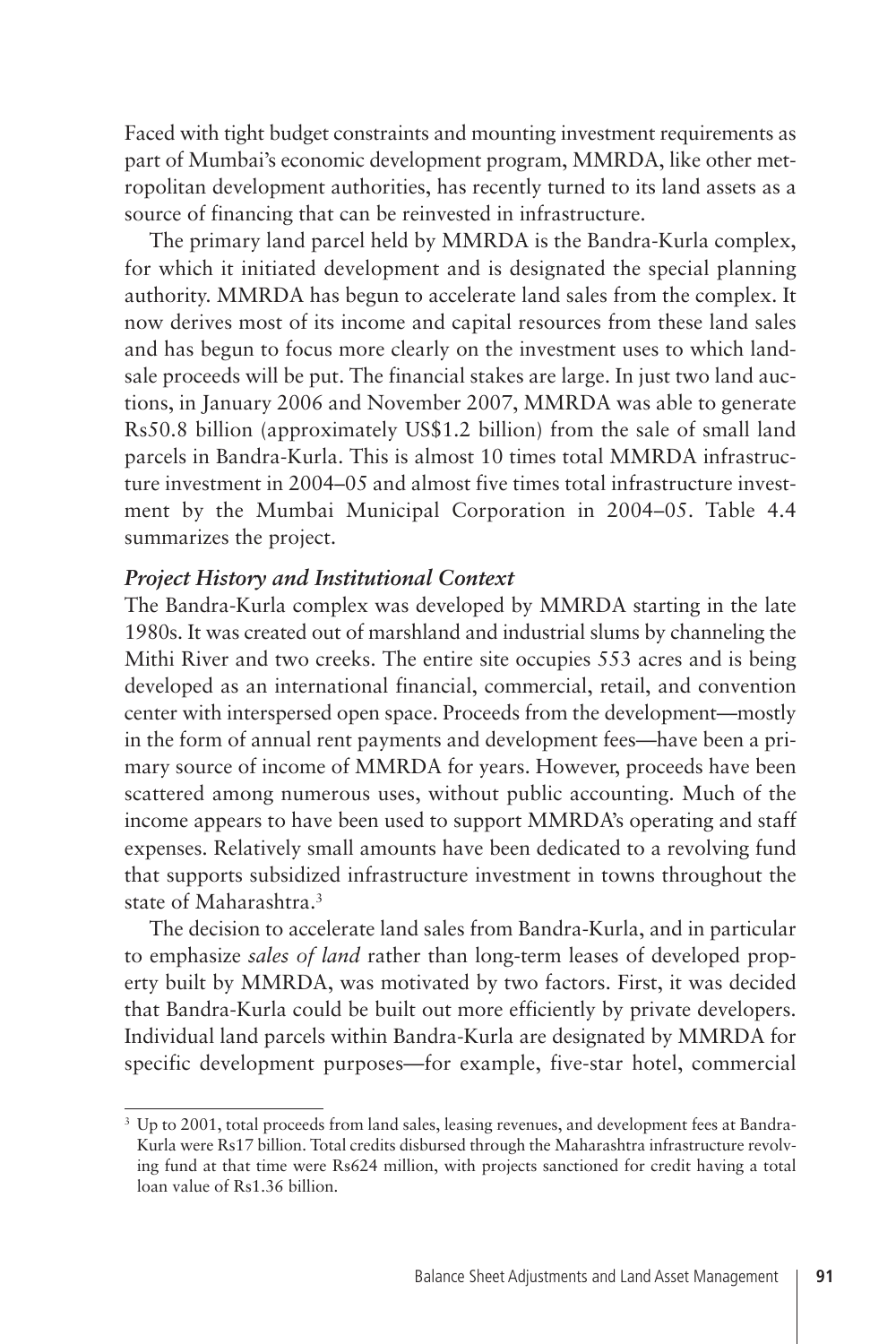Faced with tight budget constraints and mounting investment requirements as part of Mumbai's economic development program, MMRDA, like other metropolitan development authorities, has recently turned to its land assets as a source of financing that can be reinvested in infrastructure.

The primary land parcel held by MMRDA is the Bandra-Kurla complex, for which it initiated development and is designated the special planning authority. MMRDA has begun to accelerate land sales from the complex. It now derives most of its income and capital resources from these land sales and has begun to focus more clearly on the investment uses to which landsale proceeds will be put. The financial stakes are large. In just two land auctions, in January 2006 and November 2007, MMRDA was able to generate Rs50.8 billion (approximately US\$1.2 billion) from the sale of small land parcels in Bandra-Kurla. This is almost 10 times total MMRDA infrastructure investment in 2004–05 and almost five times total infrastructure investment by the Mumbai Municipal Corporation in 2004–05. Table 4.4 summarizes the project.

#### *Project History and Institutional Context*

The Bandra-Kurla complex was developed by MMRDA starting in the late 1980s. It was created out of marshland and industrial slums by channeling the Mithi River and two creeks. The entire site occupies 553 acres and is being developed as an international financial, commercial, retail, and convention center with interspersed open space. Proceeds from the development—mostly in the form of annual rent payments and development fees—have been a primary source of income of MMRDA for years. However, proceeds have been scattered among numerous uses, without public accounting. Much of the income appears to have been used to support MMRDA's operating and staff expenses. Relatively small amounts have been dedicated to a revolving fund that supports subsidized infrastructure investment in towns throughout the state of Maharashtra.3

The decision to accelerate land sales from Bandra-Kurla, and in particular to emphasize *sales of land* rather than long-term leases of developed property built by MMRDA, was motivated by two factors. First, it was decided that Bandra-Kurla could be built out more efficiently by private developers. Individual land parcels within Bandra-Kurla are designated by MMRDA for specific development purposes—for example, five-star hotel, commercial

<sup>&</sup>lt;sup>3</sup> Up to 2001, total proceeds from land sales, leasing revenues, and development fees at Bandra-Kurla were Rs17 billion. Total credits disbursed through the Maharashtra infrastructure revolving fund at that time were Rs624 million, with projects sanctioned for credit having a total loan value of Rs1.36 billion.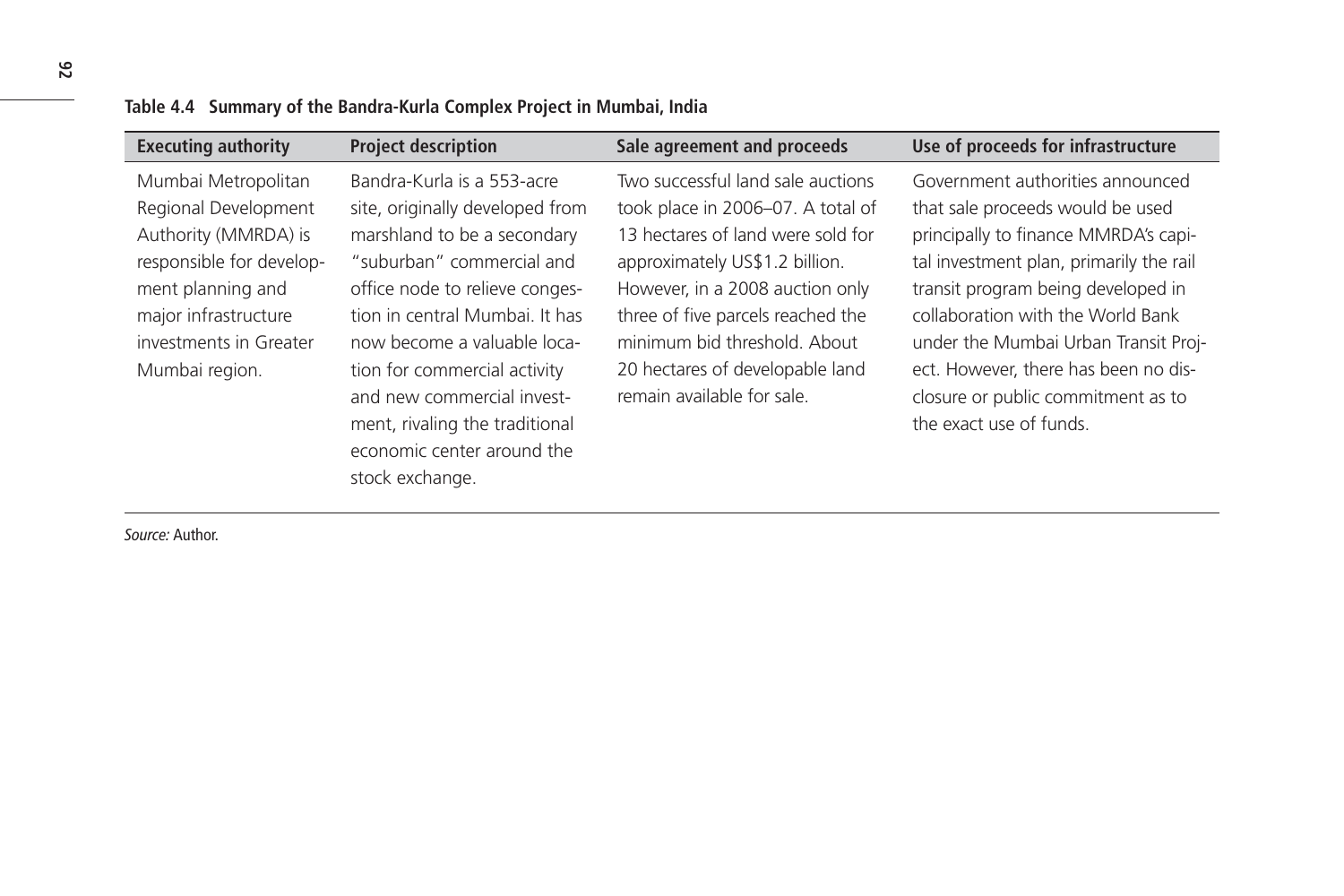| <b>Executing authority</b>                                                                                                                                                               | <b>Project description</b>                                                                                                                                                                                                                                                                                                   | Sale agreement and proceeds                                                                                                                                                                                                                                                                                            | Use of proceeds for infrastructure                                                                                                                                                                                                                                                                                                                                                  |
|------------------------------------------------------------------------------------------------------------------------------------------------------------------------------------------|------------------------------------------------------------------------------------------------------------------------------------------------------------------------------------------------------------------------------------------------------------------------------------------------------------------------------|------------------------------------------------------------------------------------------------------------------------------------------------------------------------------------------------------------------------------------------------------------------------------------------------------------------------|-------------------------------------------------------------------------------------------------------------------------------------------------------------------------------------------------------------------------------------------------------------------------------------------------------------------------------------------------------------------------------------|
| Mumbai Metropolitan<br>Regional Development<br>Authority (MMRDA) is<br>responsible for develop-<br>ment planning and<br>major infrastructure<br>investments in Greater<br>Mumbai region. | Bandra-Kurla is a 553-acre<br>site, originally developed from<br>marshland to be a secondary<br>"suburban" commercial and<br>office node to relieve conges-<br>tion in central Mumbai. It has<br>now become a valuable loca-<br>tion for commercial activity<br>and new commercial invest-<br>ment, rivaling the traditional | Two successful land sale auctions<br>took place in 2006-07. A total of<br>13 hectares of land were sold for<br>approximately US\$1.2 billion.<br>However, in a 2008 auction only<br>three of five parcels reached the<br>minimum bid threshold. About<br>20 hectares of developable land<br>remain available for sale. | Government authorities announced<br>that sale proceeds would be used<br>principally to finance MMRDA's capi-<br>tal investment plan, primarily the rail<br>transit program being developed in<br>collaboration with the World Bank<br>under the Mumbai Urban Transit Proj-<br>ect. However, there has been no dis-<br>closure or public commitment as to<br>the exact use of funds. |
|                                                                                                                                                                                          | economic center around the<br>stock exchange.                                                                                                                                                                                                                                                                                |                                                                                                                                                                                                                                                                                                                        |                                                                                                                                                                                                                                                                                                                                                                                     |
|                                                                                                                                                                                          |                                                                                                                                                                                                                                                                                                                              |                                                                                                                                                                                                                                                                                                                        |                                                                                                                                                                                                                                                                                                                                                                                     |

# **Table 4.4 Summary of the Bandra-Kurla Complex Project in Mumbai, India**

Source: Author.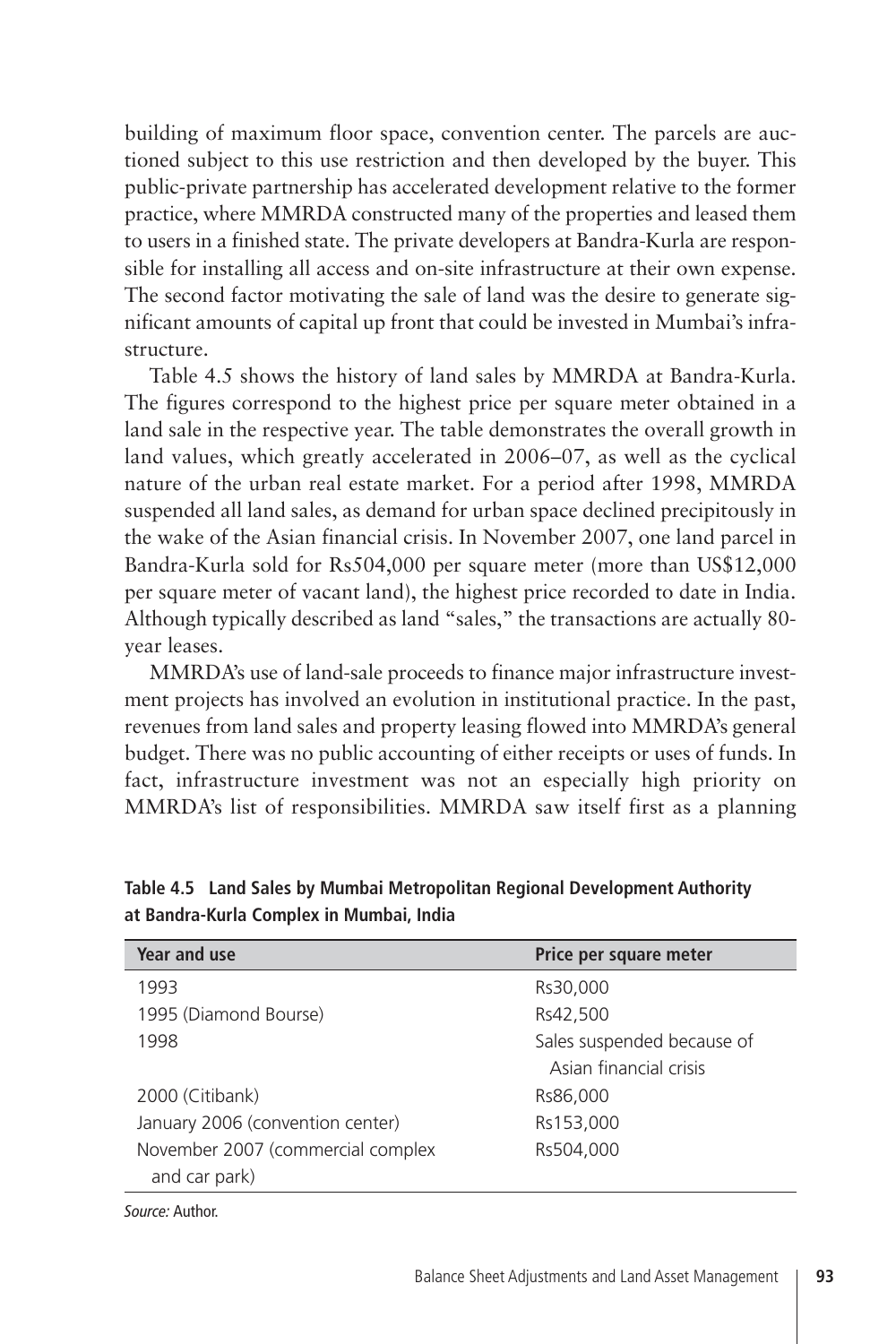building of maximum floor space, convention center. The parcels are auctioned subject to this use restriction and then developed by the buyer. This public-private partnership has accelerated development relative to the former practice, where MMRDA constructed many of the properties and leased them to users in a finished state. The private developers at Bandra-Kurla are responsible for installing all access and on-site infrastructure at their own expense. The second factor motivating the sale of land was the desire to generate significant amounts of capital up front that could be invested in Mumbai's infrastructure.

Table 4.5 shows the history of land sales by MMRDA at Bandra-Kurla. The figures correspond to the highest price per square meter obtained in a land sale in the respective year. The table demonstrates the overall growth in land values, which greatly accelerated in 2006–07, as well as the cyclical nature of the urban real estate market. For a period after 1998, MMRDA suspended all land sales, as demand for urban space declined precipitously in the wake of the Asian financial crisis. In November 2007, one land parcel in Bandra-Kurla sold for Rs504,000 per square meter (more than US\$12,000 per square meter of vacant land), the highest price recorded to date in India. Although typically described as land "sales," the transactions are actually 80 year leases.

MMRDA's use of land-sale proceeds to finance major infrastructure investment projects has involved an evolution in institutional practice. In the past, revenues from land sales and property leasing flowed into MMRDA's general budget. There was no public accounting of either receipts or uses of funds. In fact, infrastructure investment was not an especially high priority on MMRDA's list of responsibilities. MMRDA saw itself first as a planning

| Year and use                      | Price per square meter     |
|-----------------------------------|----------------------------|
| 1993                              | Rs30,000                   |
| 1995 (Diamond Bourse)             | Rs42,500                   |
| 1998                              | Sales suspended because of |
|                                   | Asian financial crisis     |
| 2000 (Citibank)                   | Rs86,000                   |
| January 2006 (convention center)  | Rs153,000                  |
| November 2007 (commercial complex | Rs504,000                  |
| and car park)                     |                            |

**Table 4.5 Land Sales by Mumbai Metropolitan Regional Development Authority at Bandra-Kurla Complex in Mumbai, India**

Source: Author.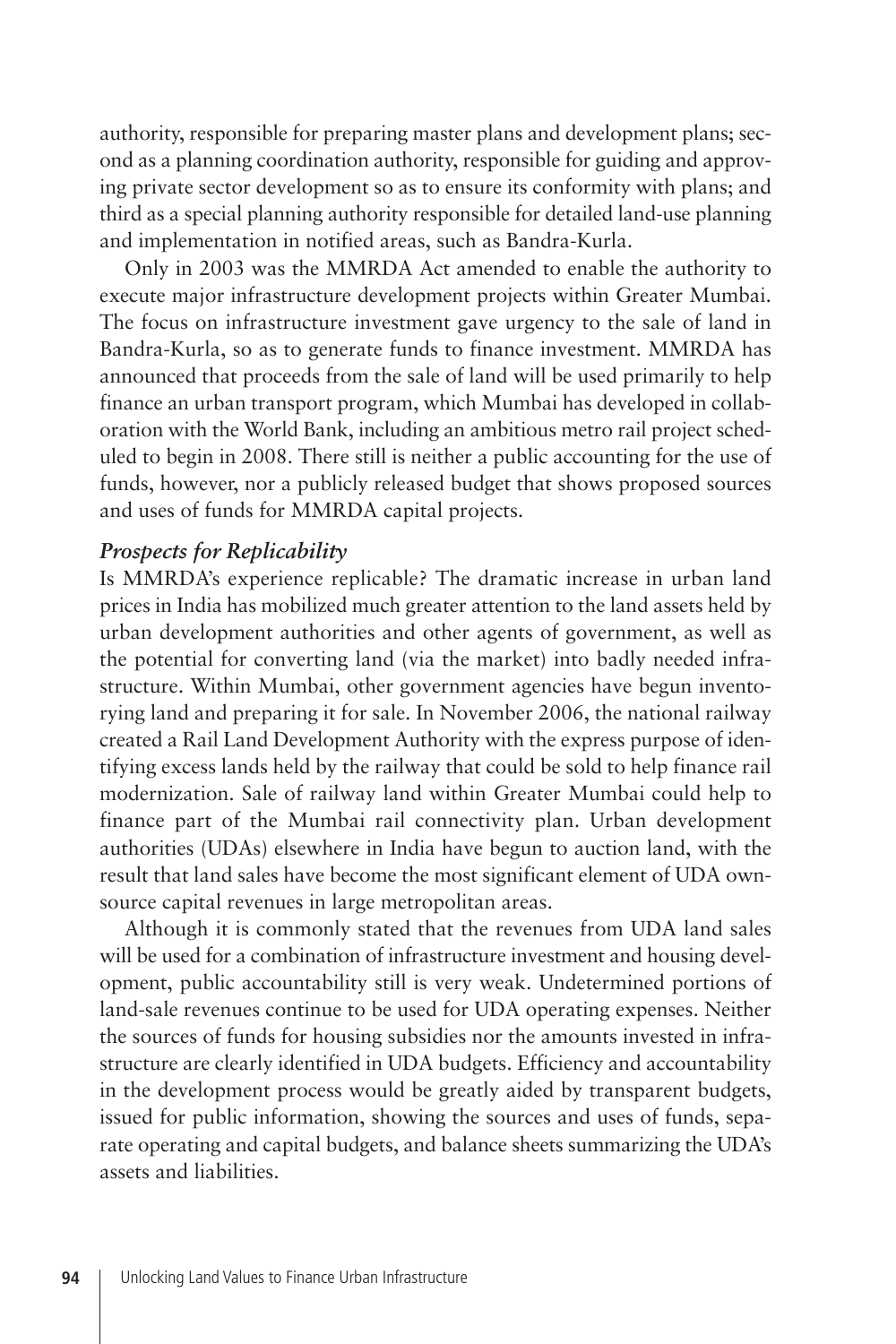authority, responsible for preparing master plans and development plans; second as a planning coordination authority, responsible for guiding and approving private sector development so as to ensure its conformity with plans; and third as a special planning authority responsible for detailed land-use planning and implementation in notified areas, such as Bandra-Kurla.

Only in 2003 was the MMRDA Act amended to enable the authority to execute major infrastructure development projects within Greater Mumbai. The focus on infrastructure investment gave urgency to the sale of land in Bandra-Kurla, so as to generate funds to finance investment. MMRDA has announced that proceeds from the sale of land will be used primarily to help finance an urban transport program, which Mumbai has developed in collaboration with the World Bank, including an ambitious metro rail project scheduled to begin in 2008. There still is neither a public accounting for the use of funds, however, nor a publicly released budget that shows proposed sources and uses of funds for MMRDA capital projects.

#### *Prospects for Replicability*

Is MMRDA's experience replicable? The dramatic increase in urban land prices in India has mobilized much greater attention to the land assets held by urban development authorities and other agents of government, as well as the potential for converting land (via the market) into badly needed infrastructure. Within Mumbai, other government agencies have begun inventorying land and preparing it for sale. In November 2006, the national railway created a Rail Land Development Authority with the express purpose of identifying excess lands held by the railway that could be sold to help finance rail modernization. Sale of railway land within Greater Mumbai could help to finance part of the Mumbai rail connectivity plan. Urban development authorities (UDAs) elsewhere in India have begun to auction land, with the result that land sales have become the most significant element of UDA ownsource capital revenues in large metropolitan areas.

Although it is commonly stated that the revenues from UDA land sales will be used for a combination of infrastructure investment and housing development, public accountability still is very weak. Undetermined portions of land-sale revenues continue to be used for UDA operating expenses. Neither the sources of funds for housing subsidies nor the amounts invested in infrastructure are clearly identified in UDA budgets. Efficiency and accountability in the development process would be greatly aided by transparent budgets, issued for public information, showing the sources and uses of funds, separate operating and capital budgets, and balance sheets summarizing the UDA's assets and liabilities.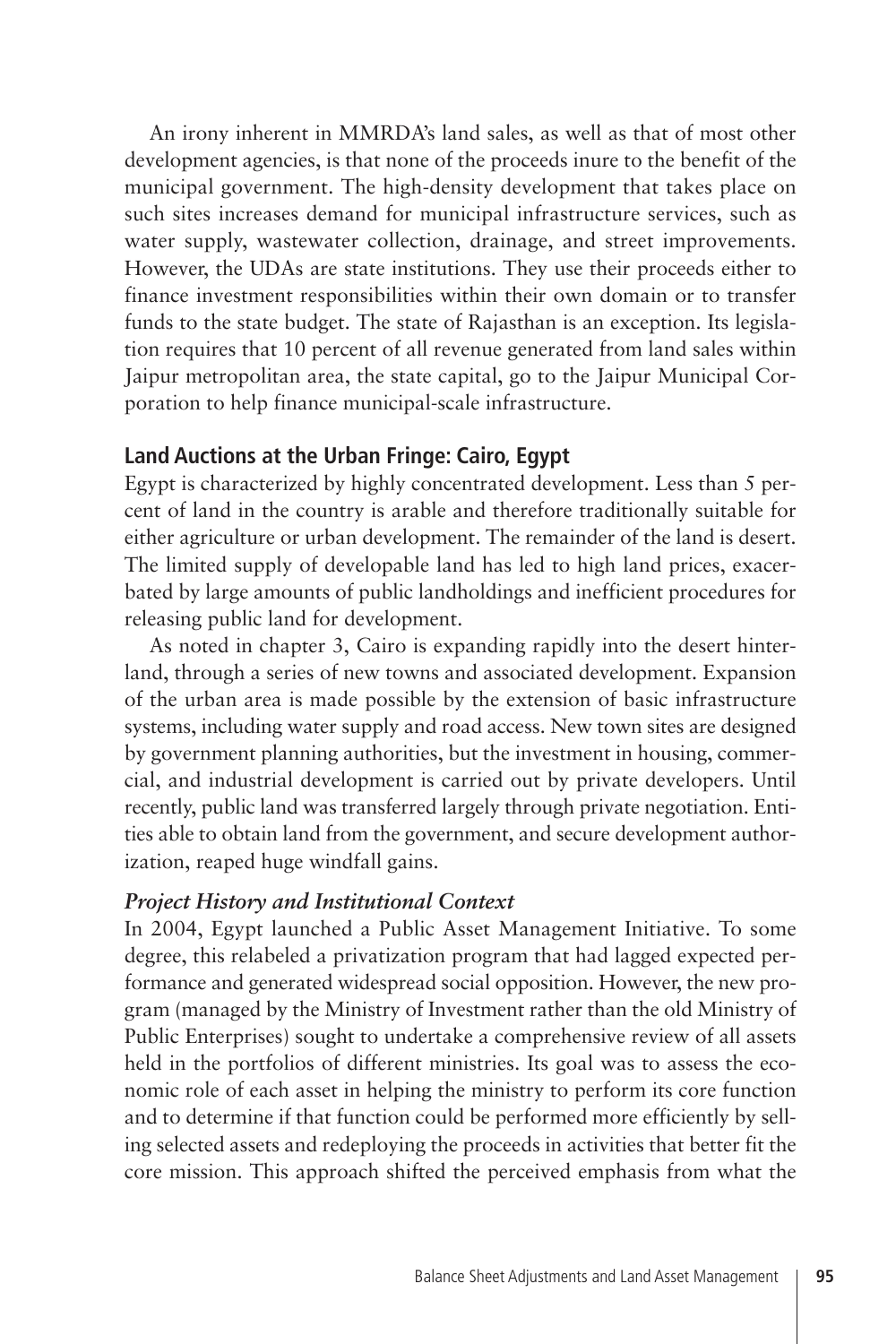An irony inherent in MMRDA's land sales, as well as that of most other development agencies, is that none of the proceeds inure to the benefit of the municipal government. The high-density development that takes place on such sites increases demand for municipal infrastructure services, such as water supply, wastewater collection, drainage, and street improvements. However, the UDAs are state institutions. They use their proceeds either to finance investment responsibilities within their own domain or to transfer funds to the state budget. The state of Rajasthan is an exception. Its legislation requires that 10 percent of all revenue generated from land sales within Jaipur metropolitan area, the state capital, go to the Jaipur Municipal Corporation to help finance municipal-scale infrastructure.

## **Land Auctions at the Urban Fringe: Cairo, Egypt**

Egypt is characterized by highly concentrated development. Less than 5 percent of land in the country is arable and therefore traditionally suitable for either agriculture or urban development. The remainder of the land is desert. The limited supply of developable land has led to high land prices, exacerbated by large amounts of public landholdings and inefficient procedures for releasing public land for development.

As noted in chapter 3, Cairo is expanding rapidly into the desert hinterland, through a series of new towns and associated development. Expansion of the urban area is made possible by the extension of basic infrastructure systems, including water supply and road access. New town sites are designed by government planning authorities, but the investment in housing, commercial, and industrial development is carried out by private developers. Until recently, public land was transferred largely through private negotiation. Entities able to obtain land from the government, and secure development authorization, reaped huge windfall gains.

### *Project History and Institutional Context*

In 2004, Egypt launched a Public Asset Management Initiative. To some degree, this relabeled a privatization program that had lagged expected performance and generated widespread social opposition. However, the new program (managed by the Ministry of Investment rather than the old Ministry of Public Enterprises) sought to undertake a comprehensive review of all assets held in the portfolios of different ministries. Its goal was to assess the economic role of each asset in helping the ministry to perform its core function and to determine if that function could be performed more efficiently by selling selected assets and redeploying the proceeds in activities that better fit the core mission. This approach shifted the perceived emphasis from what the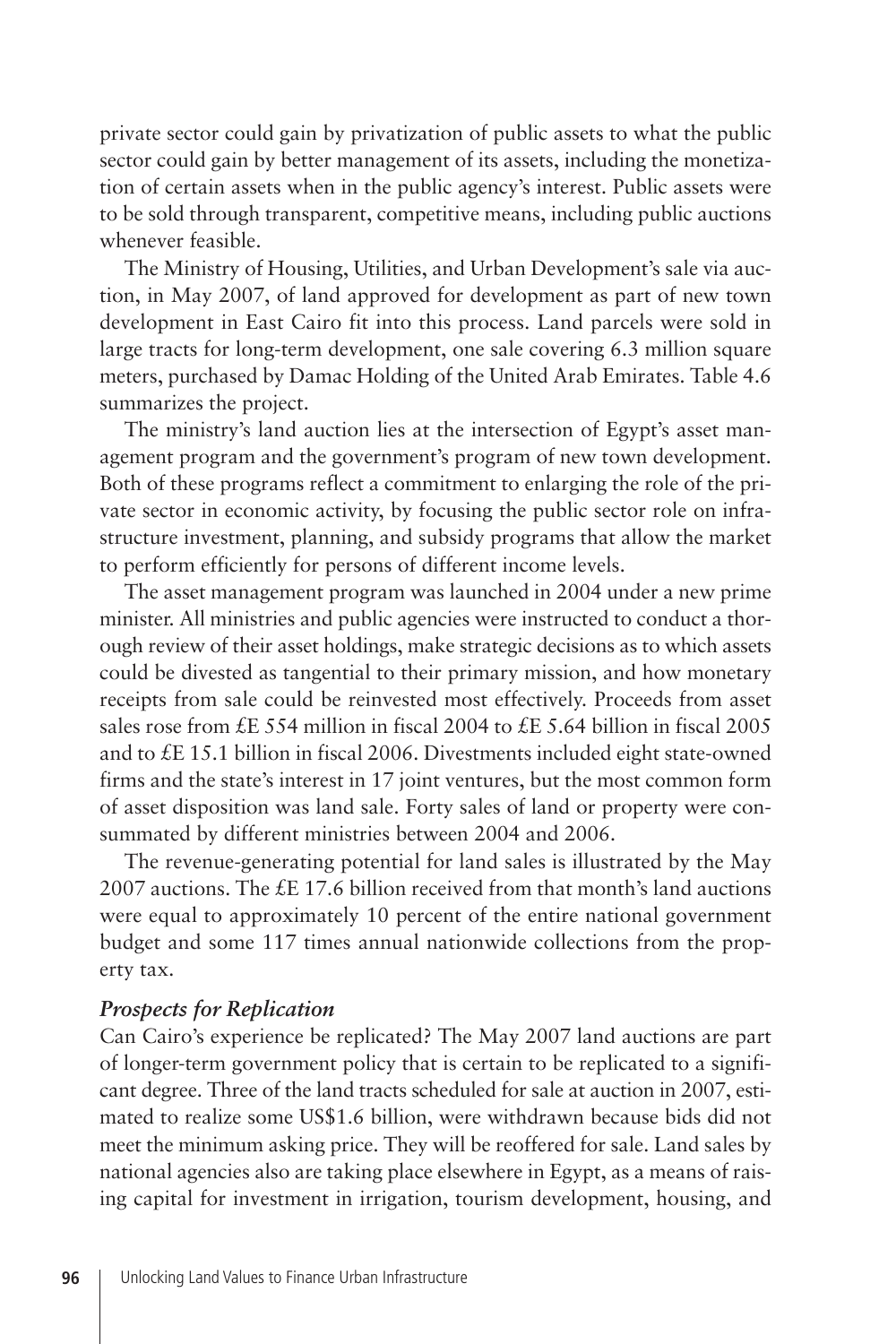private sector could gain by privatization of public assets to what the public sector could gain by better management of its assets, including the monetization of certain assets when in the public agency's interest. Public assets were to be sold through transparent, competitive means, including public auctions whenever feasible.

The Ministry of Housing, Utilities, and Urban Development's sale via auction, in May 2007, of land approved for development as part of new town development in East Cairo fit into this process. Land parcels were sold in large tracts for long-term development, one sale covering 6.3 million square meters, purchased by Damac Holding of the United Arab Emirates. Table 4.6 summarizes the project.

The ministry's land auction lies at the intersection of Egypt's asset management program and the government's program of new town development. Both of these programs reflect a commitment to enlarging the role of the private sector in economic activity, by focusing the public sector role on infrastructure investment, planning, and subsidy programs that allow the market to perform efficiently for persons of different income levels.

The asset management program was launched in 2004 under a new prime minister. All ministries and public agencies were instructed to conduct a thorough review of their asset holdings, make strategic decisions as to which assets could be divested as tangential to their primary mission, and how monetary receipts from sale could be reinvested most effectively. Proceeds from asset sales rose from £E 554 million in fiscal 2004 to £E 5.64 billion in fiscal 2005 and to £E 15.1 billion in fiscal 2006. Divestments included eight state-owned firms and the state's interest in 17 joint ventures, but the most common form of asset disposition was land sale. Forty sales of land or property were consummated by different ministries between 2004 and 2006.

The revenue-generating potential for land sales is illustrated by the May 2007 auctions. The  $\text{\textsterling}E$  17.6 billion received from that month's land auctions were equal to approximately 10 percent of the entire national government budget and some 117 times annual nationwide collections from the property tax.

#### *Prospects for Replication*

Can Cairo's experience be replicated? The May 2007 land auctions are part of longer-term government policy that is certain to be replicated to a significant degree. Three of the land tracts scheduled for sale at auction in 2007, estimated to realize some US\$1.6 billion, were withdrawn because bids did not meet the minimum asking price. They will be reoffered for sale. Land sales by national agencies also are taking place elsewhere in Egypt, as a means of raising capital for investment in irrigation, tourism development, housing, and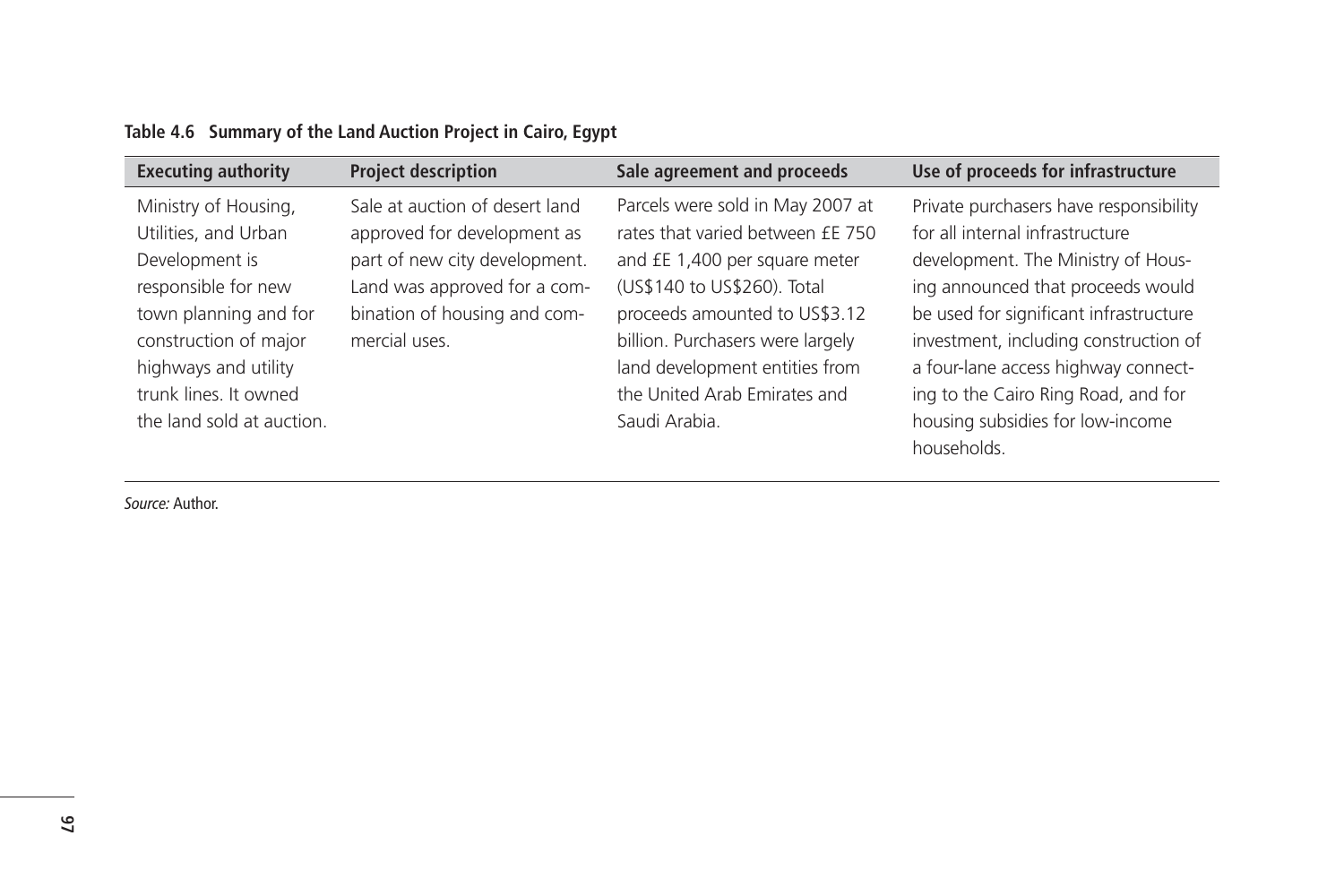| <b>Executing authority</b>                                                                                                                                                                                            | <b>Project description</b>                                                                                                                                                      | Sale agreement and proceeds                                                                                                                                                                                                                                                                  | Use of proceeds for infrastructure                                                                                                                                                                                                                                                                                                                                       |
|-----------------------------------------------------------------------------------------------------------------------------------------------------------------------------------------------------------------------|---------------------------------------------------------------------------------------------------------------------------------------------------------------------------------|----------------------------------------------------------------------------------------------------------------------------------------------------------------------------------------------------------------------------------------------------------------------------------------------|--------------------------------------------------------------------------------------------------------------------------------------------------------------------------------------------------------------------------------------------------------------------------------------------------------------------------------------------------------------------------|
| Ministry of Housing,<br>Utilities, and Urban<br>Development is<br>responsible for new<br>town planning and for<br>construction of major<br>highways and utility<br>trunk lines. It owned<br>the land sold at auction. | Sale at auction of desert land<br>approved for development as<br>part of new city development.<br>Land was approved for a com-<br>bination of housing and com-<br>mercial uses. | Parcels were sold in May 2007 at<br>rates that varied between EE 750<br>and £E 1,400 per square meter<br>(US\$140 to US\$260). Total<br>proceeds amounted to US\$3.12<br>billion. Purchasers were largely<br>land development entities from<br>the United Arab Emirates and<br>Saudi Arabia. | Private purchasers have responsibility<br>for all internal infrastructure<br>development. The Ministry of Hous-<br>ing announced that proceeds would<br>be used for significant infrastructure<br>investment, including construction of<br>a four-lane access highway connect-<br>ing to the Cairo Ring Road, and for<br>housing subsidies for low-income<br>households. |

# **Table 4.6 Summary of the Land Auction Project in Cairo, Egypt**

Source: Author.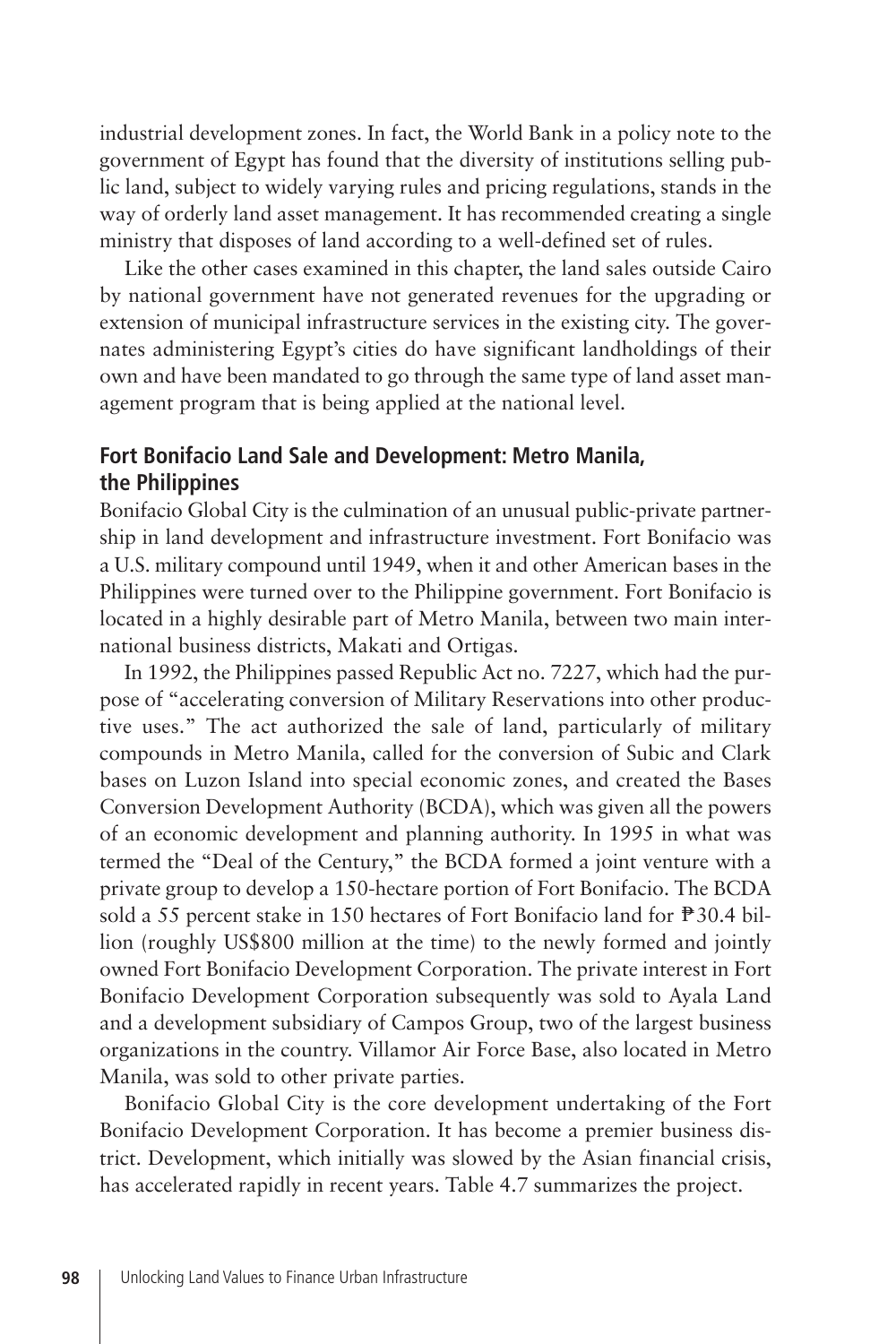industrial development zones. In fact, the World Bank in a policy note to the government of Egypt has found that the diversity of institutions selling public land, subject to widely varying rules and pricing regulations, stands in the way of orderly land asset management. It has recommended creating a single ministry that disposes of land according to a well-defined set of rules.

Like the other cases examined in this chapter, the land sales outside Cairo by national government have not generated revenues for the upgrading or extension of municipal infrastructure services in the existing city. The governates administering Egypt's cities do have significant landholdings of their own and have been mandated to go through the same type of land asset management program that is being applied at the national level.

# **Fort Bonifacio Land Sale and Development: Metro Manila, the Philippines**

Bonifacio Global City is the culmination of an unusual public-private partnership in land development and infrastructure investment. Fort Bonifacio was a U.S. military compound until 1949, when it and other American bases in the Philippines were turned over to the Philippine government. Fort Bonifacio is located in a highly desirable part of Metro Manila, between two main international business districts, Makati and Ortigas.

In 1992, the Philippines passed Republic Act no. 7227, which had the purpose of "accelerating conversion of Military Reservations into other productive uses." The act authorized the sale of land, particularly of military compounds in Metro Manila, called for the conversion of Subic and Clark bases on Luzon Island into special economic zones, and created the Bases Conversion Development Authority (BCDA), which was given all the powers of an economic development and planning authority. In 1995 in what was termed the "Deal of the Century," the BCDA formed a joint venture with a private group to develop a 150-hectare portion of Fort Bonifacio. The BCDA sold a 55 percent stake in 150 hectares of Fort Bonifacio land for P30.4 billion (roughly US\$800 million at the time) to the newly formed and jointly owned Fort Bonifacio Development Corporation. The private interest in Fort Bonifacio Development Corporation subsequently was sold to Ayala Land and a development subsidiary of Campos Group, two of the largest business organizations in the country. Villamor Air Force Base, also located in Metro Manila, was sold to other private parties.

Bonifacio Global City is the core development undertaking of the Fort Bonifacio Development Corporation. It has become a premier business district. Development, which initially was slowed by the Asian financial crisis, has accelerated rapidly in recent years. Table 4.7 summarizes the project.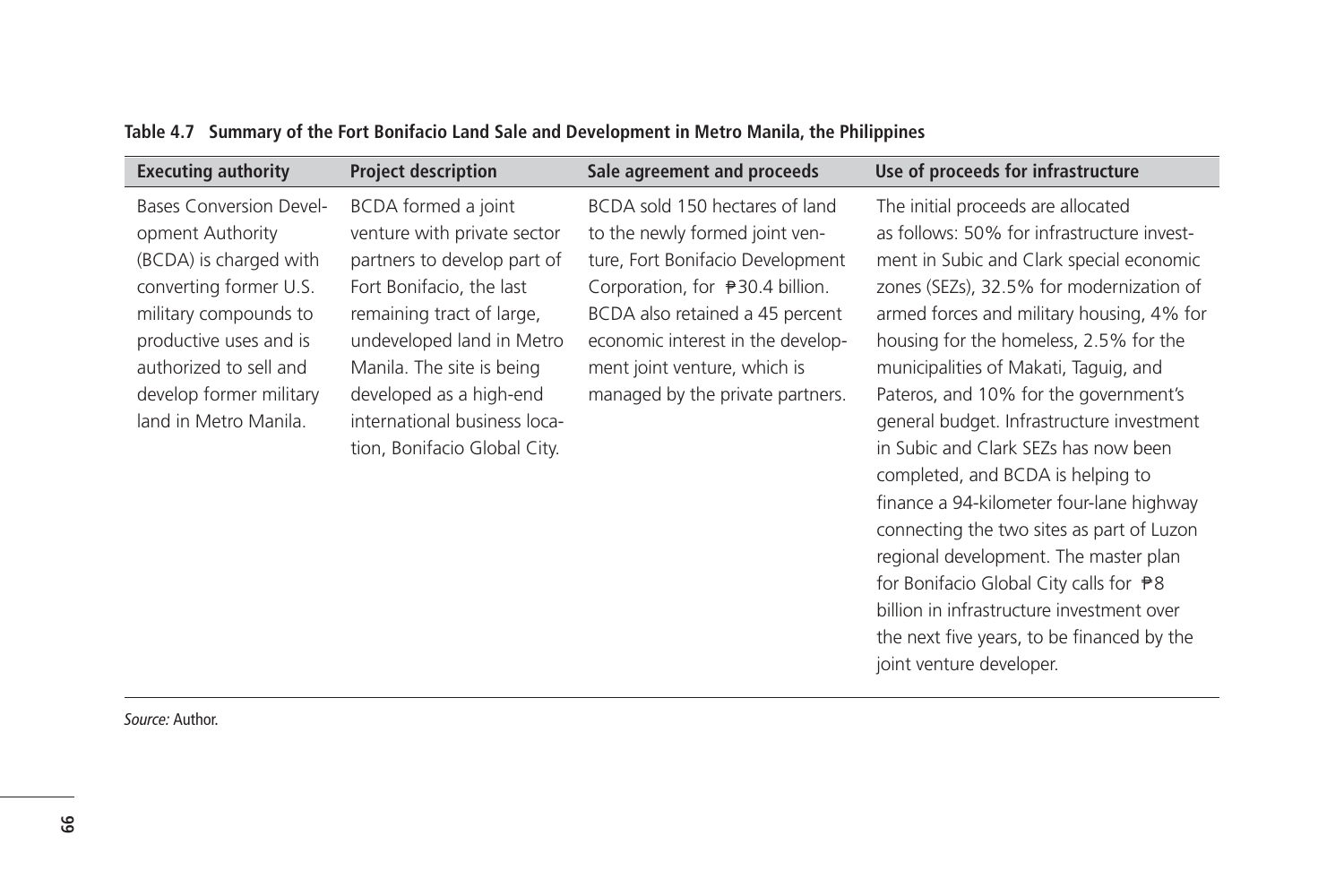| <b>Executing authority</b>                                                                                                                                                                                                              | <b>Project description</b>                                                                                                                                                                                                                                                                      | Sale agreement and proceeds                                                                                                                                                                                                                                                                   | Use of proceeds for infrastructure                                                                                                                                                                                                                                                                                                                                                                                                                                                                                                                                                                                                                                                                                                                                                          |
|-----------------------------------------------------------------------------------------------------------------------------------------------------------------------------------------------------------------------------------------|-------------------------------------------------------------------------------------------------------------------------------------------------------------------------------------------------------------------------------------------------------------------------------------------------|-----------------------------------------------------------------------------------------------------------------------------------------------------------------------------------------------------------------------------------------------------------------------------------------------|---------------------------------------------------------------------------------------------------------------------------------------------------------------------------------------------------------------------------------------------------------------------------------------------------------------------------------------------------------------------------------------------------------------------------------------------------------------------------------------------------------------------------------------------------------------------------------------------------------------------------------------------------------------------------------------------------------------------------------------------------------------------------------------------|
| <b>Bases Conversion Devel-</b><br>opment Authority<br>(BCDA) is charged with<br>converting former U.S.<br>military compounds to<br>productive uses and is<br>authorized to sell and<br>develop former military<br>land in Metro Manila. | BCDA formed a joint<br>venture with private sector<br>partners to develop part of<br>Fort Bonifacio, the last<br>remaining tract of large,<br>undeveloped land in Metro<br>Manila. The site is being<br>developed as a high-end<br>international business loca-<br>tion, Bonifacio Global City. | BCDA sold 150 hectares of land<br>to the newly formed joint ven-<br>ture, Fort Bonifacio Development<br>Corporation, for $\sqrt{3}$ 30.4 billion.<br>BCDA also retained a 45 percent<br>economic interest in the develop-<br>ment joint venture, which is<br>managed by the private partners. | The initial proceeds are allocated<br>as follows: 50% for infrastructure invest-<br>ment in Subic and Clark special economic<br>zones (SEZs), 32.5% for modernization of<br>armed forces and military housing, 4% for<br>housing for the homeless, 2.5% for the<br>municipalities of Makati, Taguig, and<br>Pateros, and 10% for the government's<br>general budget. Infrastructure investment<br>in Subic and Clark SEZs has now been<br>completed, and BCDA is helping to<br>finance a 94-kilometer four-lane highway<br>connecting the two sites as part of Luzon<br>regional development. The master plan<br>for Bonifacio Global City calls for $\overline{P}8$<br>billion in infrastructure investment over<br>the next five years, to be financed by the<br>joint venture developer. |

|  |  |  |  |  |  |  |  |  | Table 4.7 Summary of the Fort Bonifacio Land Sale and Development in Metro Manila, the Philippines |
|--|--|--|--|--|--|--|--|--|----------------------------------------------------------------------------------------------------|
|--|--|--|--|--|--|--|--|--|----------------------------------------------------------------------------------------------------|

Source: Author.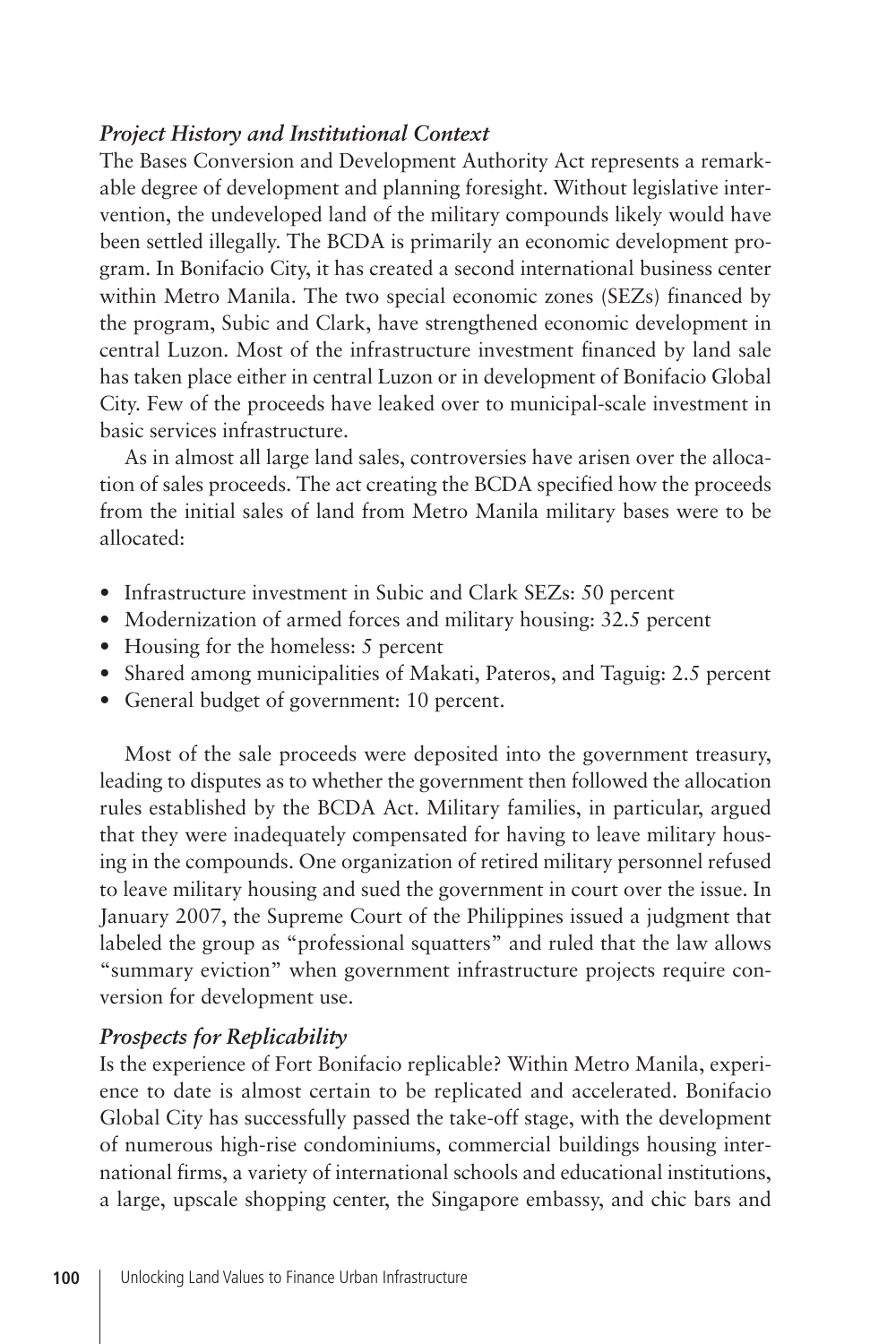### *Project History and Institutional Context*

The Bases Conversion and Development Authority Act represents a remarkable degree of development and planning foresight. Without legislative intervention, the undeveloped land of the military compounds likely would have been settled illegally. The BCDA is primarily an economic development program. In Bonifacio City, it has created a second international business center within Metro Manila. The two special economic zones (SEZs) financed by the program, Subic and Clark, have strengthened economic development in central Luzon. Most of the infrastructure investment financed by land sale has taken place either in central Luzon or in development of Bonifacio Global City. Few of the proceeds have leaked over to municipal-scale investment in basic services infrastructure.

As in almost all large land sales, controversies have arisen over the allocation of sales proceeds. The act creating the BCDA specified how the proceeds from the initial sales of land from Metro Manila military bases were to be allocated:

- Infrastructure investment in Subic and Clark SEZs: 50 percent
- Modernization of armed forces and military housing: 32.5 percent
- Housing for the homeless: 5 percent
- Shared among municipalities of Makati, Pateros, and Taguig: 2.5 percent
- General budget of government: 10 percent.

Most of the sale proceeds were deposited into the government treasury, leading to disputes as to whether the government then followed the allocation rules established by the BCDA Act. Military families, in particular, argued that they were inadequately compensated for having to leave military housing in the compounds. One organization of retired military personnel refused to leave military housing and sued the government in court over the issue. In January 2007, the Supreme Court of the Philippines issued a judgment that labeled the group as "professional squatters" and ruled that the law allows "summary eviction" when government infrastructure projects require conversion for development use.

# *Prospects for Replicability*

Is the experience of Fort Bonifacio replicable? Within Metro Manila, experience to date is almost certain to be replicated and accelerated. Bonifacio Global City has successfully passed the take-off stage, with the development of numerous high-rise condominiums, commercial buildings housing international firms, a variety of international schools and educational institutions, a large, upscale shopping center, the Singapore embassy, and chic bars and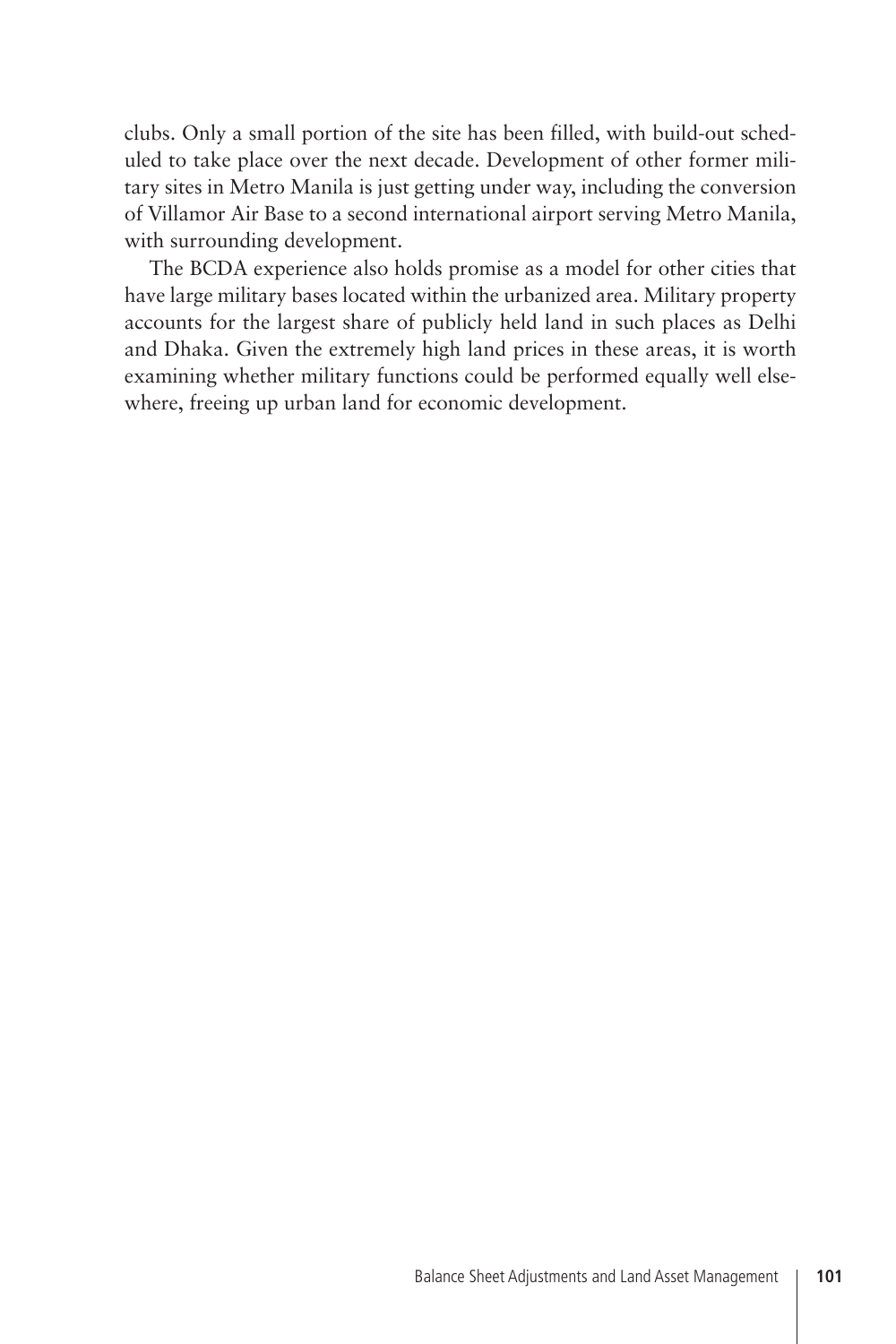clubs. Only a small portion of the site has been filled, with build-out scheduled to take place over the next decade. Development of other former military sites in Metro Manila is just getting under way, including the conversion of Villamor Air Base to a second international airport serving Metro Manila, with surrounding development.

The BCDA experience also holds promise as a model for other cities that have large military bases located within the urbanized area. Military property accounts for the largest share of publicly held land in such places as Delhi and Dhaka. Given the extremely high land prices in these areas, it is worth examining whether military functions could be performed equally well elsewhere, freeing up urban land for economic development.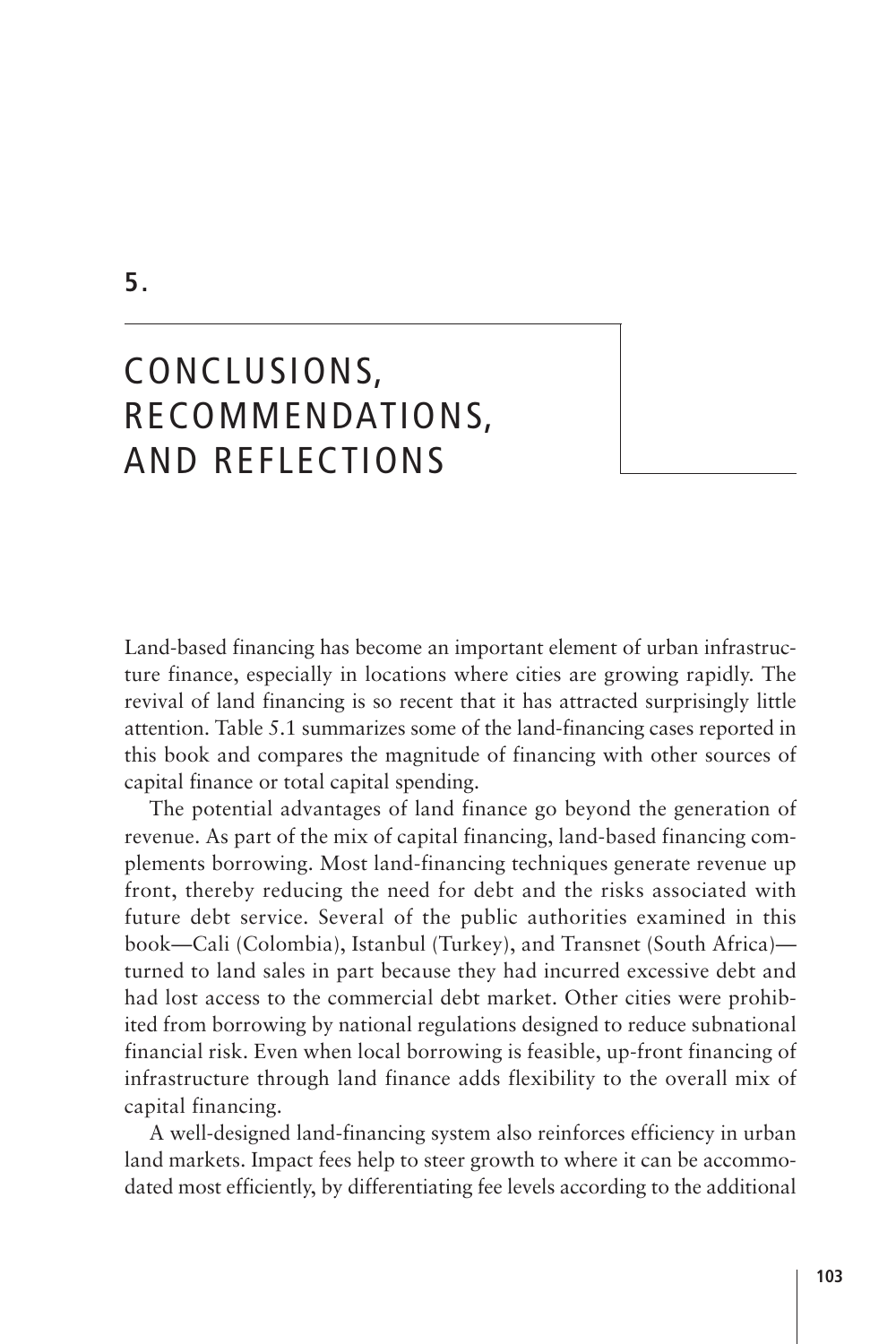# CONCLUSIONS, RECOMMENDATIONS, AND REFLECTIONS

Land-based financing has become an important element of urban infrastructure finance, especially in locations where cities are growing rapidly. The revival of land financing is so recent that it has attracted surprisingly little attention. Table 5.1 summarizes some of the land-financing cases reported in this book and compares the magnitude of financing with other sources of capital finance or total capital spending.

The potential advantages of land finance go beyond the generation of revenue. As part of the mix of capital financing, land-based financing complements borrowing. Most land-financing techniques generate revenue up front, thereby reducing the need for debt and the risks associated with future debt service. Several of the public authorities examined in this book—Cali (Colombia), Istanbul (Turkey), and Transnet (South Africa) turned to land sales in part because they had incurred excessive debt and had lost access to the commercial debt market. Other cities were prohibited from borrowing by national regulations designed to reduce subnational financial risk. Even when local borrowing is feasible, up-front financing of infrastructure through land finance adds flexibility to the overall mix of capital financing.

A well-designed land-financing system also reinforces efficiency in urban land markets. Impact fees help to steer growth to where it can be accommodated most efficiently, by differentiating fee levels according to the additional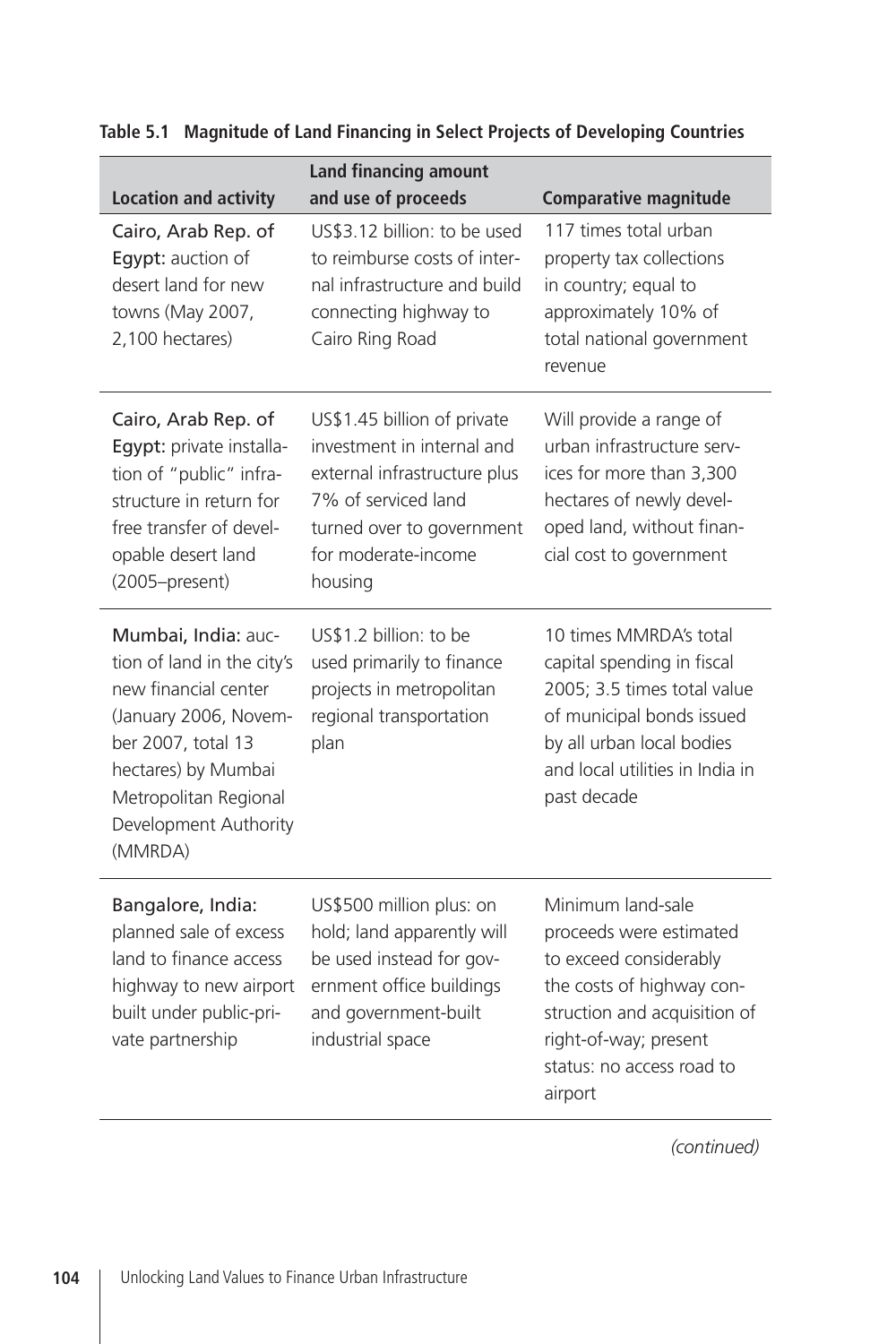| <b>Location and activity</b>                                                                                                                                                                                 | <b>Land financing amount</b><br>and use of proceeds                                                                                                                             | <b>Comparative magnitude</b>                                                                                                                                                                         |
|--------------------------------------------------------------------------------------------------------------------------------------------------------------------------------------------------------------|---------------------------------------------------------------------------------------------------------------------------------------------------------------------------------|------------------------------------------------------------------------------------------------------------------------------------------------------------------------------------------------------|
| Cairo, Arab Rep. of<br>Egypt: auction of<br>desert land for new<br>towns (May 2007,<br>2,100 hectares)                                                                                                       | US\$3.12 billion: to be used<br>to reimburse costs of inter-<br>nal infrastructure and build<br>connecting highway to<br>Cairo Ring Road                                        | 117 times total urban<br>property tax collections<br>in country; equal to<br>approximately 10% of<br>total national government<br>revenue                                                            |
| Cairo, Arab Rep. of<br>Egypt: private installa-<br>tion of "public" infra-<br>structure in return for<br>free transfer of devel-<br>opable desert land<br>(2005-present)                                     | US\$1.45 billion of private<br>investment in internal and<br>external infrastructure plus<br>7% of serviced land<br>turned over to government<br>for moderate-income<br>housing | Will provide a range of<br>urban infrastructure serv-<br>ices for more than 3,300<br>hectares of newly devel-<br>oped land, without finan-<br>cial cost to government                                |
| Mumbai, India: auc-<br>tion of land in the city's<br>new financial center<br>(January 2006, Novem-<br>ber 2007, total 13<br>hectares) by Mumbai<br>Metropolitan Regional<br>Development Authority<br>(MMRDA) | US\$1.2 billion: to be<br>used primarily to finance<br>projects in metropolitan<br>regional transportation<br>plan                                                              | 10 times MMRDA's total<br>capital spending in fiscal<br>2005; 3.5 times total value<br>of municipal bonds issued<br>by all urban local bodies<br>and local utilities in India in<br>past decade      |
| Bangalore, India:<br>planned sale of excess<br>land to finance access<br>highway to new airport<br>built under public-pri-<br>vate partnership                                                               | US\$500 million plus: on<br>hold; land apparently will<br>be used instead for gov-<br>ernment office buildings<br>and government-built<br>industrial space                      | Minimum land-sale<br>proceeds were estimated<br>to exceed considerably<br>the costs of highway con-<br>struction and acquisition of<br>right-of-way; present<br>status: no access road to<br>airport |

### **Table 5.1 Magnitude of Land Financing in Select Projects of Developing Countries**

*(continued)*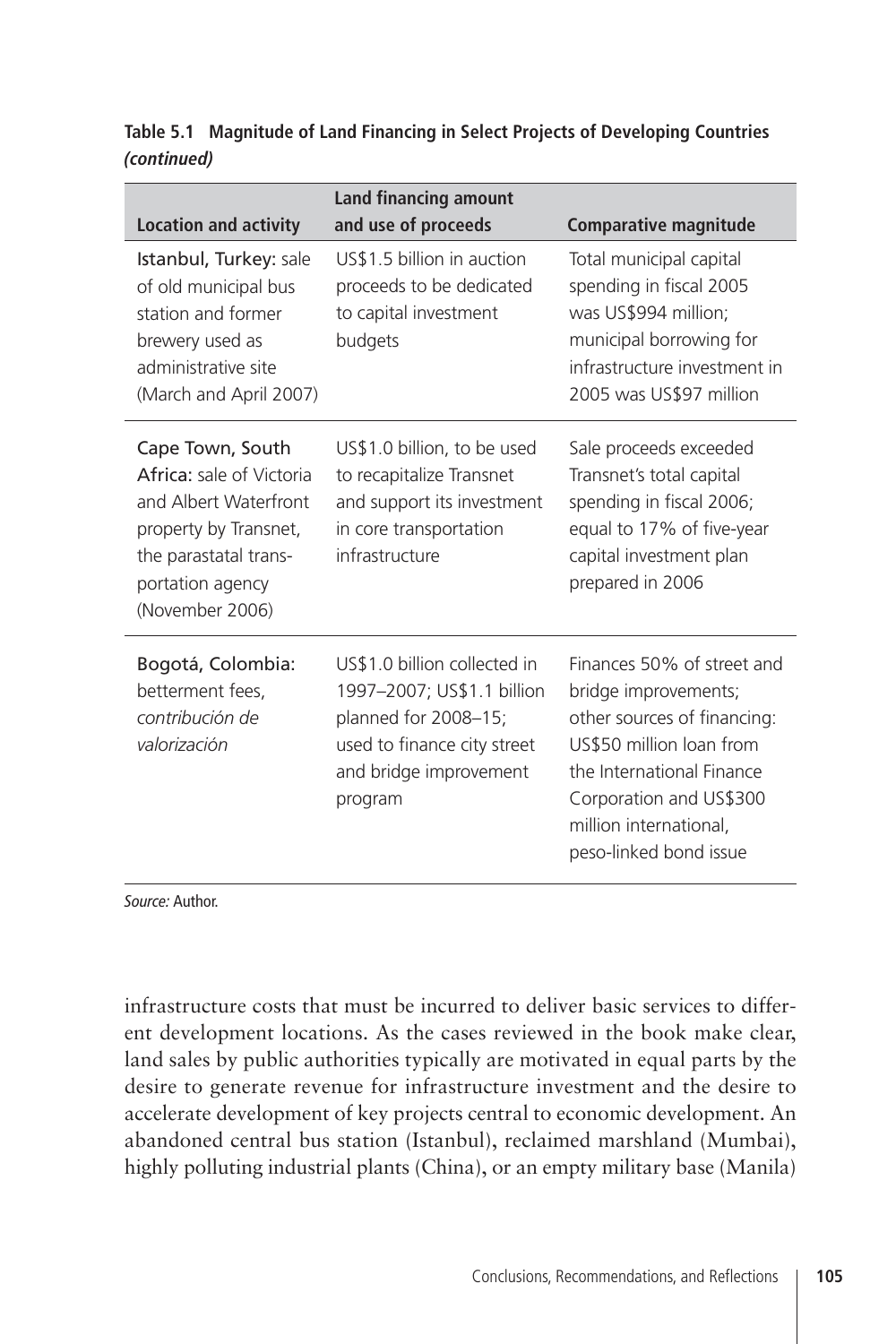| <b>Location and activity</b>                                                                                                                                   | <b>Land financing amount</b><br>and use of proceeds                                                                                                    | <b>Comparative magnitude</b>                                                                                                                                                                                              |
|----------------------------------------------------------------------------------------------------------------------------------------------------------------|--------------------------------------------------------------------------------------------------------------------------------------------------------|---------------------------------------------------------------------------------------------------------------------------------------------------------------------------------------------------------------------------|
| Istanbul, Turkey: sale<br>of old municipal bus<br>station and former<br>brewery used as<br>administrative site<br>(March and April 2007)                       | US\$1.5 billion in auction<br>proceeds to be dedicated<br>to capital investment<br>budgets                                                             | Total municipal capital<br>spending in fiscal 2005<br>was US\$994 million;<br>municipal borrowing for<br>infrastructure investment in<br>2005 was US\$97 million                                                          |
| Cape Town, South<br>Africa: sale of Victoria<br>and Albert Waterfront<br>property by Transnet,<br>the parastatal trans-<br>portation agency<br>(November 2006) | US\$1.0 billion, to be used<br>to recapitalize Transnet<br>and support its investment<br>in core transportation<br>infrastructure                      | Sale proceeds exceeded<br>Transnet's total capital<br>spending in fiscal 2006;<br>equal to 17% of five-year<br>capital investment plan<br>prepared in 2006                                                                |
| Bogotá, Colombia:<br>betterment fees,<br>contribución de<br>valorización                                                                                       | US\$1.0 billion collected in<br>1997-2007; US\$1.1 billion<br>planned for 2008-15;<br>used to finance city street<br>and bridge improvement<br>program | Finances 50% of street and<br>bridge improvements;<br>other sources of financing:<br>US\$50 million loan from<br>the International Finance<br>Corporation and US\$300<br>million international.<br>peso-linked bond issue |

## **Table 5.1 Magnitude of Land Financing in Select Projects of Developing Countries (continued)**

Source: Author.

infrastructure costs that must be incurred to deliver basic services to different development locations. As the cases reviewed in the book make clear, land sales by public authorities typically are motivated in equal parts by the desire to generate revenue for infrastructure investment and the desire to accelerate development of key projects central to economic development. An abandoned central bus station (Istanbul), reclaimed marshland (Mumbai), highly polluting industrial plants (China), or an empty military base (Manila)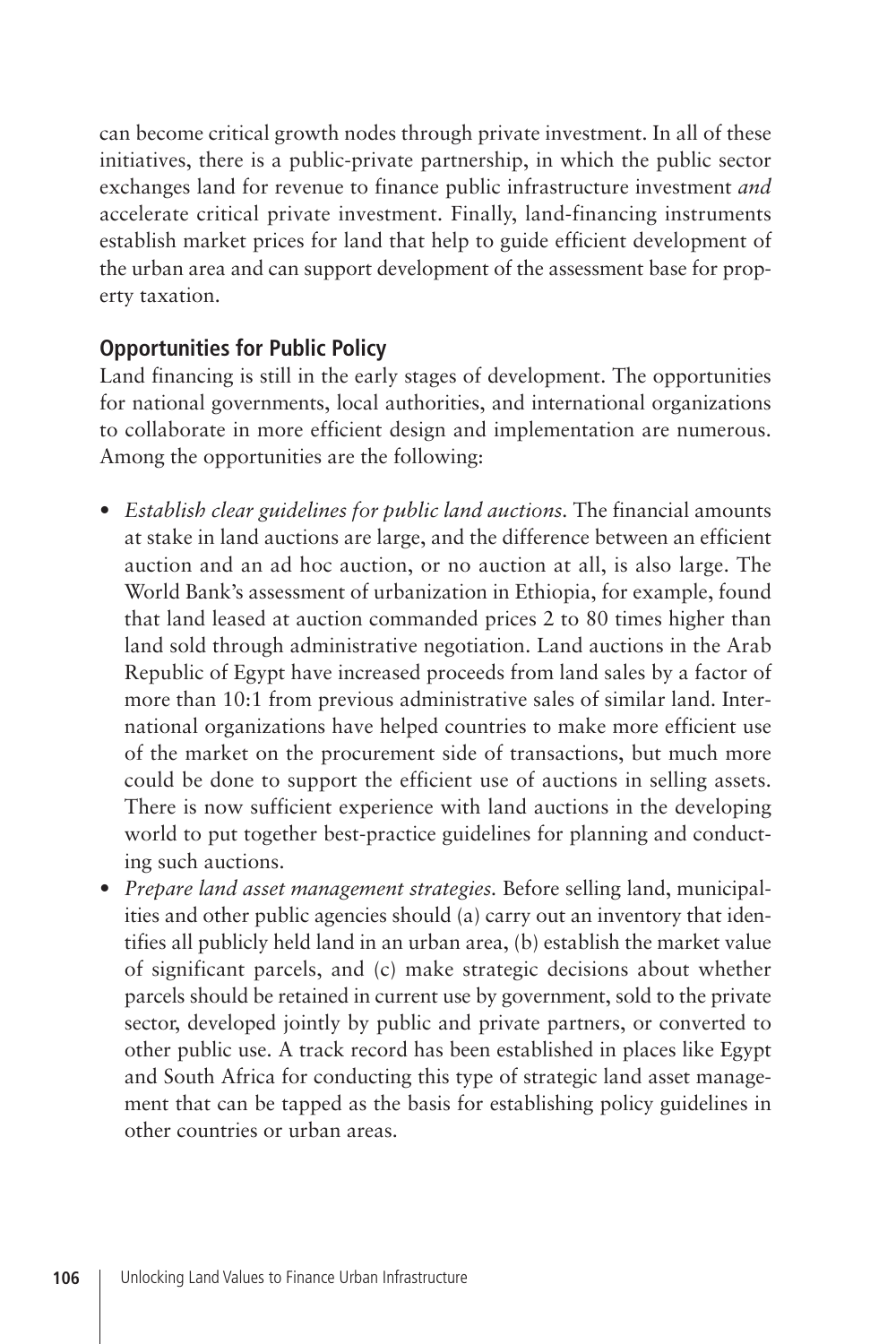can become critical growth nodes through private investment. In all of these initiatives, there is a public-private partnership, in which the public sector exchanges land for revenue to finance public infrastructure investment *and* accelerate critical private investment. Finally, land-financing instruments establish market prices for land that help to guide efficient development of the urban area and can support development of the assessment base for property taxation.

# **Opportunities for Public Policy**

Land financing is still in the early stages of development. The opportunities for national governments, local authorities, and international organizations to collaborate in more efficient design and implementation are numerous. Among the opportunities are the following:

- *Establish clear guidelines for public land auctions.* The financial amounts at stake in land auctions are large, and the difference between an efficient auction and an ad hoc auction, or no auction at all, is also large. The World Bank's assessment of urbanization in Ethiopia, for example, found that land leased at auction commanded prices 2 to 80 times higher than land sold through administrative negotiation. Land auctions in the Arab Republic of Egypt have increased proceeds from land sales by a factor of more than 10:1 from previous administrative sales of similar land. International organizations have helped countries to make more efficient use of the market on the procurement side of transactions, but much more could be done to support the efficient use of auctions in selling assets. There is now sufficient experience with land auctions in the developing world to put together best-practice guidelines for planning and conducting such auctions.
- *Prepare land asset management strategies.* Before selling land, municipalities and other public agencies should (a) carry out an inventory that identifies all publicly held land in an urban area, (b) establish the market value of significant parcels, and (c) make strategic decisions about whether parcels should be retained in current use by government, sold to the private sector, developed jointly by public and private partners, or converted to other public use. A track record has been established in places like Egypt and South Africa for conducting this type of strategic land asset management that can be tapped as the basis for establishing policy guidelines in other countries or urban areas.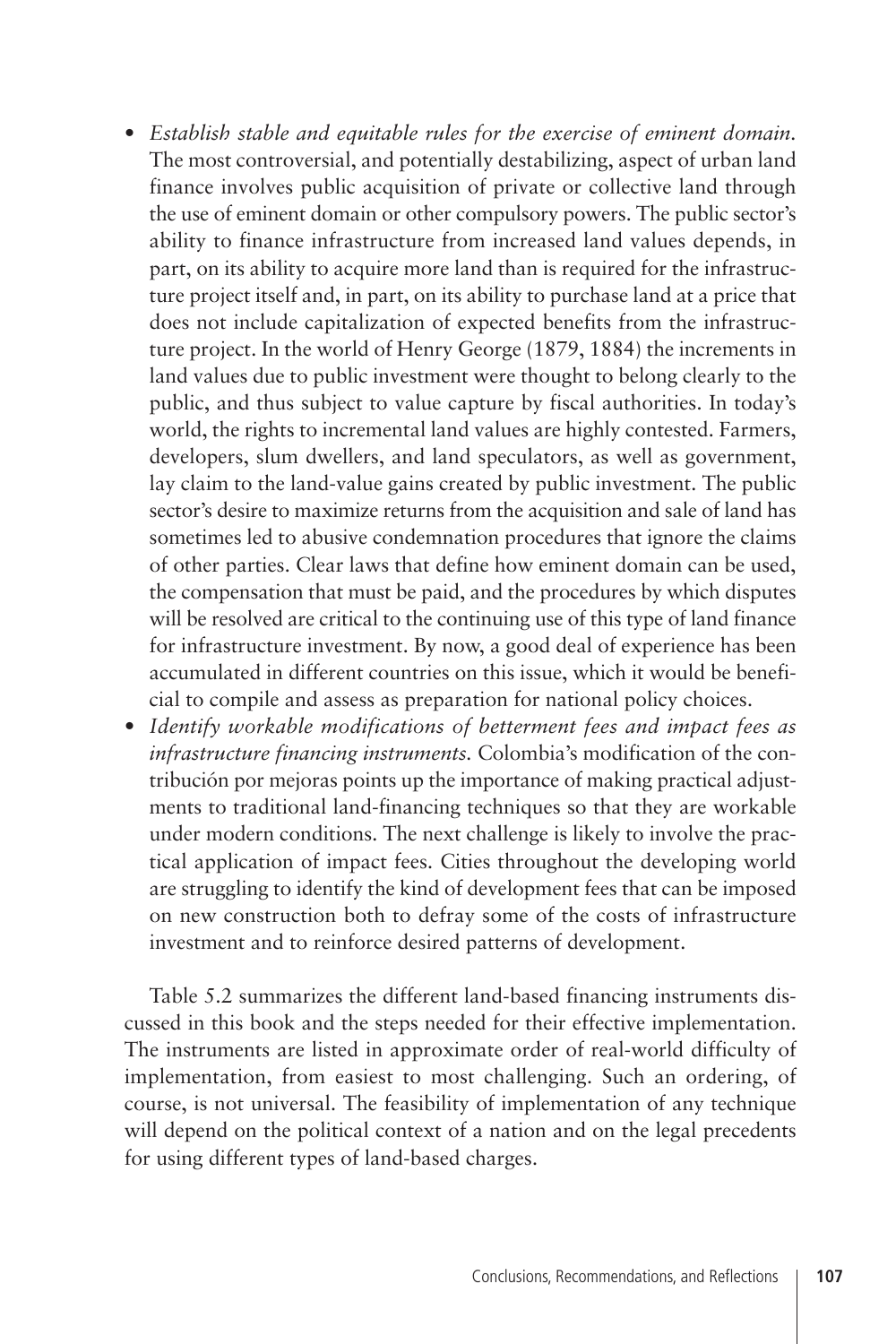- *Establish stable and equitable rules for the exercise of eminent domain.* The most controversial, and potentially destabilizing, aspect of urban land finance involves public acquisition of private or collective land through the use of eminent domain or other compulsory powers. The public sector's ability to finance infrastructure from increased land values depends, in part, on its ability to acquire more land than is required for the infrastructure project itself and, in part, on its ability to purchase land at a price that does not include capitalization of expected benefits from the infrastructure project. In the world of Henry George (1879, 1884) the increments in land values due to public investment were thought to belong clearly to the public, and thus subject to value capture by fiscal authorities. In today's world, the rights to incremental land values are highly contested. Farmers, developers, slum dwellers, and land speculators, as well as government, lay claim to the land-value gains created by public investment. The public sector's desire to maximize returns from the acquisition and sale of land has sometimes led to abusive condemnation procedures that ignore the claims of other parties. Clear laws that define how eminent domain can be used, the compensation that must be paid, and the procedures by which disputes will be resolved are critical to the continuing use of this type of land finance for infrastructure investment. By now, a good deal of experience has been accumulated in different countries on this issue, which it would be beneficial to compile and assess as preparation for national policy choices.
- *Identify workable modifications of betterment fees and impact fees as infrastructure financing instruments.* Colombia's modification of the contribución por mejoras points up the importance of making practical adjustments to traditional land-financing techniques so that they are workable under modern conditions. The next challenge is likely to involve the practical application of impact fees. Cities throughout the developing world are struggling to identify the kind of development fees that can be imposed on new construction both to defray some of the costs of infrastructure investment and to reinforce desired patterns of development.

Table 5.2 summarizes the different land-based financing instruments discussed in this book and the steps needed for their effective implementation. The instruments are listed in approximate order of real-world difficulty of implementation, from easiest to most challenging. Such an ordering, of course, is not universal. The feasibility of implementation of any technique will depend on the political context of a nation and on the legal precedents for using different types of land-based charges.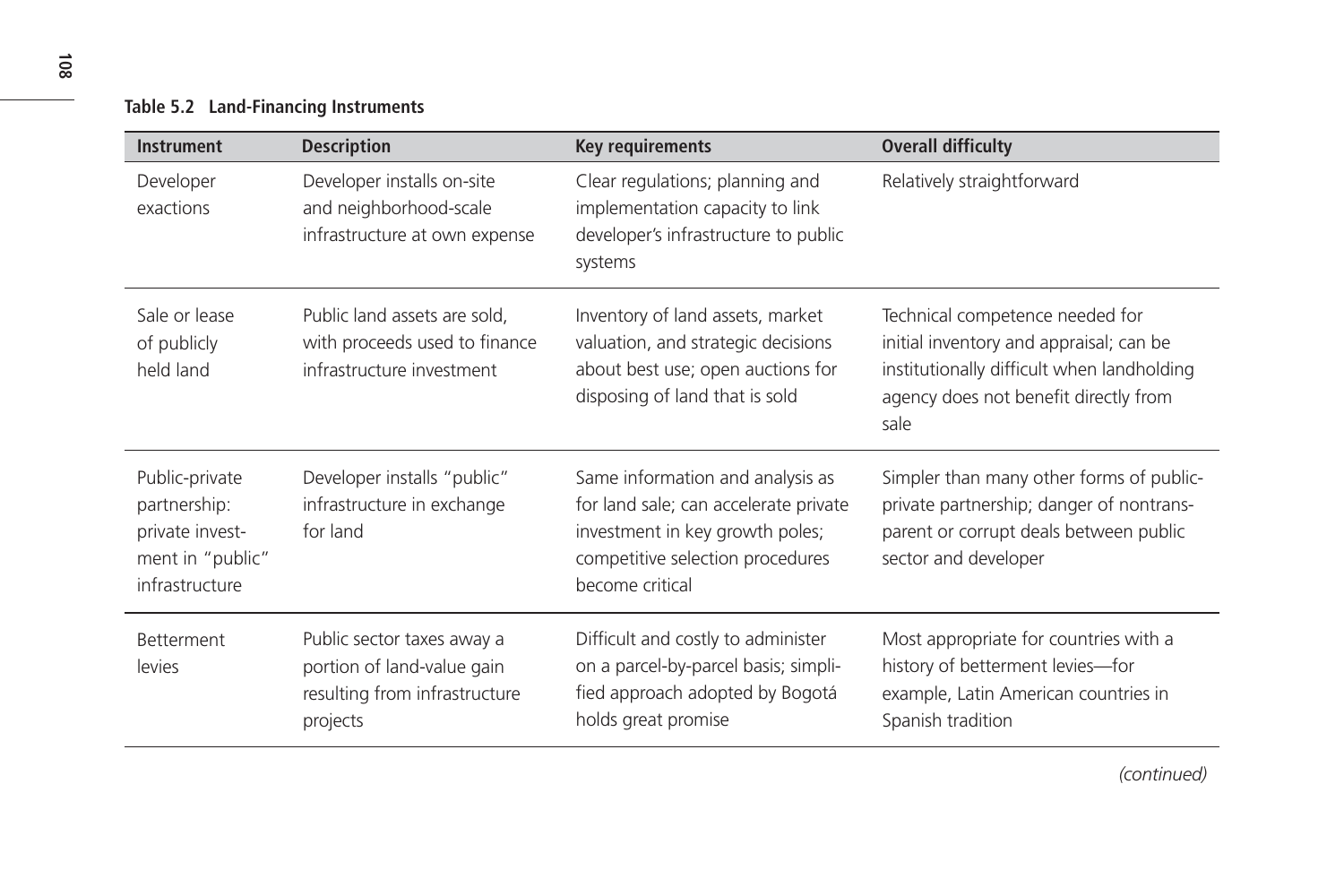**Table 5.2 Land-Financing Instruments**

| <b>Instrument</b>                                                                       | <b>Description</b>                                                                                    | <b>Key requirements</b>                                                                                                                                             | <b>Overall difficulty</b>                                                                                                                                                 |
|-----------------------------------------------------------------------------------------|-------------------------------------------------------------------------------------------------------|---------------------------------------------------------------------------------------------------------------------------------------------------------------------|---------------------------------------------------------------------------------------------------------------------------------------------------------------------------|
| Developer<br>exactions                                                                  | Developer installs on-site<br>and neighborhood-scale<br>infrastructure at own expense                 | Clear regulations; planning and<br>implementation capacity to link<br>developer's infrastructure to public<br>systems                                               | Relatively straightforward                                                                                                                                                |
| Sale or lease<br>of publicly<br>held land                                               | Public land assets are sold,<br>with proceeds used to finance<br>infrastructure investment            | Inventory of land assets, market<br>valuation, and strategic decisions<br>about best use; open auctions for<br>disposing of land that is sold                       | Technical competence needed for<br>initial inventory and appraisal; can be<br>institutionally difficult when landholding<br>agency does not benefit directly from<br>sale |
| Public-private<br>partnership:<br>private invest-<br>ment in "public"<br>infrastructure | Developer installs "public"<br>infrastructure in exchange<br>for land                                 | Same information and analysis as<br>for land sale; can accelerate private<br>investment in key growth poles;<br>competitive selection procedures<br>become critical | Simpler than many other forms of public-<br>private partnership; danger of nontrans-<br>parent or corrupt deals between public<br>sector and developer                    |
| <b>Betterment</b><br>levies                                                             | Public sector taxes away a<br>portion of land-value gain<br>resulting from infrastructure<br>projects | Difficult and costly to administer<br>on a parcel-by-parcel basis; simpli-<br>fied approach adopted by Bogotá<br>holds great promise                                | Most appropriate for countries with a<br>history of betterment levies-for<br>example, Latin American countries in<br>Spanish tradition                                    |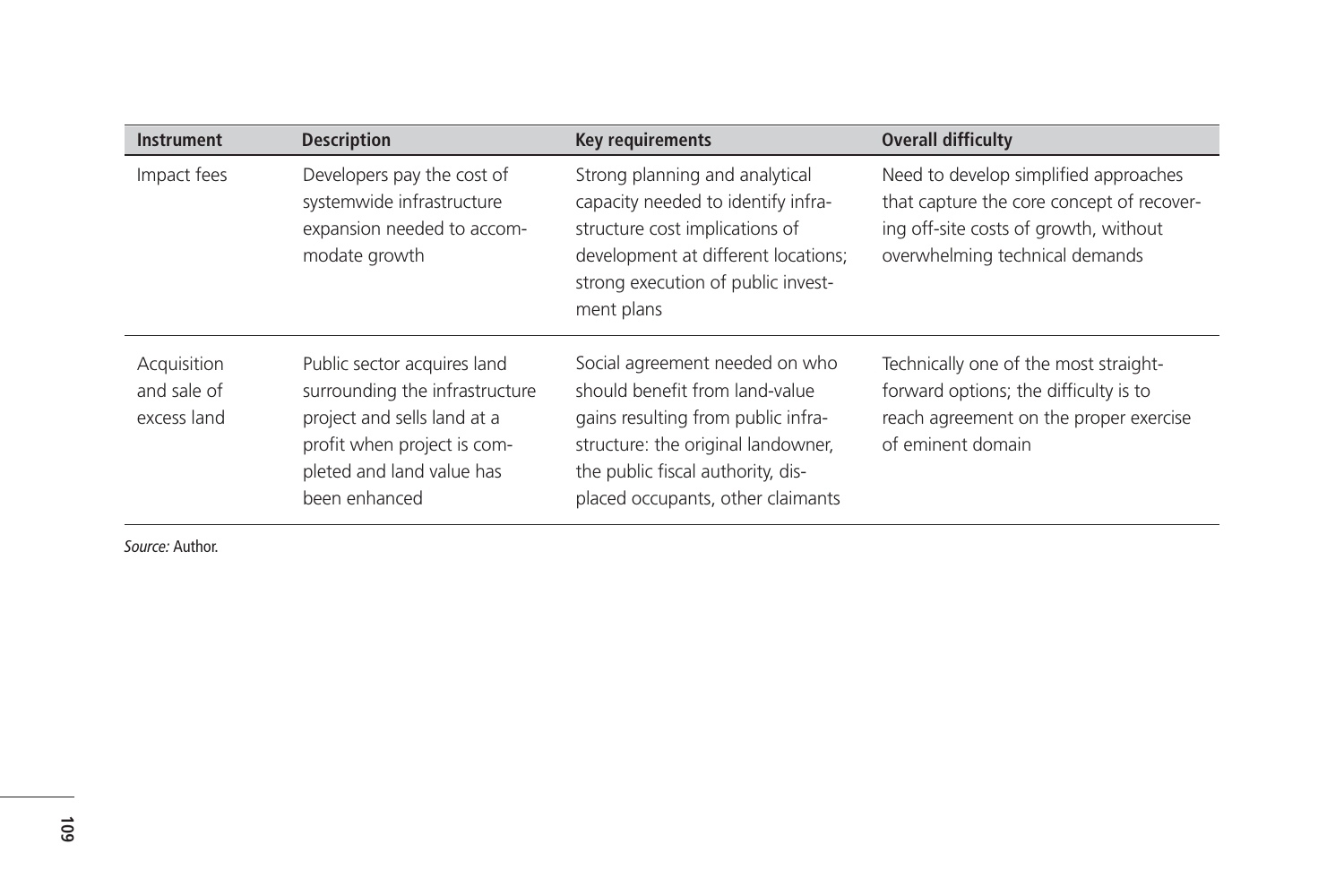| <b>Instrument</b>                         | <b>Description</b>                                                                                                                                                        | <b>Key requirements</b>                                                                                                                                                                                                | <b>Overall difficulty</b>                                                                                                                                     |
|-------------------------------------------|---------------------------------------------------------------------------------------------------------------------------------------------------------------------------|------------------------------------------------------------------------------------------------------------------------------------------------------------------------------------------------------------------------|---------------------------------------------------------------------------------------------------------------------------------------------------------------|
| Impact fees                               | Developers pay the cost of<br>systemwide infrastructure<br>expansion needed to accom-<br>modate growth                                                                    | Strong planning and analytical<br>capacity needed to identify infra-<br>structure cost implications of<br>development at different locations;<br>strong execution of public invest-<br>ment plans                      | Need to develop simplified approaches<br>that capture the core concept of recover-<br>ing off-site costs of growth, without<br>overwhelming technical demands |
| Acquisition<br>and sale of<br>excess land | Public sector acquires land<br>surrounding the infrastructure<br>project and sells land at a<br>profit when project is com-<br>pleted and land value has<br>been enhanced | Social agreement needed on who<br>should benefit from land-value<br>gains resulting from public infra-<br>structure: the original landowner,<br>the public fiscal authority, dis-<br>placed occupants, other claimants | Technically one of the most straight-<br>forward options; the difficulty is to<br>reach agreement on the proper exercise<br>of eminent domain                 |

Source: Author.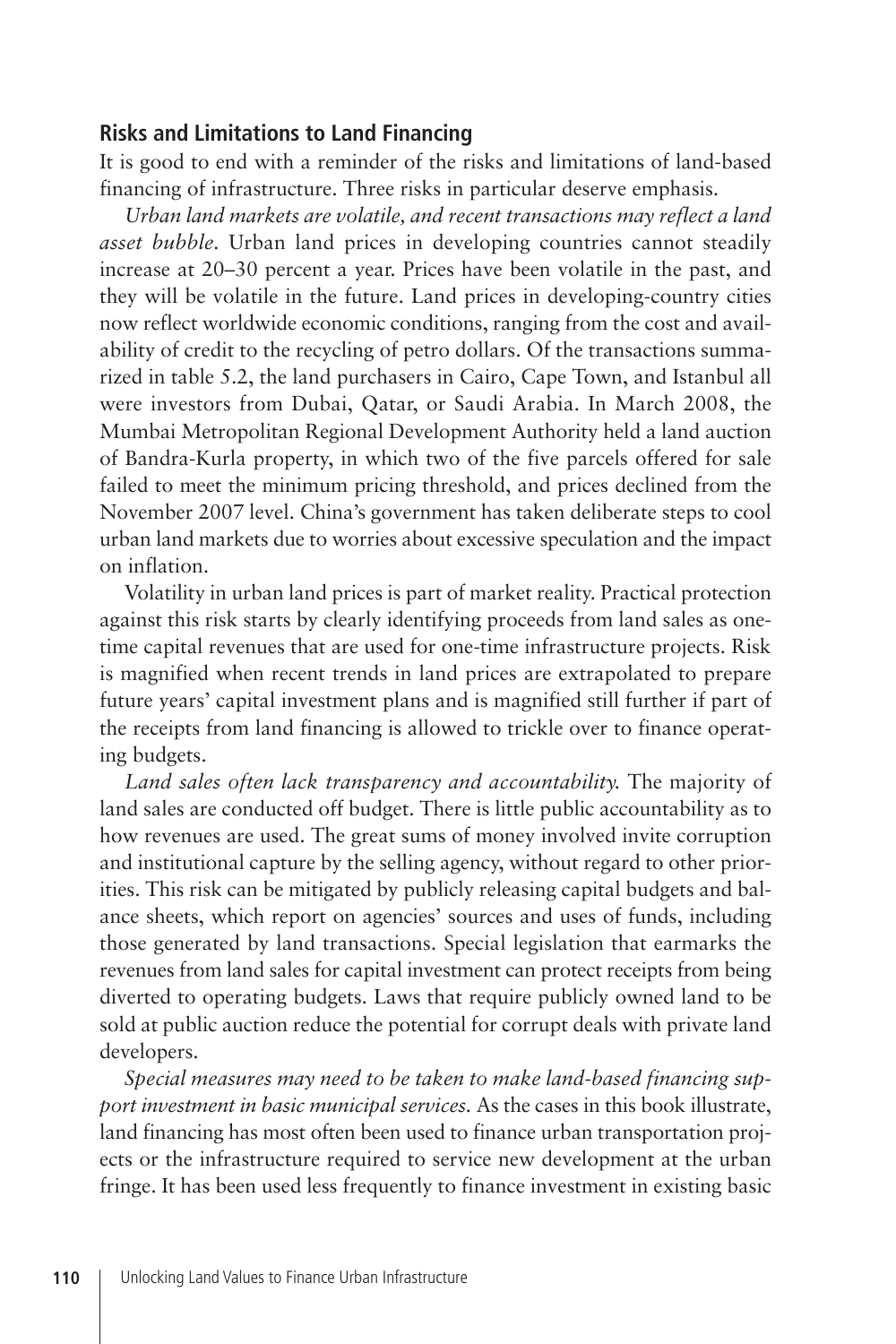#### **Risks and Limitations to Land Financing**

It is good to end with a reminder of the risks and limitations of land-based financing of infrastructure. Three risks in particular deserve emphasis.

*Urban land markets are volatile, and recent transactions may reflect a land asset bubble.* Urban land prices in developing countries cannot steadily increase at 20–30 percent a year. Prices have been volatile in the past, and they will be volatile in the future. Land prices in developing-country cities now reflect worldwide economic conditions, ranging from the cost and availability of credit to the recycling of petro dollars. Of the transactions summarized in table 5.2, the land purchasers in Cairo, Cape Town, and Istanbul all were investors from Dubai, Qatar, or Saudi Arabia. In March 2008, the Mumbai Metropolitan Regional Development Authority held a land auction of Bandra-Kurla property, in which two of the five parcels offered for sale failed to meet the minimum pricing threshold, and prices declined from the November 2007 level. China's government has taken deliberate steps to cool urban land markets due to worries about excessive speculation and the impact on inflation.

Volatility in urban land prices is part of market reality. Practical protection against this risk starts by clearly identifying proceeds from land sales as onetime capital revenues that are used for one-time infrastructure projects. Risk is magnified when recent trends in land prices are extrapolated to prepare future years' capital investment plans and is magnified still further if part of the receipts from land financing is allowed to trickle over to finance operating budgets.

*Land sales often lack transparency and accountability.* The majority of land sales are conducted off budget. There is little public accountability as to how revenues are used. The great sums of money involved invite corruption and institutional capture by the selling agency, without regard to other priorities. This risk can be mitigated by publicly releasing capital budgets and balance sheets, which report on agencies' sources and uses of funds, including those generated by land transactions. Special legislation that earmarks the revenues from land sales for capital investment can protect receipts from being diverted to operating budgets. Laws that require publicly owned land to be sold at public auction reduce the potential for corrupt deals with private land developers.

*Special measures may need to be taken to make land-based financing support investment in basic municipal services.* As the cases in this book illustrate, land financing has most often been used to finance urban transportation projects or the infrastructure required to service new development at the urban fringe. It has been used less frequently to finance investment in existing basic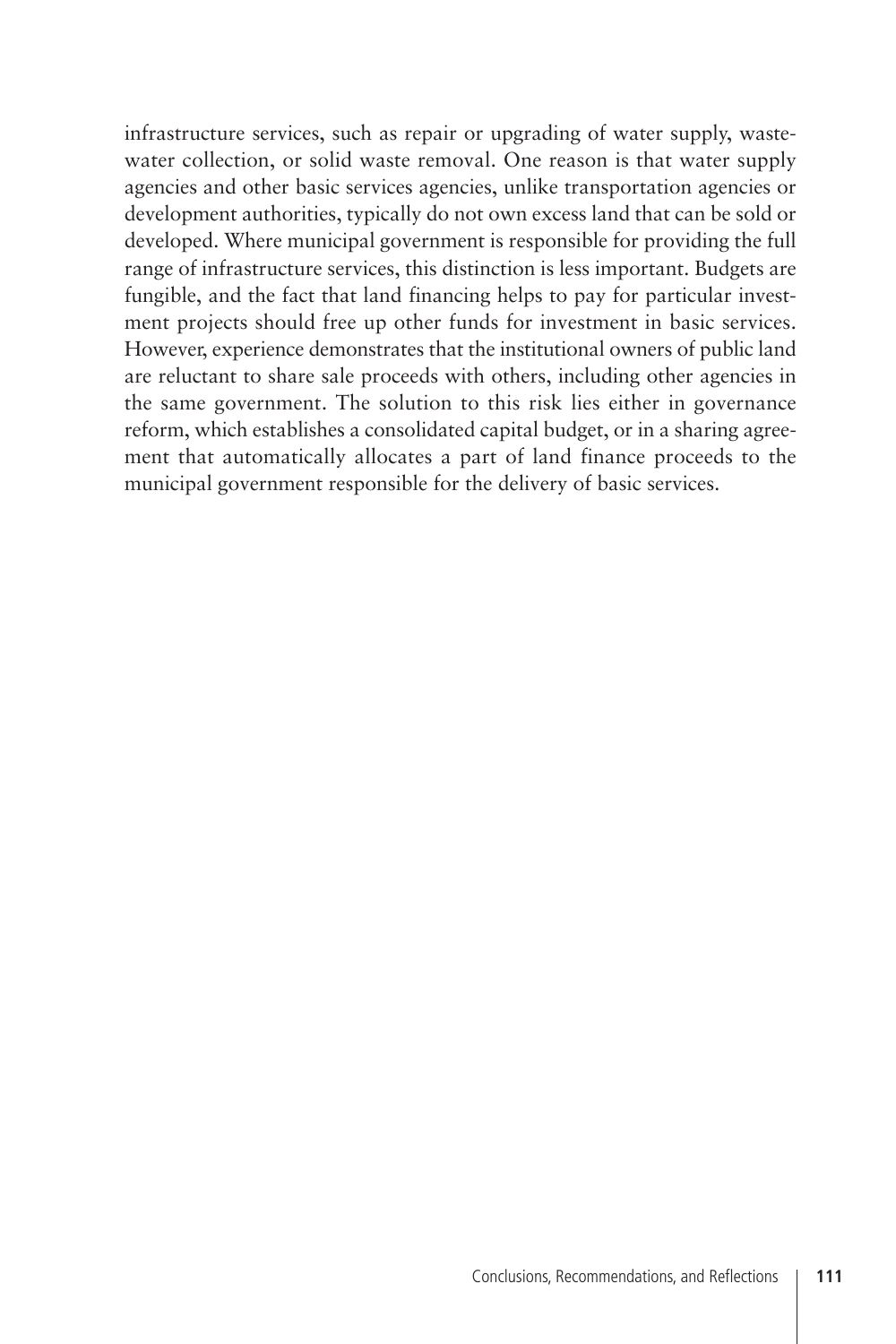infrastructure services, such as repair or upgrading of water supply, wastewater collection, or solid waste removal. One reason is that water supply agencies and other basic services agencies, unlike transportation agencies or development authorities, typically do not own excess land that can be sold or developed. Where municipal government is responsible for providing the full range of infrastructure services, this distinction is less important. Budgets are fungible, and the fact that land financing helps to pay for particular investment projects should free up other funds for investment in basic services. However, experience demonstrates that the institutional owners of public land are reluctant to share sale proceeds with others, including other agencies in the same government. The solution to this risk lies either in governance reform, which establishes a consolidated capital budget, or in a sharing agreement that automatically allocates a part of land finance proceeds to the municipal government responsible for the delivery of basic services.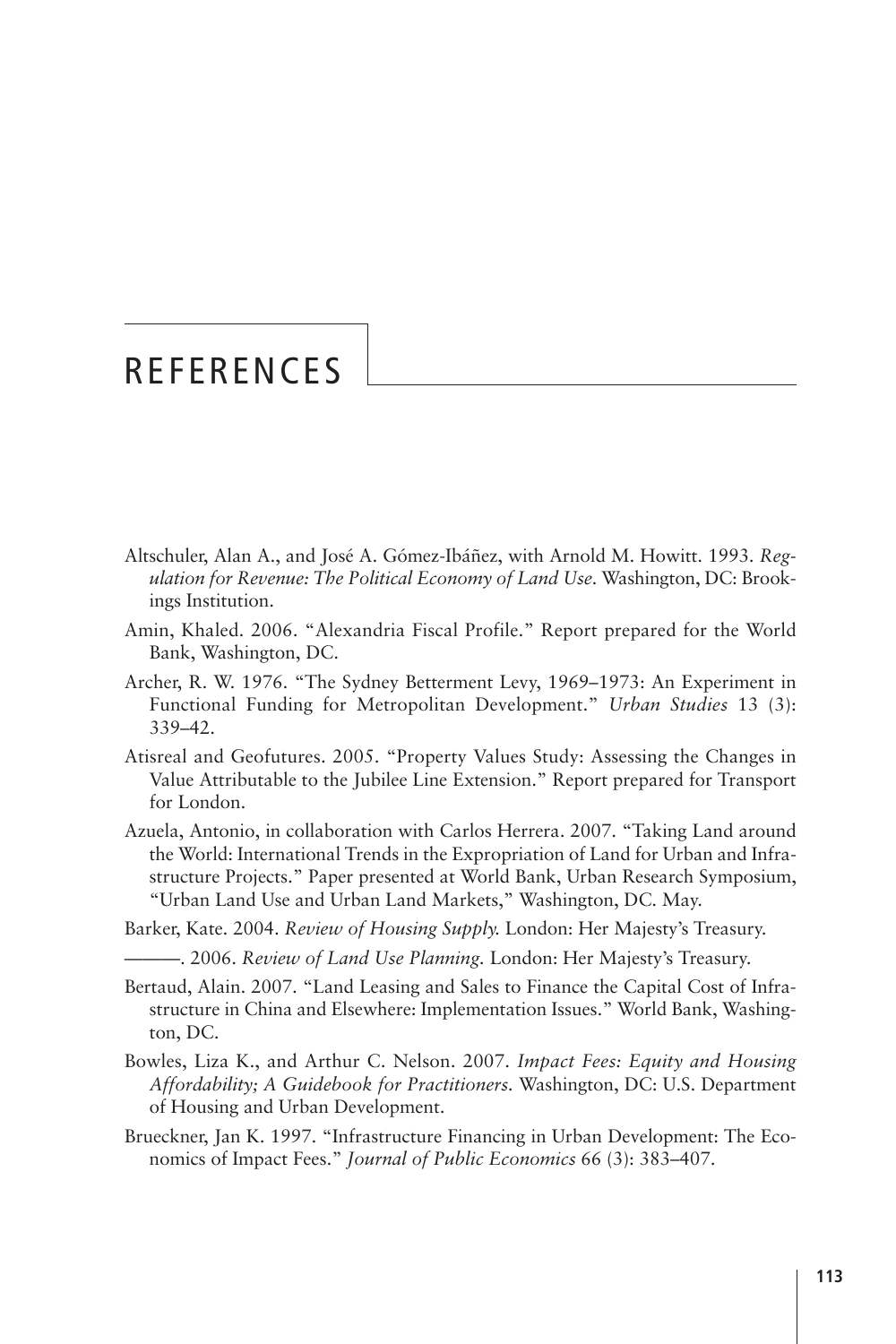# **REFERENCES**

- Altschuler, Alan A., and José A. Gómez-Ibáñez, with Arnold M. Howitt. 1993. *Regulation for Revenue: The Political Economy of Land Use.* Washington, DC: Brookings Institution.
- Amin, Khaled. 2006. "Alexandria Fiscal Profile." Report prepared for the World Bank, Washington, DC.
- Archer, R. W. 1976. "The Sydney Betterment Levy, 1969–1973: An Experiment in Functional Funding for Metropolitan Development." *Urban Studies* 13 (3): 339–42.
- Atisreal and Geofutures. 2005. "Property Values Study: Assessing the Changes in Value Attributable to the Jubilee Line Extension." Report prepared for Transport for London.
- Azuela, Antonio, in collaboration with Carlos Herrera. 2007. "Taking Land around the World: International Trends in the Expropriation of Land for Urban and Infrastructure Projects." Paper presented at World Bank, Urban Research Symposium, "Urban Land Use and Urban Land Markets," Washington, DC. May.
- Barker, Kate. 2004. *Review of Housing Supply.* London: Her Majesty's Treasury.
	- ———. 2006. *Review of Land Use Planning.* London: Her Majesty's Treasury.
- Bertaud, Alain. 2007. "Land Leasing and Sales to Finance the Capital Cost of Infrastructure in China and Elsewhere: Implementation Issues." World Bank, Washington, DC.
- Bowles, Liza K., and Arthur C. Nelson. 2007. *Impact Fees: Equity and Housing Affordability; A Guidebook for Practitioners.* Washington, DC: U.S. Department of Housing and Urban Development.
- Brueckner, Jan K. 1997. "Infrastructure Financing in Urban Development: The Economics of Impact Fees." *Journal of Public Economics* 66 (3): 383–407.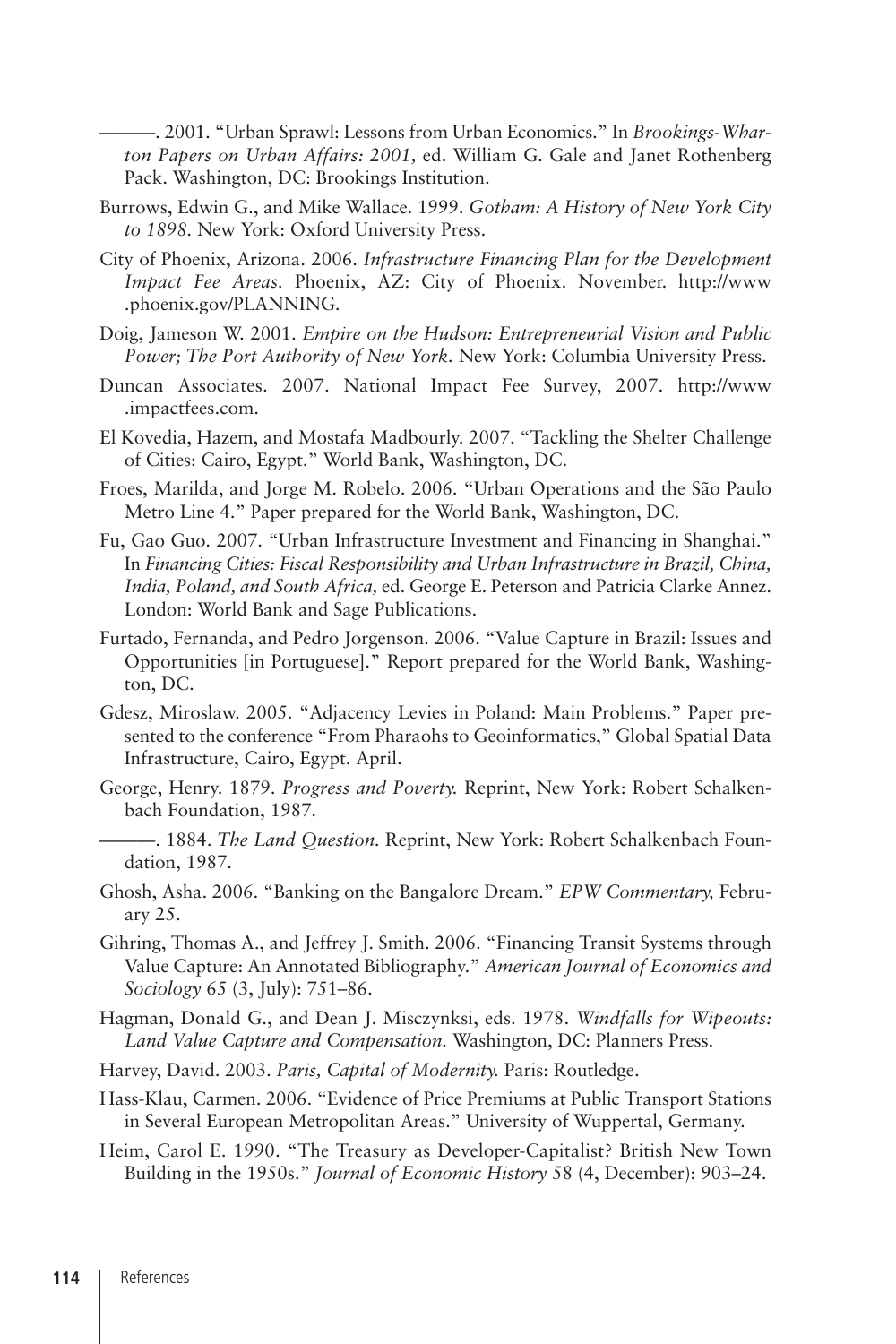———. 2001. "Urban Sprawl: Lessons from Urban Economics." In *Brookings-Wharton Papers on Urban Affairs: 2001,* ed. William G. Gale and Janet Rothenberg Pack. Washington, DC: Brookings Institution.

- Burrows, Edwin G., and Mike Wallace. 1999. *Gotham: A History of New York City to 1898.* New York: Oxford University Press.
- City of Phoenix, Arizona. 2006. *Infrastructure Financing Plan for the Development Impact Fee Areas.* Phoenix, AZ: City of Phoenix. November. http://www .phoenix.gov/PLANNING.
- Doig, Jameson W. 2001. *Empire on the Hudson: Entrepreneurial Vision and Public Power; The Port Authority of New York.* New York: Columbia University Press.
- Duncan Associates. 2007. National Impact Fee Survey, 2007. http://www .impactfees.com.
- El Kovedia, Hazem, and Mostafa Madbourly. 2007. "Tackling the Shelter Challenge of Cities: Cairo, Egypt." World Bank, Washington, DC.
- Froes, Marilda, and Jorge M. Robelo. 2006. "Urban Operations and the São Paulo Metro Line 4." Paper prepared for the World Bank, Washington, DC.
- Fu, Gao Guo. 2007. "Urban Infrastructure Investment and Financing in Shanghai." In *Financing Cities: Fiscal Responsibility and Urban Infrastructure in Brazil, China, India, Poland, and South Africa,* ed. George E. Peterson and Patricia Clarke Annez. London: World Bank and Sage Publications.
- Furtado, Fernanda, and Pedro Jorgenson. 2006. "Value Capture in Brazil: Issues and Opportunities [in Portuguese]." Report prepared for the World Bank, Washington, DC.
- Gdesz, Miroslaw. 2005. "Adjacency Levies in Poland: Main Problems." Paper presented to the conference "From Pharaohs to Geoinformatics," Global Spatial Data Infrastructure, Cairo, Egypt. April.
- George, Henry. 1879. *Progress and Poverty.* Reprint, New York: Robert Schalkenbach Foundation, 1987.
- ———. 1884. *The Land Question.* Reprint, New York: Robert Schalkenbach Foundation, 1987.
- Ghosh, Asha. 2006. "Banking on the Bangalore Dream." *EPW Commentary,* February 25.
- Gihring, Thomas A., and Jeffrey J. Smith. 2006. "Financing Transit Systems through Value Capture: An Annotated Bibliography." *American Journal of Economics and Sociology* 65 (3, July): 751–86.
- Hagman, Donald G., and Dean J. Misczynksi, eds. 1978. *Windfalls for Wipeouts: Land Value Capture and Compensation.* Washington, DC: Planners Press.
- Harvey, David. 2003. *Paris, Capital of Modernity.* Paris: Routledge.
- Hass-Klau, Carmen. 2006. "Evidence of Price Premiums at Public Transport Stations in Several European Metropolitan Areas." University of Wuppertal, Germany.
- Heim, Carol E. 1990. "The Treasury as Developer-Capitalist? British New Town Building in the 1950s." *Journal of Economic History* 58 (4, December): 903–24.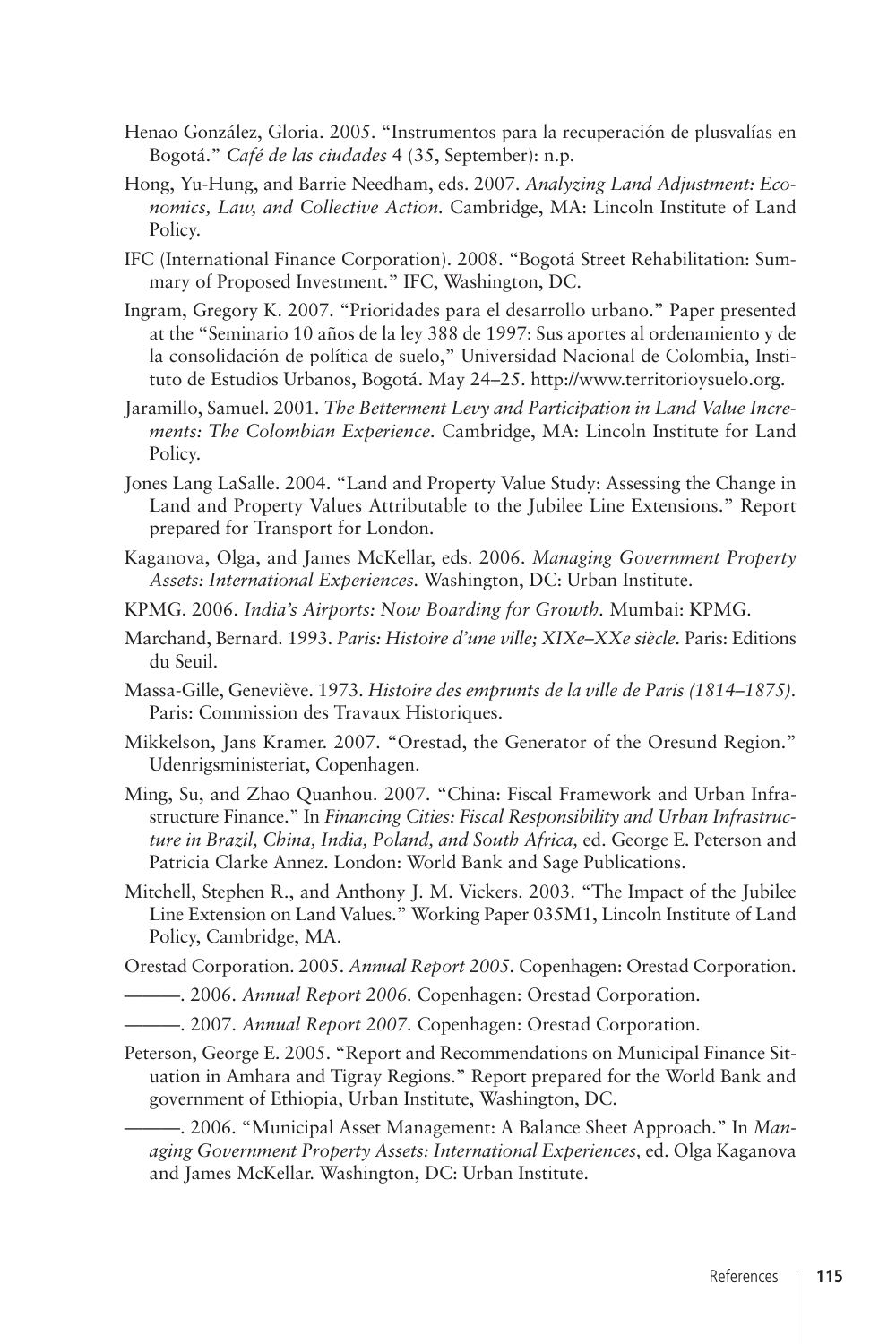- Henao González, Gloria. 2005. "Instrumentos para la recuperación de plusvalías en Bogotá." *Café de las ciudades* 4 (35, September): n.p.
- Hong, Yu-Hung, and Barrie Needham, eds. 2007. *Analyzing Land Adjustment: Economics, Law, and Collective Action.* Cambridge, MA: Lincoln Institute of Land Policy.
- IFC (International Finance Corporation). 2008. "Bogotá Street Rehabilitation: Summary of Proposed Investment." IFC, Washington, DC.
- Ingram, Gregory K. 2007. "Prioridades para el desarrollo urbano." Paper presented at the "Seminario 10 años de la ley 388 de 1997: Sus aportes al ordenamiento y de la consolidación de política de suelo," Universidad Nacional de Colombia, Instituto de Estudios Urbanos, Bogotá. May 24–25. http://www.territorioysuelo.org.
- Jaramillo, Samuel. 2001. *The Betterment Levy and Participation in Land Value Increments: The Colombian Experience.* Cambridge, MA: Lincoln Institute for Land Policy.
- Jones Lang LaSalle. 2004. "Land and Property Value Study: Assessing the Change in Land and Property Values Attributable to the Jubilee Line Extensions." Report prepared for Transport for London.
- Kaganova, Olga, and James McKellar, eds. 2006. *Managing Government Property Assets: International Experiences.* Washington, DC: Urban Institute.
- KPMG. 2006. *India's Airports: Now Boarding for Growth.* Mumbai: KPMG.
- Marchand, Bernard. 1993. *Paris: Histoire d'une ville; XIXe–XXe siècle.* Paris: Editions du Seuil.
- Massa-Gille, Geneviève. 1973. *Histoire des emprunts de la ville de Paris (1814–1875).* Paris: Commission des Travaux Historiques.
- Mikkelson, Jans Kramer. 2007. "Orestad, the Generator of the Oresund Region." Udenrigsministeriat, Copenhagen.
- Ming, Su, and Zhao Quanhou. 2007. "China: Fiscal Framework and Urban Infrastructure Finance." In *Financing Cities: Fiscal Responsibility and Urban Infrastructure in Brazil, China, India, Poland, and South Africa,* ed. George E. Peterson and Patricia Clarke Annez. London: World Bank and Sage Publications.
- Mitchell, Stephen R., and Anthony J. M. Vickers. 2003. "The Impact of the Jubilee Line Extension on Land Values." Working Paper 035M1, Lincoln Institute of Land Policy, Cambridge, MA.
- Orestad Corporation. 2005. *Annual Report 2005.* Copenhagen: Orestad Corporation.
	- ———. 2006. *Annual Report 2006.* Copenhagen: Orestad Corporation.
- ———. 2007. *Annual Report 2007.* Copenhagen: Orestad Corporation.
- Peterson, George E. 2005. "Report and Recommendations on Municipal Finance Situation in Amhara and Tigray Regions." Report prepared for the World Bank and government of Ethiopia, Urban Institute, Washington, DC.

———. 2006. "Municipal Asset Management: A Balance Sheet Approach." In *Managing Government Property Assets: International Experiences,* ed. Olga Kaganova and James McKellar. Washington, DC: Urban Institute.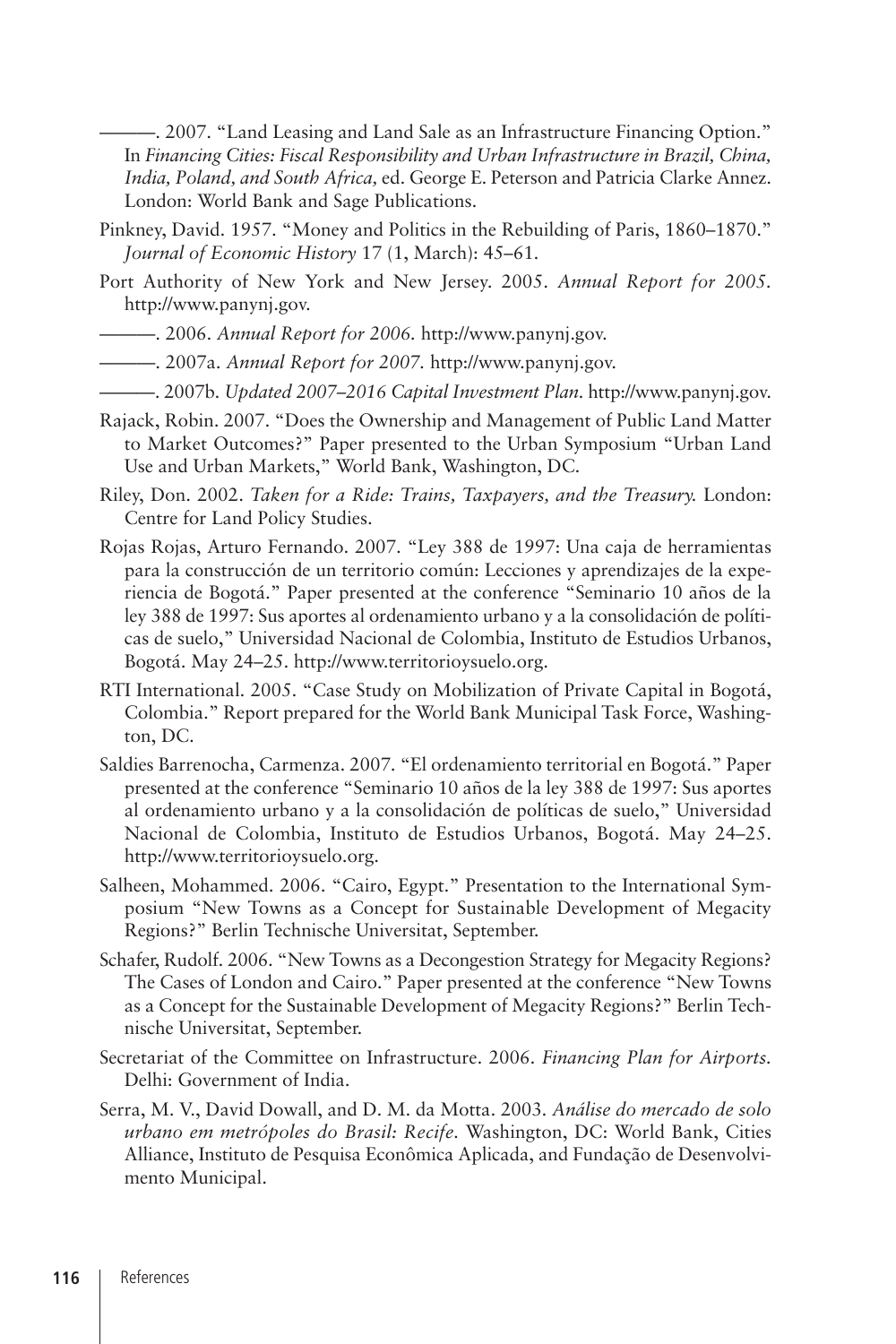———. 2007. "Land Leasing and Land Sale as an Infrastructure Financing Option." In *Financing Cities: Fiscal Responsibility and Urban Infrastructure in Brazil, China, India, Poland, and South Africa,* ed. George E. Peterson and Patricia Clarke Annez. London: World Bank and Sage Publications.

- Pinkney, David. 1957. "Money and Politics in the Rebuilding of Paris, 1860–1870." *Journal of Economic History* 17 (1, March): 45–61.
- Port Authority of New York and New Jersey. 2005. *Annual Report for 2005.* http://www.panynj.gov.
- ———. 2006. *Annual Report for 2006.* http://www.panynj.gov.
- ———. 2007a. *Annual Report for 2007.* http://www.panynj.gov.
- ———. 2007b. *Updated 2007–2016 Capital Investment Plan.* http://www.panynj.gov.
- Rajack, Robin. 2007. "Does the Ownership and Management of Public Land Matter to Market Outcomes?" Paper presented to the Urban Symposium "Urban Land Use and Urban Markets," World Bank, Washington, DC.
- Riley, Don. 2002. *Taken for a Ride: Trains, Taxpayers, and the Treasury.* London: Centre for Land Policy Studies.
- Rojas Rojas, Arturo Fernando. 2007. "Ley 388 de 1997: Una caja de herramientas para la construcción de un territorio común: Lecciones y aprendizajes de la experiencia de Bogotá." Paper presented at the conference "Seminario 10 años de la ley 388 de 1997: Sus aportes al ordenamiento urbano y a la consolidación de políticas de suelo," Universidad Nacional de Colombia, Instituto de Estudios Urbanos, Bogotá. May 24–25. http://www.territorioysuelo.org.
- RTI International. 2005. "Case Study on Mobilization of Private Capital in Bogotá, Colombia." Report prepared for the World Bank Municipal Task Force, Washington, DC.
- Saldies Barrenocha, Carmenza. 2007. "El ordenamiento territorial en Bogotá." Paper presented at the conference "Seminario 10 años de la ley 388 de 1997: Sus aportes al ordenamiento urbano y a la consolidación de políticas de suelo," Universidad Nacional de Colombia, Instituto de Estudios Urbanos, Bogotá. May 24–25. http://www.territorioysuelo.org.
- Salheen, Mohammed. 2006. "Cairo, Egypt." Presentation to the International Symposium "New Towns as a Concept for Sustainable Development of Megacity Regions?" Berlin Technische Universitat, September.
- Schafer, Rudolf. 2006. "New Towns as a Decongestion Strategy for Megacity Regions? The Cases of London and Cairo." Paper presented at the conference "New Towns as a Concept for the Sustainable Development of Megacity Regions?" Berlin Technische Universitat, September.
- Secretariat of the Committee on Infrastructure. 2006. *Financing Plan for Airports.* Delhi: Government of India.
- Serra, M. V., David Dowall, and D. M. da Motta. 2003. *Análise do mercado de solo urbano em metrópoles do Brasil: Recife.* Washington, DC: World Bank, Cities Alliance, Instituto de Pesquisa Econômica Aplicada, and Fundação de Desenvolvimento Municipal.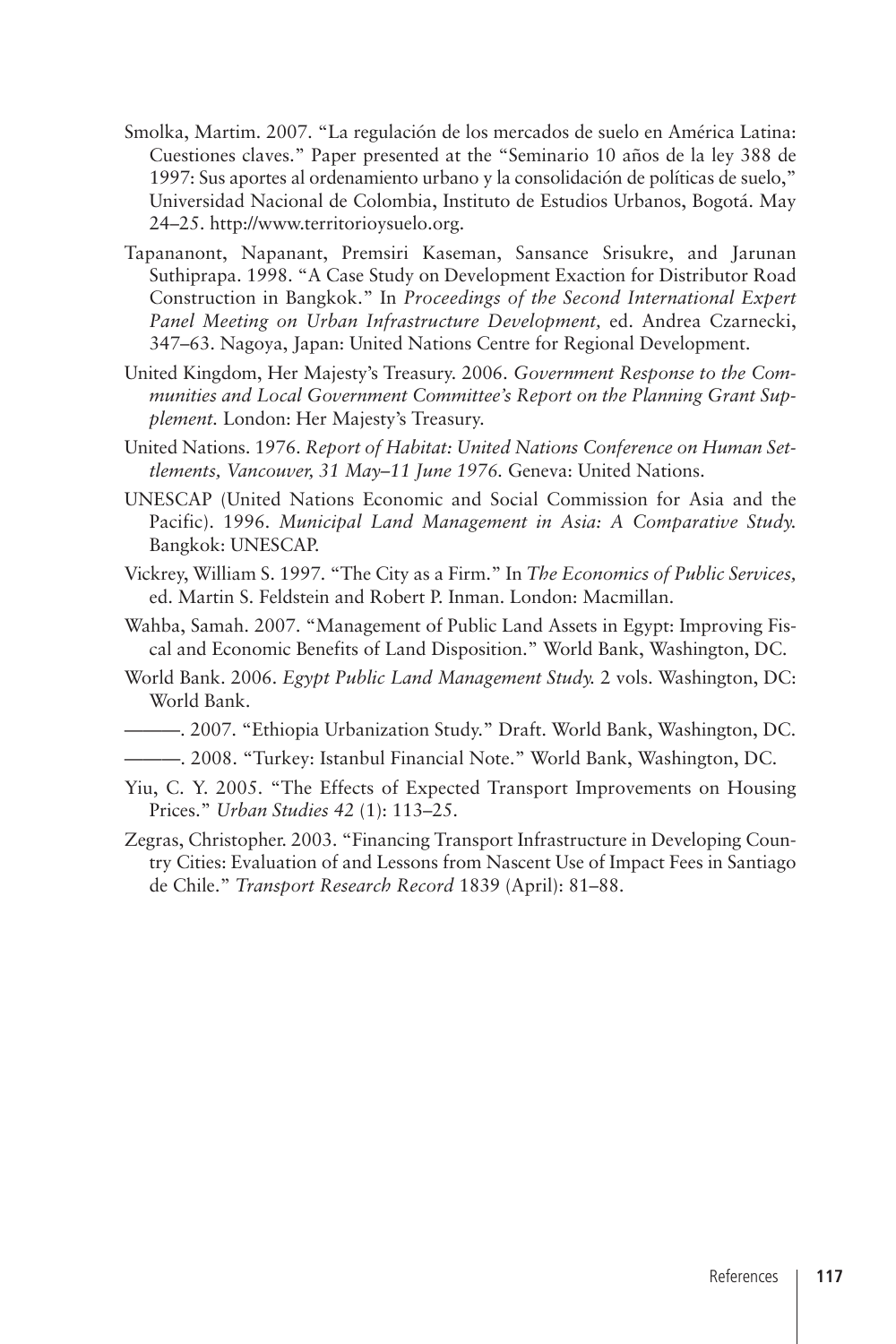- Smolka, Martim. 2007. "La regulación de los mercados de suelo en América Latina: Cuestiones claves." Paper presented at the "Seminario 10 años de la ley 388 de 1997: Sus aportes al ordenamiento urbano y la consolidación de políticas de suelo," Universidad Nacional de Colombia, Instituto de Estudios Urbanos, Bogotá. May 24–25. http://www.territorioysuelo.org.
- Tapananont, Napanant, Premsiri Kaseman, Sansance Srisukre, and Jarunan Suthiprapa. 1998. "A Case Study on Development Exaction for Distributor Road Construction in Bangkok." In *Proceedings of the Second International Expert Panel Meeting on Urban Infrastructure Development,* ed. Andrea Czarnecki, 347–63. Nagoya, Japan: United Nations Centre for Regional Development.
- United Kingdom, Her Majesty's Treasury. 2006. *Government Response to the Communities and Local Government Committee's Report on the Planning Grant Supplement.* London: Her Majesty's Treasury.
- United Nations. 1976. *Report of Habitat: United Nations Conference on Human Settlements, Vancouver, 31 May–11 June 1976.* Geneva: United Nations.
- UNESCAP (United Nations Economic and Social Commission for Asia and the Pacific). 1996. *Municipal Land Management in Asia: A Comparative Study.* Bangkok: UNESCAP.
- Vickrey, William S. 1997. "The City as a Firm." In *The Economics of Public Services,* ed. Martin S. Feldstein and Robert P. Inman. London: Macmillan.
- Wahba, Samah. 2007. "Management of Public Land Assets in Egypt: Improving Fiscal and Economic Benefits of Land Disposition." World Bank, Washington, DC.
- World Bank. 2006. *Egypt Public Land Management Study.* 2 vols. Washington, DC: World Bank.
- ———. 2007. "Ethiopia Urbanization Study." Draft. World Bank, Washington, DC.
- ———. 2008. "Turkey: Istanbul Financial Note." World Bank, Washington, DC.
- Yiu, C. Y. 2005. "The Effects of Expected Transport Improvements on Housing Prices." *Urban Studies 42* (1): 113–25.
- Zegras, Christopher. 2003. "Financing Transport Infrastructure in Developing Country Cities: Evaluation of and Lessons from Nascent Use of Impact Fees in Santiago de Chile." *Transport Research Record* 1839 (April): 81–88.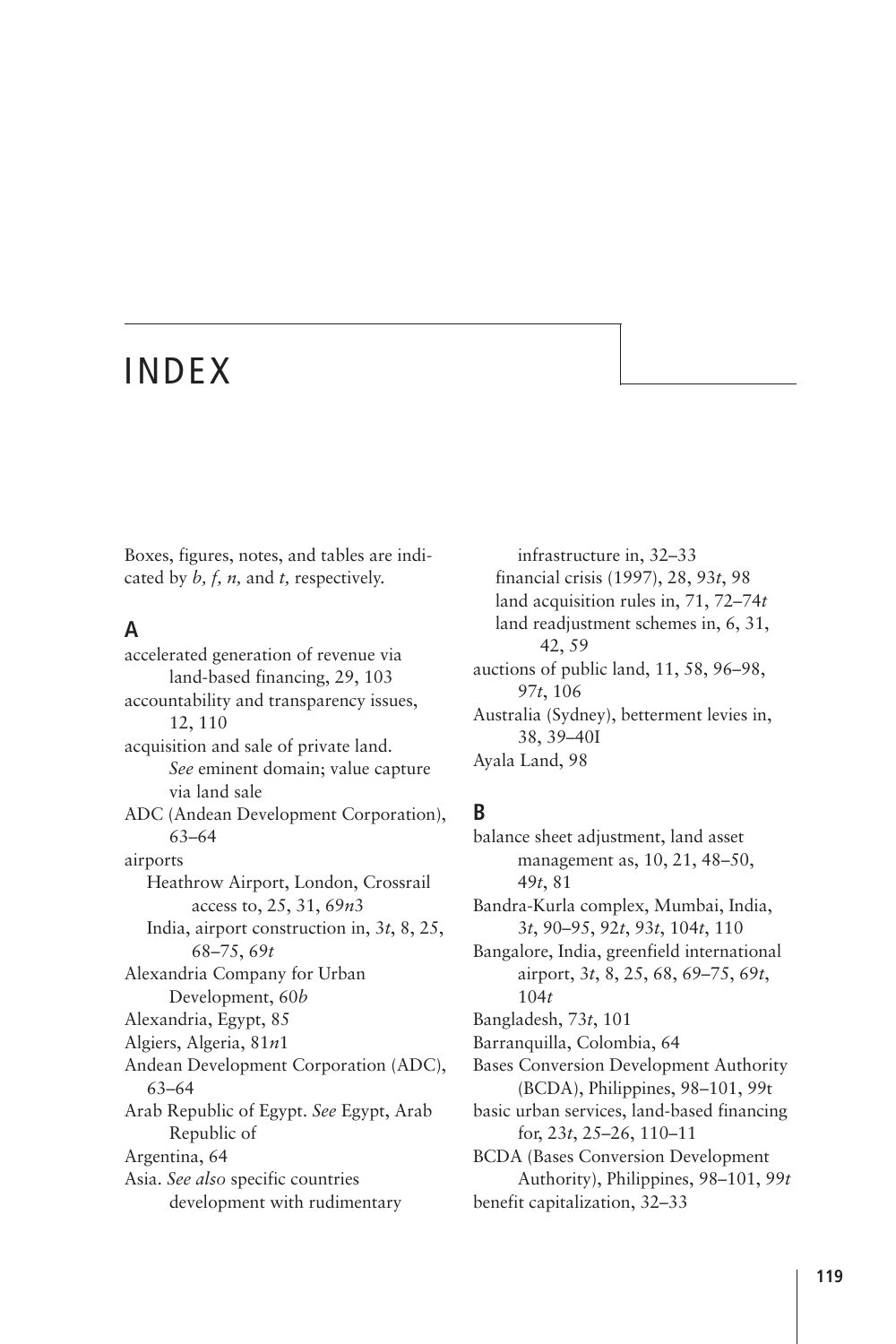# INDEX

Boxes, figures, notes, and tables are indicated by *b, f, n,* and *t,* respectively.

#### **A**

accelerated generation of revenue via land-based financing, 29, 103 accountability and transparency issues, 12, 110 acquisition and sale of private land. *See* eminent domain; value capture via land sale ADC (Andean Development Corporation), 63–64 airports Heathrow Airport, London, Crossrail access to, 25, 31, 69*n*3 India, airport construction in, 3*t*, 8, 25, 68–75, 69*t* Alexandria Company for Urban Development, 60*b* Alexandria, Egypt, 85 Algiers, Algeria, 81*n*1 Andean Development Corporation (ADC), 63–64 Arab Republic of Egypt. *See* Egypt, Arab Republic of Argentina, 64 Asia. *See also* specific countries development with rudimentary

infrastructure in, 32–33 financial crisis (1997), 28, 93*t*, 98 land acquisition rules in, 71, 72–74*t* land readjustment schemes in, 6, 31, 42, 59 auctions of public land, 11, 58, 96–98, 97*t*, 106 Australia (Sydney), betterment levies in, 38, 39–40I Ayala Land, 98

### **B**

balance sheet adjustment, land asset management as, 10, 21, 48–50, 49*t*, 81 Bandra-Kurla complex, Mumbai, India, 3*t*, 90–95, 92*t*, 93*t*, 104*t*, 110 Bangalore, India, greenfield international airport, 3*t*, 8, 25, 68, 69–75, 69*t*, 104*t* Bangladesh, 73*t*, 101 Barranquilla, Colombia, 64 Bases Conversion Development Authority (BCDA), Philippines, 98–101, 99t basic urban services, land-based financing for, 23*t*, 25–26, 110–11 BCDA (Bases Conversion Development Authority), Philippines, 98–101, 99*t* benefit capitalization, 32–33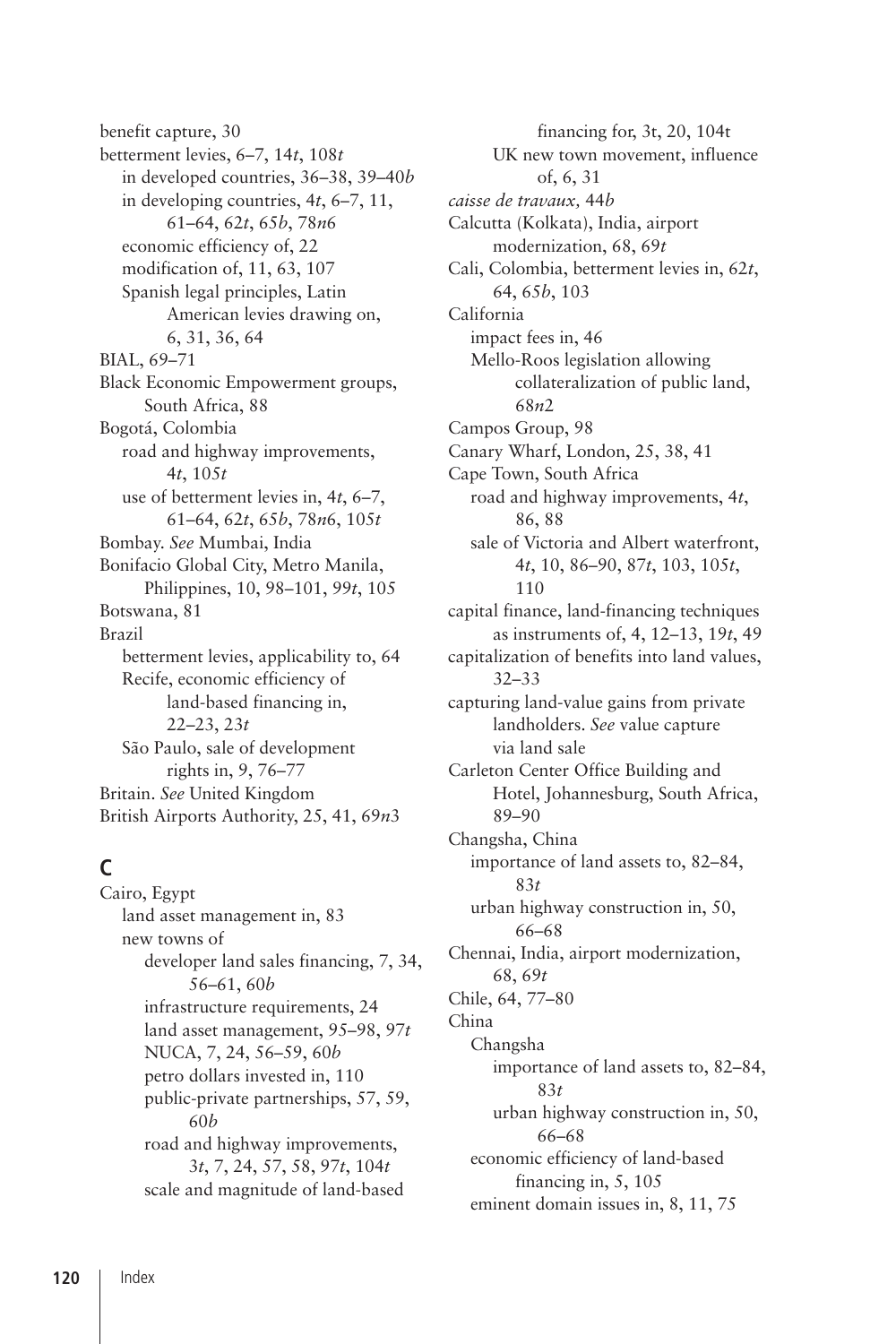benefit capture, 30 betterment levies, 6–7, 14*t*, 108*t* in developed countries, 36–38, 39–40*b* in developing countries, 4*t*, 6–7, 11, 61–64, 62*t*, 65*b*, 78*n*6 economic efficiency of, 22 modification of, 11, 63, 107 Spanish legal principles, Latin American levies drawing on, 6, 31, 36, 64 BIAL, 69–71 Black Economic Empowerment groups, South Africa, 88 Bogotá, Colombia road and highway improvements, 4*t*, 105*t* use of betterment levies in, 4*t*, 6–7, 61–64, 62*t*, 65*b*, 78*n*6, 105*t* Bombay. *See* Mumbai, India Bonifacio Global City, Metro Manila, Philippines, 10, 98–101, 99*t*, 105 Botswana, 81 Brazil betterment levies, applicability to, 64 Recife, economic efficiency of land-based financing in, 22–23, 23*t* São Paulo, sale of development rights in, 9, 76–77 Britain. *See* United Kingdom British Airports Authority, 25, 41, 69*n*3

# **C**

Cairo, Egypt land asset management in, 83 new towns of developer land sales financing, 7, 34, 56–61, 60*b* infrastructure requirements, 24 land asset management, 95–98, 97*t* NUCA, 7, 24, 56–59, 60*b* petro dollars invested in, 110 public-private partnerships, 57, 59, 60*b* road and highway improvements, 3*t*, 7, 24, 57, 58, 97*t*, 104*t* scale and magnitude of land-based

financing for, 3t, 20, 104t UK new town movement, influence of, 6, 31 *caisse de travaux,* 44*b* Calcutta (Kolkata), India, airport modernization, 68, 69*t* Cali, Colombia, betterment levies in, 62*t*, 64, 65*b*, 103 California impact fees in, 46 Mello-Roos legislation allowing collateralization of public land, 68*n*2 Campos Group, 98 Canary Wharf, London, 25, 38, 41 Cape Town, South Africa road and highway improvements, 4*t*, 86, 88 sale of Victoria and Albert waterfront, 4*t*, 10, 86–90, 87*t*, 103, 105*t*, 110 capital finance, land-financing techniques as instruments of, 4, 12–13, 19*t*, 49 capitalization of benefits into land values, 32–33 capturing land-value gains from private landholders. *See* value capture via land sale Carleton Center Office Building and Hotel, Johannesburg, South Africa, 89–90 Changsha, China importance of land assets to, 82–84, 83*t* urban highway construction in, 50, 66–68 Chennai, India, airport modernization, 68, 69*t* Chile, 64, 77–80 China Changsha importance of land assets to, 82–84, 83*t* urban highway construction in, 50, 66–68 economic efficiency of land-based financing in, 5, 105 eminent domain issues in, 8, 11, 75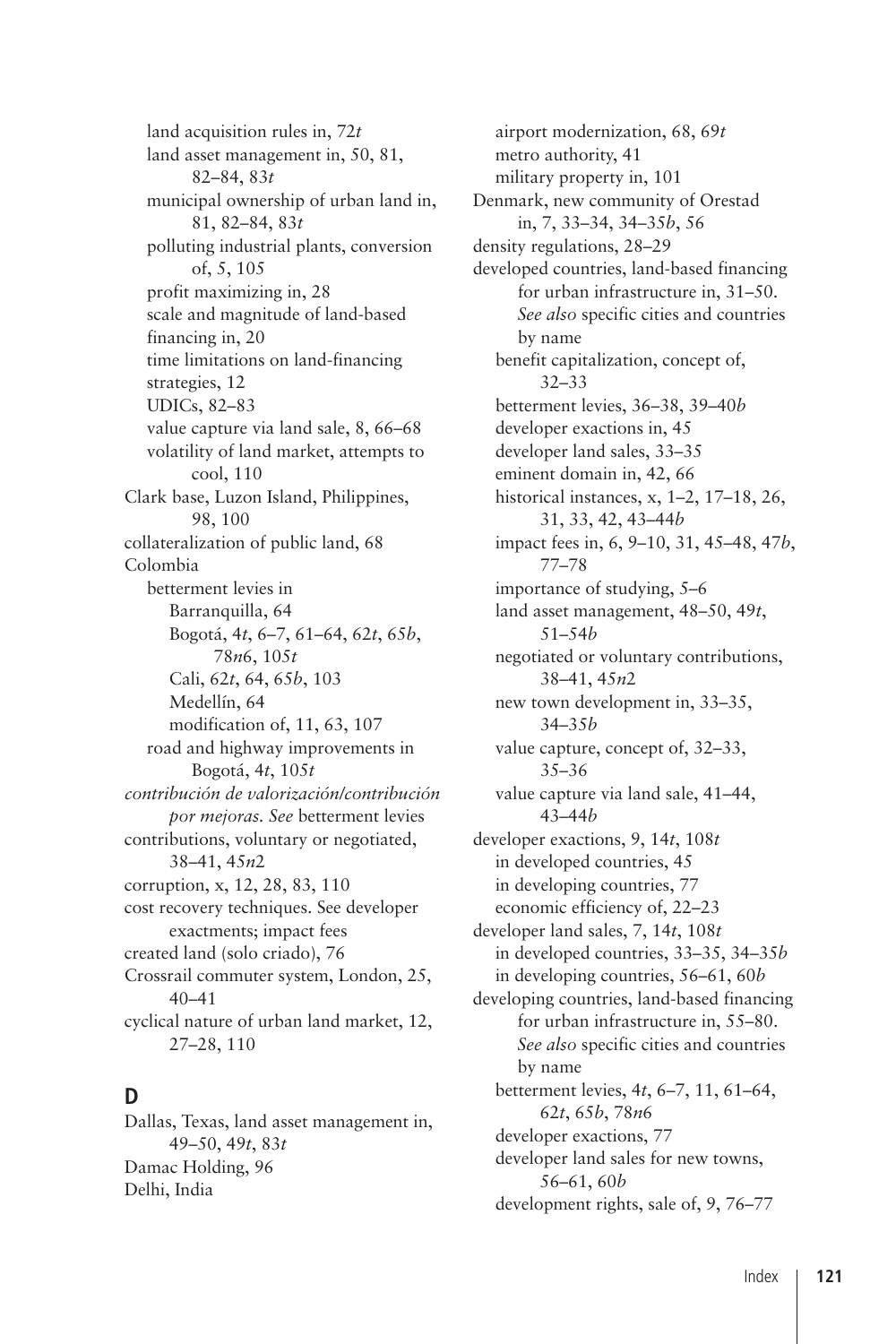land acquisition rules in, 72*t* land asset management in, 50, 81, 82–84, 83*t* municipal ownership of urban land in, 81, 82–84, 83*t* polluting industrial plants, conversion of, 5, 105 profit maximizing in, 28 scale and magnitude of land-based financing in, 20 time limitations on land-financing strategies, 12 UDICs, 82–83 value capture via land sale, 8, 66–68 volatility of land market, attempts to cool, 110 Clark base, Luzon Island, Philippines, 98, 100 collateralization of public land, 68 Colombia betterment levies in Barranquilla, 64 Bogotá, 4*t*, 6–7, 61–64, 62*t*, 65*b*, 78*n*6, 105*t* Cali, 62*t*, 64, 65*b*, 103 Medellín, 64 modification of, 11, 63, 107 road and highway improvements in Bogotá, 4*t*, 105*t contribución de valorización/contribución por mejoras. See* betterment levies contributions, voluntary or negotiated, 38–41, 45*n*2 corruption, x, 12, 28, 83, 110 cost recovery techniques. See developer exactments; impact fees created land (solo criado), 76 Crossrail commuter system, London, 25, 40–41 cyclical nature of urban land market, 12, 27–28, 110

# **D**

Dallas, Texas, land asset management in, 49–50, 49*t*, 83*t* Damac Holding, 96 Delhi, India

airport modernization, 68, 69*t* metro authority, 41 military property in, 101 Denmark, new community of Orestad in, 7, 33–34, 34–35*b*, 56 density regulations, 28–29 developed countries, land-based financing for urban infrastructure in, 31–50. *See also* specific cities and countries by name benefit capitalization, concept of, 32–33 betterment levies, 36–38, 39–40*b* developer exactions in, 45 developer land sales, 33–35 eminent domain in, 42, 66 historical instances, x, 1–2, 17–18, 26, 31, 33, 42, 43–44*b* impact fees in, 6, 9–10, 31, 45–48, 47*b*, 77–78 importance of studying, 5–6 land asset management, 48–50, 49*t*, 51–54*b* negotiated or voluntary contributions, 38–41, 45*n*2 new town development in, 33–35, 34–35*b* value capture, concept of, 32–33, 35–36 value capture via land sale, 41–44, 43–44*b* developer exactions, 9, 14*t*, 108*t* in developed countries, 45 in developing countries, 77 economic efficiency of, 22–23 developer land sales, 7, 14*t*, 108*t* in developed countries, 33–35, 34–35*b* in developing countries, 56–61, 60*b* developing countries, land-based financing for urban infrastructure in, 55–80. *See also* specific cities and countries by name betterment levies, 4*t*, 6–7, 11, 61–64, 62*t*, 65*b*, 78*n*6 developer exactions, 77 developer land sales for new towns, 56–61, 60*b* development rights, sale of, 9, 76–77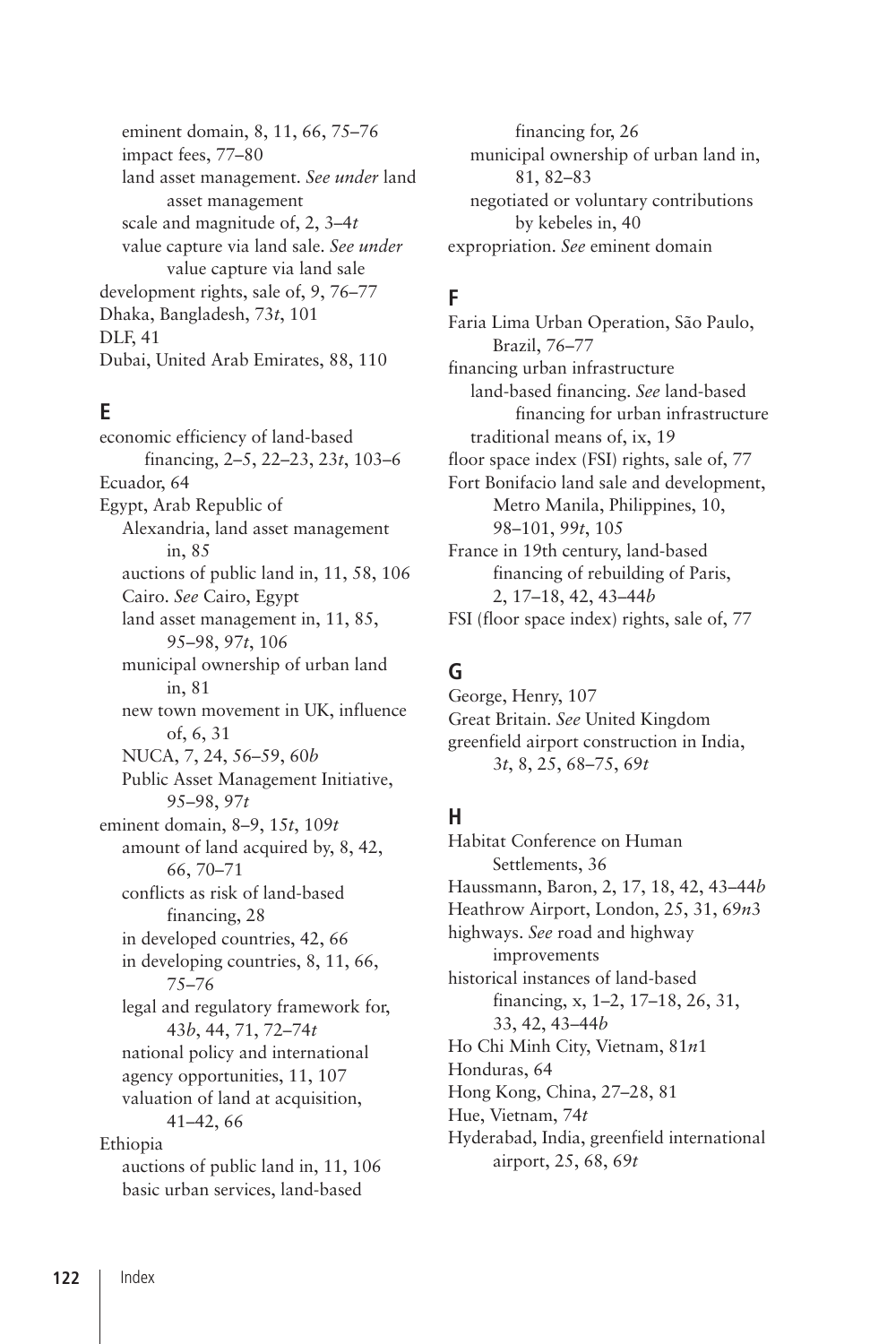eminent domain, 8, 11, 66, 75–76 impact fees, 77–80 land asset management. *See under* land asset management scale and magnitude of, 2, 3–4*t* value capture via land sale. *See under*  value capture via land sale development rights, sale of, 9, 76–77 Dhaka, Bangladesh, 73*t*, 101 DLF, 41 Dubai, United Arab Emirates, 88, 110

### **E**

economic efficiency of land-based financing, 2–5, 22–23, 23*t*, 103–6 Ecuador, 64 Egypt, Arab Republic of Alexandria, land asset management in, 85 auctions of public land in, 11, 58, 106 Cairo. *See* Cairo, Egypt land asset management in, 11, 85, 95–98, 97*t*, 106 municipal ownership of urban land in, 81 new town movement in UK, influence of, 6, 31 NUCA, 7, 24, 56–59, 60*b* Public Asset Management Initiative, 95–98, 97*t* eminent domain, 8–9, 15*t*, 109*t* amount of land acquired by, 8, 42, 66, 70–71 conflicts as risk of land-based financing, 28 in developed countries, 42, 66 in developing countries, 8, 11, 66, 75–76 legal and regulatory framework for, 43*b*, 44, 71, 72–74*t* national policy and international agency opportunities, 11, 107 valuation of land at acquisition, 41–42, 66 Ethiopia auctions of public land in, 11, 106 basic urban services, land-based

financing for, 26 municipal ownership of urban land in, 81, 82–83 negotiated or voluntary contributions by kebeles in, 40 expropriation. *See* eminent domain

# **F**

Faria Lima Urban Operation, São Paulo, Brazil, 76–77 financing urban infrastructure land-based financing. *See* land-based financing for urban infrastructure traditional means of, ix, 19 floor space index (FSI) rights, sale of, 77 Fort Bonifacio land sale and development, Metro Manila, Philippines, 10, 98–101, 99*t*, 105 France in 19th century, land-based financing of rebuilding of Paris, 2, 17–18, 42, 43–44*b* FSI (floor space index) rights, sale of, 77

# **G**

George, Henry, 107 Great Britain. *See* United Kingdom greenfield airport construction in India, 3*t*, 8, 25, 68–75, 69*t*

### **H**

Habitat Conference on Human Settlements, 36 Haussmann, Baron, 2, 17, 18, 42, 43–44*b* Heathrow Airport, London, 25, 31, 69*n*3 highways. *See* road and highway improvements historical instances of land-based financing, x, 1–2, 17–18, 26, 31, 33, 42, 43–44*b* Ho Chi Minh City, Vietnam, 81*n*1 Honduras, 64 Hong Kong, China, 27–28, 81 Hue, Vietnam, 74*t* Hyderabad, India, greenfield international airport, 25, 68, 69*t*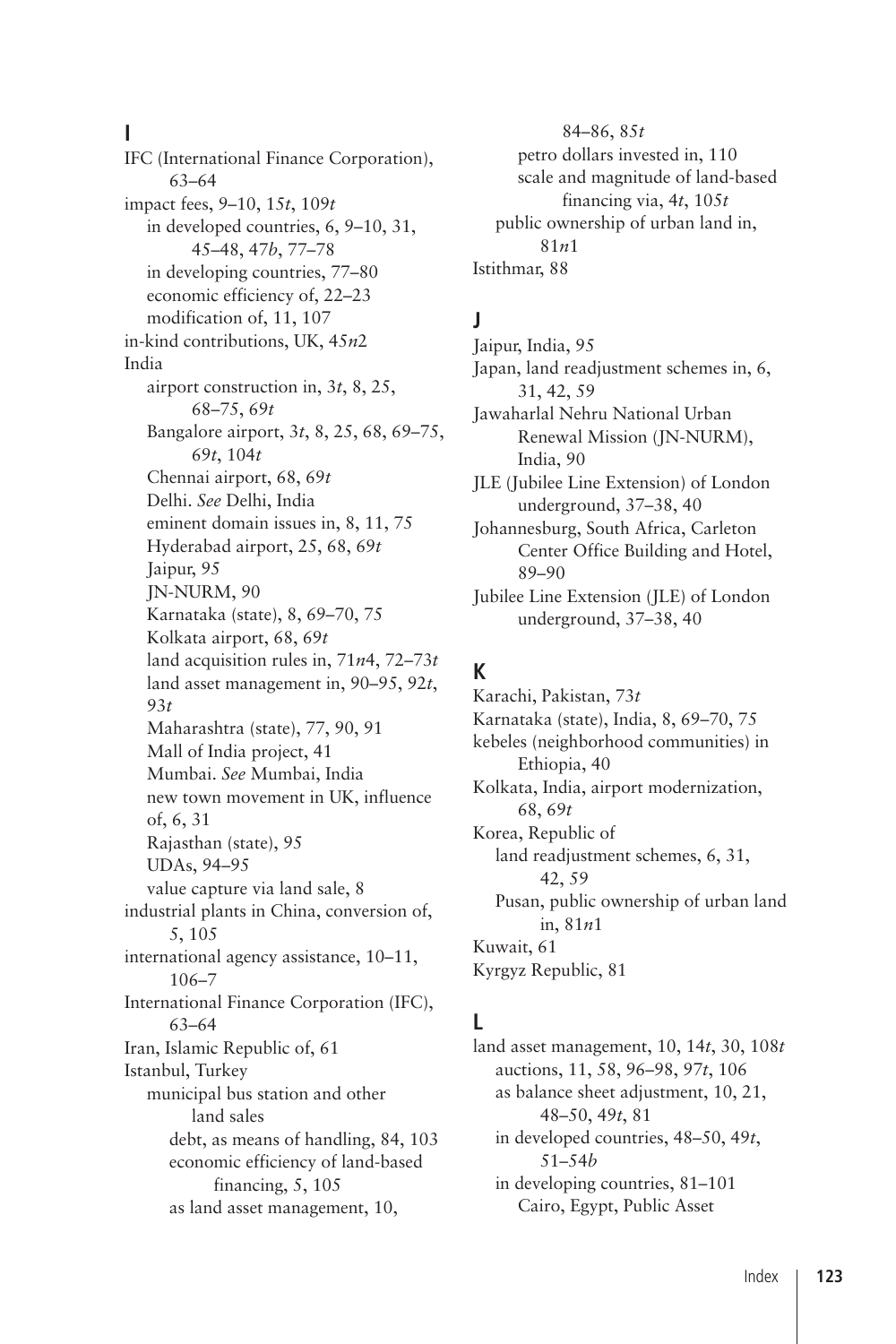#### **I**

IFC (International Finance Corporation), 63–64 impact fees, 9–10, 15*t*, 109*t* in developed countries, 6, 9–10, 31, 45–48, 47*b*, 77–78 in developing countries, 77–80 economic efficiency of, 22–23 modification of, 11, 107 in-kind contributions, UK, 45*n*2 India airport construction in, 3*t*, 8, 25, 68–75, 69*t* Bangalore airport, 3*t*, 8, 25, 68, 69–75, 69*t*, 104*t* Chennai airport, 68, 69*t* Delhi. *See* Delhi, India eminent domain issues in, 8, 11, 75 Hyderabad airport, 25, 68, 69*t* Jaipur, 95 JN-NURM, 90 Karnataka (state), 8, 69–70, 75 Kolkata airport, 68, 69*t* land acquisition rules in, 71*n*4, 72–73*t* land asset management in, 90–95, 92*t*, 93*t* Maharashtra (state), 77, 90, 91 Mall of India project, 41 Mumbai. *See* Mumbai, India new town movement in UK, influence of, 6, 31 Rajasthan (state), 95 UDAs, 94–95 value capture via land sale, 8 industrial plants in China, conversion of, 5, 105 international agency assistance, 10–11, 106–7 International Finance Corporation (IFC), 63–64 Iran, Islamic Republic of, 61 Istanbul, Turkey municipal bus station and other land sales debt, as means of handling, 84, 103 economic efficiency of land-based financing, 5, 105 as land asset management, 10,

84–86, 85*t* petro dollars invested in, 110 scale and magnitude of land-based financing via, 4*t*, 105*t* public ownership of urban land in, 81*n*1 Istithmar, 88

## **J**

Jaipur, India, 95 Japan, land readjustment schemes in, 6, 31, 42, 59 Jawaharlal Nehru National Urban Renewal Mission (JN-NURM), India, 90 JLE (Jubilee Line Extension) of London underground, 37–38, 40 Johannesburg, South Africa, Carleton Center Office Building and Hotel, 89–90

Jubilee Line Extension (JLE) of London underground, 37–38, 40

## **K**

Karachi, Pakistan, 73*t* Karnataka (state), India, 8, 69–70, 75 kebeles (neighborhood communities) in Ethiopia, 40 Kolkata, India, airport modernization, 68, 69*t* Korea, Republic of land readjustment schemes, 6, 31, 42, 59 Pusan, public ownership of urban land in, 81*n*1 Kuwait, 61 Kyrgyz Republic, 81

# **L**

land asset management, 10, 14*t*, 30, 108*t* auctions, 11, 58, 96–98, 97*t*, 106 as balance sheet adjustment, 10, 21, 48–50, 49*t*, 81 in developed countries, 48–50, 49*t*, 51–54*b* in developing countries, 81–101 Cairo, Egypt, Public Asset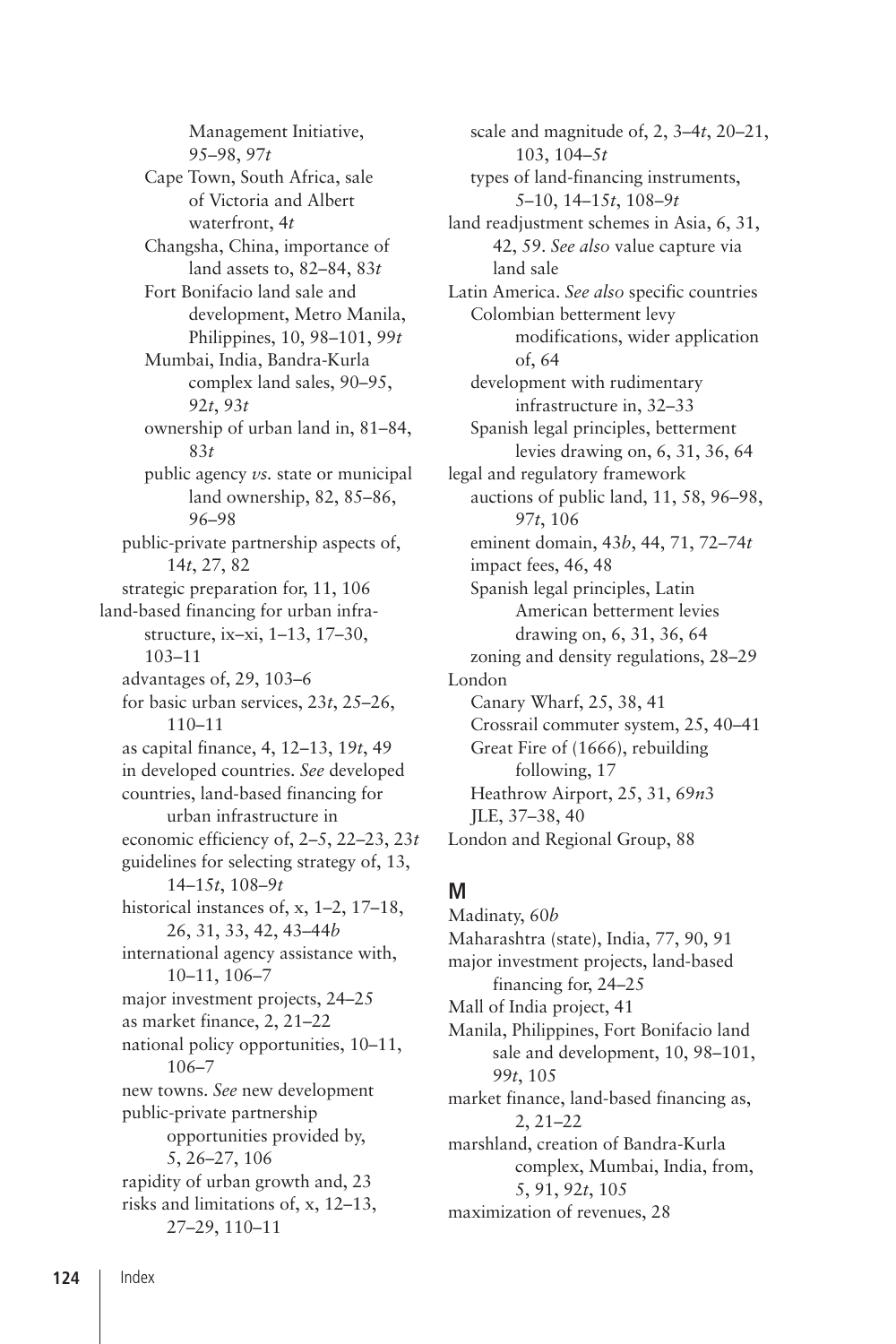Management Initiative, 95–98, 97*t* Cape Town, South Africa, sale of Victoria and Albert waterfront, 4*t* Changsha, China, importance of land assets to, 82–84, 83*t* Fort Bonifacio land sale and development, Metro Manila, Philippines, 10, 98–101, 99*t* Mumbai, India, Bandra-Kurla complex land sales, 90–95, 92*t*, 93*t* ownership of urban land in, 81–84, 83*t* public agency *vs.* state or municipal land ownership, 82, 85–86, 96–98 public-private partnership aspects of, 14*t*, 27, 82 strategic preparation for, 11, 106 land-based financing for urban infrastructure, ix–xi, 1–13, 17–30, 103–11 advantages of, 29, 103–6 for basic urban services, 23*t*, 25–26, 110–11 as capital finance, 4, 12–13, 19*t*, 49 in developed countries. *See* developed countries, land-based financing for urban infrastructure in economic efficiency of, 2–5, 22–23, 23*t* guidelines for selecting strategy of, 13, 14–15*t*, 108–9*t* historical instances of, x, 1–2, 17–18, 26, 31, 33, 42, 43–44*b* international agency assistance with, 10–11, 106–7 major investment projects, 24–25 as market finance, 2, 21–22 national policy opportunities, 10–11, 106–7 new towns. *See* new development public-private partnership opportunities provided by, 5, 26–27, 106 rapidity of urban growth and, 23 risks and limitations of, x, 12–13, 27–29, 110–11

scale and magnitude of, 2, 3–4*t*, 20–21, 103, 104–5*t* types of land-financing instruments, 5–10, 14–15*t*, 108–9*t* land readjustment schemes in Asia, 6, 31, 42, 59. *See also* value capture via land sale Latin America. *See also* specific countries Colombian betterment levy modifications, wider application of, 64 development with rudimentary infrastructure in, 32–33 Spanish legal principles, betterment levies drawing on, 6, 31, 36, 64 legal and regulatory framework auctions of public land, 11, 58, 96–98, 97*t*, 106 eminent domain, 43*b*, 44, 71, 72–74*t* impact fees, 46, 48 Spanish legal principles, Latin American betterment levies drawing on, 6, 31, 36, 64 zoning and density regulations, 28–29 London Canary Wharf, 25, 38, 41 Crossrail commuter system, 25, 40–41 Great Fire of (1666), rebuilding following, 17 Heathrow Airport, 25, 31, 69*n*3 JLE, 37–38, 40 London and Regional Group, 88

#### **M**

Madinaty, 60*b* Maharashtra (state), India, 77, 90, 91 major investment projects, land-based financing for, 24–25 Mall of India project, 41 Manila, Philippines, Fort Bonifacio land sale and development, 10, 98–101, 99*t*, 105 market finance, land-based financing as, 2, 21–22 marshland, creation of Bandra-Kurla complex, Mumbai, India, from, 5, 91, 92*t*, 105 maximization of revenues, 28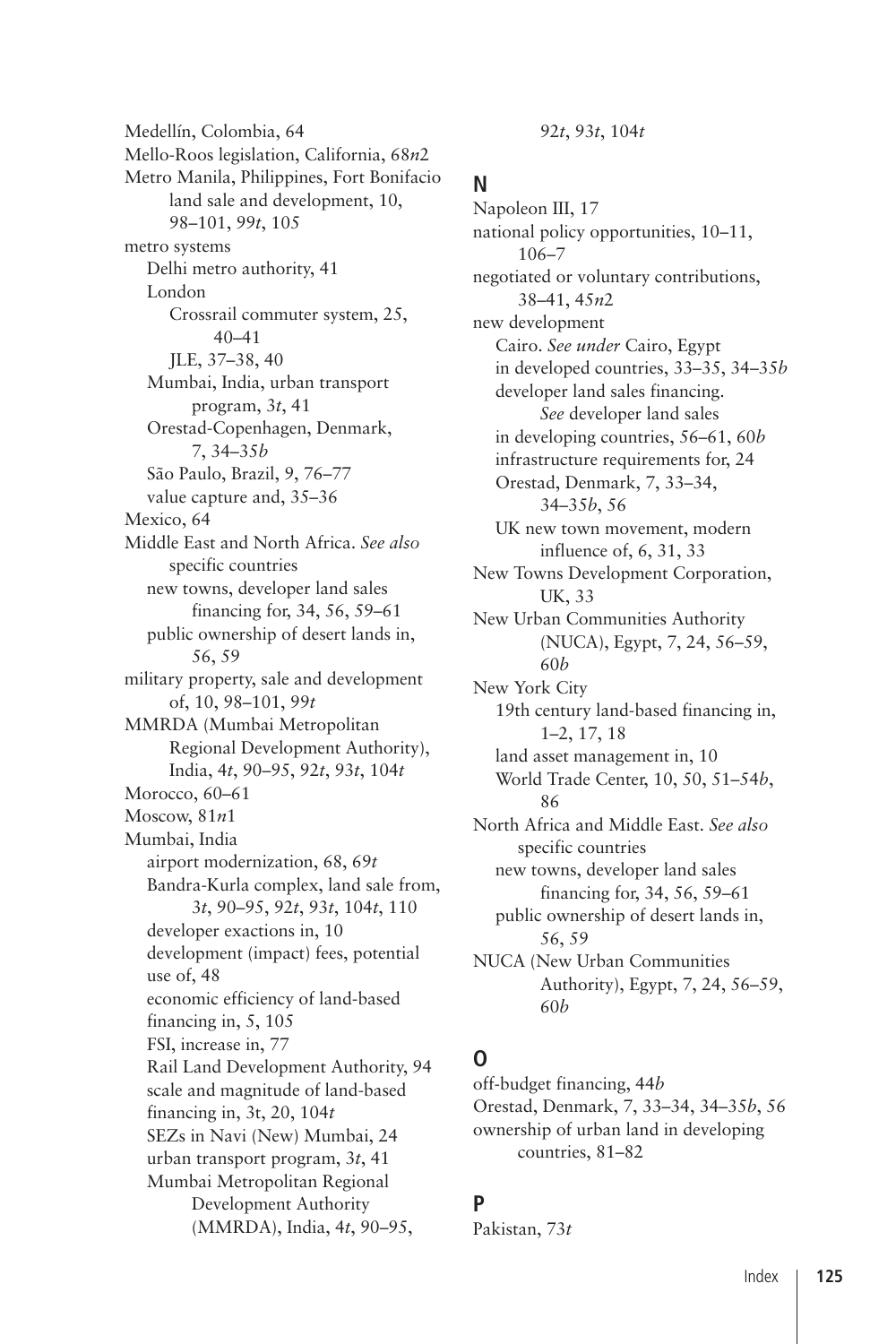Medellín, Colombia, 64 Mello-Roos legislation, California, 68*n*2 Metro Manila, Philippines, Fort Bonifacio land sale and development, 10, 98–101, 99*t*, 105 metro systems Delhi metro authority, 41 London Crossrail commuter system, 25, 40–41 JLE, 37–38, 40 Mumbai, India, urban transport program, 3*t*, 41 Orestad-Copenhagen, Denmark, 7, 34–35*b* São Paulo, Brazil, 9, 76–77 value capture and, 35–36 Mexico, 64 Middle East and North Africa. *See also*  specific countries new towns, developer land sales financing for, 34, 56, 59–61 public ownership of desert lands in, 56, 59 military property, sale and development of, 10, 98–101, 99*t* MMRDA (Mumbai Metropolitan Regional Development Authority), India, 4*t*, 90–95, 92*t*, 93*t*, 104*t* Morocco, 60–61 Moscow, 81*n*1 Mumbai, India airport modernization, 68, 69*t* Bandra-Kurla complex, land sale from, 3*t*, 90–95, 92*t*, 93*t*, 104*t*, 110 developer exactions in, 10 development (impact) fees, potential use of, 48 economic efficiency of land-based financing in, 5, 105 FSI, increase in, 77 Rail Land Development Authority, 94 scale and magnitude of land-based financing in, 3t, 20, 104*t* SEZs in Navi (New) Mumbai, 24 urban transport program, 3*t*, 41 Mumbai Metropolitan Regional Development Authority (MMRDA), India, 4*t*, 90–95,

92*t*, 93*t*, 104*t*

#### **N**

Napoleon III, 17 national policy opportunities, 10–11, 106–7 negotiated or voluntary contributions, 38–41, 45*n*2 new development Cairo. *See under* Cairo, Egypt in developed countries, 33–35, 34–35*b* developer land sales financing. *See* developer land sales in developing countries, 56–61, 60*b* infrastructure requirements for, 24 Orestad, Denmark, 7, 33–34, 34–35*b*, 56 UK new town movement, modern influence of, 6, 31, 33 New Towns Development Corporation, UK, 33 New Urban Communities Authority (NUCA), Egypt, 7, 24, 56–59, 60*b* New York City 19th century land-based financing in, 1–2, 17, 18 land asset management in, 10 World Trade Center, 10, 50, 51–54*b*,  $86$ North Africa and Middle East. *See also*  specific countries new towns, developer land sales financing for, 34, 56, 59–61 public ownership of desert lands in, 56, 59 NUCA (New Urban Communities Authority), Egypt, 7, 24, 56–59,

# **O**

off-budget financing, 44*b* Orestad, Denmark, 7, 33–34, 34–35*b*, 56 ownership of urban land in developing countries, 81–82

#### **P**

Pakistan, 73*t*

60*b*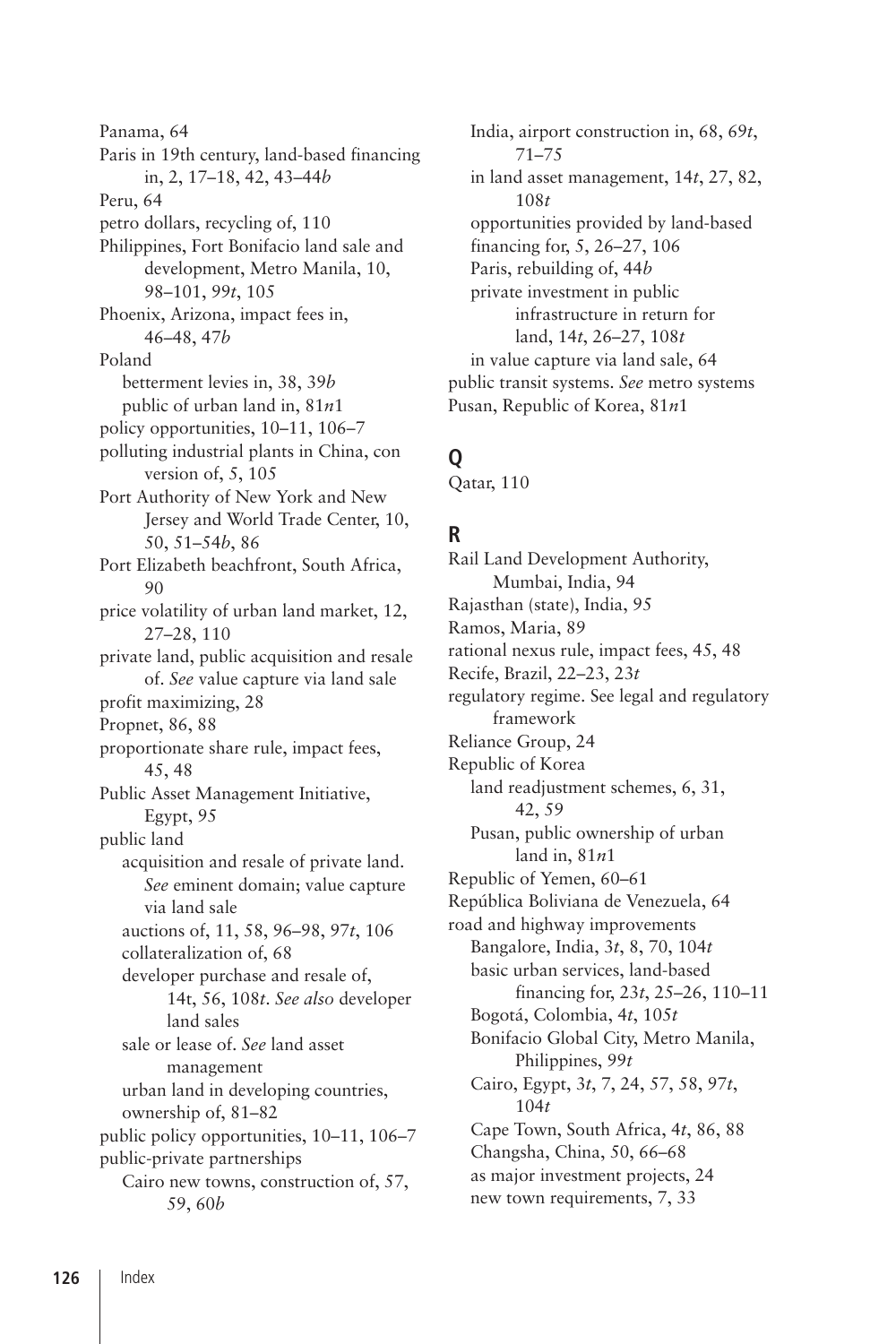Panama, 64 Paris in 19th century, land-based financing in, 2, 17–18, 42, 43–44*b* Peru, 64 petro dollars, recycling of, 110 Philippines, Fort Bonifacio land sale and development, Metro Manila, 10, 98–101, 99*t*, 105 Phoenix, Arizona, impact fees in, 46–48, 47*b* Poland betterment levies in, 38, 39*b* public of urban land in, 81*n*1 policy opportunities, 10–11, 106–7 polluting industrial plants in China, con version of, 5, 105 Port Authority of New York and New Jersey and World Trade Center, 10, 50, 51–54*b*, 86 Port Elizabeth beachfront, South Africa,  $9<sub>0</sub>$ price volatility of urban land market, 12, 27–28, 110 private land, public acquisition and resale of. *See* value capture via land sale profit maximizing, 28 Propnet, 86, 88 proportionate share rule, impact fees, 45, 48 Public Asset Management Initiative, Egypt, 95 public land acquisition and resale of private land. *See* eminent domain; value capture via land sale auctions of, 11, 58, 96–98, 97*t*, 106 collateralization of, 68 developer purchase and resale of, 14t, 56, 108*t*. *See also* developer land sales sale or lease of. *See* land asset management urban land in developing countries, ownership of, 81–82 public policy opportunities, 10–11, 106–7 public-private partnerships Cairo new towns, construction of, 57, 59, 60*b*

India, airport construction in, 68, 69*t*, 71–75 in land asset management, 14*t*, 27, 82, 108*t* opportunities provided by land-based financing for, 5, 26–27, 106 Paris, rebuilding of, 44*b* private investment in public infrastructure in return for land, 14*t*, 26–27, 108*t* in value capture via land sale, 64 public transit systems. *See* metro systems Pusan, Republic of Korea, 81*n*1

### **Q**

Qatar, 110

### **R**

Rail Land Development Authority, Mumbai, India, 94 Rajasthan (state), India, 95 Ramos, Maria, 89 rational nexus rule, impact fees, 45, 48 Recife, Brazil, 22–23, 23*t* regulatory regime. See legal and regulatory framework Reliance Group, 24 Republic of Korea land readjustment schemes, 6, 31, 42, 59 Pusan, public ownership of urban land in, 81*n*1 Republic of Yemen, 60–61 República Boliviana de Venezuela, 64 road and highway improvements Bangalore, India, 3*t*, 8, 70, 104*t* basic urban services, land-based financing for, 23*t*, 25–26, 110–11 Bogotá, Colombia, 4*t*, 105*t* Bonifacio Global City, Metro Manila, Philippines, 99*t* Cairo, Egypt, 3*t*, 7, 24, 57, 58, 97*t*, 104*t* Cape Town, South Africa, 4*t*, 86, 88 Changsha, China, 50, 66–68 as major investment projects, 24 new town requirements, 7, 33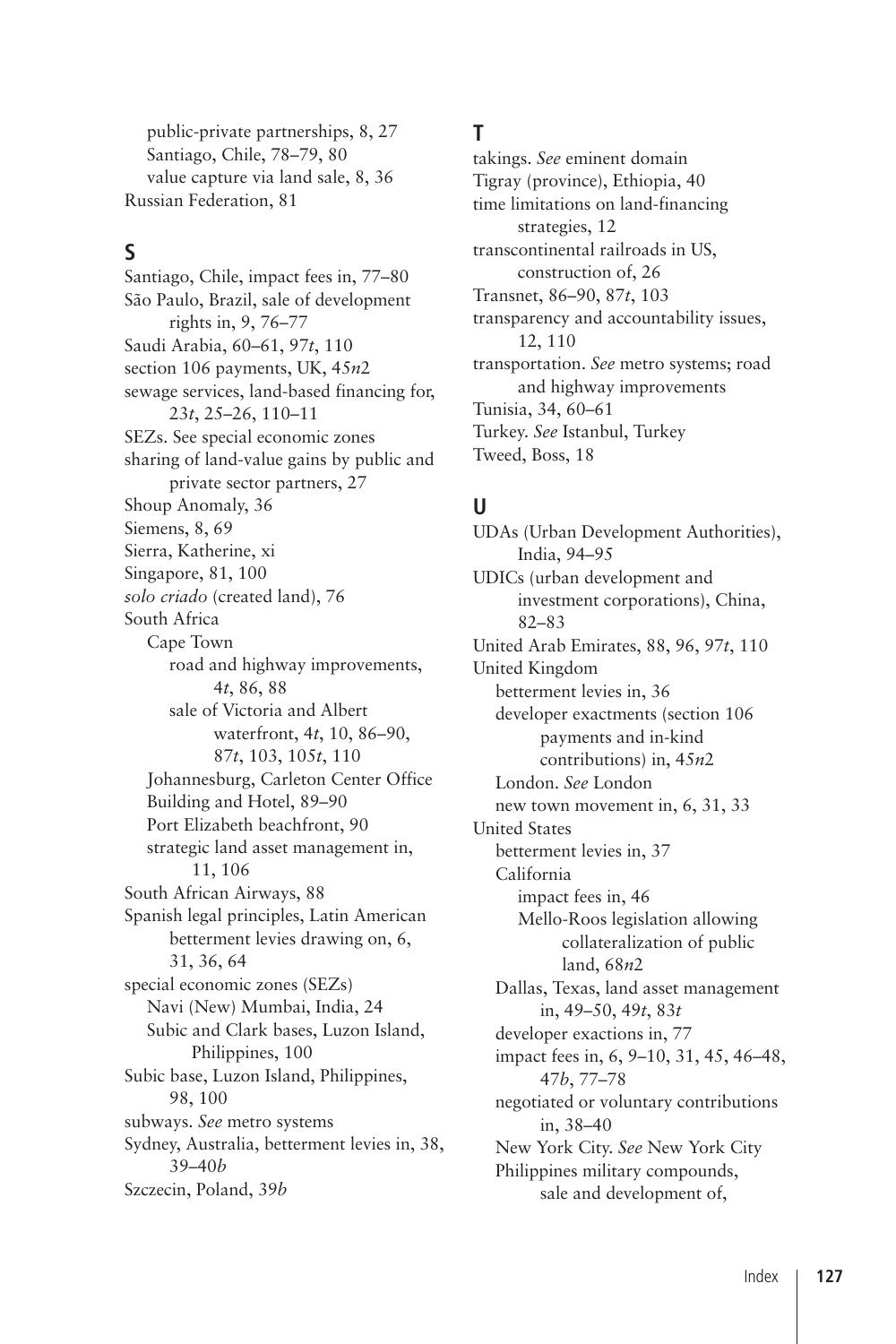public-private partnerships, 8, 27 Santiago, Chile, 78–79, 80 value capture via land sale, 8, 36 Russian Federation, 81

#### **S**

Santiago, Chile, impact fees in, 77–80 São Paulo, Brazil, sale of development rights in, 9, 76–77 Saudi Arabia, 60–61, 97*t*, 110 section 106 payments, UK, 45*n*2 sewage services, land-based financing for, 23*t*, 25–26, 110–11 SEZs. See special economic zones sharing of land-value gains by public and private sector partners, 27 Shoup Anomaly, 36 Siemens, 8, 69 Sierra, Katherine, xi Singapore, 81, 100 *solo criado* (created land), 76 South Africa Cape Town road and highway improvements, 4*t*, 86, 88 sale of Victoria and Albert waterfront, 4*t*, 10, 86–90, 87*t*, 103, 105*t*, 110 Johannesburg, Carleton Center Office Building and Hotel, 89–90 Port Elizabeth beachfront, 90 strategic land asset management in, 11, 106 South African Airways, 88 Spanish legal principles, Latin American betterment levies drawing on, 6, 31, 36, 64 special economic zones (SEZs) Navi (New) Mumbai, India, 24 Subic and Clark bases, Luzon Island, Philippines, 100 Subic base, Luzon Island, Philippines, 98, 100 subways. *See* metro systems Sydney, Australia, betterment levies in, 38, 39–40*b* Szczecin, Poland, 39*b*

#### **T**

takings. *See* eminent domain Tigray (province), Ethiopia, 40 time limitations on land-financing strategies, 12 transcontinental railroads in US, construction of, 26 Transnet, 86–90, 87*t*, 103 transparency and accountability issues, 12, 110 transportation. *See* metro systems; road and highway improvements Tunisia, 34, 60–61 Turkey. *See* Istanbul, Turkey Tweed, Boss, 18

# **U**

UDAs (Urban Development Authorities), India, 94–95 UDICs (urban development and investment corporations), China, 82–83 United Arab Emirates, 88, 96, 97*t*, 110 United Kingdom betterment levies in, 36 developer exactments (section 106 payments and in-kind contributions) in, 45*n*2 London. *See* London new town movement in, 6, 31, 33 United States betterment levies in, 37 California impact fees in, 46 Mello-Roos legislation allowing collateralization of public land, 68*n*2 Dallas, Texas, land asset management in, 49–50, 49*t*, 83*t* developer exactions in, 77 impact fees in, 6, 9–10, 31, 45, 46–48, 47*b*, 77–78 negotiated or voluntary contributions in, 38–40 New York City. *See* New York City Philippines military compounds, sale and development of,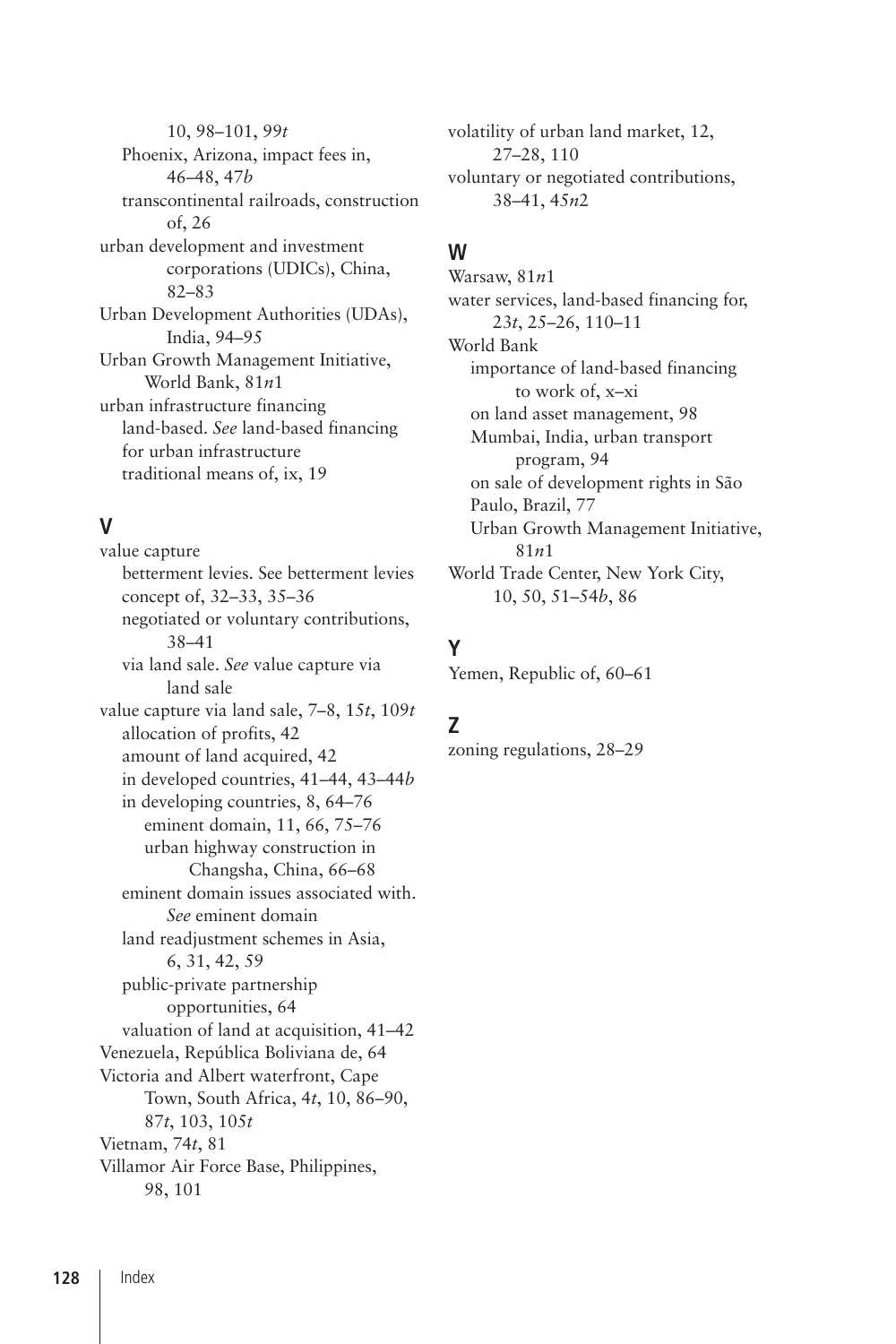10, 98–101, 99*t* Phoenix, Arizona, impact fees in, 46–48, 47*b* transcontinental railroads, construction of, 26 urban development and investment corporations (UDICs), China, 82–83 Urban Development Authorities (UDAs), India, 94–95 Urban Growth Management Initiative, World Bank, 81*n*1 urban infrastructure financing land-based. *See* land-based financing for urban infrastructure traditional means of, ix, 19

# **V**

value capture betterment levies. See betterment levies concept of, 32–33, 35–36 negotiated or voluntary contributions, 38–41 via land sale. *See* value capture via land sale value capture via land sale, 7–8, 15*t*, 109*t* allocation of profits, 42 amount of land acquired, 42 in developed countries, 41–44, 43–44*b* in developing countries, 8, 64–76 eminent domain, 11, 66, 75–76 urban highway construction in Changsha, China, 66–68 eminent domain issues associated with. *See* eminent domain land readjustment schemes in Asia, 6, 31, 42, 59 public-private partnership opportunities, 64 valuation of land at acquisition, 41–42 Venezuela, República Boliviana de, 64 Victoria and Albert waterfront, Cape Town, South Africa, 4*t*, 10, 86–90, 87*t*, 103, 105*t* Vietnam, 74*t*, 81 Villamor Air Force Base, Philippines, 98, 101

volatility of urban land market, 12, 27–28, 110 voluntary or negotiated contributions, 38–41, 45*n*2

### **W**

Warsaw, 81*n*1 water services, land-based financing for, 23*t*, 25–26, 110–11 World Bank importance of land-based financing to work of, x–xi on land asset management, 98 Mumbai, India, urban transport program, 94 on sale of development rights in São Paulo, Brazil, 77 Urban Growth Management Initiative, 81*n*1 World Trade Center, New York City, 10, 50, 51–54*b*, 86

# **Y**

Yemen, Republic of, 60–61

# **Z**

zoning regulations, 28–29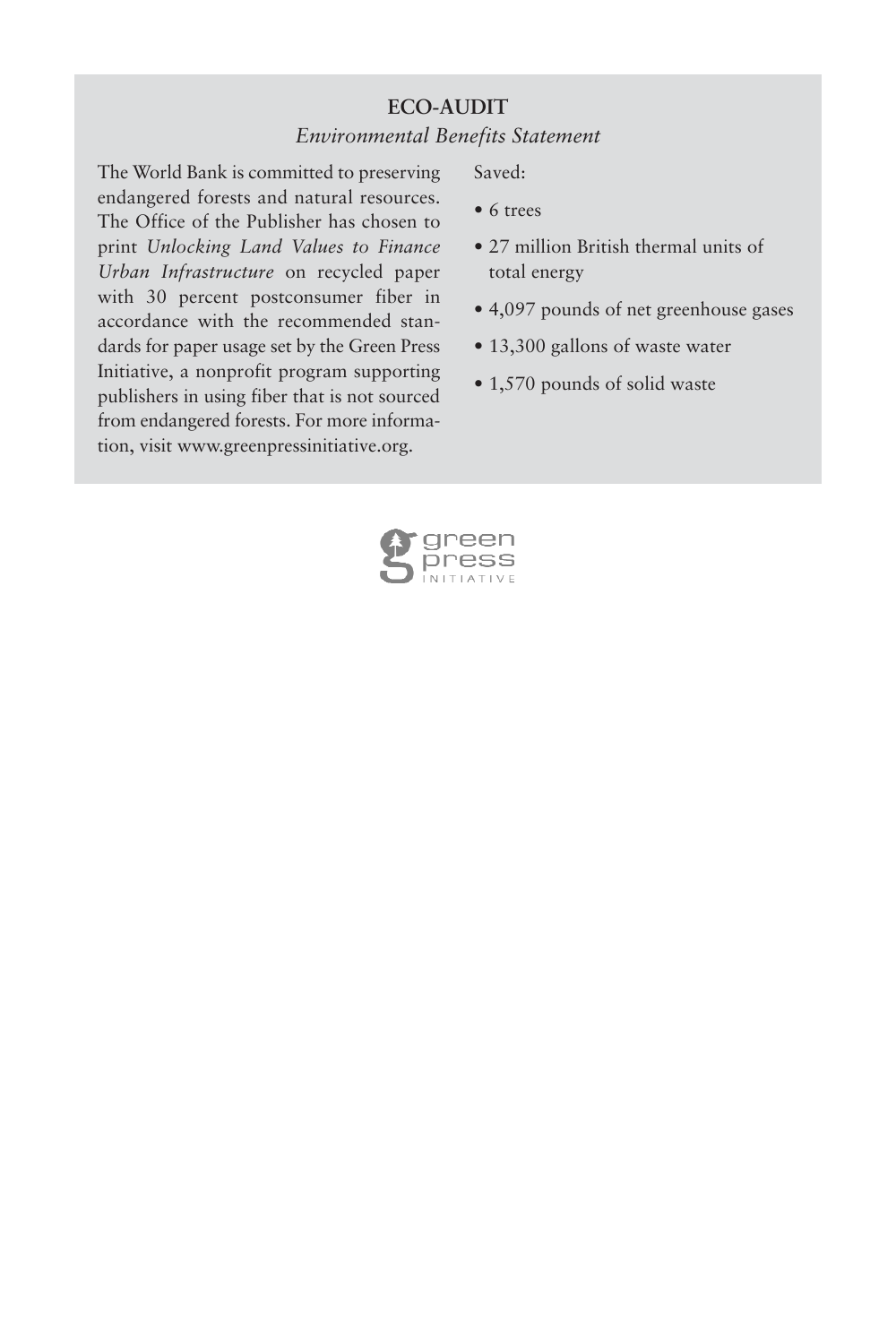#### **ECO-AUDIT**

#### *Environmental Benefits Statement*

The World Bank is committed to preserving endangered forests and natural resources. The Office of the Publisher has chosen to print *Unlocking Land Values to Finance Urban Infrastructure* on recycled paper with 30 percent postconsumer fiber in accordance with the recommended standards for paper usage set by the Green Press Initiative, a nonprofit program supporting publishers in using fiber that is not sourced from endangered forests. For more information, visit www.greenpressinitiative.org.

Saved:

- 6 trees
- 27 million British thermal units of total energy
- 4,097 pounds of net greenhouse gases
- 13,300 gallons of waste water
- 1,570 pounds of solid waste